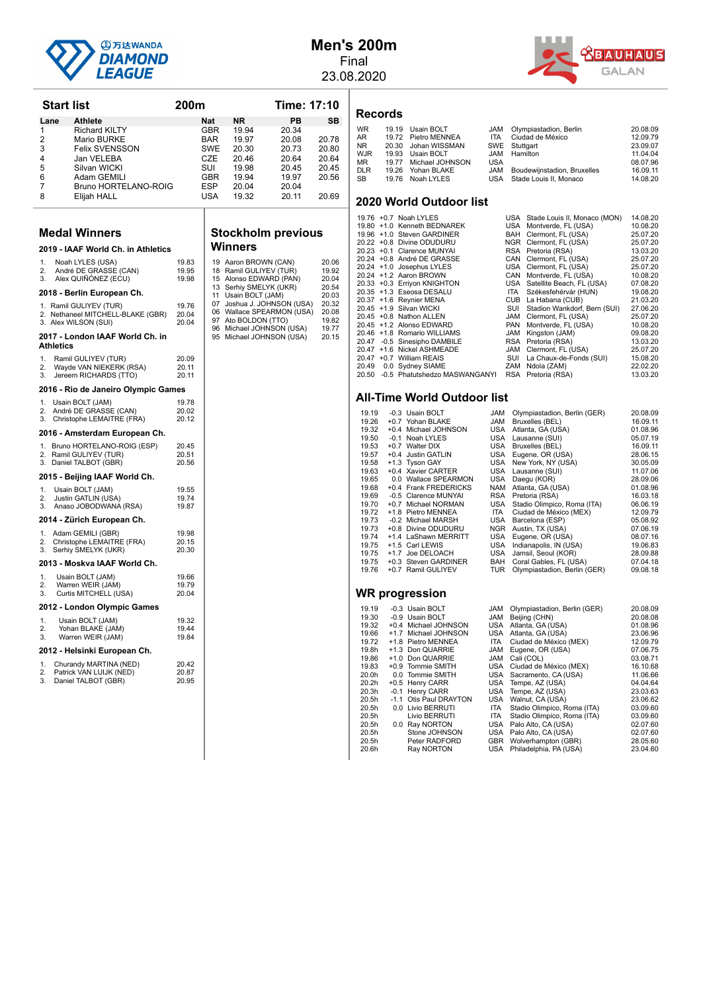

#### **Men's 200m** Final

23.08.2020



|                     | <b>Start list</b> |                                                            | 200m           |                   |                                                 | Time: 17:10    |                |
|---------------------|-------------------|------------------------------------------------------------|----------------|-------------------|-------------------------------------------------|----------------|----------------|
| Lane                |                   | <b>Athlete</b>                                             |                | Nat               | ΝR                                              | PВ             | SВ             |
| 1                   |                   | <b>Richard KILTY</b>                                       |                | GBR               | 19.94                                           | 20.34          |                |
| $\overline{2}$<br>3 |                   | Mario BURKE<br><b>Felix SVENSSON</b>                       |                | <b>BAR</b><br>SWE | 19.97<br>20.30                                  | 20.08<br>20.73 | 20.78<br>20.80 |
| 4                   |                   | Jan VELEBA                                                 |                | CZE               | 20.46                                           | 20.64          | 20.64          |
| 5                   |                   | Silvan WICKI                                               |                | SUI               | 19.98                                           | 20.45          | 20.45          |
| 6                   |                   | Adam GEMILI                                                |                | GBR               | 19.94                                           | 19.97          | 20.56          |
| 7                   |                   | Bruno HORTELANO-ROIG                                       |                | ESP               | 20.04                                           | 20.04          |                |
| 8                   |                   | Elijah HALL                                                |                | USA               | 19.32                                           | 20.11          | 20.69          |
|                     |                   | <b>Medal Winners</b>                                       |                |                   | <b>Stockholm previous</b>                       |                |                |
|                     |                   | 2019 - IAAF World Ch. in Athletics                         |                |                   | Winners                                         |                |                |
| 1.                  |                   | Noah LYLES (USA)                                           | 19.83          |                   |                                                 |                | 20.06          |
| 2.                  |                   | André DE GRASSE (CAN)                                      | 19.95          |                   | 19 Aaron BROWN (CAN)<br>18 Ramil GULIYEV (TUR)  |                | 19.92          |
| 3.                  |                   | Alex QUINONEZ (ECU)                                        | 19.98          |                   | 15 Alonso EDWARD (PAN)                          |                | 20.04          |
|                     |                   | 2018 - Berlin European Ch.                                 |                |                   | 13 Serhiy SMELYK (UKR)<br>11 Usain BOLT (JAM)   |                | 20.54<br>20.03 |
|                     |                   | 1. Ramil GULIYEV (TUR)                                     | 19.76          |                   | 07 Joshua J. JOHNSON (USA)                      |                | 20.32          |
|                     |                   | 2. Nethaneel MITCHELL-BLAKE (GBR)                          | 20.04          |                   | 06 Wallace SPEARMON (USA)                       |                | 20.08          |
|                     |                   | 3. Alex WILSON (SUI)                                       | 20.04          |                   | 97 Ato BOLDON (TTO)<br>96 Michael JOHNSON (USA) |                | 19.82<br>19.77 |
|                     | Athletics         | 2017 - London IAAF World Ch. in                            |                |                   | 95 Michael JOHNSON (USA)                        |                | 20.15          |
| 1.                  |                   | Ramil GULIYEV (TUR)                                        | 20.09          |                   |                                                 |                |                |
| 2.<br>3.            |                   | Wayde VAN NIEKERK (RSA)<br>Jereem RICHARDS (TTO)           | 20.11<br>20.11 |                   |                                                 |                |                |
|                     |                   | 2016 - Rio de Janeiro Olympic Games                        |                |                   |                                                 |                |                |
| 1.                  |                   | Usain BOLT (JAM)                                           | 19.78          |                   |                                                 |                |                |
| 2.<br>3.            |                   | André DE GRASSE (CAN)                                      | 20.02<br>20.12 |                   |                                                 |                |                |
|                     |                   | Christophe LEMAITRE (FRA)<br>2016 - Amsterdam European Ch. |                |                   |                                                 |                |                |
|                     |                   |                                                            | 20.45          |                   |                                                 |                |                |
|                     |                   | 1. Bruno HORTELANO-ROIG (ESP)<br>2. Ramil GULIYEV (TUR)    | 20.51          |                   |                                                 |                |                |
|                     |                   | 3. Daniel TALBOT (GBR)                                     | 20.56          |                   |                                                 |                |                |
|                     |                   | 2015 - Beijing IAAF World Ch.                              |                |                   |                                                 |                |                |
| 1.                  |                   | Usain BOLT (JAM)                                           | 19.55          |                   |                                                 |                |                |
| 2.<br>3.            |                   | Justin GATLIN (USA)<br>Anaso JOBODWANA (RSA)               | 19.74<br>19.87 |                   |                                                 |                |                |
|                     |                   | 2014 - Zürich European Ch.                                 |                |                   |                                                 |                |                |
| 1.                  |                   | Adam GEMILI (GBR)                                          | 19.98          |                   |                                                 |                |                |
| 2.                  |                   | Christophe LEMAITRE (FRA)                                  | 20.15          |                   |                                                 |                |                |
| 3.                  |                   | Serhiy SMELYK (UKR)                                        | 20.30          |                   |                                                 |                |                |
|                     |                   | 2013 - Moskva IAAF World Ch.                               |                |                   |                                                 |                |                |
| 1.                  |                   | Usain BOLT (JAM)                                           | 19.66          |                   |                                                 |                |                |
| 2.                  |                   | Warren WEIR (JAM)                                          | 19.79          |                   |                                                 |                |                |
| 3.                  |                   | Curtis MITCHELL (USA)                                      | 20.04          |                   |                                                 |                |                |
|                     |                   | 2012 - London Olympic Games                                |                |                   |                                                 |                |                |
| 1.                  |                   | Usain BOLT (JAM)                                           | 19.32          |                   |                                                 |                |                |
| 2.<br>3.            |                   | Yohan BLAKE (JAM)<br>Warren WEIR (JAM)                     | 19.44<br>19.84 |                   |                                                 |                |                |
|                     |                   | 2012 - Helsinki European Ch.                               |                |                   |                                                 |                |                |
| 1.                  |                   | Churandy MARTINA (NED)                                     | 20.42          |                   |                                                 |                |                |
| 2.                  |                   | Patrick VAN LUIJK (NED)                                    | 20.87          |                   |                                                 |                |                |
| 3.                  |                   | Daniel TALBOT (GBR)                                        | 20.95          |                   |                                                 |                |                |

# **Solm** previous

| 18 | 19 Aaron BROWN (CAN)<br>Ramil GULIYEV (TUR)      | 20.06<br>19.92 |
|----|--------------------------------------------------|----------------|
|    | 15 Alonso EDWARD (PAN)<br>13 Serhiy SMELYK (UKR) | 20.04<br>20.54 |
|    | 11 Usain BOLT (JAM)                              | 20.03          |
|    | 07 Joshua J. JOHNSON (USA)                       | 20.32          |
|    | 06 Wallace SPEARMON (USA)                        | 20.08          |
|    | 97 Ato BOLDON (TTO)                              | 19.82          |
|    | 96 Michael JOHNSON (USA)                         | 19.77<br>20.15 |
|    | 95 Michael JOHNSON (USA)                         |                |
|    |                                                  |                |
|    |                                                  |                |
|    |                                                  |                |
|    |                                                  |                |
|    |                                                  |                |
|    |                                                  |                |
|    |                                                  |                |
|    |                                                  |                |

### **Records**

| <b>WR</b><br>19.19 Usain BOLT<br>JAM Olympiastadion, Berlin<br>20.08.09 |          |
|-------------------------------------------------------------------------|----------|
| AR<br>Ciudad de México<br>19.72 Pietro MENNEA<br>ITA                    | 12.09.79 |
| NR.<br>20.30 Johan WISSMAN<br>SWE Stuttgart                             | 23.09.07 |
| WJR.<br>19.93 Usain BOLT<br>JAM Hamilton                                | 11.04.04 |
| MR.<br>19.77 Michael JOHNSON<br>USA                                     | 08.07.96 |
| <b>DLR</b><br>JAM Boudewijnstadion, Bruxelles<br>19.26 Yohan BLAKE      | 16.09.11 |
| SB<br>USA Stade Louis II. Monaco<br>19.76 Noah LYLES                    | 14.08.20 |

#### **2020 World Outdoor list**

|  | 19.76 +0.7 Noah LYLES               |     | USA Stade Louis II, Monaco (MON) | 14.08.20 |
|--|-------------------------------------|-----|----------------------------------|----------|
|  | 19.80 +1.0 Kenneth BEDNAREK         |     | USA Montverde, FL (USA)          | 10.08.20 |
|  | 19.96 +1.0 Steven GARDINER          |     | BAH Clermont, FL (USA)           | 25.07.20 |
|  | 20.22 +0.8 Divine ODUDURU           |     | NGR Clermont, FL (USA)           | 25.07.20 |
|  | 20.23 +0.1 Clarence MUNYAI          |     | RSA Pretoria (RSA)               | 13.03.20 |
|  | 20.24 +0.8 André DE GRASSE          |     | CAN Clermont, FL (USA)           | 25.07.20 |
|  | 20.24 +1.0 Josephus LYLES           |     | USA Clermont, FL (USA)           | 25.07.20 |
|  | 20.24 +1.2 Aaron BROWN              |     | CAN Montverde, FL (USA)          | 10.08.20 |
|  | 20.33 +0.3 Erriyon KNIGHTON         |     | USA Satellite Beach, FL (USA)    | 07.08.20 |
|  | 20.35 +1.3 Eseosa DESALU            |     | ITA Székesfehérvár (HUN)         | 19.08.20 |
|  | 20.37 +1.6 Reynier MENA             |     | CUB La Habana (CUB)              | 21.03.20 |
|  | 20.45 +1.9 Silvan WICKI             |     | SUI Stadion Wankdorf, Bern (SUI) | 27.06.20 |
|  | 20.45 +0.8 Nathon ALLEN             |     | JAM Clermont, FL (USA)           | 25.07.20 |
|  | 20.45 +1.2 Alonso EDWARD            | PAN | Montverde, FL (USA)              | 10.08.20 |
|  | 20.46 +1.8 Romario WILLIAMS         | JAM | Kingston (JAM)                   | 09.08.20 |
|  | 20.47 -0.5 Sinesipho DAMBILE        |     | RSA Pretoria (RSA)               | 13.03.20 |
|  | 20.47 +1.6 Nickel ASHMEADE          |     | JAM Clermont, FL (USA)           | 25.07.20 |
|  | 20.47 +0.7 William REAIS            |     | SUI La Chaux-de-Fonds (SUI)      | 15.08.20 |
|  | 20.49 0.0 Sydney SIAME              |     | ZAM Ndola (ZAM)                  | 22.02.20 |
|  | 20.50 -0.5 Phatutshedzo MASWANGANYI |     | RSA Pretoria (RSA)               | 13.03.20 |

#### **All-Time World Outdoor list**

| 19.19 | -0.3 Usain BOLT       | <b>JAM</b> | Olympiastadion, Berlin (GER) | 20.08.09 |
|-------|-----------------------|------------|------------------------------|----------|
| 19.26 | +0.7 Yohan BLAKE      | <b>JAM</b> | Bruxelles (BEL)              | 16.09.11 |
| 19.32 | +0.4 Michael JOHNSON  | <b>USA</b> | Atlanta, GA (USA)            | 01.08.96 |
| 19.50 | -0.1 Noah LYLES       | <b>USA</b> | Lausanne (SUI)               | 05.07.19 |
| 19.53 | +0.7 Walter DIX       | <b>USA</b> | Bruxelles (BEL)              | 16.09.11 |
| 19.57 | +0.4 Justin GATLIN    | <b>USA</b> | Eugene, OR (USA)             | 28.06.15 |
| 19.58 | +1.3 Tyson GAY        | <b>USA</b> | New York, NY (USA)           | 30.05.09 |
| 19.63 | +0.4 Xavier CARTER    | USA        | Lausanne (SUI)               | 11.07.06 |
| 19.65 | 0.0 Wallace SPEARMON  | USA        | Daegu (KOR)                  | 28.09.06 |
| 19.68 | +0.4 Frank FREDERICKS | NAM        | Atlanta, GA (USA)            | 01.08.96 |
| 19.69 | -0.5 Clarence MUNYAI  | RSA        | Pretoria (RSA)               | 16.03.18 |
| 19.70 | +0.7 Michael NORMAN   | USA        | Stadio Olimpico, Roma (ITA)  | 06.06.19 |
| 19.72 | +1.8 Pietro MENNEA    | <b>ITA</b> | Ciudad de México (MEX)       | 12.09.79 |
| 19.73 | -0.2 Michael MARSH    | <b>USA</b> | Barcelona (ESP)              | 05.08.92 |
| 19.73 | +0.8 Divine ODUDURU   | <b>NGR</b> | Austin, TX (USA)             | 07.06.19 |
| 19.74 | +1.4 LaShawn MERRITT  | USA        | Eugene, OR (USA)             | 08.07.16 |
| 19.75 | +1.5 Carl LEWIS       | USA        | Indianapolis, IN (USA)       | 19.06.83 |
| 19.75 | +1.7 Joe DELOACH      | USA        | Jamsil, Seoul (KOR)          | 28.09.88 |
| 19.75 | +0.3 Steven GARDINER  | <b>BAH</b> | Coral Gables, FL (USA)       | 07.04.18 |
| 19.76 | +0.7 Ramil GULIYEV    | <b>TUR</b> | Olympiastadion, Berlin (GER) | 09.08.18 |
|       |                       |            |                              |          |
|       | <b>WR</b> progression |            |                              |          |
|       |                       |            |                              |          |
|       |                       |            |                              |          |

# 19.19 -0.3 Usain BOLT JAM Olympiastadion, Berlin (GER) 20.08.09<br>19.30 -0.9 Usain BOLT JAM Beijing (CHN) 20.08.08<br>19.32 +0.4 Michael JOHNSON USA Atlanta, GA (USA) 01.08.96<br>19.66 +1.7 Michael JOHNSON USA Atlanta, GA (USA) 23 19.30 -0.9 Usain BOLT JAM Beijing (CHN) 20.08.08 19.32 +0.4 Michael JOHNSON USA Atlanta, GA (USA) 01.08.96 19.66 +1.7 Michael JOHNSON USA Atlanta, GA (USA) 23.06.96 19.72 +1.8 Pietro MENNEA ITA Ciudad de México (MEX) 12.09.79 19.8h +1.3 Don QUARRIE JAM Eugene, OR (USA) 07.06.75 19.86 +1.0 Don QUARRIE JAM Cali (COL) 03.08.71 19.83 +0.9 Tommie SMITH USA Ciudad de México (MEX) 16.10.68<br>20.2h +0.5 Temmie SMITH USA Sacramento, CA (USA) 11.06.66<br>20.2h +0.5 Henry CARR USA Tempe, AZ (USA) 20.3h -0.1 Henry CARR USA Tempe, AZ (USA) 23.03.63<br>20.5h -1.1 20.5h Livio BERRUTI ITA Stadio Olimpico, Roma (ITA) 03.09.60<br>20.5h 0.0 Ray NORTON USA Palo Alto, CA (USA) 02.07.60<br>20.5h Stone JOHNSON USA Palo Alto, CA (USA) 02.07.60<br>20.5h Peter RADFORD GBR Wolverhampton (GBR) 28.05.60<br>2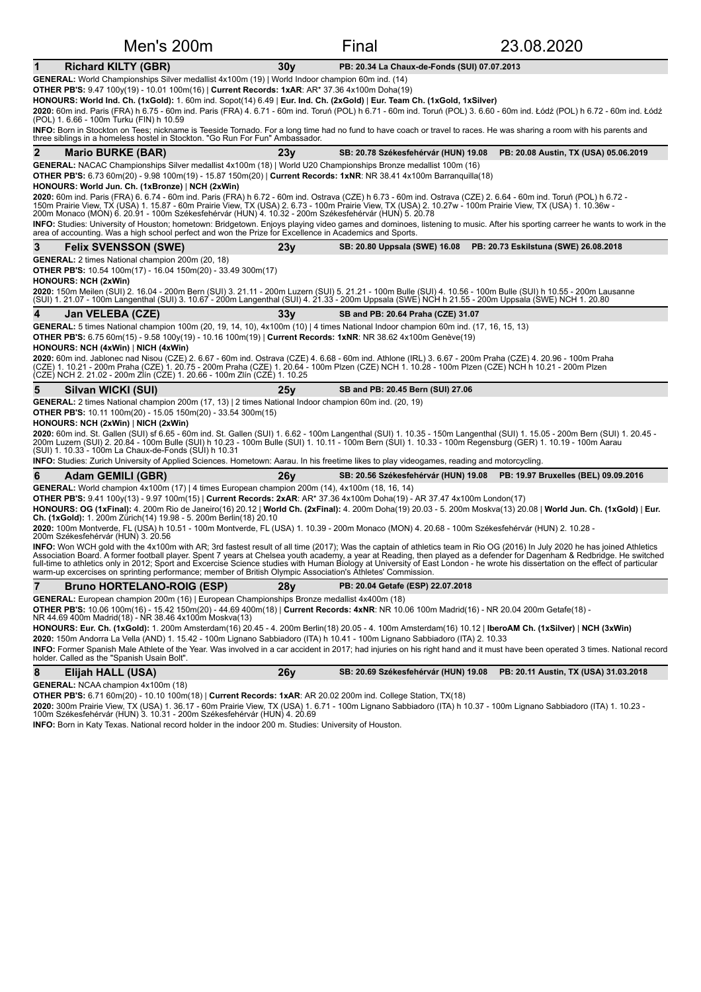| Men's 200m                                                                                                                                                                                                                                                                                                                                                                                                                                                                                                                                                                                                                                                                                                                                                                    |                 | Final                                        | 23.08.2020                                                                |
|-------------------------------------------------------------------------------------------------------------------------------------------------------------------------------------------------------------------------------------------------------------------------------------------------------------------------------------------------------------------------------------------------------------------------------------------------------------------------------------------------------------------------------------------------------------------------------------------------------------------------------------------------------------------------------------------------------------------------------------------------------------------------------|-----------------|----------------------------------------------|---------------------------------------------------------------------------|
| <b>Richard KILTY (GBR)</b><br>1                                                                                                                                                                                                                                                                                                                                                                                                                                                                                                                                                                                                                                                                                                                                               | 30 <sub>V</sub> | PB: 20.34 La Chaux-de-Fonds (SUI) 07.07.2013 |                                                                           |
| GENERAL: World Championships Silver medallist 4x100m (19)   World Indoor champion 60m ind. (14)<br><b>OTHER PB'S:</b> 9.47 100y(19) - 10.01 100m(16)   Current Records: 1xAR: AR* 37.36 4x100m Doha(19)<br>HONOURS: World Ind. Ch. (1xGold): 1. 60m ind. Sopot(14) 6.49   Eur. Ind. Ch. (2xGold)   Eur. Team Ch. (1xGold, 1xSilver)<br>2020: 60m ind. Paris (FRA) h 6.75 - 60m ind. Paris (FRA) 4. 6.71 - 60m ind. Toruń (POL) h 6.71 - 60m ind. Toruń (POL) 3. 6.60 - 60m ind. Łódź (POL) h 6.72 - 60m ind. Łódź<br>(POL) 1. 6.66 - 100m Turku (FIN) h 10.59                                                                                                                                                                                                                 |                 |                                              |                                                                           |
| INFO: Born in Stockton on Tees; nickname is Teeside Tornado. For a long time had no fund to have coach or travel to races. He was sharing a room with his parents and<br>three siblings in a homeless hostel in Stockton. "Go Run For Fun" Ambassador.                                                                                                                                                                                                                                                                                                                                                                                                                                                                                                                        |                 |                                              |                                                                           |
| $\mathbf{2}$<br><b>Mario BURKE (BAR)</b>                                                                                                                                                                                                                                                                                                                                                                                                                                                                                                                                                                                                                                                                                                                                      | 23y             | SB: 20.78 Székesfehérvár (HUN) 19.08         | PB: 20.08 Austin, TX (USA) 05.06.2019                                     |
| GENERAL: NACAC Championships Silver medallist 4x100m (18)   World U20 Championships Bronze medallist 100m (16)<br><b>OTHER PB'S:</b> 6.73 60m(20) - 9.98 100m(19) - 15.87 150m(20)   Current Records: 1xNR: NR 38.41 4x100m Barranguilla(18)<br>HONOURS: World Jun. Ch. (1xBronze)   NCH (2xWin)<br>2020: 60m ind. Paris (FRA) 6. 6.74 - 60m ind. Paris (FRA) h 6.72 - 60m ind. Ostrava (CZE) h 6.73 - 60m ind. Ostrava (CZE) 2. 6.64 - 60m ind. Toruń (POL) h 6.72 -<br>150m Prairie View, TX (USA) 1. 15.87 - 60m Prairie View, TX (USA) 2. 6.73 - 100m Prairie View, TX (USA) 2. 10.27w - 100m Prairie View, TX (USA) 1. 10.36w -<br>200m Monaco (MON) 6. 20.91 - 100m Székesfehérvár (HUN) 4. 10.32 - 200m Székesfehérvár (HUN) 5. 20.78                                  |                 |                                              |                                                                           |
| INFO: Studies: University of Houston; hometown: Bridgetown. Enjoys playing video games and dominoes, listening to music. After his sporting carreer he wants to work in the<br>area of accounting. Was a high school perfect and won the Prize for Excellence in Academics and Sports.                                                                                                                                                                                                                                                                                                                                                                                                                                                                                        |                 |                                              |                                                                           |
| 3<br><b>Felix SVENSSON (SWE)</b>                                                                                                                                                                                                                                                                                                                                                                                                                                                                                                                                                                                                                                                                                                                                              | 23y             | SB: 20.80 Uppsala (SWE) 16.08                | PB: 20.73 Eskilstuna (SWE) 26.08.2018                                     |
| <b>GENERAL:</b> 2 times National champion 200m (20, 18)<br><b>OTHER PB'S:</b> 10.54 100m(17) - 16.04 150m(20) - 33.49 300m(17)<br><b>HONOURS: NCH (2xWin)</b>                                                                                                                                                                                                                                                                                                                                                                                                                                                                                                                                                                                                                 |                 |                                              |                                                                           |
| 2020: 150m Meilen (SUI) 2. 16.04 - 200m Bern (SUI) 3. 21.11 - 200m Luzern (SUI) 5. 21.21 - 100m Bulle (SUI) 4. 10.56 - 100m Bulle (SUI) h 10.55 - 200m Lausanne<br>(SUI) 1. 21.07 - 100m Langenthal (SUI) 3. 10.67 - 200m Langenthal (SUI) 4. 21.33 - 200m Uppsala (SWE) NCH h 21.55 - 200m Uppsala (SWE) NCH 1. 20.80                                                                                                                                                                                                                                                                                                                                                                                                                                                        |                 |                                              |                                                                           |
| 4<br>Jan VELEBA (CZE)                                                                                                                                                                                                                                                                                                                                                                                                                                                                                                                                                                                                                                                                                                                                                         | 33v             | SB and PB: 20.64 Praha (CZE) 31.07           |                                                                           |
| GENERAL: 5 times National champion 100m (20, 19, 14, 10), 4x100m (10)   4 times National Indoor champion 60m ind. (17, 16, 15, 13)<br>OTHER PB'S: 6.75 60m(15) - 9.58 100y(19) - 10.16 100m(19)   Current Records: 1xNR: NR 38.62 4x100m Genève(19)<br>HONOURS: NCH (4xWin)   NICH (4xWin)                                                                                                                                                                                                                                                                                                                                                                                                                                                                                    |                 |                                              |                                                                           |
| <b>2020:</b> 60m ind. Jablonec nad Nisou (CZE) 2. 6.67 - 60m ind. Ostrava (CZE) 4. 6.68 - 60m ind. Athlone (IRL) 3. 6.67 - 200m Praha (CZE) 4. 20.96 - 100m Praha<br>(CZE) 1. 10.21 - 200m Praha (CZE) 1. 20.75 - 200m Praha (CZE) 1. 20.64 - 100m Plzen (CZE) NCH 1. 10.28 - 100m Plzen (CZE) NCH h 10.21 - 200m Plzen<br>(CZE) NCH 2. 21.02 - 200m Zlín (CZE) 1. 20.66 - 100m Zlín (CZE) 1. 10.25                                                                                                                                                                                                                                                                                                                                                                           |                 |                                              |                                                                           |
| 5<br>Silvan WICKI (SUI)                                                                                                                                                                                                                                                                                                                                                                                                                                                                                                                                                                                                                                                                                                                                                       | 25y             | SB and PB: 20.45 Bern (SUI) 27.06            |                                                                           |
| GENERAL: 2 times National champion 200m (17, 13)   2 times National Indoor champion 60m ind. (20, 19)<br><b>OTHER PB'S:</b> 10.11 100m(20) - 15.05 150m(20) - 33.54 300m(15)<br>HONOURS: NCH (2xWin)   NICH (2xWin)<br>2020: 60m ind. St. Gallen (SUI) sf 6.65 - 60m ind. St. Gallen (SUI) 1. 6.62 - 100m Langenthal (SUI) 1. 10.35 - 150m Langenthal (SUI) 1. 15.05 - 200m Bern (SUI) 1. 20.45 -<br>200m Luzern (SUI) 2. 20.84 - 100m Bulle (SUI) h 10.<br>(SUI) 1. 10.33 - 100m La Chaux-de-Fonds (SUI) h 10.31<br>INFO: Studies: Zurich University of Applied Sciences. Hometown: Aarau. In his freetime likes to play videogames, reading and motorcycling.                                                                                                               |                 |                                              |                                                                           |
| 6<br><b>Adam GEMILI (GBR)</b>                                                                                                                                                                                                                                                                                                                                                                                                                                                                                                                                                                                                                                                                                                                                                 | 26v             |                                              | SB: 20.56 Székesfehérvár (HUN) 19.08 PB: 19.97 Bruxelles (BEL) 09.09.2016 |
| GENERAL: World champion 4x100m (17)   4 times European champion 200m (14), 4x100m (18, 16, 14)<br>OTHER PB'S: 9.41 100y(13) - 9.97 100m(15)   Current Records: 2xAR: AR* 37.36 4x100m Doha(19) - AR 37.47 4x100m London(17)<br>HONOURS: OG (1xFinal): 4. 200m Rio de Janeiro(16) 20.12   World Ch. (2xFinal): 4. 200m Doha(19) 20.03 - 5. 200m Moskva(13) 20.08   World Jun. Ch. (1xGold)   Eur.<br><b>Ch. (1xGold):</b> 1. 200m Zürich(14) 19.98 - 5. 200m Berlin(18) 20.10<br>2020: 100m Montverde, FL (USA) h 10.51 - 100m Montverde, FL (USA) 1. 10.39 - 200m Monaco (MON) 4. 20.68 - 100m Székesfehérvár (HUN) 2. 10.28 -<br>200m Székesfehérvár (HUN) 3. 20.56                                                                                                          |                 |                                              |                                                                           |
| INFO: Won WCH gold with the 4x100m with AR; 3rd fastest result of all time (2017); Was the captain of athletics team in Rio OG (2016) In July 2020 he has joined Athletics<br>Association Board. A former football player. Spent 7 years at Chelsea youth academy, a year at Reading, then played as a defender for Dagenham & Redbridge. He switched<br>full-time to athletics only in 2012; Sport and Excercise Science studies with Human Biology at University of East London - he wrote his dissertation on the effect of particular<br>warm-up excercises on sprinting performance; member of British Olympic Association's Athletes' Commission.                                                                                                                       |                 |                                              |                                                                           |
| $\overline{7}$<br><b>Bruno HORTELANO-ROIG (ESP)</b>                                                                                                                                                                                                                                                                                                                                                                                                                                                                                                                                                                                                                                                                                                                           | 28y             | PB: 20.04 Getafe (ESP) 22.07.2018            |                                                                           |
| GENERAL: European champion 200m (16)   European Championships Bronze medallist 4x400m (18)<br>OTHER PB'S: 10.06 100m(16) - 15.42 150m(20) - 44.69 400m(18)   Current Records: 4xNR: NR 10.06 100m Madrid(16) - NR 20.04 200m Getafe(18) -<br>NR 44.69 400m Madrid(18) - NR 38.46 4x100m Moskva(13)<br>HONOURS: Eur. Ch. (1xGold): 1. 200m Amsterdam(16) 20.45 - 4. 200m Berlin(18) 20.05 - 4. 100m Amsterdam(16) 10.12   IberoAM Ch. (1xSilver)   NCH (3xWin)<br>2020: 150m Andorra La Vella (AND) 1. 15.42 - 100m Lignano Sabbiadoro (ITA) h 10.41 - 100m Lignano Sabbiadoro (ITA) 2. 10.33<br>INFO: Former Spanish Male Athlete of the Year. Was involved in a car accident in 2017; had injuries on his right hand and it must have been operated 3 times. National record |                 |                                              |                                                                           |
| holder. Called as the "Spanish Usain Bolt".                                                                                                                                                                                                                                                                                                                                                                                                                                                                                                                                                                                                                                                                                                                                   |                 |                                              |                                                                           |
| 8<br>Elijah HALL (USA)<br><b>GENERAL:</b> NCAA champion 4x100m (18)                                                                                                                                                                                                                                                                                                                                                                                                                                                                                                                                                                                                                                                                                                           | 26y             | SB: 20.69 Székesfehérvár (HUN) 19.08         | PB: 20.11 Austin, TX (USA) 31.03.2018                                     |

**OTHER PB'S:** 6.71 60m(20) - 10.10 100m(18) | **Current Records: 1xAR**: AR 20.02 200m ind. College Station, TX(18)

**2020:** 300m Prairie View, TX (USA) 1. 36.17 - 60m Prairie View, TX (USA) 1. 6.71 - 100m Lignano Sabbiadoro (ITA) 1. 10.73 - 100m Lignano Sabbiadoro (ITA) 1. 10.23 -<br>100m Székesfehérvár (HUN) 3. 10.31 - 200m Székesfehérvár

**INFO:** Born in Katy Texas. National record holder in the indoor 200 m. Studies: University of Houston.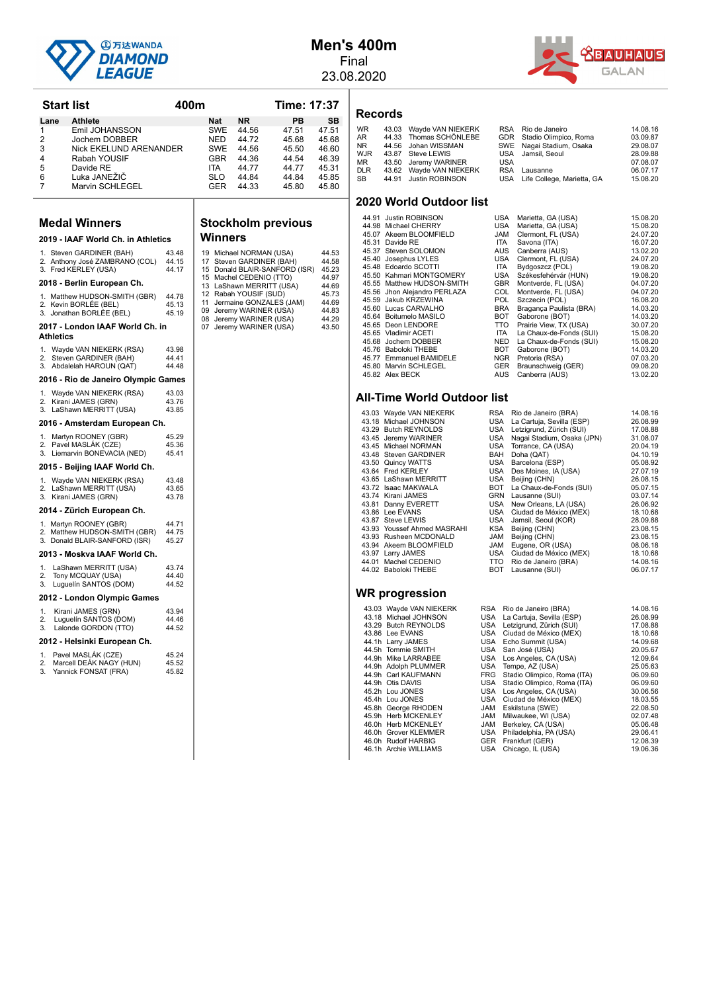

**Start list 400m Time: 17:37 Lane Athlete Nat NR PB SB**<br>1 **Emil JOHANSSON** SWF 44.56 47.51 47.51 1 Emil JOHANSSON SWE 44.56 47.51 47.51<br>2 Jochem DOBBER NED 44.72 45.68 45.68 2 Jochem DOBBER NED 44.72 45.68 45.68<br>3 Nick EKELUND ARENANDER SWE 44.56 45.50 46.60 3 Nick EKELUND ARENANDER SWE 44.56 45.50 46.60<br>Rabah YOUSIF GBR 44.36 44.54 46.39 4 Rabah YOUSIF GBR 44.36 44.54 46.39<br>5 Davide RE 1TA 44.77 44.77 45.31 5 Davide RE ITA 44.77 44.77 45.31 6 Luka JANEŽIČ SLO 44.84 44.84 45.85 Marvin SCHLEGEL 6ER 44.33 45.80

**Stockholm previous**

19 Michael NORMAN (USA) 44.53<br>17 Steven GARDINER (BAH) 44.58<br>15 Donald BLAIR-SANFORD (ISR) 45.23 15 Machel CEDENIO (TTO) 44.97 13 LaShawn MERRITT (USA) 44.69<br>12 Rabah YOUSIF (SUD) 45.73<br>11 Jermaine GONZALES (JAM) 44.69 09 Jeremy WARINER (USA) 44.83<br>08 Jeremy WARINER (USA) 44.29 08 Jeremy WARINER (USA) 44.29<br>07 Jeremy WARINER (USA) 43.50

**Winners**

#### **Men's 400m** Final

23.08.2020



#### **Records**

| <b>WR</b>  | 43.03 Wayde VAN NIEKERK |            | RSA Rio de Janeiro             | 14.08.16 |
|------------|-------------------------|------------|--------------------------------|----------|
| AR         | 44.33 Thomas SCHÖNLEBE  |            | GDR Stadio Olimpico, Roma      | 03.09.87 |
| NR.        | 44.56 Johan WISSMAN     |            | SWE Nagai Stadium, Osaka       | 29.08.07 |
| WJR        | 43.87 Steve LEWIS       |            | USA Jamsil, Seoul              | 28.09.88 |
| MR         | 43.50 Jeremy WARINER    | USA        |                                | 07.08.07 |
| <b>DLR</b> | 43.62 Wayde VAN NIEKERK | <b>RSA</b> | Lausanne                       | 06.07.17 |
| SB         | 44.91 Justin ROBINSON   |            | USA Life College, Marietta, GA | 15.08.20 |
|            |                         |            |                                |          |

#### **2020 World Outdoor list**

| 44.91 Justin ROBINSON        | USA        | Marietta, GA (USA)      | 15.08.20 |
|------------------------------|------------|-------------------------|----------|
| 44.98 Michael CHERRY         | USA        | Marietta, GA (USA)      | 15.08.20 |
| 45.07 Akeem BLOOMFIELD       | <b>JAM</b> | Clermont, FL (USA)      | 24.07.20 |
| 45.31 Davide RE              | <b>ITA</b> | Savona (ITA)            | 16.07.20 |
| 45.37 Steven SOLOMON         | <b>AUS</b> | Canberra (AUS)          | 13.02.20 |
| 45.40 Josephus LYLES         | USA        | Clermont, FL (USA)      | 24.07.20 |
| 45.48 Edoardo SCOTTI         | ITA.       | Bydgoszcz (POL)         | 19.08.20 |
| 45.50 Kahmari MONTGOMERY     | USA        | Székesfehérvár (HUN)    | 19.08.20 |
| 45.55 Matthew HUDSON-SMITH   | <b>GBR</b> | Montverde, FL (USA)     | 04.07.20 |
| 45.56 Jhon Alejandro PERLAZA | COL        | Montverde, FL (USA)     | 04.07.20 |
| 45.59 Jakub KRZEWINA         | <b>POL</b> | Szczecin (POL)          | 16.08.20 |
| 45.60 Lucas CARVALHO         | <b>BRA</b> | Bragança Paulista (BRA) | 14.03.20 |
| 45.64 Boitumelo MASILO       | <b>BOT</b> | Gaborone (BOT)          | 14.03.20 |
| 45.65 Deon LENDORE           | TTO.       | Prairie View, TX (USA)  | 30.07.20 |
| 45.65 Vladimir ACETI         | ITA.       | La Chaux-de-Fonds (SUI) | 15.08.20 |
| 45.68 Jochem DOBBER          | <b>NED</b> | La Chaux-de-Fonds (SUI) | 15.08.20 |
| 45.76 Baboloki THEBE         | <b>BOT</b> | Gaborone (BOT)          | 14.03.20 |
| 45.77 Emmanuel BAMIDELE      | NGR        | Pretoria (RSA)          | 07.03.20 |
| 45.80 Marvin SCHLEGEL        | <b>GER</b> | Braunschweig (GER)      | 09.08.20 |
| 45.82 Alex BECK              | AUS        | Canberra (AUS)          | 13.02.20 |

#### **All-Time World Outdoor list**

| 43.03 WAYOU VAIN INIERERR   | nom.       | KID OF JUITELLO (DRA)         | 14.VO.IV |
|-----------------------------|------------|-------------------------------|----------|
| 43.18 Michael JOHNSON       |            | USA La Cartuja, Sevilla (ESP) | 26.08.99 |
| 43.29 Butch REYNOLDS        | USA        | Letzigrund, Zürich (SUI)      | 17.08.88 |
| 43.45 Jeremy WARINER        | USA        | Nagai Stadium, Osaka (JPN)    | 31.08.07 |
| 43.45 Michael NORMAN        | USA        | Torrance, CA (USA)            | 20.04.19 |
| 43.48 Steven GARDINER       | BAH        | Doha (QAT)                    | 04.10.19 |
| 43.50 Quincy WATTS          | USA        | Barcelona (ESP)               | 05.08.92 |
| 43.64 Fred KERLEY           | USA        | Des Moines, IA (USA)          | 27.07.19 |
| 43.65 LaShawn MERRITT       | USA        | Beijing (CHN)                 | 26.08.15 |
| 43.72 Isaac MAKWALA         |            | BOT La Chaux-de-Fonds (SUI)   | 05.07.15 |
| 43.74 Kirani JAMES          |            | GRN Lausanne (SUI)            | 03.07.14 |
| 43.81 Danny EVERETT         | USA        | New Orleans, LA (USA)         | 26.06.92 |
| 43.86 Lee EVANS             | USA        | Ciudad de México (MEX)        | 18.10.68 |
| 43.87 Steve LEWIS           | USA        | Jamsil, Seoul (KOR)           | 28.09.88 |
| 43.93 Youssef Ahmed MASRAHI | KSA        | Beijing (CHN)                 | 23.08.15 |
| 43.93 Rusheen MCDONALD      | JAM        | Beijing (CHN)                 | 23.08.15 |
| 43.94 Akeem BLOOMFIELD      | JAM        | Eugene, OR (USA)              | 08.06.18 |
| 43.97 Larry JAMES           | USA        | Ciudad de México (MEX)        | 18.10.68 |
| 44.01 Machel CEDENIO        | TTO        | Rio de Janeiro (BRA)          | 14.08.16 |
| 44.02 Baboloki THEBE        | BOT        | Lausanne (SUI)                | 06.07.17 |
|                             |            |                               |          |
|                             |            |                               |          |
| WR progression              |            |                               |          |
| 43.03 Wayde VAN NIEKERK     | <b>RSA</b> | Rio de Janeiro (BRA)          | 14.08.16 |

| <b>\ll-Time World Outdoor list</b> |                 |                              |          |  |  |  |
|------------------------------------|-----------------|------------------------------|----------|--|--|--|
| 43.03 Wayde VAN NIEKERK            | RSA             | Rio de Janeiro (BRA)         | 14.08.16 |  |  |  |
| 43.18 Michael JOHNSON              | USA             | La Cartuja, Sevilla (ESP)    | 26.08.99 |  |  |  |
| 43.29 Butch REYNOLDS               | USA             | Letzigrund, Zürich (SUI)     | 17.08.88 |  |  |  |
| 43.45 Jeremy WARINER               | USA             | Nagai Stadium, Osaka (JPN)   | 31.08.07 |  |  |  |
| 43.45 Michael NORMAN               | USA             | Torrance, CA (USA)           | 20.04.19 |  |  |  |
| 43.48 Steven GARDINER              | BAH             | Doha (QAT)                   | 04.10.19 |  |  |  |
| 43.50 Quincy WATTS                 | USA             | Barcelona (ESP)              | 05.08.92 |  |  |  |
| 43.64 Fred KERLEY                  | USA             | Des Moines, IA (USA)         | 27.07.19 |  |  |  |
| 43.65 LaShawn MERRITT              | USA             | Beijing (CHN)                | 26.08.15 |  |  |  |
| 43.72 Isaac MAKWALA                | BOT             | La Chaux-de-Fonds (SUI)      | 05.07.15 |  |  |  |
| 43.74 Kirani JAMES                 | GRN             | Lausanne (SUI)               | 03.07.14 |  |  |  |
| 43.81 Danny EVERETT                | USA             | New Orleans, LA (USA)        | 26.06.92 |  |  |  |
| 43.86 Lee EVANS                    | USA             | Ciudad de México (MEX)       | 18.10.68 |  |  |  |
| 43.87 Steve LEWIS                  | USA             | Jamsil, Seoul (KOR)          | 28.09.88 |  |  |  |
| 43.93 Youssef Ahmed MASRAHI        | KSA             | Beijing (CHN)                | 23.08.15 |  |  |  |
| 43.93 Rusheen MCDONALD             | JAM             | Beijing (CHN)                | 23.08.15 |  |  |  |
| 43.94 Akeem BLOOMFIELD             | JAM             | Eugene, OR (USA)             | 08.06.18 |  |  |  |
| 43.97 Larry JAMES                  | USA             | Ciudad de México (MEX)       | 18.10.68 |  |  |  |
| 44.04 Moobel CEDENIO               | TT <sub>O</sub> | $Di \sim da$ Ispairs $(DDA)$ | 11001c   |  |  |  |

| 43.03 Wayde VAN NIEKERK | RSA        | Rio de Janeiro (BRA)        | 14.08.16 |
|-------------------------|------------|-----------------------------|----------|
| 43.18 Michael JOHNSON   | USA        | La Cartuja, Sevilla (ESP)   | 26.08.99 |
| 43.29 Butch REYNOLDS    | USA        | Letzigrund, Zürich (SUI)    | 17.08.88 |
| 43.86 Lee EVANS         | USA        | Ciudad de México (MEX)      | 18.10.68 |
| 44.1h Larry JAMES       | USA        | Echo Summit (USA)           | 14.09.68 |
| 44.5h Tommie SMITH      | USA        | San José (USA)              | 20.05.67 |
| 44.9h Mike LARRABEE     | USA        | Los Angeles, CA (USA)       | 12.09.64 |
| 44.9h Adolph PLUMMER    |            | USA Tempe, AZ (USA)         | 25.05.63 |
| 44.9h Carl KAUFMANN     | FRG        | Stadio Olimpico, Roma (ITA) | 06.09.60 |
| 44.9h Otis DAVIS        | USA        | Stadio Olimpico, Roma (ITA) | 06.09.60 |
| 45.2h Lou JONES         | USA        | Los Angeles, CA (USA)       | 30.06.56 |
| 45.4h Lou JONES         | USA        | Ciudad de México (MEX)      | 18.03.55 |
| 45.8h George RHODEN     | JAM        | Eskilstuna (SWE)            | 22.08.50 |
| 45.9h Herb MCKENLEY     | JAM        | Milwaukee, WI (USA)         | 02.07.48 |
| 46.0h Herb MCKENLEY     | JAM        | Berkeley, CA (USA)          | 05.06.48 |
| 46.0h Grover KLEMMER    | USA        | Philadelphia, PA (USA)      | 29.06.41 |
| 46.0h Rudolf HARBIG     | <b>GER</b> | Frankfurt (GER)             | 12.08.39 |
| 46.1h Archie WILLIAMS   | <b>USA</b> | Chicago, IL (USA)           | 19.06.36 |
|                         |            |                             |          |

|                | Medal Winners                                                                      |                         |
|----------------|------------------------------------------------------------------------------------|-------------------------|
|                | 2019 - IAAF World Ch. in Athletics                                                 |                         |
|                | 1. Steven GARDINER (BAH)<br>2. Anthony José ZAMBRANO (COL)<br>3. Fred KERLEY (USA) | 43.48<br>44.15<br>44.17 |
|                | 2018 - Berlin European Ch.                                                         |                         |
|                | 1. Matthew HUDSON-SMITH (GBR)<br>2. Kevin BORLÉE (BEL)<br>3. Jonathan BORLÉE (BEL) | 44.78<br>45.13<br>45.19 |
|                | 2017 - London IAAF World Ch. in<br>Athletics                                       |                         |
| 1.<br>2.<br>3. | Wayde VAN NIEKERK (RSA)<br>Steven GARDINER (BAH)<br>Abdalelah HAROUN (QAT)         | 43.98<br>44.41<br>44.48 |
|                | 2016 - Rio de Janeiro Olympic Games                                                |                         |
| 1.<br>2.<br>3. | Wayde VAN NIEKERK (RSA)<br>Kirani JAMES (GRN)<br>LaShawn MERRITT (USA)             | 43.03<br>43.76<br>43.85 |
|                | 2016 - Amsterdam European Ch.                                                      |                         |
| 1.<br>2.<br>3. | Martyn ROONEY (GBR)<br>Pavel MASLÁK (CZE)<br>Liemarvin BONEVACIA (NED)             | 45.29<br>45.36<br>45.41 |
|                | 2015 - Beijing IAAF World Ch.                                                      |                         |
| 1.<br>2.<br>3. | Wayde VAN NIEKERK (RSA)<br>LaShawn MERRITT (USA)<br>Kirani JAMES (GRN)             | 43.48<br>43.65<br>43.78 |
|                | 2014 - Zürich European Ch.                                                         |                         |
| 1.<br>2.<br>3. | Martyn ROONEY (GBR)<br>Matthew HUDSON-SMITH (GBR)<br>Donald BLAIR-SANFORD (ISR)    | 44.71<br>44.75<br>45.27 |
|                | 2013 - Moskva IAAF World Ch.                                                       |                         |
| 1.<br>2.<br>3. | LaShawn MERRITT (USA)<br>Tony MCQUAY (USA)<br>Luquelín SANTOS (DOM)                | 43.74<br>44.40<br>44.52 |

**2012 - London Olympic Games** 1. Kirani JAMES (GRN) 43.94 2. Luguelín SANTOS (DOM) 44.46 3. Lalonde GORDON (TTO) 44.52 2012 - Helsinki European Ch. 1. Pavel MASLÁK (CZE) 45.24<br>2. Marcell DEÁK NAGY (HUN) 45.52 2. Marcell DEÁK NAGY (HUN) 45.52 3. Yannick FONSAT (FRA) 45.82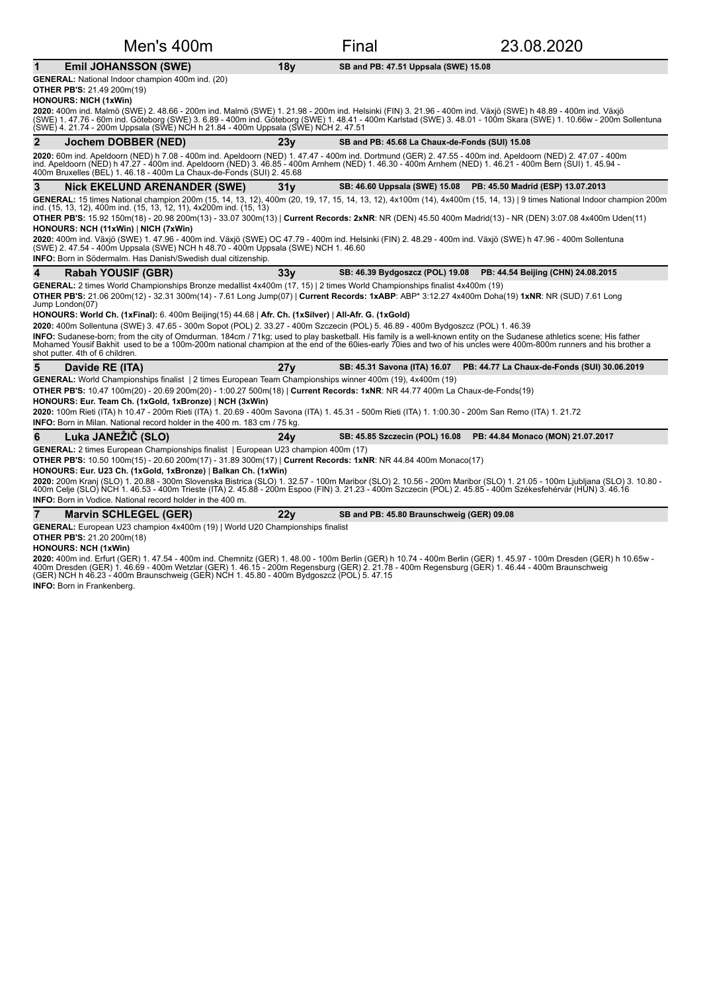|   | Men's 400m                                                                                                                                                                                                                                                                                                                                                                                                             |                 | Final                                          | 23.08.2020                                                         |
|---|------------------------------------------------------------------------------------------------------------------------------------------------------------------------------------------------------------------------------------------------------------------------------------------------------------------------------------------------------------------------------------------------------------------------|-----------------|------------------------------------------------|--------------------------------------------------------------------|
| 1 | <b>Emil JOHANSSON (SWE)</b>                                                                                                                                                                                                                                                                                                                                                                                            | 18y             | SB and PB: 47.51 Uppsala (SWE) 15.08           |                                                                    |
|   | <b>GENERAL:</b> National Indoor champion 400m ind. (20)<br><b>OTHER PB'S: 21.49 200m(19)</b><br><b>HONOURS: NICH (1xWin)</b>                                                                                                                                                                                                                                                                                           |                 |                                                |                                                                    |
|   | 2020: 400m ind. Malmö (SWE) 2. 48.66 - 200m ind. Malmö (SWE) 1. 21.98 - 200m ind. Helsinki (FIN) 3. 21.96 - 400m ind. Växjö (SWE) h 48.89 - 400m ind. Växjö<br>(SWE) 1. 47.76 - 60m ind. Göteborg (SWE) 3. 6.89 - 400m ind. Göteborg (SWE) 1. 48.41 - 400m Karlstad (SWE) 3. 48.01 - 100m Skara (SWE) 1. 10.66w - 200m Sollentuna<br>(SWE) 4. 21.74 - 200m Uppsala (SWE) NCH h 21.84 - 400m Uppsala (SWE) NCH 2. 47.51 |                 |                                                |                                                                    |
| 2 | Jochem DOBBER (NED)                                                                                                                                                                                                                                                                                                                                                                                                    | 23y             | SB and PB: 45.68 La Chaux-de-Fonds (SUI) 15.08 |                                                                    |
|   | 2020: 60m ind. Apeldoorn (NED) h 7.08 - 400m ind. Apeldoorn (NED) 1. 47.47 - 400m ind. Dortmund (GER) 2. 47.55 - 400m ind. Apeldoorn (NED) 2. 47.07 - 400m<br>ind. Apeldoorn (NED) h 47.27 - 400m ind. Apeldoorn (NED) 3. 46.85 - 400m Arnhem (NED) 1. 46.30 - 400m Arnhem (NED) 1. 46.21 - 400m Bern (SUI) 1. 45.94 -<br>400m Bruxelles (BEL) 1. 46.18 - 400m La Chaux-de-Fonds (SUI) 2. 45.68                        |                 |                                                |                                                                    |
| 3 | <b>Nick EKELUND ARENANDER (SWE)</b>                                                                                                                                                                                                                                                                                                                                                                                    | 31 <sub>V</sub> |                                                | SB: 46.60 Uppsala (SWE) 15.08 PB: 45.50 Madrid (ESP) 13.07.2013    |
|   | GENERAL: 15 times National champion 200m (15, 14, 13, 12), 400m (20, 19, 17, 15, 14, 13, 12), 4x100m (14), 4x400m (15, 14, 13)   9 times National Indoor champion 200m<br>ind. (15, 13, 12), 400m ind. (15, 13, 12, 11), 4x200m ind. (15, 13)                                                                                                                                                                          |                 |                                                |                                                                    |
|   | OTHER PB'S: 15.92 150m(18) - 20.98 200m(13) - 33.07 300m(13)   Current Records: 2xNR: NR (DEN) 45.50 400m Madrid(13) - NR (DEN) 3:07.08 4x400m Uden(11)                                                                                                                                                                                                                                                                |                 |                                                |                                                                    |
|   | HONOURS: NCH (11xWin)   NICH (7xWin)<br>2020: 400m ind. Växjö (SWE) 1. 47.96 - 400m ind. Växjö (SWE) OC 47.79 - 400m ind. Helsinki (FIN) 2. 48.29 - 400m ind. Växjö (SWE) h 47.96 - 400m Sollentuna                                                                                                                                                                                                                    |                 |                                                |                                                                    |
|   | (SWE) 2. 47.54 - 400m Uppsala (SWE) NCH h 48.70 - 400m Uppsala (SWE) NCH 1. 46.60                                                                                                                                                                                                                                                                                                                                      |                 |                                                |                                                                    |
|   | <b>INFO:</b> Born in Södermalm. Has Danish/Swedish dual citizenship.                                                                                                                                                                                                                                                                                                                                                   |                 |                                                |                                                                    |
| 4 | <b>Rabah YOUSIF (GBR)</b>                                                                                                                                                                                                                                                                                                                                                                                              | 33 <sub>V</sub> |                                                | SB: 46.39 Bydgoszcz (POL) 19.08 PB: 44.54 Beijing (CHN) 24.08.2015 |
|   | GENERAL: 2 times World Championships Bronze medallist 4x400m (17, 15)   2 times World Championships finalist 4x400m (19)<br>OTHER PB'S: 21.06 200m(12) - 32.31 300m(14) - 7.61 Long Jump(07)   Current Records: 1xABP: ABP* 3:12.27 4x400m Doha(19) 1xNR: NR (SUD) 7.61 Long                                                                                                                                           |                 |                                                |                                                                    |
|   | Jump London(07)                                                                                                                                                                                                                                                                                                                                                                                                        |                 |                                                |                                                                    |
|   | HONOURS: World Ch. (1xFinal): 6. 400m Beijing(15) 44.68   Afr. Ch. (1xSilver)   All-Afr. G. (1xGold)                                                                                                                                                                                                                                                                                                                   |                 |                                                |                                                                    |
|   | 2020: 400m Sollentuna (SWE) 3. 47.65 - 300m Sopot (POL) 2. 33.27 - 400m Szczecin (POL) 5. 46.89 - 400m Bydgoszcz (POL) 1. 46.39<br>INFO: Sudanese-born; from the city of Omdurman. 184cm / 71kg; used to play basketball. His family is a well-known entity on the Sudanese athletics scene; His father                                                                                                                |                 |                                                |                                                                    |
|   | Mohamed Yousif Bakhit used to be a 100m-200m national champion at the end of the 60ies-early 70ies and two of his uncles were 400m-800m runners and his brother a<br>shot putter. 4th of 6 children.                                                                                                                                                                                                                   |                 |                                                |                                                                    |
| 5 | Davide RE (ITA)                                                                                                                                                                                                                                                                                                                                                                                                        | 27y             | SB: 45.31 Savona (ITA) 16.07                   | PB: 44.77 La Chaux-de-Fonds (SUI) 30.06.2019                       |
|   | GENERAL: World Championships finalist   2 times European Team Championships winner 400m (19), 4x400m (19)                                                                                                                                                                                                                                                                                                              |                 |                                                |                                                                    |
|   | <b>OTHER PB'S:</b> 10.47 100m(20) - 20.69 200m(20) - 1:00.27 500m(18)   Current Records: 1xNR: NR 44.77 400m La Chaux-de-Fonds(19)<br>HONOURS: Eur. Team Ch. (1xGold, 1xBronze)   NCH (3xWin)                                                                                                                                                                                                                          |                 |                                                |                                                                    |
|   | 2020: 100m Rieti (ITA) h 10.47 - 200m Rieti (ITA) 1. 20.69 - 400m Savona (ITA) 1. 45.31 - 500m Rieti (ITA) 1. 1:00.30 - 200m San Remo (ITA) 1. 21.72                                                                                                                                                                                                                                                                   |                 |                                                |                                                                    |
|   | INFO: Born in Milan. National record holder in the 400 m. 183 cm / 75 kg.                                                                                                                                                                                                                                                                                                                                              |                 |                                                |                                                                    |
| 6 | Luka JANEŽIČ (SLO)                                                                                                                                                                                                                                                                                                                                                                                                     | 24v             | SB: 45.85 Szczecin (POL) 16.08                 | PB: 44.84 Monaco (MON) 21.07.2017                                  |
|   | <b>GENERAL:</b> 2 times European Championships finalist   European U23 champion 400m (17)                                                                                                                                                                                                                                                                                                                              |                 |                                                |                                                                    |
|   | OTHER PB'S: 10.50 100m(15) - 20.60 200m(17) - 31.89 300m(17)   Current Records: 1xNR: NR 44.84 400m Monaco(17)<br>HONOURS: Eur. U23 Ch. (1xGold, 1xBronze)   Balkan Ch. (1xWin)                                                                                                                                                                                                                                        |                 |                                                |                                                                    |
|   | 2020: 200m Krani (SLO) 1. 20.88 - 300m Slovenska Bistrica (SLO) 1. 32.57 - 100m Maribor (SLO) 2. 10.56 - 200m Maribor (SLO) 1. 21.05 - 100m Ljubljana (SLO) 3. 10.80 -                                                                                                                                                                                                                                                 |                 |                                                |                                                                    |
|   | 400m Celje (SLO) NCH 1.46.53 - 400m Trieste (ITA) 2.45.88 - 200m Espoo (FIN) 3.21.23 - 400m Szczecin (POL) 2.45.85 - 400m Székesfehérvár (HUN) 3.46.16<br><b>INFO:</b> Born in Vodice. National record holder in the 400 m.                                                                                                                                                                                            |                 |                                                |                                                                    |
| 7 | <b>Marvin SCHLEGEL (GER)</b>                                                                                                                                                                                                                                                                                                                                                                                           | 22y             | SB and PB: 45.80 Braunschweig (GER) 09.08      |                                                                    |
|   | GENERAL: European U23 champion 4x400m (19)   World U20 Championships finalist                                                                                                                                                                                                                                                                                                                                          |                 |                                                |                                                                    |

**OTHER PB'S:** 21.20 200m(18) **HONOURS: NCH (1xWin)** 

**2020:** 400m ind. Erfurt (GER) 1. 47.54 - 400m ind. Chemnitz (GER) 1. 48.00 - 100m Berlin (GER) h 10.74 - 400m Berlin (GER) 1. 45.97 - 100m Dresden (GER) h 10.65w -<br>400m Dresden (GER) 1. 46.69 - 400m Wetzlar (GER) 1. 46.15

**INFO:** Born in Frankenberg.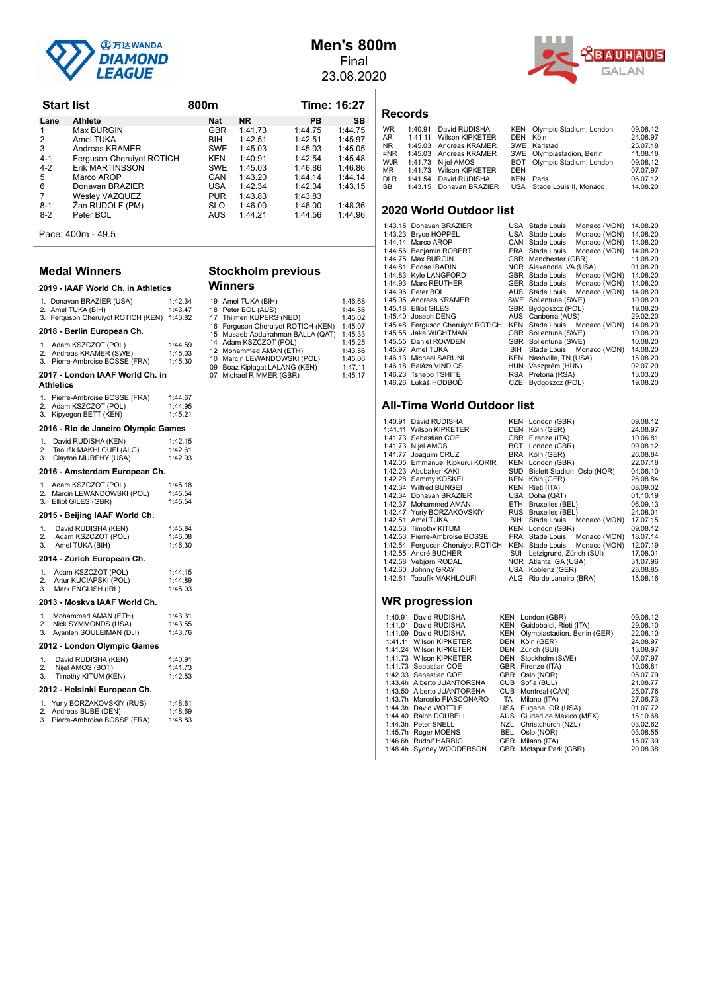

## **Men's 800m** Final

23.08.2020



| Lane           | <b>Athlete</b>                                                       |                               | Nat        | <b>NR</b>                                                | PВ                                                                      | SB                 |
|----------------|----------------------------------------------------------------------|-------------------------------|------------|----------------------------------------------------------|-------------------------------------------------------------------------|--------------------|
| 1              | Max BURGIN                                                           |                               | GBR        | 1:41.73                                                  | 1:44.75                                                                 | 1:44.75            |
| 2              | Amel TUKA                                                            |                               | BIH.       | 1:42.51                                                  | 1:42.51                                                                 | 1:45.97            |
| 3              | Andreas KRAMER                                                       |                               | SWE        | 1:45.03                                                  | 1:45.03                                                                 | 1:45.05            |
| $4 - 1$        | Ferguson Cheruiyot ROTICH                                            |                               | <b>KEN</b> | 1:40.91                                                  | 1:42.54                                                                 | 1:45.48            |
| $4 - 2$        | Erik MARTINSSON<br>Marco AROP                                        |                               | SWE<br>CAN | 1:45.03<br>1:43.20                                       | 1:46.86<br>1:44.14                                                      | 1:46.86<br>1:44.14 |
| 5<br>6         | Donavan BRAZIER                                                      |                               | USA        | 1:42.34                                                  | 1:42.34                                                                 | 1:43.15            |
| 7              | Wesley VAZQUEZ                                                       |                               | <b>PUR</b> | 1:43.83                                                  | 1:43.83                                                                 |                    |
| $8-1$          | Žan RUDOLF (PM)                                                      |                               | SLO        | 1:46.00                                                  | 1:46.00                                                                 | 1:48.36            |
| 8-2            | Peter BOL                                                            |                               | AUS        | 1:44.21                                                  | 1:44.56                                                                 | 1:44.96            |
|                | Pace: 400m - 49.5                                                    |                               |            |                                                          |                                                                         |                    |
|                | Medal Winners                                                        |                               |            | <b>Stockholm previous</b>                                |                                                                         |                    |
|                | 2019 - IAAF World Ch. in Athletics                                   |                               | Winners    |                                                          |                                                                         |                    |
|                | 1. Donavan BRAZIER (USA)                                             | 1:42.34                       |            | 19 Amel TUKA (BIH)                                       |                                                                         | 1:46.68            |
|                | 2. Amel TUKA (BIH)<br>3. Ferguson Cheruiyot ROTICH (KEN) 1:43.82     | 1:43.47                       |            | 18 Peter BOL (AUS)<br>17 Thijmen KUPERS (NED)            |                                                                         | 1:44.56<br>1:45.02 |
|                | 2018 - Berlin European Ch.                                           |                               |            |                                                          | 16 Ferguson Cheruiyot ROTICH (KEN)<br>15 Musaeb Abdulrahman BALLA (QAT) | 1:45.07<br>1:45.33 |
|                | 1. Adam KSZCZOT (POL)                                                | 1:44.59                       |            | 14 Adam KSZCZOT (POL)<br>12 Mohammed AMAN (ETH)          |                                                                         | 1:45.25<br>1:43.56 |
| 2.             | Andreas KRAMER (SWE)<br>Pierre-Ambroise BOSSE (FRA)                  | 1:45.03<br>1:45.30            |            | 10 Marcin LEWANDOWSKI (POL)                              |                                                                         | 1:45.06            |
|                | 2017 - London IAAF World Ch. in                                      |                               |            | 09 Boaz Kiplagat LALANG (KEN)<br>07 Michael RIMMER (GBR) |                                                                         | 1:47.11<br>1:45.17 |
| Athletics      |                                                                      |                               |            |                                                          |                                                                         |                    |
|                | 1. Pierre-Ambroise BOSSE (FRA)                                       | 1:44.67                       |            |                                                          |                                                                         |                    |
| 2.<br>3.       | Adam KSZCZOT (POL)<br>Kipyegon BETT (KEN)                            | 1:44.95<br>1:45.21            |            |                                                          |                                                                         |                    |
|                | 2016 - Rio de Janeiro Olympic Games                                  |                               |            |                                                          |                                                                         |                    |
| 1.             | David RUDISHA (KEN)                                                  | 1:42.15                       |            |                                                          |                                                                         |                    |
| 2.             | Taoufik MAKHLOUFI (ALG)                                              | 1:42.61                       |            |                                                          |                                                                         |                    |
| 3.             | Clayton MURPHY (USA)                                                 | 1:42.93                       |            |                                                          |                                                                         |                    |
|                | 2016 - Amsterdam European Ch.                                        |                               |            |                                                          |                                                                         |                    |
| 1.<br>2.<br>3. | Adam KSZCZOT (POL)<br>Marcin LEWANDOWSKI (POL)<br>Elliot GILES (GBR) | 1:45.18<br>1:45.54<br>1:45.54 |            |                                                          |                                                                         |                    |
|                | 2015 - Beijing IAAF World Ch.                                        |                               |            |                                                          |                                                                         |                    |
| 1.             | David RUDISHA (KEN)                                                  | 1:45.84                       |            |                                                          |                                                                         |                    |
| 2.             | Adam KSZCZOT (POL)                                                   | 1:46.08                       |            |                                                          |                                                                         |                    |
| 3.             | Amel TUKA (BIH)                                                      | 1:46.30                       |            |                                                          |                                                                         |                    |
|                | 2014 - Zürich European Ch.                                           |                               |            |                                                          |                                                                         |                    |
| 1.<br>2.       | Adam KSZCZOT (POL)<br>Artur KUCIAPSKI (POL)                          | 1:44.15<br>1:44.89            |            |                                                          |                                                                         |                    |
| 3.             | Mark ENGLISH (IRL)                                                   | 1:45.03                       |            |                                                          |                                                                         |                    |
|                | 2013 - Moskva IAAF World Ch.                                         |                               |            |                                                          |                                                                         |                    |
| 1.             | Mohammed AMAN (ETH)                                                  | 1:43.31                       |            |                                                          |                                                                         |                    |
| 2.<br>3.       | Nick SYMMONDS (USA)<br>Ayanleh SOULEIMAN (DJI)                       | 1:43.55<br>1:43.76            |            |                                                          |                                                                         |                    |
|                | 2012 - London Olympic Games                                          |                               |            |                                                          |                                                                         |                    |
| 1.             | David RUDISHA (KEN)                                                  | 1:40.91                       |            |                                                          |                                                                         |                    |
| 2.<br>3.       | Nijel AMOS (BOT)<br>Timothy KITUM (KEN)                              | 1:41.73<br>1:42.53            |            |                                                          |                                                                         |                    |
|                | 2012 - Helsinki European Ch.                                         |                               |            |                                                          |                                                                         |                    |
| 1.             | Yuriy BORZAKOVSKIY (RUS)                                             | 1:48.61                       |            |                                                          |                                                                         |                    |
| 2.<br>3.       | Andreas BUBE (DEN)<br>Pierre-Ambroise BOSSE (FRA)                    | 1:48.69<br>1:48.83            |            |                                                          |                                                                         |                    |
|                |                                                                      |                               |            |                                                          |                                                                         |                    |

3. Pierre-Ambroise BOSSE (FRA)

**Start list 6:27** 800m **Time: 16:27** 

| 19 Amel TUKA (BIH)                 | 1:46.68 |
|------------------------------------|---------|
| 18 Peter BOL (AUS)                 | 1:44.56 |
| 17 Thijmen KUPERS (NED)            | 1:45.02 |
| 16 Ferguson Cheruiyot ROTICH (KEN) | 1:45.07 |
| 15 Musaeb Abdulrahman BALLA (QAT)  | 1:45.33 |
| 14 Adam KSZCZOT (POL)              | 1:45.25 |
| 12 Mohammed AMAN (ETH)             | 1:43.56 |
| 10 Marcin LEWANDOWSKI (POL)        | 1:45.06 |
| 09 Boaz Kiplagat LALANG (KEN)      | 1:47.11 |
| 07 Michael RIMMER (GBR)            | 1:45.17 |
|                                    |         |

#### **Records**

| <b>WR</b> | 1:40.91 | David RUDISHA           |            | KEN Olympic Stadium, London | 09.08.12 |
|-----------|---------|-------------------------|------------|-----------------------------|----------|
| AR        |         | 1:41.11 Wilson KIPKETER | DEN Köln   |                             | 24.08.97 |
| NR        |         | 1:45.03 Andreas KRAMER  |            | SWE Karlstad                | 25.07.18 |
| =NR       |         | 1:45.03 Andreas KRAMER  |            | SWE Olympiastadion, Berlin  | 11.08.18 |
| WJR       |         | 1:41.73 Niiel AMOS      |            | BOT Olympic Stadium, London | 09.08.12 |
| MR.       |         | 1:41.73 Wilson KIPKETER | <b>DEN</b> |                             | 07.07.97 |
| DLR       |         | 1:41.54 David RUDISHA   |            | <b>KEN</b> Paris            | 06.07.12 |
| SB        |         | 1:43.15 Donavan BRAZIER |            | USA Stade Louis II. Monaco  | 14.08.20 |
|           |         |                         |            |                             |          |

#### **2020 World Outdoor list**

| 1:43.15 Donavan BRAZIER           |     | USA Stade Louis II, Monaco (MON) | 14.08.20 |
|-----------------------------------|-----|----------------------------------|----------|
| 1:43.23 Bryce HOPPEL              |     | USA Stade Louis II, Monaco (MON) | 14.08.20 |
| 1:44.14 Marco AROP                |     | CAN Stade Louis II, Monaco (MON) | 14.08.20 |
| 1:44.56 Benjamin ROBERT           |     | FRA Stade Louis II, Monaco (MON) | 14.08.20 |
| 1:44.75 Max BURGIN                |     | GBR Manchester (GBR)             | 11.08.20 |
| 1:44.81 Edose IBADIN              |     | NGR Alexandria, VA (USA)         | 01.08.20 |
| 1:44.83 Kyle LANGFORD             |     | GBR Stade Louis II, Monaco (MON) | 14.08.20 |
| 1:44.93 Marc REUTHER              |     | GER Stade Louis II, Monaco (MON) | 14.08.20 |
| 1:44.96 Peter BOL                 |     | AUS Stade Louis II, Monaco (MON) | 14.08.20 |
| 1:45.05 Andreas KRAMER            |     | SWE Sollentuna (SWE)             | 10.08.20 |
| 1:45.18 Elliot GILES              |     | GBR Bydgoszcz (POL)              | 19.08.20 |
| 1:45.40 Joseph DENG               |     | AUS Canberra (AUS)               | 29.02.20 |
| 1:45.48 Ferguson Cheruiyot ROTICH |     | KEN Stade Louis II, Monaco (MON) | 14.08.20 |
| 1:45.55 Jake WIGHTMAN             |     | GBR Sollentuna (SWE)             | 10.08.20 |
| 1:45.55 Daniel ROWDEN             |     | GBR Sollentuna (SWE)             | 10.08.20 |
| 1:45.97 Amel TUKA                 | BIH | Stade Louis II, Monaco (MON)     | 14.08.20 |
| 1:46.13 Michael SARUNI            |     | KEN Nashville, TN (USA)          | 15.08.20 |
| 1:46.18 Balázs VINDICS            |     | HUN Veszprém (HUN)               | 02.07.20 |
| 1:46.23 Tshepo TSHITE             |     | RSA Pretoria (RSA)               | 13.03.20 |
| 1:46.26 Lukáš HODBOĎ              |     | CZE Bydgoszcz (POL)              | 19.08.20 |

#### **All-Time World Outdoor list**

| 1:40.91 David RUDISHA             | KEN London (GBR)                 | 09.08.12 |
|-----------------------------------|----------------------------------|----------|
| 1:41.11 Wilson KIPKETER           | DEN Köln (GER)                   | 24.08.97 |
| 1:41.73 Sebastian COE             | GBR Firenze (ITA)                | 10.06.81 |
| 1:41.73 Nijel AMOS                | BOT London (GBR)                 | 09.08.12 |
| 1:41.77 Joaquim CRUZ              | BRA Köln (GER)                   | 26.08.84 |
| 1:42.05 Emmanuel Kipkurui KORIR   | KEN London (GBR)                 | 22.07.18 |
| 1:42.23 Abubaker KAKI             | SUD Bislett Stadion, Oslo (NOR)  | 04.06.10 |
| 1:42.28 Sammy KOSKEI              | KEN Köln (GER)                   | 26.08.84 |
| 1:42.34 Wilfred BUNGEI            | KEN Rieti (ITA)                  | 08.09.02 |
| 1:42.34 Donavan BRAZIER           | USA Doha (QAT)                   | 01.10.19 |
| 1:42.37 Mohammed AMAN             | ETH Bruxelles (BEL)              | 06.09.13 |
| 1:42.47 Yuriy BORZAKOVSKIY        | RUS Bruxelles (BEL)              | 24.08.01 |
| 1:42.51 Amel TUKA                 | BIH Stade Louis II, Monaco (MON) | 17.07.15 |
| 1:42.53 Timothy KITUM             | KEN London (GBR)                 | 09.08.12 |
| 1:42.53 Pierre-Ambroise BOSSE     | FRA Stade Louis II, Monaco (MON) | 18.07.14 |
| 1:42.54 Ferguson Cheruiyot ROTICH | KEN Stade Louis II, Monaco (MON) | 12.07.19 |
| 1:42.55 André BUCHER              | SUI Letzigrund, Zürich (SUI)     | 17.08.01 |
| 1:42.58 Vebjørn RODAL             | NOR Atlanta, GA (USA)            | 31.07.96 |
| 1:42.60 Johnny GRAY               | USA Koblenz (GER)                | 28.08.85 |
| 1:42.61 Taoufik MAKHLOUFI         | ALG Rio de Janeiro (BRA)         | 15.08.16 |
|                                   |                                  |          |

| 1:40.91 David RUDISHA       | KEN London (GBR)                 | 09.08.12 |
|-----------------------------|----------------------------------|----------|
| 1:41.01 David RUDISHA       | KEN Guidobaldi, Rieti (ITA)      | 29.08.10 |
| 1:41.09 David RUDISHA       | KEN Olympiastadion, Berlin (GER) | 22.08.10 |
| 1:41.11 Wilson KIPKETER     | DEN Köln (GER)                   | 24.08.97 |
| 1:41.24 Wilson KIPKETER     | DEN Zürich (SUI)                 | 13.08.97 |
| 1:41.73 Wilson KIPKETER     | DEN Stockholm (SWE)              | 07.07.97 |
| 1:41.73 Sebastian COE       | GBR Firenze (ITA)                | 10.06.81 |
| 1:42.33 Sebastian COE       | GBR Oslo (NOR)                   | 05.07.79 |
| 1:43.4h Alberto JUANTORENA  | CUB Sofia (BUL)                  | 21.08.77 |
| 1:43.50 Alberto JUANTORENA  | CUB Montreal (CAN)               | 25.07.76 |
| 1:43.7h Marcello FIASCONARO | ITA Milano (ITA)                 | 27.06.73 |
| 1:44.3h David WOTTLE        | USA Eugene, OR (USA)             | 01.07.72 |
| 1:44.40 Ralph DOUBELL       | AUS Ciudad de México (MEX)       | 15.10.68 |
| 1:44.3h Peter SNELL         | NZL Christchurch (NZL)           | 03.02.62 |
| 1:45.7h Roger MOËNS         | BEL Oslo (NOR)                   | 03.08.55 |
| 1:46.6h Rudolf HARBIG       | GER Milano (ITA)                 | 15.07.39 |
| 1:48.4h Sydney WOODERSON    | GBR Motspur Park (GBR)           | 20.08.38 |
|                             |                                  |          |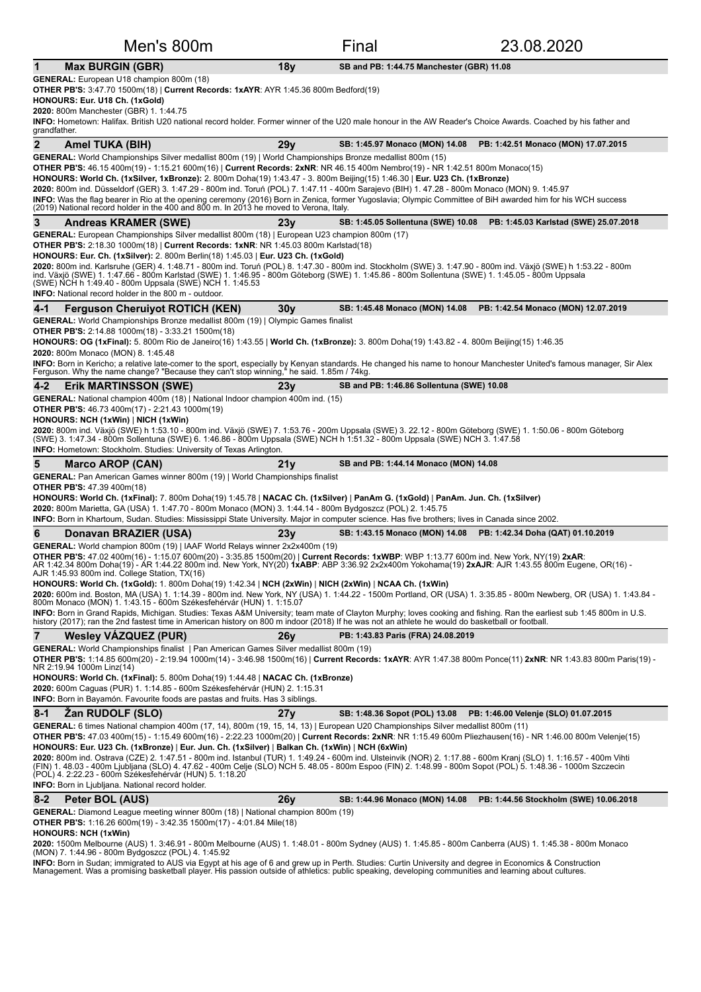|                | Men's 800m                                                                                                                                                                                                                                                                                                                                                                                                                                                                                                                                                                                                                                                                                                                                                                                                                                              |                 | Final                                     | 23.08.2020                                                                                                                                                        |  |  |  |
|----------------|---------------------------------------------------------------------------------------------------------------------------------------------------------------------------------------------------------------------------------------------------------------------------------------------------------------------------------------------------------------------------------------------------------------------------------------------------------------------------------------------------------------------------------------------------------------------------------------------------------------------------------------------------------------------------------------------------------------------------------------------------------------------------------------------------------------------------------------------------------|-----------------|-------------------------------------------|-------------------------------------------------------------------------------------------------------------------------------------------------------------------|--|--|--|
| $\mathbf 1$    | <b>Max BURGIN (GBR)</b>                                                                                                                                                                                                                                                                                                                                                                                                                                                                                                                                                                                                                                                                                                                                                                                                                                 | 18y             | SB and PB: 1:44.75 Manchester (GBR) 11.08 |                                                                                                                                                                   |  |  |  |
|                | <b>GENERAL:</b> European U18 champion 800m (18)<br><b>OTHER PB'S:</b> 3:47.70 1500m(18)   Current Records: 1xAYR: AYR 1:45.36 800m Bedford(19)<br>HONOURS: Eur. U18 Ch. (1xGold)<br>2020: 800m Manchester (GBR) 1. 1:44.75<br>INFO: Hometown: Halifax. British U20 national record holder. Former winner of the U20 male honour in the AW Reader's Choice Awards. Coached by his father and<br>grandfather.                                                                                                                                                                                                                                                                                                                                                                                                                                             |                 |                                           |                                                                                                                                                                   |  |  |  |
| $\overline{2}$ | Amel TUKA (BIH)                                                                                                                                                                                                                                                                                                                                                                                                                                                                                                                                                                                                                                                                                                                                                                                                                                         | 29y             | SB: 1:45.97 Monaco (MON) 14.08            | PB: 1:42.51 Monaco (MON) 17.07.2015                                                                                                                               |  |  |  |
|                | GENERAL: World Championships Silver medallist 800m (19)   World Championships Bronze medallist 800m (15)<br>OTHER PB'S: 46.15 400m(19) - 1:15.21 600m(16)   Current Records: 2xNR: NR 46.15 400m Nembro(19) - NR 1:42.51 800m Monaco(15)<br>HONOURS: World Ch. (1xSilver, 1xBronze): 2. 800m Doha(19) 1:43.47 - 3. 800m Beijing(15) 1:46.30   Eur. U23 Ch. (1xBronze)<br>2020: 800m ind. Düsseldorf (GER) 3. 1:47.29 - 800m ind. Toruń (POL) 7. 1:47.11 - 400m Sarajevo (BIH) 1. 47.28 - 800m Monaco (MON) 9. 1:45.97<br>INFO: Was the flag bearer in Rio at the opening ceremony (2016) Born in Zenica, former Yugoslavia; Olympic Committee of BiH awarded him for his WCH success<br>(2019) National record holder in the 400 and 800 m. In 2013 he moved to Verona, Italy.                                                                          |                 |                                           |                                                                                                                                                                   |  |  |  |
| 3              | <b>Andreas KRAMER (SWE)</b>                                                                                                                                                                                                                                                                                                                                                                                                                                                                                                                                                                                                                                                                                                                                                                                                                             | 23v             | SB: 1:45.05 Sollentuna (SWE) 10.08        | PB: 1:45.03 Karlstad (SWE) 25.07.2018                                                                                                                             |  |  |  |
|                | <b>GENERAL:</b> European Championships Silver medallist 800m (18)   European U23 champion 800m (17)<br><b>OTHER PB'S:</b> 2:18.30 1000m(18)   Current Records: 1xNR: NR 1:45.03 800m Karlstad(18)<br>HONOURS: Eur. Ch. (1xSilver): 2. 800m Berlin(18) 1:45.03   Eur. U23 Ch. (1xGold)<br>2020: 800m ind. Karlsruhe (GER) 4. 1:48.71 - 800m ind. Toruń (POL) 8. 1:47.30 - 800m ind. Stockholm (SWE) 3. 1:47.90 - 800m ind. Växjö (SWE) h 1:53.22 - 800m<br>ind. Växjö (SWE) 1. 1:47.66 - 800m Karlstad (SWE) 1. 1:46.95 - 800m Göteborg (SWE) 1. 1:45.86 - 800m Sollentuna (SWE) 1. 1:45.05 - 800m Uppsala<br>(SWE) NCH h 1:49.40 - 800m Uppsala (SWE) NCH 1. 1:45.53<br><b>INFO:</b> National record holder in the 800 m - outdoor.                                                                                                                     |                 |                                           |                                                                                                                                                                   |  |  |  |
| $4 - 1$        | <b>Ferguson Cheruiyot ROTICH (KEN)</b>                                                                                                                                                                                                                                                                                                                                                                                                                                                                                                                                                                                                                                                                                                                                                                                                                  | 30 <sub>V</sub> | SB: 1:45.48 Monaco (MON) 14.08            | PB: 1:42.54 Monaco (MON) 12.07.2019                                                                                                                               |  |  |  |
|                | <b>GENERAL:</b> World Championships Bronze medallist 800m (19)   Olympic Games finalist<br><b>OTHER PB'S:</b> 2:14.88 1000m(18) - 3:33.21 1500m(18)<br>HONOURS: OG (1xFinal): 5. 800m Rio de Janeiro(16) 1:43.55   World Ch. (1xBronze): 3. 800m Doha(19) 1:43.82 - 4. 800m Beijing(15) 1:46.35<br>2020: 800m Monaco (MON) 8. 1:45.48<br>INFO: Born in Kericho; a relative late-comer to the sport, especially by Kenyan standards. He changed his name to honour Manchester United's famous manager, Sir Alex<br>Ferguson. Why the name change? "Because they can't stop winning," he said. 1.85m / 74kg.                                                                                                                                                                                                                                              |                 |                                           |                                                                                                                                                                   |  |  |  |
| $4 - 2$        | <b>Erik MARTINSSON (SWE)</b>                                                                                                                                                                                                                                                                                                                                                                                                                                                                                                                                                                                                                                                                                                                                                                                                                            | 23v             | SB and PB: 1:46.86 Sollentuna (SWE) 10.08 |                                                                                                                                                                   |  |  |  |
|                | <b>GENERAL:</b> National champion 400m (18)   National Indoor champion 400m ind. (15)<br><b>OTHER PB'S:</b> 46.73 400m(17) - 2:21.43 1000m(19)<br>HONOURS: NCH (1xWin)   NICH (1xWin)<br>2020: 800m ind. Växjö (SWE) h 1:53.10 - 800m ind. Växjö (SWE) 7. 1:53.76 - 200m Uppsala (SWE) 3. 22.12 - 800m Göteborg (SWE) 1. 1:50.06 - 800m Göteborg<br>(SWE) 3. 1:47.34 - 800m Sollentuna (SWE) 6. 1:46.86 - 800m Uppsala (SWE) NCH h 1:51.32 - 800m Uppsala (SWE) NCH 3. 1:47.58<br><b>INFO:</b> Hometown: Stockholm. Studies: University of Texas Arlington.                                                                                                                                                                                                                                                                                             |                 |                                           |                                                                                                                                                                   |  |  |  |
| 5              | <b>Marco AROP (CAN)</b>                                                                                                                                                                                                                                                                                                                                                                                                                                                                                                                                                                                                                                                                                                                                                                                                                                 | 21 v            | SB and PB: 1:44.14 Monaco (MON) 14.08     |                                                                                                                                                                   |  |  |  |
|                | <b>GENERAL:</b> Pan American Games winner 800m (19)   World Championships finalist<br><b>OTHER PB'S: 47.39 400m(18)</b><br>HONOURS: World Ch. (1xFinal): 7. 800m Doha(19) 1:45.78   NACAC Ch. (1xSilver)   PanAm G. (1xGold)   PanAm. Jun. Ch. (1xSilver)<br>2020: 800m Marietta, GA (USA) 1. 1:47.70 - 800m Monaco (MON) 3. 1:44.14 - 800m Bydgoszcz (POL) 2. 1:45.75<br>INFO: Born in Khartoum, Sudan. Studies: Mississippi State University. Major in computer science. Has five brothers; lives in Canada since 2002.                                                                                                                                                                                                                                                                                                                               |                 |                                           |                                                                                                                                                                   |  |  |  |
| 6              | Donavan BRAZIER (USA)                                                                                                                                                                                                                                                                                                                                                                                                                                                                                                                                                                                                                                                                                                                                                                                                                                   | 23v             | SB: 1:43.15 Monaco (MON) 14.08            | PB: 1:42.34 Doha (QAT) 01.10.2019                                                                                                                                 |  |  |  |
|                | GENERAL: World champion 800m (19)   IAAF World Relays winner 2x2x400m (19)<br><b>OTHER PB'S:</b> 47.02 400m(16) - 1:15.07 600m(20) - 3:35.85 1500m(20)   Current Records: 1xWBP: WBP 1:13.77 600m ind. New York, NY(19) 2xAR:<br>AR 1:42.34 800m Doha(19) - AR 1:44.22 800m ind. New York, NY(20) 1xABP: ABP 3:36.92 2x2x400m Yokohama(19) 2xAJR: AJR 1:43.55 800m Eugene, OR(16) -<br>AJR 1:45.93 800m ind. College Station, TX(16)<br>HONOURS: World Ch. (1xGold): 1. 800m Doha(19) 1:42.34   NCH (2xWin)   NICH (2xWin)   NCAA Ch. (1xWin)<br>800m Monaco (MON) 1. 1:43.15 - 600m Székesfehérvár (HUN) 1. 1:15.07<br>INFO: Born in Grand Rapids, Michigan. Studies: Texas A&M University; team mate of Clayton Murphy; loves cooking and fishing. Ran the earliest sub 1:45 800m in U.S.                                                             |                 |                                           | 2020: 600m ind. Boston, MA (USA) 1. 1:14.39 - 800m ind. New York, NY (USA) 1. 1:44.22 - 1500m Portland, OR (USA) 1. 3:35.85 - 800m Newberg, OR (USA) 1. 1:43.84 - |  |  |  |
|                | history (2017); ran the 2nd fastest time in American history on 800 m indoor (2018) If he was not an athlete he would do basketball or football.                                                                                                                                                                                                                                                                                                                                                                                                                                                                                                                                                                                                                                                                                                        |                 |                                           |                                                                                                                                                                   |  |  |  |
| $\overline{7}$ | <b>Wesley VAZQUEZ (PUR)</b><br><b>GENERAL:</b> World Championships finalist   Pan American Games Silver medallist 800m (19)<br>NR 2:19.94 1000m Linz(14)<br>HONOURS: World Ch. (1xFinal): 5. 800m Doha(19) 1:44.48   NACAC Ch. (1xBronze)                                                                                                                                                                                                                                                                                                                                                                                                                                                                                                                                                                                                               | 26v             | PB: 1:43.83 Paris (FRA) 24.08.2019        | OTHER PB'S: 1:14.85 600m(20) - 2:19.94 1000m(14) - 3:46.98 1500m(16)   Current Records: 1xAYR: AYR 1:47.38 800m Ponce(11) 2xNR: NR 1:43.83 800m Paris(19) -       |  |  |  |
|                | 2020: 600m Caguas (PUR) 1. 1:14.85 - 600m Székesfehérvár (HUN) 2. 1:15.31<br><b>INFO:</b> Born in Bayamón. Favourite foods are pastas and fruits. Has 3 siblings.                                                                                                                                                                                                                                                                                                                                                                                                                                                                                                                                                                                                                                                                                       |                 |                                           |                                                                                                                                                                   |  |  |  |
| $8 - 1$        | Zan RUDOLF (SLO)                                                                                                                                                                                                                                                                                                                                                                                                                                                                                                                                                                                                                                                                                                                                                                                                                                        | 27y             |                                           | SB: 1:48.36 Sopot (POL) 13.08 PB: 1:46.00 Velenje (SLO) 01.07.2015                                                                                                |  |  |  |
|                | GENERAL: 6 times National champion 400m (17, 14), 800m (19, 15, 14, 13)   European U20 Championships Silver medallist 800m (11)<br>OTHER PB'S: 47.03 400m(15) - 1:15.49 600m(16) - 2:22.23 1000m(20)   Current Records: 2xNR: NR 1:15.49 600m Pliezhausen(16) - NR 1:46.00 800m Velenje(15)<br>HONOURS: Eur. U23 Ch. (1xBronze)   Eur. Jun. Ch. (1xSilver)   Balkan Ch. (1xWin)   NCH (6xWin)<br>2020: 800m ind. Ostrava (CZE) 2. 1:47.51 - 800m ind. Istanbul (TUR) 1. 1:49.24 - 600m ind. Ulsteinvik (NOR) 2. 1:17.88 - 600m Kranj (SLO) 1. 1:16.57 - 400m Vihti<br>(FIN) 1. 48.03 - 400m Ljubljana (SLO) 4. 47.62 - 400m Celje (SLO) NCH 5. 48.05 - 800m Espoo (FIN) 2. 1:48.99 - 800m Sopot (POL) 5. 1:48.36 - 1000m Szczecin<br>(POL) 4. 2:22.23 - 600m Székesfehérvár (HUN) 5. 1:18.20<br><b>INFO:</b> Born in Ljubljana. National record holder. |                 |                                           |                                                                                                                                                                   |  |  |  |
| $8 - 2$        | Peter BOL (AUS)                                                                                                                                                                                                                                                                                                                                                                                                                                                                                                                                                                                                                                                                                                                                                                                                                                         | 26y             | SB: 1:44.96 Monaco (MON) 14.08            | PB: 1:44.56 Stockholm (SWE) 10.06.2018                                                                                                                            |  |  |  |
|                | <b>GENERAL:</b> Diamond League meeting winner 800m (18)   National champion 800m (19)<br><b>OTHER PB'S:</b> 1:16.26 600m(19) - 3:42.35 1500m(17) - 4:01.84 Mile(18)<br><b>HONOURS: NCH (1xWin)</b><br>2020: 1500m Melbourne (AUS) 1. 3:46.91 - 800m Melbourne (AUS) 1. 1:48.01 - 800m Sydney (AUS) 1. 1:45.85 - 800m Canberra (AUS) 1. 1:45.38 - 800m Monaco<br>(MON) 7. 1:44.96 - 800m Bydgoszcz (POL) 4. 1:45.92<br>INFO: Born in Sudan; immigrated to AUS via Egypt at his age of 6 and grew up in Perth. Studies: Curtin University and degree in Economics & Construction                                                                                                                                                                                                                                                                          |                 |                                           |                                                                                                                                                                   |  |  |  |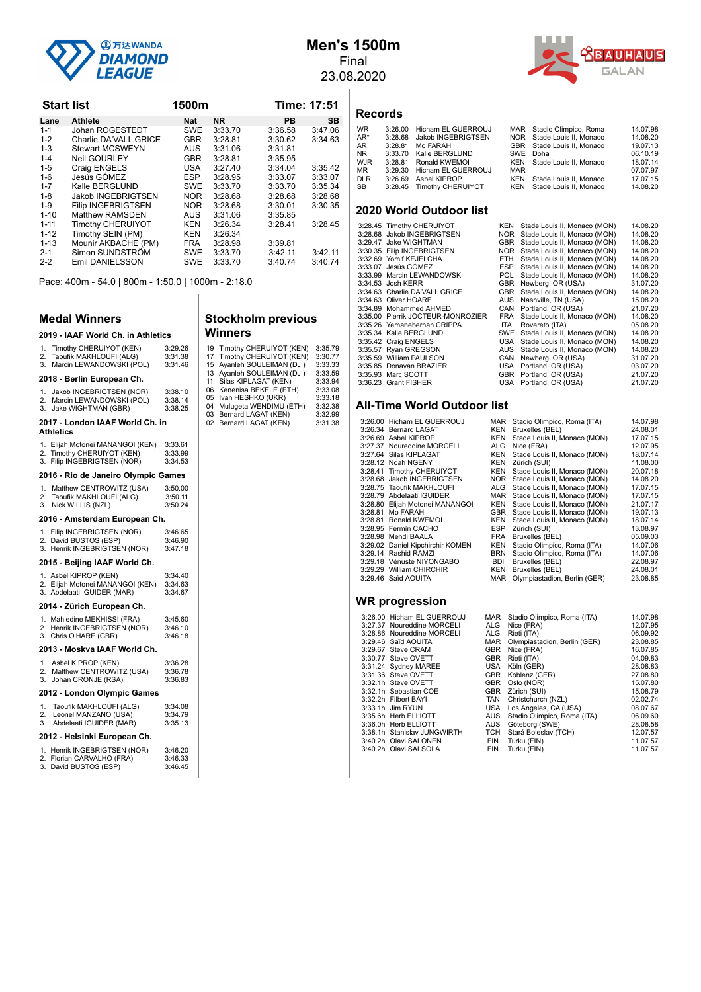

**Start list 1500m Time: 17:51** Lane Athlete **Nat NR** PB SB 1-1 Johan ROGESTEDT SWE 3:33.70 3:36.58 3:47.06

1-5 Craig ENGELS USA 3:27.40 3:34.04 3:35.42<br>1-6 Jesús GÓMEZ ESP 3:28.95 3:33.07 3:33.07 1-6 Jesús GÓMEZ ESP 3:28.95 3:33.07 3:33.07 1-7 Kalle BERGLUND SWE 3:33.70 3:33.70 3:35.34<br>1-8 Jakob INGEBRIGTSEN NOR 3:28.68 3:28.68 3:28.68 1-8 Jakob INGEBRIGTSEN NOR 3:28.68 3:28.68 3:28.68

1-11 Timothy CHERUIYOT KEN 3:26.34 3:28.41 3:28.45<br>1-12 Timothy SEIN (PM) KEN 3:26.34

2-1 Simon SUNDSTRÖM SWE 3:33.70 3:42.11 3:42.11 2-2 Emil DANIELSSON SWE 3:33.70 3:40.74 3:40.74

1-2 Charlie DA'VALL GRICE GBR 3:28.81 3:30.62<br>1-3 Stewart MCSWEYN AUS 3:31.06 3:31.81 1-4 Stewart MCSWEYN AUS 3:31.06 3:31.81<br>
Neil GOURLEY GBR 3:28.81 3:35.95 1-4 Neil GOURLEY GBR 3:28.81 3:35.95<br>1-5 Craig ENGELS USA 3:27.40 3:34.04

1-9 Filip INGEBRIGTSEN NOR 3:28.68 3:30.01<br>1-10 Matthew RAMSDEN AUS 3:31.06 3:35.85 1-10 Matthew RAMSDEN AUS 3:31.06 3:35.85<br>1-11 Timothy CHERUIYOT KEN 3:26.34 3:28.41

1-13 Mounir AKBACHE (PM) FRA 3:28.98 3:39.81

# **Men's 1500m** Final

23.08.2020



**Records**

| <b>WR</b>  | 3:26.00 Hicham EL GUERROUJ |            | MAR Stadio Olimpico, Roma  | 14.07.98 |
|------------|----------------------------|------------|----------------------------|----------|
| AR*        | 3:28.68 Jakob INGEBRIGTSEN |            | NOR Stade Louis II. Monaco | 14.08.20 |
| AR         | 3:28.81 Mo FARAH           |            | GBR Stade Louis II. Monaco | 19.07.13 |
| NR         | 3:33.70 Kalle BERGLUND     |            | SWE Doha                   | 06.10.19 |
| WJR        | 3:28.81 Ronald KWEMOI      |            | KEN Stade Louis II. Monaco | 18.07.14 |
| ΜR         | 3:29.30 Hicham EL GUERROUJ | <b>MAR</b> |                            | 07.07.97 |
| <b>DLR</b> | 3:26.69 Asbel KIPROP       |            | KEN Stade Louis II. Monaco | 17.07.15 |
| SB         | 3:28.45 Timothy CHERUIYOT  |            | KEN Stade Louis II. Monaco | 14.08.20 |
|            |                            |            |                            |          |

#### **2020 World Outdoor list**

| 3:28.45 Timothy CHERUIYOT         |            | KEN Stade Louis II, Monaco (MON) | 14.08.20 |
|-----------------------------------|------------|----------------------------------|----------|
| 3:28.68 Jakob INGEBRIGTSEN        | <b>NOR</b> | Stade Louis II, Monaco (MON)     | 14.08.20 |
| 3:29.47 Jake WIGHTMAN             | GBR        | Stade Louis II, Monaco (MON)     | 14.08.20 |
| 3:30.35 Filip INGEBRIGTSEN        |            | NOR Stade Louis II, Monaco (MON) | 14.08.20 |
| 3:32.69 Yomif KEJELCHA            | ETH.       | Stade Louis II, Monaco (MON)     | 14.08.20 |
| 3:33.07 Jesús GÓMEZ               | <b>ESP</b> | Stade Louis II, Monaco (MON)     | 14.08.20 |
| 3:33.99 Marcin LEWANDOWSKI        | POL.       | Stade Louis II, Monaco (MON)     | 14.08.20 |
| 3:34.53 Josh KERR                 | GBR        | Newberg, OR (USA)                | 31.07.20 |
| 3:34.63 Charlie DA'VALL GRICE     |            | GBR Stade Louis II, Monaco (MON) | 14.08.20 |
| 3:34.63 Oliver HOARE              | AUS        | Nashville, TN (USA)              | 15.08.20 |
| 3:34.89 Mohammed AHMED            | CAN        | Portland, OR (USA)               | 21.07.20 |
| 3:35.00 Pierrik JOCTEUR-MONROZIER | FRA        | Stade Louis II, Monaco (MON)     | 14.08.20 |
| 3:35.26 Yemaneberhan CRIPPA       | <b>ITA</b> | Rovereto (ITA)                   | 05.08.20 |
| 3:35.34 Kalle BERGLUND            |            | SWE Stade Louis II, Monaco (MON) | 14.08.20 |
| 3:35.42 Craig ENGELS              | USA        | Stade Louis II, Monaco (MON)     | 14.08.20 |
| 3:35.57 Ryan GREGSON              | AUS        | Stade Louis II, Monaco (MON)     | 14.08.20 |
| 3:35.59 William PAULSON           | CAN        | Newberg, OR (USA)                | 31.07.20 |
| 3:35.85 Donavan BRAZIER           |            | USA Portland, OR (USA)           | 03.07.20 |
| 3:35.93 Marc SCOTT                |            | GBR Portland, OR (USA)           | 21.07.20 |
| 3:36.23 Grant FISHER              |            | USA Portland, OR (USA)           | 21.07.20 |
|                                   |            |                                  |          |

#### **All-Time World Outdoor list**

| 3:26.00 Hicham EL GUERROUJ       |            | MAR Stadio Olimpico, Roma (ITA) | 14.07.98 |
|----------------------------------|------------|---------------------------------|----------|
| 3:26.34 Bernard LAGAT            | KEN        | Bruxelles (BEL)                 | 24.08.01 |
| 3:26.69 Asbel KIPROP             | KEN        | Stade Louis II, Monaco (MON)    | 17.07.15 |
| 3:27.37 Noureddine MORCELI       | ALG        | Nice (FRA)                      | 12.07.95 |
| 3:27.64 Silas KIPLAGAT           | KEN        | Stade Louis II, Monaco (MON)    | 18.07.14 |
| 3:28.12 Noah NGENY               | KEN        | Zürich (SUI)                    | 11.08.00 |
| 3:28.41 Timothy CHERUIYOT        | KEN        | Stade Louis II, Monaco (MON)    | 20.07.18 |
| 3:28.68 Jakob INGEBRIGTSEN       | NOR        | Stade Louis II, Monaco (MON)    | 14.08.20 |
| 3:28.75 Taoufik MAKHLOUFI        | ALG        | Stade Louis II, Monaco (MON)    | 17.07.15 |
| 3:28.79 Abdelaati IGUIDER        | MAR        | Stade Louis II, Monaco (MON)    | 17.07.15 |
| 3:28.80 Elijah Motonei MANANGOI  | KEN        | Stade Louis II, Monaco (MON)    | 21.07.17 |
| 3:28.81 Mo FARAH                 | <b>GBR</b> | Stade Louis II, Monaco (MON)    | 19.07.13 |
| 3:28.81 Ronald KWEMOI            | KEN        | Stade Louis II, Monaco (MON)    | 18.07.14 |
| 3:28.95 Fermín CACHO             | <b>ESP</b> | Zürich (SUI)                    | 13.08.97 |
| 3:28.98 Mehdi BAALA              | <b>FRA</b> | Bruxelles (BEL)                 | 05.09.03 |
| 3:29.02 Daniel Kipchirchir KOMEN | KEN        | Stadio Olimpico, Roma (ITA)     | 14.07.06 |
| 3:29.14 Rashid RAMZI             | <b>BRN</b> | Stadio Olimpico, Roma (ITA)     | 14.07.06 |
| 3:29.18 Vénuste NIYONGABO        | BDI        | Bruxelles (BEL)                 | 22.08.97 |
| 3:29.29 William CHIRCHIR         | KEN        | Bruxelles (BEL)                 | 24.08.01 |
| 3:29.46 Saïd AOUITA              | <b>MAR</b> | Olympiastadion, Berlin (GER)    | 23.08.85 |
|                                  |            |                                 |          |
|                                  |            |                                 |          |
| VR nrograssion                   |            |                                 |          |

### **WR progression**

| 3:26.00<br>3:27.37<br>3:28.86<br>3.2946<br>3:29.67<br>3:30.77<br>3:31.24<br>3:31.36<br>3:32.1h<br>3:32 2h<br>3:33.1h<br>3:35.6h<br>3:36.0h | Hicham EL GUERROUJ<br>Noureddine MORCELI<br>Noureddine MORCELI<br>Saïd AOUITA<br><b>Steve CRAM</b><br>Steve OVETT<br>Sydney MAREE<br>Steve OVETT<br>Steve OVETT<br>3:32.1h Sebastian COE<br><b>Filbert BAYI</b><br>.lim RYUN<br>Herb ELLIOTT<br>Herb ELLIOTT |
|--------------------------------------------------------------------------------------------------------------------------------------------|--------------------------------------------------------------------------------------------------------------------------------------------------------------------------------------------------------------------------------------------------------------|
|                                                                                                                                            |                                                                                                                                                                                                                                                              |
| 3:38.1h<br>3:40.2h<br>3:40.2h                                                                                                              | Stanislav JUNGWIRTH<br>Olavi SALONEN<br>Olavi SALSOLA                                                                                                                                                                                                        |
|                                                                                                                                            |                                                                                                                                                                                                                                                              |

|   | <b>MAR</b> | Stade Louis II, Monaco (MON) |
|---|------------|------------------------------|
| Л | KEN        | Stade Louis II, Monaco (MON) |
|   | GBR        | Stade Louis II, Monaco (MON) |
|   | KEN        | Stade Louis II, Monaco (MON) |
|   | ESP.       | Zürich (SUI)                 |
|   | FRA        | Bruxelles (BEL)              |
|   | KEN        | Stadio Olimpico, Roma (ITA)  |
|   | <b>BRN</b> | Stadio Olimpico, Roma (ITA)  |
|   | BDI        | Bruxelles (BEL)              |
|   | KEN        | Bruxelles (BEL)              |
|   | <b>MAR</b> | Olympiastadion, Berlin (GER) |
|   |            |                              |
|   |            |                              |
|   |            |                              |
|   |            |                              |
|   | MAR        | Stadio Olimpico, Roma (ITA)  |
|   | AI G       | Nice (FRA)                   |

| 3:26.00 Hicham EL GUERROUJ  |            | MAR Stadio Olimpico, Roma (ITA) | 14.07.98 |
|-----------------------------|------------|---------------------------------|----------|
| 3:27.37 Noureddine MORCELI  | ALG        | Nice (FRA)                      | 12.07.95 |
| 3:28.86 Noureddine MORCELI  | ALG.       | Rieti (ITA)                     | 06.09.92 |
| 3:29.46 Saïd AOUITA         | MAR        | Olympiastadion, Berlin (GER)    | 23.08.85 |
| 3:29.67 Steve CRAM          | <b>GBR</b> | Nice (FRA)                      | 16.07.85 |
| 3:30.77 Steve OVETT         | <b>GBR</b> | Rieti (ITA)                     | 04.09.83 |
| 3:31.24 Svdnev MAREE        | USA        | Köln (GER)                      | 28.08.83 |
| 3:31.36 Steve OVETT         | <b>GBR</b> | Koblenz (GER)                   | 27.08.80 |
| 3:32.1h Steve OVETT         | <b>GBR</b> | Oslo (NOR)                      | 15.07.80 |
| 3:32.1h Sebastian COE       | <b>GBR</b> | Zürich (SUI)                    | 15.08.79 |
| 3:32.2h Filbert BAYI        | TAN        | Christchurch (NZL)              | 02.02.74 |
| 3:33.1h Jim RYUN            |            | USA Los Angeles, CA (USA)       | 08.07.67 |
| 3:35.6h Herb ELLIOTT        | <b>AUS</b> | Stadio Olimpico, Roma (ITA)     | 06.09.60 |
| 3:36.0h Herb ELLIOTT        | AUS        | Göteborg (SWE)                  | 28.08.58 |
| 3:38.1h Stanislav JUNGWIRTH |            | TCH Stará Boleslav (TCH)        | 12.07.57 |
| 3:40.2h Olavi SALONEN       | <b>FIN</b> | Turku (FIN)                     | 11.07.57 |
| 3:40.2h Olavi SALSOLA       | <b>FIN</b> | Turku (FIN)                     | 11.07.57 |
|                             |            |                                 |          |

#### Pace: 400m - 54.0 | 800m - 1:50.0 | 1000m - 2:18.0

1-12 Timothy SEIN (PM) KEN 3:26.34<br>1-13 Mounir AKBACHE (PM) FRA 3:28.98<br>2-1 Simon SUNDSTRÖM SWE 3:33.70

#### **Medal Winners**

#### **2019 - IAAF World Ch. in Athletics** 1. Timothy CHERUIYOT (KEN) 3:29.26<br>2. Taoufik MAKHLOUFI (ALG) 3:31.38 Taoufik MAKHLOUFI (ALG)<br>Taoufik MAKHLOUFI (ALG) 3:31.38<br>Marcin LEWANDOWSKI (POL) 3:31.46 3. Marcin LEWANDOWSKI (POL) 2018 - Berlin European Ch. 1. Jakob INGEBRIGTSEN (NOR) 3:38.10<br>2. Marcin LEWANDOWSKI (POL) 3:38.14<br>3. Jake WIGHTMAN (GBR) 3:38.25 **2017 - London IAAF World Ch. in Athletics** 1. Elijah Motonei MANANGOI (KEN) 3:33.61<br>2. Timothy CHERUIYOT (KEN) 3:33.99 2. Timothy CHERUIYOT (KEN) 3:33.99<br>3. Filip INGEBRIGTSEN (NOR) 3:34.53 **2016 - Rio de Janeiro Olympic Games** 1. Matthew CENTROWITZ (USA) 3:50.00 2. Taoufik MAKHLOUFI (ALG) 3:50.11<br>3. Nick WILLIS (NZL) 3:50.24 3. Nick WILLIS (NZL) 2016 - Amsterdam European Ch. 1. Filip INGEBRIGTSEN (NOR)  $3:46.65$ <br>2. David BLISTOS (ESP)  $3:46.90$ 2. David BUSTOS (ESP) 3:46.90<br>3. Henrik INGEBRIGTSEN (NOR) 3:47.18 Bavid BooToo (Ed. /<br>Henrik INGEBRIGTSEN (NOR) 2015 - Beijing IAAF World Ch. 1. Asbel KIPROP (KEN) 3:34.40<br>2. Elijah Motonej MANANGOL (KEN) 3:34.63 2. Elijah Motonei MANANGOI (KEN) 3:34.63<br>3. Abdelaati IGUIDER (MAR) 3:34.67 **2014 - Zürich European Ch.** 1. Mahiedine MEKHISSI (FRA) 3:45.60<br>2. Henrik INGEBRIGTSEN (NOR) 3:46.10 2. Henrik INGEBRIGTSEN (NOR) 3:46.10 3. Chris O'HARE (GBR) 3:46.18 **2013 - Moskva IAAF World Ch.** 1. Asbel KIPROP (KEN) 3:36.28<br>2. Matthew CENTROWITZ (USA) 3:36.78 2. Matthew CENTROWITZ (USA) 3:36.78<br>3. Johan CRONJE (RSA) 3:36.83 Johan CRONJE (RSA)

#### **2012 - London Olympic Games**

| 1.<br>2. | Taoufik MAKHLOUFI (ALG)<br>Leonel MANZANO (USA)            | 3:34.08<br>3:34.79 |
|----------|------------------------------------------------------------|--------------------|
|          | 3. Abdelaati IGUIDER (MAR)<br>2012 - Helsinki European Ch. | 3:35.13            |
|          | 1 Henrik INGEBRIGTSEN (NOR)                                | 3.46.20            |

| 1. Henrik INGEBRIGTSEN (NOR) | 3:46.20 |
|------------------------------|---------|
| 2. Florian CARVALHO (FRA)    | 3:46.33 |
| 3. David BUSTOS (ESP)        | 3:46.45 |
|                              |         |

#### **Stockholm previous Winners**

|    | 19 Timothy CHERUIYOT (KEN) | 3:35.79 |
|----|----------------------------|---------|
|    | 17 Timothy CHERUIYOT (KEN) | 3:30.77 |
|    | 15 Ayanleh SOULEIMAN (DJI) | 3:33.33 |
|    | 13 Ayanleh SOULEIMAN (DJI) | 3:33.59 |
| 11 | Silas KIPLAGAT (KEN)       | 3:33.94 |
|    | 06 Kenenisa BEKELE (ETH)   | 3:33.08 |
| 05 | Ivan HESHKO (UKR)          | 3:33.18 |
| 04 | Mulugeta WENDIMU (ETH)     | 3:32.38 |
| 03 | Bernard LAGAT (KEN)        | 3:32.99 |
|    | 02 Bernard LAGAT (KEN)     | 3:31.38 |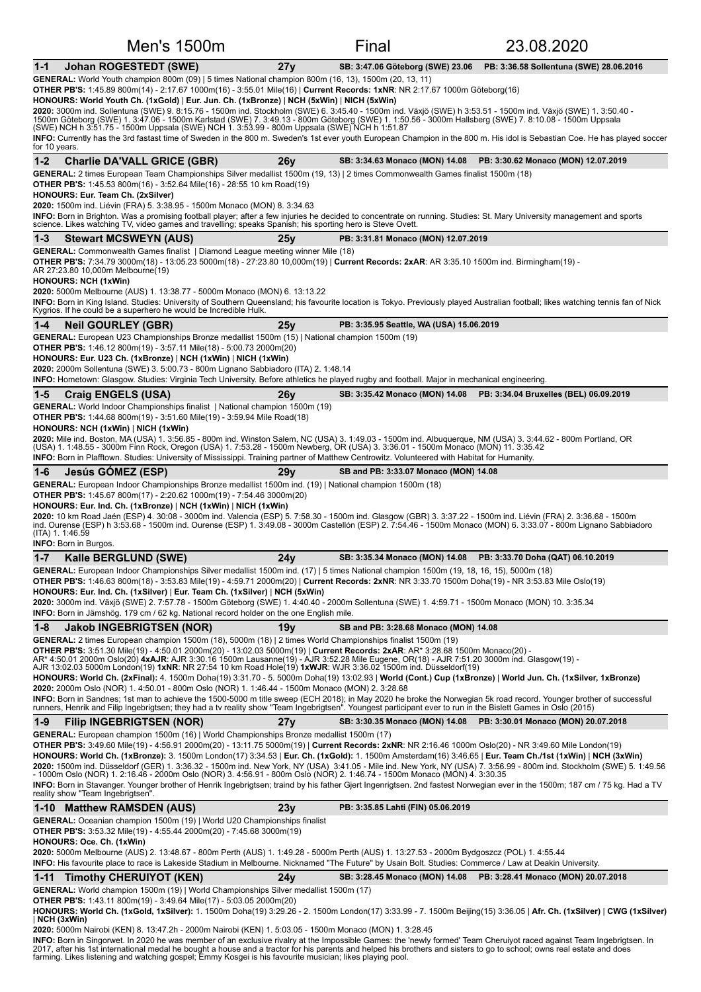| Men's 1500m                                                                                                                                                                                                                                                                                                                                                                                 |     | Final                                    | 23.08.2020                                                            |
|---------------------------------------------------------------------------------------------------------------------------------------------------------------------------------------------------------------------------------------------------------------------------------------------------------------------------------------------------------------------------------------------|-----|------------------------------------------|-----------------------------------------------------------------------|
| <b>Johan ROGESTEDT (SWE)</b><br>$1 - 1$                                                                                                                                                                                                                                                                                                                                                     | 27y | SB: 3:47.06 Göteborg (SWE) 23.06         | PB: 3:36.58 Sollentuna (SWE) 28.06.2016                               |
| GENERAL: World Youth champion 800m (09)   5 times National champion 800m (16, 13), 1500m (20, 13, 11)<br>OTHER PB'S: 1:45.89 800m(14) - 2:17.67 1000m(16) - 3:55.01 Mile(16)   Current Records: 1xNR: NR 2:17.67 1000m Göteborg(16)                                                                                                                                                         |     |                                          |                                                                       |
| HONOURS: World Youth Ch. (1xGold)   Eur. Jun. Ch. (1xBronze)   NCH (5xWin)   NICH (5xWin)                                                                                                                                                                                                                                                                                                   |     |                                          |                                                                       |
| 2020: 3000m ind. Sollentuna (SWE) 9. 8:15.76 - 1500m ind. Stockholm (SWE) 6. 3:45.40 - 1500m ind. Växjö (SWE) h 3:53.51 - 1500m ind. Växjö (SWE) 1. 3:50.40 -<br>1500m Göteborg (SWE) 1. 3:47.06 - 1500m Karlstad (SWE) 7. 3:49.13 - 800m Göteborg (SWE) 1. 1:50.56 - 3000m Hallsberg (SWE) 7. 8:10.08 - 1500m Uppsala                                                                      |     |                                          |                                                                       |
| (SWE) NCH h 3:51.75 - 1500m Uppsala (SWE) NCH 1. 3:53.99 - 800m Uppsala (SWE) NCH h 1:51.87<br>INFO: Currently has the 3rd fastast time of Sweden in the 800 m. Sweden's 1st ever youth European Champion in the 800 m. His idol is Sebastian Coe. He has played soccer<br>for 10 years.                                                                                                    |     |                                          |                                                                       |
| $1 - 2$<br><b>Charlie DA'VALL GRICE (GBR)</b>                                                                                                                                                                                                                                                                                                                                               | 26y |                                          | SB: 3:34.63 Monaco (MON) 14.08 PB: 3:30.62 Monaco (MON) 12.07.2019    |
| GENERAL: 2 times European Team Championships Silver medallist 1500m (19, 13)   2 times Commonwealth Games finalist 1500m (18)<br><b>OTHER PB'S:</b> 1:45.53 800m(16) - 3:52.64 Mile(16) - 28:55 10 km Road(19)                                                                                                                                                                              |     |                                          |                                                                       |
| HONOURS: Eur. Team Ch. (2xSilver)<br>2020: 1500m ind. Liévin (FRA) 5. 3:38.95 - 1500m Monaco (MON) 8. 3:34.63                                                                                                                                                                                                                                                                               |     |                                          |                                                                       |
| INFO: Born in Brighton. Was a promising football player; after a few injuries he decided to concentrate on running. Studies: St. Mary University management and sports<br>science. Likes watching TV, video games and travelling; speaks Spanish; his sporting hero is Steve Ovett.                                                                                                         |     |                                          |                                                                       |
| $1 - 3$<br><b>Stewart MCSWEYN (AUS)</b><br><b>GENERAL:</b> Commonwealth Games finalist   Diamond League meeting winner Mile (18)                                                                                                                                                                                                                                                            | 25v | PB: 3:31.81 Monaco (MON) 12.07.2019      |                                                                       |
| OTHER PB'S: 7:34.79 3000m(18) - 13:05.23 5000m(18) - 27:23.80 10,000m(19)   Current Records: 2xAR: AR 3:35.10 1500m ind. Birmingham(19) -                                                                                                                                                                                                                                                   |     |                                          |                                                                       |
| AR 27:23.80 10,000m Melbourne(19)<br><b>HONOURS: NCH (1xWin)</b>                                                                                                                                                                                                                                                                                                                            |     |                                          |                                                                       |
| <b>2020:</b> 5000m Melbourne (AUS) 1. 13:38.77 - 5000m Monaco (MON) 6. 13:13.22<br>INFO: Born in King Island. Studies: University of Southern Queensland; his favourite location is Tokyo. Previously played Australian football; likes watching tennis fan of Nick<br>Kygrios. If he could be a superhero he would be Incredible Hulk.                                                     |     |                                          |                                                                       |
| $1 - 4$<br><b>Neil GOURLEY (GBR)</b>                                                                                                                                                                                                                                                                                                                                                        | 25y | PB: 3:35.95 Seattle, WA (USA) 15.06.2019 |                                                                       |
| GENERAL: European U23 Championships Bronze medallist 1500m (15)   National champion 1500m (19)                                                                                                                                                                                                                                                                                              |     |                                          |                                                                       |
| <b>OTHER PB'S:</b> 1:46.12 800m(19) - 3:57.11 Mile(18) - 5:00.73 2000m(20)<br>HONOURS: Eur. U23 Ch. (1xBronze)   NCH (1xWin)   NICH (1xWin)                                                                                                                                                                                                                                                 |     |                                          |                                                                       |
| 2020: 2000m Sollentuna (SWE) 3. 5:00.73 - 800m Lignano Sabbiadoro (ITA) 2. 1:48.14<br><b>INFO:</b> Hometown: Glasgow. Studies: Virginia Tech University. Before athletics he played rugby and football. Major in mechanical engineering.                                                                                                                                                    |     |                                          |                                                                       |
| $1 - 5$<br><b>Craig ENGELS (USA)</b>                                                                                                                                                                                                                                                                                                                                                        | 26v |                                          | SB: 3:35.42 Monaco (MON) 14.08 PB: 3:34.04 Bruxelles (BEL) 06.09.2019 |
| <b>GENERAL:</b> World Indoor Championships finalist   National champion 1500m (19)<br><b>OTHER PB'S:</b> 1:44.68 800m(19) - 3:51.60 Mile(19) - 3:59.94 Mile Road(18)                                                                                                                                                                                                                        |     |                                          |                                                                       |
| HONOURS: NCH (1xWin)   NICH (1xWin)                                                                                                                                                                                                                                                                                                                                                         |     |                                          |                                                                       |
| 2020: Mile ind. Boston, MA (USA) 1. 3:56.85 - 800m ind. Winston Salem, NC (USA) 3. 1:49.03 - 1500m ind. Albuquerque, NM (USA) 3. 3:44.62 - 800m Portland, OR<br>(USA) 1. 1:48.55 - 3000m Finn Rock, Oregon (USA) 1. 7:53.28 - 1500m Newberg, OR (USA) 3. 3:36.01 - 1500m Monaco (MON) 11. 3:35.42                                                                                           |     |                                          |                                                                       |
| <b>INFO:</b> Born in Plafftown. Studies: University of Mississippi. Training partner of Matthew Centrowitz. Volunteered with Habitat for Humanity.                                                                                                                                                                                                                                          |     |                                          |                                                                       |
| Jesús GÓMEZ (ESP)<br>$1 - 6$<br>GENERAL: European Indoor Championships Bronze medallist 1500m ind. (19)   National champion 1500m (18)                                                                                                                                                                                                                                                      | 29y | SB and PB: 3:33.07 Monaco (MON) 14.08    |                                                                       |
| <b>OTHER PB'S:</b> 1:45.67 800m(17) - 2:20.62 1000m(19) - 7:54.46 3000m(20)<br>HONOURS: Eur. Ind. Ch. (1xBronze)   NCH (1xWin)   NICH (1xWin)                                                                                                                                                                                                                                               |     |                                          |                                                                       |
| 2020: 10 km Road Jaén (ESP) 4. 30:08 - 3000m ind. Valencia (ESP) 5. 7:58.30 - 1500m ind. Glasgow (GBR) 3. 3:37.22 - 1500m ind. Liévin (FRA) 2. 3:36.68 - 1500m                                                                                                                                                                                                                              |     |                                          |                                                                       |
| ind. Ourense (ESP) h 3:53.68 - 1500m ind. Ourense (ESP) 1. 3:49.08 - 3000m Castellón (ESP) 2. 7:54.46 - 1500m Monaco (MON) 6. 3:33.07 - 800m Lignano Sabbiadoro<br>(ITA) 1.1:46.59                                                                                                                                                                                                          |     |                                          |                                                                       |
| <b>INFO:</b> Born in Burgos.<br>$1 - 7$<br>Kalle BERGLUND (SWE)                                                                                                                                                                                                                                                                                                                             | 24y |                                          | SB: 3:35.34 Monaco (MON) 14.08  PB: 3:33.70 Doha (QAT) 06.10.2019     |
| GENERAL: European Indoor Championships Silver medallist 1500m ind. (17)   5 times National champion 1500m (19, 18, 16, 15), 5000m (18)                                                                                                                                                                                                                                                      |     |                                          |                                                                       |
| OTHER PB'S: 1:46.63 800m(18) - 3:53.83 Mile(19) - 4:59.71 2000m(20)   Current Records: 2xNR: NR 3:33.70 1500m Doha(19) - NR 3:53.83 Mile Oslo(19)<br>HONOURS: Eur. Ind. Ch. (1xSilver)   Eur. Team Ch. (1xSilver)   NCH (5xWin)                                                                                                                                                             |     |                                          |                                                                       |
| 2020: 3000m ind. Växjö (SWE) 2. 7:57.78 - 1500m Göteborg (SWE) 1. 4:40.40 - 2000m Sollentuna (SWE) 1. 4:59.71 - 1500m Monaco (MON) 10. 3:35.34<br><b>INFO:</b> Born in Jämshög. 179 cm / 62 kg. National record holder on the one English mile.                                                                                                                                             |     |                                          |                                                                       |
| $1 - 8$<br><b>Jakob INGEBRIGTSEN (NOR)</b>                                                                                                                                                                                                                                                                                                                                                  | 19y | SB and PB: 3:28.68 Monaco (MON) 14.08    |                                                                       |
| GENERAL: 2 times European champion 1500m (18), 5000m (18)   2 times World Championships finalist 1500m (19)                                                                                                                                                                                                                                                                                 |     |                                          |                                                                       |
| OTHER PB'S: 3:51.30 Mile(19) - 4:50.01 2000m(20) - 13:02.03 5000m(19)   Current Records: 2xAR: AR* 3:28.68 1500m Monaco(20) -<br>AR* 4:50.01 2000m Oslo(20) 4xAJR: AJR 3:30.16 1500m Lausanne(19) - AJR 3:52.28 Mile Eugene, OR(18) - AJR 7:51.20 3000m ind. Glasgow(19) -<br>AJR 13:02.03 5000m London(19) 1xNR: NR 27:54 10 km Road Hole(19) 1xWJR: WJR 3:36.02 1500m ind. Düsseldorf(19) |     |                                          |                                                                       |
| HONOURS: World Ch. (2xFinal): 4. 1500m Doha(19) 3:31.70 - 5. 5000m Doha(19) 13:02.93   World (Cont.) Cup (1xBronze)   World Jun. Ch. (1xSilver, 1xBronze)                                                                                                                                                                                                                                   |     |                                          |                                                                       |
| 2020: 2000m Oslo (NOR) 1. 4:50.01 - 800m Oslo (NOR) 1. 1:46.44 - 1500m Monaco (MON) 2. 3:28.68<br>INFO: Born in Sandnes; 1st man to achieve the 1500-5000 m title sweep (ECH 2018); in May 2020 he broke the Norwegian 5k road record. Younger brother of successful                                                                                                                        |     |                                          |                                                                       |
| runners, Henrik and Filip Ingebrigtsen; they had a tv reality show "Team Ingebrigtsen". Youngest participant ever to run in the Bislett Games in Oslo (2015)                                                                                                                                                                                                                                |     |                                          |                                                                       |
| <b>Filip INGEBRIGTSEN (NOR)</b><br>$1-9$<br><b>GENERAL:</b> European champion 1500m (16)   World Championships Bronze medallist 1500m (17)                                                                                                                                                                                                                                                  | 27y | SB: 3:30.35 Monaco (MON) 14.08           | PB: 3:30.01 Monaco (MON) 20.07.2018                                   |
| OTHER PB'S: 3:49.60 Mile(19) - 4:56.91 2000m(20) - 13:11.75 5000m(19)   Current Records: 2xNR: NR 2:16.46 1000m Oslo(20) - NR 3:49.60 Mile London(19)<br>HONOURS: World Ch. (1xBronze): 3. 1500m London(17) 3:34.53   Eur. Ch. (1xGold): 1. 1500m Amsterdam(16) 3:46.65   Eur. Team Ch./1st (1xWin)   NCH (3xWin)                                                                           |     |                                          |                                                                       |
| 2020: 1500m ind. Düsseldorf (GER) 1. 3:36.32 - 1500m ind. New York, NY (USA) 3:41.05 - Mile ind. New York, NY (USA) 7. 3:56.99 - 800m ind. Stockholm (SWE) 5. 1:49.56                                                                                                                                                                                                                       |     |                                          |                                                                       |
| - 1000m Oslo (NOR) 1. 2:16.46 - 2000m Oslo (NOR) 3. 4:56.91 - 800m Oslo (NOR) 2. 1:46.74 - 1500m Monaco (MON) 4. 3:30.35<br>INFO: Born in Stavanger. Younger brother of Henrik Ingebrigtsen; traind by his father Gjert Ingenrigtsen. 2nd fastest Norwegian ever in the 1500m; 187 cm / 75 kg. Had a TV                                                                                     |     |                                          |                                                                       |
| reality show "Team Ingebrigtsen".<br>1-10 Matthew RAMSDEN (AUS)                                                                                                                                                                                                                                                                                                                             | 23y | PB: 3:35.85 Lahti (FIN) 05.06.2019       |                                                                       |
| <b>GENERAL:</b> Oceanian champion 1500m (19)   World U20 Championships finalist                                                                                                                                                                                                                                                                                                             |     |                                          |                                                                       |
| <b>OTHER PB'S:</b> 3:53.32 Mile(19) - 4:55.44 2000m(20) - 7:45.68 3000m(19)<br>HONOURS: Oce. Ch. (1xWin)                                                                                                                                                                                                                                                                                    |     |                                          |                                                                       |
| 2020: 5000m Melbourne (AUS) 2. 13:48.67 - 800m Perth (AUS) 1. 1:49.28 - 5000m Perth (AUS) 1. 13:27.53 - 2000m Bydgoszcz (POL) 1. 4:55.44                                                                                                                                                                                                                                                    |     |                                          |                                                                       |
| INFO: His favourite place to race is Lakeside Stadium in Melbourne. Nicknamed "The Future" by Usain Bolt. Studies: Commerce / Law at Deakin University.<br>1-11 Timothy CHERUIYOT (KEN)                                                                                                                                                                                                     | 24y |                                          | SB: 3:28.45 Monaco (MON) 14.08 PB: 3:28.41 Monaco (MON) 20.07.2018    |
| <b>GENERAL:</b> World champion 1500m (19)   World Championships Silver medallist 1500m (17)                                                                                                                                                                                                                                                                                                 |     |                                          |                                                                       |
| <b>OTHER PB'S:</b> 1:43.11 800m(19) - 3:49.64 Mile(17) - 5:03.05 2000m(20)<br>HONOURS: World Ch. (1xGold, 1xSilver): 1. 1500m Doha(19) 3:29.26 - 2. 1500m London(17) 3:33.99 - 7. 1500m Beijing(15) 3:36.05   Afr. Ch. (1xSilver)   CWG (1xSilver)                                                                                                                                          |     |                                          |                                                                       |
|                                                                                                                                                                                                                                                                                                                                                                                             |     |                                          |                                                                       |
| NCH (3xWin)<br>2020: 5000m Nairobi (KEN) 8. 13:47.2h - 2000m Nairobi (KEN) 1. 5:03.05 - 1500m Monaco (MON) 1. 3:28.45                                                                                                                                                                                                                                                                       |     |                                          |                                                                       |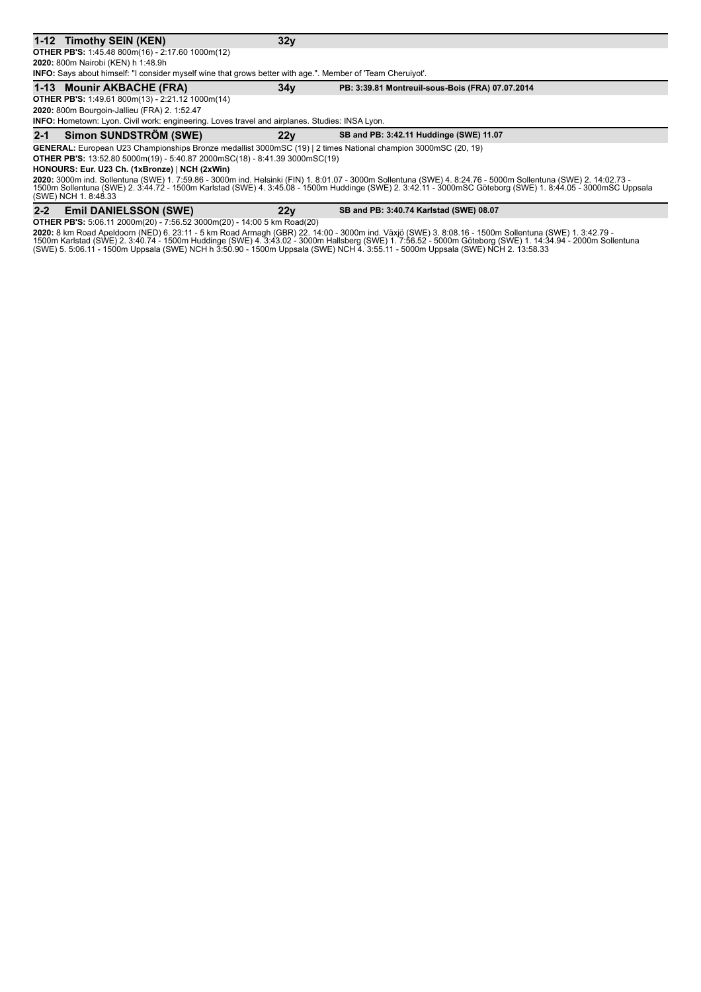#### **1-12 Timothy SEIN (KEN) 32y**

**OTHER PB'S:** 1:45.48 800m(16) - 2:17.60 1000m(12) **2020:** 800m Nairobi (KEN) h 1:48.9h

**INFO:** Says about himself: "I consider myself wine that grows better with age.". Member of 'Team Cheruiyot'.

#### **1-13 Mounir AKBACHE (FRA)** 34y PB: 3:39.81 Montreuil-sous-Bois (FRA) 07.07.2014

**OTHER PB'S:** 1:49.61 800m(13) - 2:21.12 1000m(14) **2020:** 800m Bourgoin-Jallieu (FRA) 2. 1:52.47

#### **INFO:** Hometown: Lyon. Civil work: engineering. Loves travel and airplanes. Studies: INSA Lyon.

**2-1 Simon SUNDSTRÖM (SWE)** 22y SB and PB: 3:42.11 Huddinge (SWE) 11.07

GENERAL: European U23 Championships Bronze medallist 3000mSC (19) | 2 times National champion 3000mSC (20, 19) **OTHER PB'S:** 13:52.80 5000m(19) - 5:40.87 2000mSC(18) - 8:41.39 3000mSC(19)

**HONOURS: Eur. U23 Ch. (1xBronze)** | **NCH (2xWin)**

**2020:** 3000m ind. Sollentuna (SWE) 1. 7:59.86 - 3000m ind. Helsinki (FIN) 1. 8:01.07 - 3000m Sollentuna (SWE) 4. 8:24.76 - 5000m Sollentuna (SWE) 2. 14:02.73 -<br>1500m Sollentuna (SWE) 2. 3:44.72 - 1500m Karlstad (SWE) 4. 3

#### 2-2 Emil DANIELSSON (SWE) 22y SB and PB: 3:40.74 Karlstad (SWE) 08.07

**OTHER PB'S:** 5:06.11 2000m(20) - 7:56.52 3000m(20) - 14:00 5 km Road(20)

**2020:** 8 km Road Apeldoorn (NED) 6. 23:11 - 5 km Road Armagh (GBR) 22. 14:00 - 3000m ind. Växjö (SWE) 3. 8:08.16 - 1500m Sollentuna (SWE) 1. 3:42.79 -<br>1500m Karlstad (SWE) 2. 3:40.74 - 1500m Huddinge (SWE) 4. 3:43.02 - 30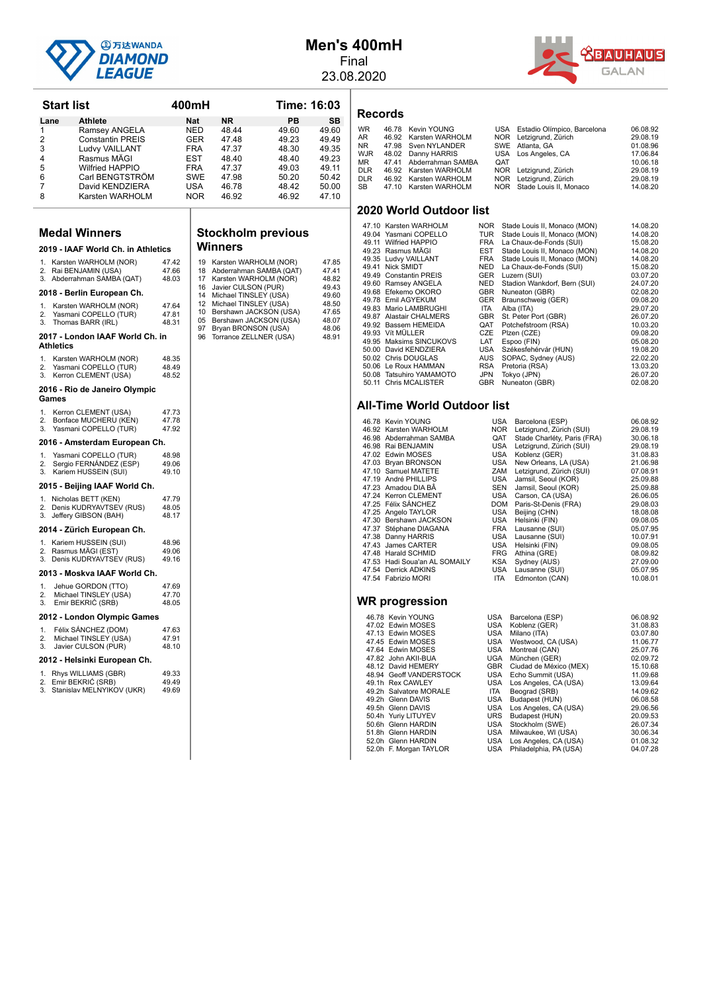

**Start list 400mH Time: 16:03** 

## **Men's 400mH**

Final 23.08.2020

**Records**



|          | Lane             | Athlete                                        |                | Nat        | <b>NR</b>                                         | PВ    | SΒ             |
|----------|------------------|------------------------------------------------|----------------|------------|---------------------------------------------------|-------|----------------|
| 1        |                  | Ramsey ANGELA                                  |                | NED        | 48.44                                             | 49.60 | 49.60          |
| 2        |                  | <b>Constantin PREIS</b>                        |                | <b>GER</b> | 47.48                                             | 49.23 | 49.49          |
| 3        |                  | Ludvy VAILLANT                                 |                | <b>FRA</b> | 47.37                                             | 48.30 | 49.35          |
| 4        |                  | Rasmus MAGI                                    |                | EST        | 48.40                                             | 48.40 | 49.23          |
| 5        |                  | Wilfried HAPPIO                                |                | FRA        | 47.37                                             | 49.03 | 49.11          |
| 6        |                  | Carl BENGTSTRÖM                                |                | SWE        | 47.98                                             | 50.20 | 50.42          |
| 7        |                  | David KENDZIERA                                |                | USA        | 46.78                                             | 48.42 | 50.00          |
| 8        |                  | Karsten WARHOLM                                |                | NOR        | 46.92                                             | 46.92 | 47.10          |
|          |                  |                                                |                |            |                                                   |       |                |
|          |                  |                                                |                |            |                                                   |       |                |
|          |                  | <b>Medal Winners</b>                           |                |            | <b>Stockholm previous</b>                         |       |                |
|          |                  | 2019 - IAAF World Ch. in Athletics             |                |            | Winners                                           |       |                |
|          |                  | 1. Karsten WARHOLM (NOR)                       | 47.42          | 19         | Karsten WARHOLM (NOR)                             |       | 47.85          |
|          |                  | 2. Rai BENJAMIN (USA)                          | 47.66          | 18         | Abderrahman SAMBA (QAT)                           |       | 47.41          |
| З.       |                  | Abderrahman SAMBA (QAT)                        | 48.03          | 17         | Karsten WARHOLM (NOR)                             |       | 48.82          |
|          |                  |                                                |                | 16         | Javier CULSON (PUR)                               |       | 49.43          |
|          |                  | 2018 - Berlin European Ch.                     |                |            | 14 Michael TINSLEY (USA)<br>Michael TINSLEY (USA) |       | 49.60<br>48.50 |
| 1.       |                  | Karsten WARHOLM (NOR)                          | 47.64          | 12         | 10 Bershawn JACKSON (USA)                         |       | 47.65          |
| 2.<br>3. |                  | Yasmani COPELLO (TUR)<br>Thomas BARR (IRL)     | 47.81<br>48.31 |            | 05 Bershawn JACKSON (USA)                         |       | 48.07          |
|          |                  |                                                |                | 97         | Bryan BRONSON (USA)                               |       | 48.06          |
|          | <b>Athletics</b> | 2017 - London IAAF World Ch. in                |                | 96         | Torrance ZELLNER (USA)                            |       | 48.91          |
| 1.       |                  | Karsten WARHOLM (NOR)                          | 48.35          |            |                                                   |       |                |
| 2.       |                  | Yasmani COPELLO (TUR)                          | 48.49          |            |                                                   |       |                |
| 3.       |                  | Kerron CLEMENT (USA)                           | 48.52          |            |                                                   |       |                |
|          | Games            | 2016 - Rio de Janeiro Olympic                  |                |            |                                                   |       |                |
|          |                  |                                                |                |            |                                                   |       |                |
| 1.       |                  | Kerron CLEMENT (USA)                           | 47.73<br>47.78 |            |                                                   |       |                |
| 2.<br>3. |                  | Bonface MUCHERU (KEN)<br>Yasmani COPELLO (TUR) | 47.92          |            |                                                   |       |                |
|          |                  | 2016 - Amsterdam European Ch.                  |                |            |                                                   |       |                |
| 1.       |                  | Yasmani COPELLO (TUR)                          | 48.98          |            |                                                   |       |                |
| 2.       |                  | Sergio FERNÁNDEZ (ESP)                         | 49.06          |            |                                                   |       |                |
| 3.       |                  | Kariem HUSSEIN (SUI)                           | 49.10          |            |                                                   |       |                |
|          |                  | 2015 - Beijing IAAF World Ch.                  |                |            |                                                   |       |                |
|          |                  | 1. Nicholas BETT (KEN)                         | 47.79          |            |                                                   |       |                |
| 2.       |                  | Denis KUDRYAVTSEV (RUS)                        | 48.05          |            |                                                   |       |                |
| 3.       |                  | Jeffery GIBSON (BAH)                           | 48.17          |            |                                                   |       |                |
|          |                  | 2014 - Zürich European Ch.                     |                |            |                                                   |       |                |
|          |                  | 1. Kariem HUSSEIN (SUI)                        | 48.96          |            |                                                   |       |                |
|          |                  | 2. Rasmus MÄGI (EST)                           | 49.06          |            |                                                   |       |                |
|          |                  | 3. Denis KUDRYAVTSEV (RUS)                     | 49.16          |            |                                                   |       |                |
|          |                  | 2013 - Moskva IAAF World Ch.                   |                |            |                                                   |       |                |
| 1.       |                  | Jehue GORDON (TTO)                             | 47.69          |            |                                                   |       |                |
| 2.       |                  | Michael TINSLEY (USA)                          | 47.70          |            |                                                   |       |                |
| 3.       |                  | Emir BEKRIC (SRB)                              | 48.05          |            |                                                   |       |                |
|          |                  | 2012 - London Olympic Games                    |                |            |                                                   |       |                |
| 1.       |                  | Félix SANCHEZ (DOM)                            | 47.63          |            |                                                   |       |                |
| 2.       |                  | Michael TINSLEY (USA)                          | 47.91          |            |                                                   |       |                |
| 3.       |                  | Javier CULSON (PUR)                            | 48.10          |            |                                                   |       |                |
|          |                  | 2012 - Helsinki European Ch.                   |                |            |                                                   |       |                |
| 1.       |                  | Rhys WILLIAMS (GBR)                            | 49.33          |            |                                                   |       |                |
|          |                  | 2. Emir BEKRIC (SRB)                           | 49.49          |            |                                                   |       |                |
|          |                  | 3. Stanislav MELNYIKOV (UKR)                   | 49.69          |            |                                                   |       |                |
|          |                  |                                                |                |            |                                                   |       |                |

# **Stockholm previous**

| 19 | Karsten WARHOLM (NOR)   | 47.85 |
|----|-------------------------|-------|
| 18 | Abderrahman SAMBA (QAT) | 47.41 |
| 17 | Karsten WARHOLM (NOR)   | 48.82 |
| 16 | Javier CULSON (PUR)     | 49.43 |
| 14 | Michael TINSLEY (USA)   | 49.60 |
| 12 | Michael TINSLEY (USA)   | 48.50 |
| 10 | Bershawn JACKSON (USA)  | 47.65 |
| 05 | Bershawn JACKSON (USA)  | 48.07 |
| 97 | Bryan BRONSON (USA)     | 48.06 |
| 96 | Torrance ZELLNER (USA)  | 48.91 |
|    |                         |       |

| ckholm previous                                            |       |  |  |  |  |
|------------------------------------------------------------|-------|--|--|--|--|
| าners                                                      |       |  |  |  |  |
| <arsten (nor)<="" th="" warholm=""><th>47.85</th></arsten> | 47.85 |  |  |  |  |
| Abderrahman SAMBA (QAT)                                    | 47.41 |  |  |  |  |
| <b>Karsten WARHOLM (NOR)</b>                               | 48.82 |  |  |  |  |
| Javier CULSON (PUR)                                        | 49.43 |  |  |  |  |
| Michael TINSLEY (USA)                                      | 49.60 |  |  |  |  |
| Michael TINSLEY (USA)                                      | 48.50 |  |  |  |  |
| Bershawn JACKSON (USA)                                     | 47.65 |  |  |  |  |
| Bershawn JACKSON (USA)                                     | 48.07 |  |  |  |  |
| Bryan BRONSON (USA)                                        | 48.06 |  |  |  |  |
| $rorronca$ 7FLI NER (LISA)                                 | AR 01 |  |  |  |  |

#### WR 46.78 Kevin YOUNG USA Estadio Olímpico, Barcelona 06.08.92<br>
AR 46.92 Karsten WARHOLM NOR Letzigrund, Zürich 29.08.19<br>
NR 47.98 Sven NYLANDER SWE Atlanta, GA 01.08.96 AR 46.92 Karsten WARHOLM NOR Letzigrund, Zürich 29.08.19<br>NR 47.98 Sven NYLANDER SWE Atlanta, GA 01.08.96 WJR 48.02 Danny HARRIS USA Los Angeles, CA 17.06.84<br>MR 47.41 Abderrahman SAMBA QAT 10.06.18 MR 47.41 Abderrahman SAMBA OAT 2007 (1997)<br>DLR 46.92 Karsten WARHOLM NOR Letzigrund. Zürich 29.08.19 DLR 46.92 Karsten WARHOLM NOR Letzigrund, Zürich 29.08.19<br>DLR 46.92 Karsten WARHOLM NOR Letzigrund, Zürich 29.08.19 DLR 46.92 Karsten WARHOLM NOR Letzigrund, Zürich 29.08.19<br>SB 47.10 Karsten WARHOLM NOR Stade Louis II, Monaco 14.08.20 47.10 Karsten WARHOLM

#### **2020 World Outdoor list**

| 47.10 Karsten WARHOLM    | NOR.       | Stade Louis II, Monaco (MON) | 14.08.20 |
|--------------------------|------------|------------------------------|----------|
| 49.04 Yasmani COPELLO    | TUR        | Stade Louis II, Monaco (MON) | 14.08.20 |
| 49.11 Wilfried HAPPIO    | FRA        | La Chaux-de-Fonds (SUI)      | 15.08.20 |
| 49.23 Rasmus MÄGI        | <b>EST</b> | Stade Louis II, Monaco (MON) | 14.08.20 |
| 49.35 Ludvy VAILLANT     | <b>FRA</b> | Stade Louis II, Monaco (MON) | 14.08.20 |
| 49.41 Nick SMIDT         | <b>NED</b> | La Chaux-de-Fonds (SUI)      | 15.08.20 |
| 49.49 Constantin PREIS   | <b>GER</b> | Luzern (SUI)                 | 03.07.20 |
| 49.60 Ramsey ANGELA      | <b>NED</b> | Stadion Wankdorf, Bern (SUI) | 24.07.20 |
| 49.68 Efekemo OKORO      | <b>GBR</b> | Nuneaton (GBR)               | 02.08.20 |
| 49.78 Emil AGYEKUM       | <b>GER</b> | Braunschweig (GER)           | 09.08.20 |
| 49.83 Mario LAMBRUGHI    | ITA.       | Alba (ITA)                   | 29.07.20 |
| 49.87 Alastair CHALMERS  | <b>GBR</b> | St. Peter Port (GBR)         | 26.07.20 |
| 49.92 Bassem HEMEIDA     | QAT        | Potchefstroom (RSA)          | 10.03.20 |
| 49.93 Vít MÜLLER         | <b>CZE</b> | Plzen (CZE)                  | 09.08.20 |
| 49.95 Maksims SINCUKOVS  | LAT        | Espoo (FIN)                  | 05.08.20 |
| 50.00 David KENDZIERA    | USA        | Székesfehérvár (HUN)         | 19.08.20 |
| 50.02 Chris DOUGLAS      | AUS        | SOPAC, Sydney (AUS)          | 22.02.20 |
| 50.06 Le Roux HAMMAN     | <b>RSA</b> | Pretoria (RSA)               | 13.03.20 |
| 50.08 Tatsuhiro YAMAMOTO | JPN        | Tokyo (JPN)                  | 26.07.20 |
| 50.11 Chris MCALISTER    | <b>GBR</b> | Nuneaton (GBR)               | 02.08.20 |
|                          |            |                              |          |

#### **All-Time World Outdoor list**

| 46.78 Kevin YOUNG             | USA        | Barcelona (ESP)             | 06.08.92 |
|-------------------------------|------------|-----------------------------|----------|
| 46.92 Karsten WARHOLM         | NOR        | Letzigrund, Zürich (SUI)    | 29.08.19 |
| 46.98 Abderrahman SAMBA       | QAT        | Stade Charléty, Paris (FRA) | 30.06.18 |
| 46.98 Rai BENJAMIN            | USA        | Letzigrund, Zürich (SUI)    | 29.08.19 |
| 47.02 Edwin MOSES             | USA        | Koblenz (GER)               | 31.08.83 |
| 47.03 Bryan BRONSON           | USA        | New Orleans, LA (USA)       | 21.06.98 |
| 47.10 Samuel MATETE           | ZAM        | Letzigrund, Zürich (SUI)    | 07.08.91 |
| 47.19 André PHILLIPS          | USA        | Jamsil, Seoul (KOR)         | 25.09.88 |
| 47.23 Amadou DIA BÂ           | SEN        | Jamsil, Seoul (KOR)         | 25.09.88 |
| 47.24 Kerron CLEMENT          | USA        | Carson, CA (USA)            | 26.06.05 |
| 47.25 Félix SÁNCHEZ           | DOM        | Paris-St-Denis (FRA)        | 29.08.03 |
| 47.25 Angelo TAYLOR           | USA        | Beijing (CHN)               | 18.08.08 |
| 47.30 Bershawn JACKSON        | USA        | Helsinki (FIN)              | 09.08.05 |
| 47.37 Stéphane DIAGANA        | FRA        | Lausanne (SUI)              | 05.07.95 |
| 47.38 Danny HARRIS            | USA        | Lausanne (SUI)              | 10.07.91 |
| 47.43 James CARTER            | USA        | Helsinki (FIN)              | 09.08.05 |
| 47.48 Harald SCHMID           | <b>FRG</b> | Athina (GRE)                | 08.09.82 |
| 47.53 Hadi Soua'an AL SOMAILY | KSA        | Sydney (AUS)                | 27.09.00 |
| 47.54 Derrick ADKINS          | USA        | Lausanne (SUI)              | 05.07.95 |
| 47.54 Fabrizio MORI           | <b>ITA</b> | Edmonton (CAN)              | 10.08.01 |
|                               |            |                             |          |
|                               |            |                             |          |
| WR progression                |            |                             |          |

| IISL       |                             |          |
|------------|-----------------------------|----------|
| <b>USA</b> | Barcelona (ESP)             | 06.08.92 |
| <b>NOR</b> | Letzigrund, Zürich (SUI)    | 29.08.19 |
| QAT        | Stade Charléty, Paris (FRA) | 30.06.18 |
| <b>USA</b> | Letzigrund, Zürich (SUI)    | 29.08.19 |
| <b>USA</b> | Koblenz (GER)               | 31.08.83 |
| <b>USA</b> | New Orleans, LA (USA)       | 21.06.98 |
| ZAM        | Letzigrund, Zürich (SUI)    | 07.08.91 |
| <b>USA</b> | Jamsil, Seoul (KOR)         | 25.09.88 |
| <b>SEN</b> | Jamsil, Seoul (KOR)         | 25.09.88 |
| <b>USA</b> | Carson, CA (USA)            | 26.06.05 |
| <b>DOM</b> | Paris-St-Denis (FRA)        | 29.08.03 |
| <b>USA</b> | Beijing (CHN)               | 18.08.08 |
| <b>USA</b> | Helsinki (FIN)              | 09.08.05 |
| <b>FRA</b> | Lausanne (SUI)              | 05.07.95 |
| <b>USA</b> | Lausanne (SUI)              | 10.07.91 |
| <b>USA</b> | Helsinki (FIN)              | 09.08.05 |
| FRG        | Athina (GRE)                | 08.09.82 |
| KSA        | Sydney (AUS)                | 27.09.00 |
| <b>USA</b> | Lausanne (SUI)              | 05.07.95 |
| <b>ITA</b> | Edmonton (CAN)              | 10.08.01 |

## 46.78 Kevin YOUNG USA Barcelona (ESP) 06.08.92<br>47.02 Edwin MOSES USA Koblenz (GER) 31.08.83 47.13 Edwin MOSES USA Milano (ITA) 03.07.80 47.45 Edwin MOSES USA Westwood, CA (USA) 11.06.77 47.64 Edwin MOSES USA Montreal (CAN) 25.07.76 47.82 John AKII-BUA UGA München (GER) 02.09.72 48.12 David HEMERY GBR Ciudad de México (MEX) 15.10.68 48.94 Geoff VANDERSTOCK USA Echo Summit (USA) 11.09.68 49.1h Rex CAWLEY USA Los Angeles, CA (USA) 13.09.64 49.12 JONIN THEORY<br>
48.12 David HEMERY GBR Ciudad de México (MEX) 15.10.68<br>
49.2h Salvatore MORALE ITA Beograd (SRB) 14.09.62<br>
49.2h Salvatore MORALE ITA Beograd (SRB) 14.09.62<br>
49.2h Salvatore MORALE ITA Beograd (SRB) 14. 49.2h Glenn DAVIS USA Budapest (HUN) 06.08.58<br>49.5h Glenn DAVIS USA Los Angeles, CA (USA) 29.06.56 50.4h Yuriy LITUYEV URS Budapest (HUN) 20.09.53 50.6h Glenn HARDIN USA Stockholm (SWE) 26.07.34 51.8h Glenn HARDIN USA Milwaukee, WI (USA) 30.06.34 52.0h Glenn HARDIN USA Los Angeles, CA (USA) 01.08.32 52.0h F. Morgan TAYLOR USA Philadelphia, PA (USA) 04.07.28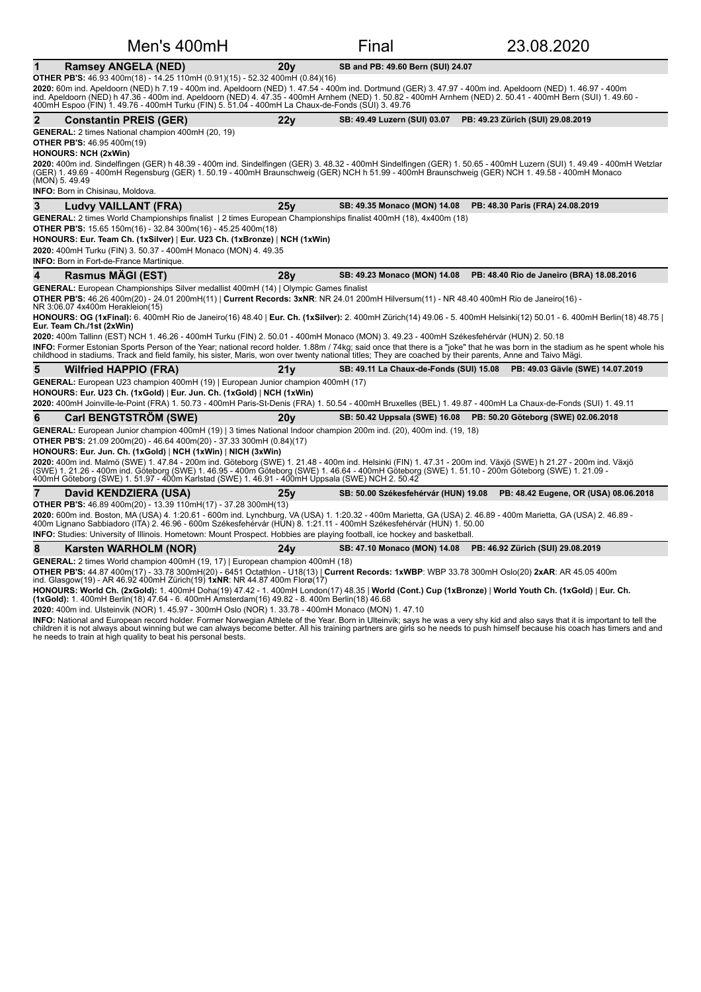| Men's 400mH                                                                                                                                                                                                                                                                                                                                                                                                                                                                                                                                                                                                                                                                                                                                                                                                                                                                                                                                                         |                 | Final                                   | 23.08.2020                                                                 |
|---------------------------------------------------------------------------------------------------------------------------------------------------------------------------------------------------------------------------------------------------------------------------------------------------------------------------------------------------------------------------------------------------------------------------------------------------------------------------------------------------------------------------------------------------------------------------------------------------------------------------------------------------------------------------------------------------------------------------------------------------------------------------------------------------------------------------------------------------------------------------------------------------------------------------------------------------------------------|-----------------|-----------------------------------------|----------------------------------------------------------------------------|
| <b>Ramsey ANGELA (NED)</b><br>1                                                                                                                                                                                                                                                                                                                                                                                                                                                                                                                                                                                                                                                                                                                                                                                                                                                                                                                                     | 20v             | SB and PB: 49.60 Bern (SUI) 24.07       |                                                                            |
| OTHER PB'S: 46.93 400m(18) - 14.25 110mH (0.91)(15) - 52.32 400mH (0.84)(16)<br>2020: 60m ind. Apeldoorn (NED) h 7.19 - 400m ind. Apeldoorn (NED) 1. 47.54 - 400m ind. Dortmund (GER) 3. 47.97 - 400m ind. Apeldoorn (NED) 1. 46.97 - 400m<br>ind. Apeldoorn (NED) h 47.36 - 400m ind. Apeldoorn (NED) 4. 47.35 - 400mH Arnhem (NED) 1. 50.82 - 400mH Arnhem (NED) 2. 50.41 - 400mH Bern (SUI) 1. 49.60 -<br>400mH Espoo (FIN) 1. 49.76 - 400mH Turku (FIN) 5. 51.04 - 400mH La Chaux-de-Fonds (SUI) 3. 49.76                                                                                                                                                                                                                                                                                                                                                                                                                                                       |                 |                                         |                                                                            |
| $\mathbf{2}$<br><b>Constantin PREIS (GER)</b>                                                                                                                                                                                                                                                                                                                                                                                                                                                                                                                                                                                                                                                                                                                                                                                                                                                                                                                       | 22y             | SB: 49.49 Luzern (SUI) 03.07            | PB: 49.23 Zürich (SUI) 29.08.2019                                          |
| <b>GENERAL:</b> 2 times National champion 400mH (20, 19)<br><b>OTHER PB'S: 46.95 400m(19)</b><br><b>HONOURS: NCH (2xWin)</b><br>2020: 400m ind. Sindelfingen (GER) h 48.39 - 400m ind. Sindelfingen (GER) 3. 48.32 - 400mH Sindelfingen (GER) 1. 50.65 - 400mH Luzern (SUI) 1. 49.49 - 400mH Wetzlar<br>(GER) 1. 49.69 - 400mH Regensburg (GER) 1. 50.19 - 400mH Braunschweig (GER) NCH h 51.99 - 400mH Braunschweig (GER) NCH 1. 49.58 - 400mH Monaco<br>(MON) 5.49.49                                                                                                                                                                                                                                                                                                                                                                                                                                                                                             |                 |                                         |                                                                            |
| <b>INFO:</b> Born in Chisinau, Moldova.                                                                                                                                                                                                                                                                                                                                                                                                                                                                                                                                                                                                                                                                                                                                                                                                                                                                                                                             |                 |                                         |                                                                            |
| 3<br>Ludvy VAILLANT (FRA)                                                                                                                                                                                                                                                                                                                                                                                                                                                                                                                                                                                                                                                                                                                                                                                                                                                                                                                                           | 25v             | SB: 49.35 Monaco (MON) 14.08            | PB: 48.30 Paris (FRA) 24.08.2019                                           |
| GENERAL: 2 times World Championships finalist   2 times European Championships finalist 400mH (18), 4x400m (18)<br><b>OTHER PB'S:</b> 15.65 150m(16) - 32.84 300m(16) - 45.25 400m(18)<br>HONOURS: Eur. Team Ch. (1xSilver)   Eur. U23 Ch. (1xBronze)   NCH (1xWin)<br>2020: 400mH Turku (FIN) 3. 50.37 - 400mH Monaco (MON) 4. 49.35<br><b>INFO:</b> Born in Fort-de-France Martinique.                                                                                                                                                                                                                                                                                                                                                                                                                                                                                                                                                                            |                 |                                         |                                                                            |
| <b>Rasmus MAGI (EST)</b><br>4                                                                                                                                                                                                                                                                                                                                                                                                                                                                                                                                                                                                                                                                                                                                                                                                                                                                                                                                       | 28y             |                                         | SB: 49.23 Monaco (MON) 14.08 PB: 48.40 Rio de Janeiro (BRA) 18.08.2016     |
| GENERAL: European Championships Silver medallist 400mH (14)   Olympic Games finalist<br>OTHER PB'S: 46.26 400m(20) - 24.01 200mH(11)   Current Records: 3xNR: NR 24.01 200mH Hilversum(11) - NR 48.40 400mH Rio de Janeiro(16) -<br>NR 3:06.07 4x400m Herakleion(15)<br>HONOURS: OG (1xFinal): 6. 400mH Rio de Janeiro(16) 48.40   Eur. Ch. (1xSilver): 2. 400mH Zürich(14) 49.06 - 5. 400mH Helsinki(12) 50.01 - 6. 400mH Berlin(18) 48.75  <br>Eur. Team Ch./1st (2xWin)<br>2020: 400m Tallinn (EST) NCH 1. 46.26 - 400mH Turku (FIN) 2. 50.01 - 400mH Monaco (MON) 3. 49.23 - 400mH Székesfehérvár (HUN) 2. 50.18<br>INFO: Former Estonian Sports Person of the Year; national record holder. 1.88m / 74kg; said once that there is a "joke" that he was born in the stadium as he spent whole his<br>childhood in stadiums. Track and field family, his sister, Maris, won over twenty national titles; They are coached by their parents, Anne and Taivo Mägi. |                 |                                         |                                                                            |
| 5<br><b>Wilfried HAPPIO (FRA)</b>                                                                                                                                                                                                                                                                                                                                                                                                                                                                                                                                                                                                                                                                                                                                                                                                                                                                                                                                   | 21y             | SB: 49.11 La Chaux-de-Fonds (SUI) 15.08 | PB: 49.03 Gävle (SWE) 14.07.2019                                           |
| GENERAL: European U23 champion 400mH (19)   European Junior champion 400mH (17)<br>HONOURS: Eur. U23 Ch. (1xGold)   Eur. Jun. Ch. (1xGold)   NCH (1xWin)<br>2020: 400mH Joinville-le-Point (FRA) 1. 50.73 - 400mH Paris-St-Denis (FRA) 1. 50.54 - 400mH Bruxelles (BEL) 1. 49.87 - 400mH La Chaux-de-Fonds (SUI) 1. 49.11                                                                                                                                                                                                                                                                                                                                                                                                                                                                                                                                                                                                                                           |                 |                                         |                                                                            |
| <b>Carl BENGTSTRÖM (SWE)</b><br>6                                                                                                                                                                                                                                                                                                                                                                                                                                                                                                                                                                                                                                                                                                                                                                                                                                                                                                                                   | 20 <sub>V</sub> |                                         | SB: 50.42 Uppsala (SWE) 16.08 PB: 50.20 Göteborg (SWE) 02.06.2018          |
| GENERAL: European Junior champion 400mH (19)   3 times National Indoor champion 200m ind. (20), 400m ind. (19, 18)<br><b>OTHER PB'S:</b> 21.09 200m(20) - 46.64 400m(20) - 37.33 300mH (0.84)(17)<br>HONOURS: Eur. Jun. Ch. (1xGold)   NCH (1xWin)   NICH (3xWin)<br>2020: 400m ind. Malmö (SWE) 1. 47.84 - 200m ind. Göteborg (SWE) 1. 21.48 - 400m ind. Helsinki (FIN) 1. 47.31 - 200m ind. Växjö (SWE) h 21.27 - 200m ind. Växjö<br>(SWE) 1. 21.26 - 400m ind. Göteborg (SWE) 1. 46.95 - 400m Göteborg (SWE) 1. 46.64 - 400mH Göteborg (SWE) 1. 51.10 - 200m Göteborg (SWE) 1. 21.09 -<br>400mH Göteborg (SWE) 1. 51.97 - 400m Karlstad (SWE) 1. 46.91 - 400mH Uppsala (SWE) NCH 2. 50.42                                                                                                                                                                                                                                                                        |                 |                                         |                                                                            |
| David KENDZIERA (USA)<br>7                                                                                                                                                                                                                                                                                                                                                                                                                                                                                                                                                                                                                                                                                                                                                                                                                                                                                                                                          | 25v             |                                         | SB: 50.00 Székesfehérvár (HUN) 19.08 PB: 48.42 Eugene, OR (USA) 08.06.2018 |
| <b>OTHER PB'S:</b> 46.89 400m(20) - 13.39 110mH(17) - 37.28 300mH(13)<br>2020: 600m ind. Boston, MA (USA) 4. 1:20.61 - 600m ind. Lynchburg, VA (USA) 1. 1:20.32 - 400m Marietta, GA (USA) 2. 46.89 - 400m Marietta, GA (USA) 2. 46.89 -<br>400m Lignano Sabbiadoro (ITA) 2. 46.96 - 600m Székesfehérvár (HŬN) 8. 1:21.11 - 400mH Székesfehérvár (HUN) 1. 50.00<br>INFO: Studies: University of Illinois. Hometown: Mount Prospect. Hobbies are playing football, ice hockey and basketball.                                                                                                                                                                                                                                                                                                                                                                                                                                                                         |                 |                                         |                                                                            |
| 8<br>Karsten WARHOLM (NOR)                                                                                                                                                                                                                                                                                                                                                                                                                                                                                                                                                                                                                                                                                                                                                                                                                                                                                                                                          | 24v             |                                         | SB: 47.10 Monaco (MON) 14.08 PB: 46.92 Zürich (SUI) 29.08.2019             |
| GENERAL: 2 times World champion 400mH (19, 17)   European champion 400mH (18)<br>OTHER PB'S: 44.87 400m(17) - 33.78 300mH(20) - 6451 Octathlon - U18(13)   Current Records: 1xWBP: WBP 33.78 300mH Oslo(20) 2xAR: AR 45.05 400m<br>ind. Glasgow(19) - AR 46.92 400mH Zürich(19) 1xNR: NR 44.87 400m Florø(17)<br>HONOURS: World Ch. (2xGold): 1. 400mH Doha(19) 47.42 - 1. 400mH London(17) 48.35   World (Cont.) Cup (1xBronze)   World Youth Ch. (1xGold)   Eur. Ch.<br>(1xGold): 1. 400mH Berlin(18) 47.64 - 6. 400mH Amsterdam(16) 49.82 - 8. 400m Berlin(18) 46.68                                                                                                                                                                                                                                                                                                                                                                                             |                 |                                         |                                                                            |

**2020:** 400m ind. Ulsteinvik (NOR) 1. 45.97 - 300mH Oslo (NOR) 1. 33.78 - 400mH Monaco (MON) 1. 47.10

**INFO:** National and European record holder. Former Norwegian Athlete of the Year. Born in Ulteinvik; says he was a very shy kid and also says that it is important to tell the<br>children it is not always about winning but we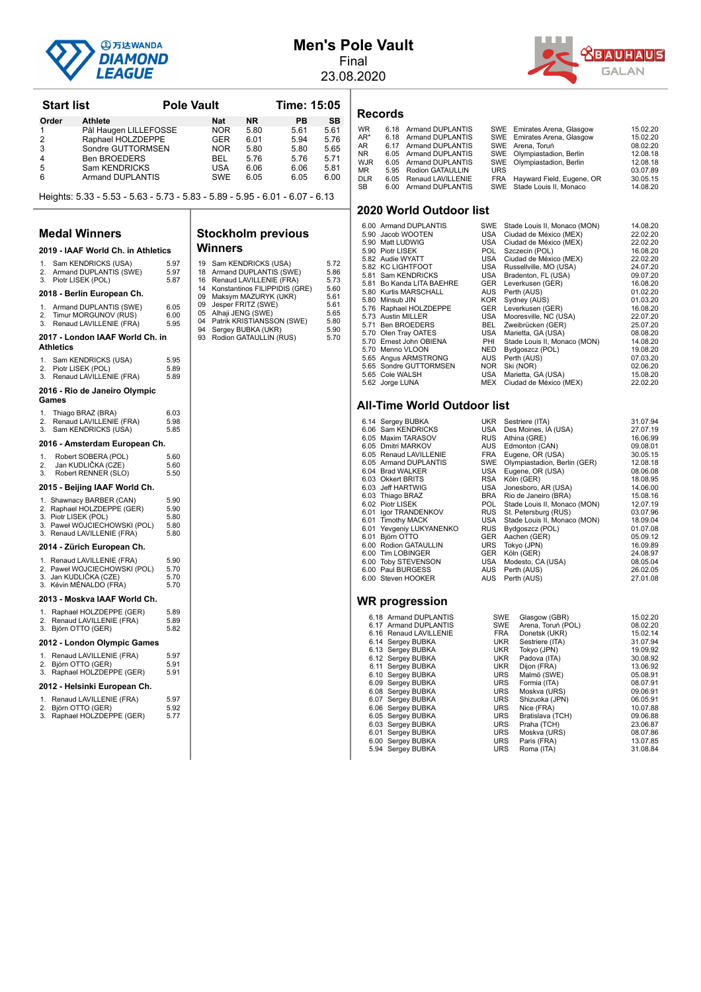

## **Men's Pole Vault**

Final 23.08.2020



**Start list Communisty Pole Vault Communist Pole Vault Communist Pole Vault Order Athlete Nat NR PB SB**<br>1 Pål Haugen LILLEFOSSE NOR 5.80 5.61 5.61 1 Pål Haugen LILLEFOSSE NOR 5.80 5.61 5.61<br>2 Raphael HOLZDEPPE GER 6.01 5.94 5.76 2 Raphael HOLZDEPPE GER 6.01 5.94 5.76<br>3 Sondre GUTTORMSEN NOR 5.80 5.80 5.65 Sondre GUTTORMSEN NOR 5.80 5.80<br>
Ben BROEDERS BEL 5.76 5.76 4 Ben BROEDERS BEL 5.76 5.76 5.71<br>5 Sam KENDRICKS USA 6.06 6.06 5.81 5 Sam KENDRICKS USA 6.06 6.06 5.81 Armand DUPLANTIS Heights:  $5.33 - 5.53 - 5.63 - 5.73 - 5.83 - 5.89 - 5.95 - 6.01 - 6.07 - 6.13$ **Medal Winners 2019 - IAAF World Ch. in Athletics** 1. Sam KENDRICKS (USA) 5.97 2. Armand DUPLANTIS (SWE) 5.97<br>3. Piotr LISEK (POL) 5.87 3. Piotr LISEK (POL) 2018 - Berlin European Ch. 1. Armand DUPLANTIS (SWE) 6.05<br>2. Timur MORGUNOV (RUS) 6.00 2. Timur MORGUNOV (RUS) 6.00<br>
3. Renaud LAVILLENIE (FRA) 5.95 Renaud LAVILLENIE (FRA) **Stockholm previous Winners**

#### 2017 - London IAAF World Ch. in **Athletics**

# 1. Sam KENDRICKS (USA) 5.95<br>2. Piotr LISEK (POL) 5.89

2. Piotr LISEK (POL) 5.89<br>3. Renaud LAVILLENIE (FRA) 5.89 3. Renaud LAVILLENIE (FRA)

#### **2016 - Rio de Janeiro Olympic Games**

| 1. | Thiago BRAZ (BRA)       | 6.03 |
|----|-------------------------|------|
| 2. | Renaud LAVILLENIE (FRA) | 5.98 |
|    | 3. Sam KENDRICKS (USA)  | 5.85 |

#### 2016 - Amsterdam European Ch.

1. Robert SOBERA (POL) 5.60<br>2. Jan KLIDLIČKA (CZE) 5.60 2. Jan KUDLIČKA (CZE) 5.60<br>3. Robert RENNER (SLO) 5.50 Barricoberow (CEL)

#### 2015 - Beijing IAAF World Ch.

- 
- 1. Shawnacy BARBER (CAN) 5.90 2. Raphael HOLZDEPPE (GER) 5.90 3. Piotr LISEK (POL) 5.80
- 3. Paweł WOJCIECHOWSKI (POL) 5.80<br>3. Renaud LAVILLENIE (FRA) 5.80

#### 2014 - Zürich European Ch.

| 1. Renaud LAVILLENIE (FRA)   | 5.90 |
|------------------------------|------|
| 2. Paweł WOJCIECHOWSKI (POL) | 5.70 |
| 3. Jan KUDLIČKA (CZE)        | 5.70 |
| 3. Kévin MÉNALDO (FRA)       | 5.70 |

#### 2013 - Moskva IAAF World Ch.

| 1. Raphael HOLZDEPPE (GER) | 5.89 |
|----------------------------|------|
| 2. Renaud LAVILLENIE (FRA) | 5.89 |
| 3. Björn OTTO (GER)        | 5.82 |

#### **2012 - London Olympic Games**

| 1. Renaud LAVILLENIE (FRA) | 5.97 |
|----------------------------|------|
| 2. Björn OTTO (GER)        | 5.91 |
| 3. Raphael HOLZDEPPE (GER) | 5.91 |

#### 2012 - Helsinki European Ch.

| $\mathbf{1}$ . | Renaud LAVILLENIE (FRA)    | 5.97 |
|----------------|----------------------------|------|
|                | 2. Björn OTTO (GER)        | 5.92 |
|                | 3. Raphael HOLZDEPPE (GER) | 5.77 |

| 19 | Sam KENDRICKS (USA)           | 5.72 |
|----|-------------------------------|------|
| 18 | Armand DUPLANTIS (SWE)        | 5.86 |
| 16 | Renaud LAVILLENIE (FRA)       | 5.73 |
| 14 | Konstantinos FILIPPIDIS (GRE) | 5.60 |
| 09 | Maksym MAZURYK (UKR)          | 5.61 |
| 09 | Jesper FRITZ (SWE)            | 5.61 |
| 05 | Alhaji JENG (SWE)             | 5.65 |
| 04 | Patrik KRISTIANSSON (SWE)     | 5.80 |
| 94 | Sergey BUBKA (UKR)            | 5.90 |
| 93 | Rodion GATAULLIN (RUS)        | 5.70 |
|    |                               |      |
|    |                               |      |

#### **Records**

| <b>WR</b>  | 6.18 Armand DUPLANTIS  |            | SWE Emirates Arena, Glasgow   | 15.02.20 |
|------------|------------------------|------------|-------------------------------|----------|
| AR*        | 6.18 Armand DUPLANTIS  |            | SWE Emirates Arena, Glasgow   | 15.02.20 |
| AR         | 6.17 Armand DUPLANTIS  |            | SWE Arena, Toruń              | 08.02.20 |
| NR         | 6.05 Armand DUPLANTIS  |            | SWE Olympiastadion, Berlin    | 12.08.18 |
| WJR        | 6.05 Armand DUPLANTIS  |            | SWE Olympiastadion, Berlin    | 12.08.18 |
| ΜR         | 5.95 Rodion GATAULLIN  | <b>URS</b> |                               | 03.07.89 |
| <b>DLR</b> | 6.05 Renaud LAVILLENIE |            | FRA Hayward Field, Eugene, OR | 30.05.15 |
| SB         | 6.00 Armand DUPLANTIS  |            | SWE Stade Louis II. Monaco    | 14.08.20 |

#### **2020 World Outdoor list**

| 6.00 Armand DUPLANTIS     | SWE        | Stade Louis II, Monaco (MON) | 14.08.20 |
|---------------------------|------------|------------------------------|----------|
| 5.90 Jacob WOOTEN         | USA        | Ciudad de México (MEX)       | 22.02.20 |
| 5.90 Matt LUDWIG          | USA        | Ciudad de México (MEX)       | 22.02.20 |
| 5.90 Piotr LISEK          | POL.       | Szczecin (POL)               | 16.08.20 |
| 5.82 Audie WYATT          | USA        | Ciudad de México (MEX)       | 22.02.20 |
| 5.82 KC LIGHTFOOT         | USA        | Russellville, MO (USA)       | 24.07.20 |
| 5.81 Sam KENDRICKS        | USA        | Bradenton, FL (USA)          | 09.07.20 |
| 5.81 Bo Kanda LITA BAEHRE | GER        | Leverkusen (GER)             | 16.08.20 |
| 5.80 Kurtis MARSCHALL     | AUS        | Perth (AUS)                  | 01.02.20 |
| 5.80 Minsub JIN           | KOR        | Sydney (AUS)                 | 01.03.20 |
| 5.76 Raphael HOLZDEPPE    | <b>GER</b> | Leverkusen (GER)             | 16.08.20 |
| 5.73 Austin MILLER        | USA        | Mooresville, NC (USA)        | 22.07.20 |
| 5.71 Ben BROEDERS         | <b>BEL</b> | Zweibrücken (GER)            | 25.07.20 |
| 5.70 Olen Tray OATES      | USA        | Marietta, GA (USA)           | 08.08.20 |
| 5.70 Ernest John OBIENA   | PHI        | Stade Louis II, Monaco (MON) | 14.08.20 |
| 5.70 Menno VLOON          | <b>NED</b> | Bydgoszcz (POL)              | 19.08.20 |
| 5.65 Angus ARMSTRONG      | AUS        | Perth (AUS)                  | 07.03.20 |
| 5.65 Sondre GUTTORMSEN    | <b>NOR</b> | Ski (NOR)                    | 02.06.20 |
| 5.65 Cole WALSH           | USA        | Marietta, GA (USA)           | 15.08.20 |
| 5.62 Jorge LUNA           | MEX        | Ciudad de México (MEX)       | 22.02.20 |

#### **All-Time World Outdoor list**

| 6.14 Sergey BUBKA        | <b>UKR</b> | Sestriere (ITA)              | 31.07.94 |
|--------------------------|------------|------------------------------|----------|
| 6.06 Sam KENDRICKS       | USA        | Des Moines, IA (USA)         | 27.07.19 |
| 6.05 Maxim TARASOV       | <b>RUS</b> | Athina (GRE)                 | 16.06.99 |
| 6.05 Dmitri MARKOV       | AUS        | Edmonton (CAN)               | 09.08.01 |
| 6.05 Renaud LAVILLENIE   | <b>FRA</b> | Eugene, OR (USA)             | 30.05.15 |
| 6.05 Armand DUPLANTIS    | SWE        | Olympiastadion, Berlin (GER) | 12.08.18 |
| 6.04 Brad WALKER         | USA        | Eugene, OR (USA)             | 08.06.08 |
| 6.03 Okkert BRITS        | RSA        | Köln (GER)                   | 18.08.95 |
| 6.03 Jeff HARTWIG        | USA        | Jonesboro, AR (USA)          | 14.06.00 |
| 6.03 Thiago BRAZ         | BRA        | Rio de Janeiro (BRA)         | 15.08.16 |
| 6.02 Piotr LISEK         | POL        | Stade Louis II, Monaco (MON) | 12.07.19 |
| 6.01 Igor TRANDENKOV     | <b>RUS</b> | St. Petersburg (RUS)         | 03.07.96 |
| 6.01 Timothy MACK        | USA        | Stade Louis II, Monaco (MON) | 18.09.04 |
| 6.01 Yevgeniy LUKYANENKO | <b>RUS</b> | Bydgoszcz (POL)              | 01.07.08 |
| 6.01 Björn OTTO          | <b>GER</b> | Aachen (GER)                 | 05.09.12 |
| 6.00 Rodion GATAULLIN    | URS        | Tokyo (JPN)                  | 16.09.89 |
| 6.00 Tim LOBINGER        | <b>GER</b> | Köln (GER)                   | 24.08.97 |
| 6.00 Toby STEVENSON      | USA        | Modesto, CA (USA)            | 08.05.04 |
| 6.00 Paul BURGESS        | AUS        | Perth (AUS)                  | 26.02.05 |
| 6.00 Steven HOOKER       | AUS        | Perth (AUS)                  | 27.01.08 |
|                          |            |                              |          |
|                          |            |                              |          |

| 08.02.20 |
|----------|
|          |
| 15.02.14 |
| 31.07.94 |
| 19.09.92 |
| 30.08.92 |
| 13.06.92 |
| 05.08.91 |
| 08.07.91 |
| 09.06.91 |
| 06.05.91 |
| 10.07.88 |
| 09.06.88 |
| 23.06.87 |
| 08.07.86 |
| 13.07.85 |
| 31.08.84 |
|          |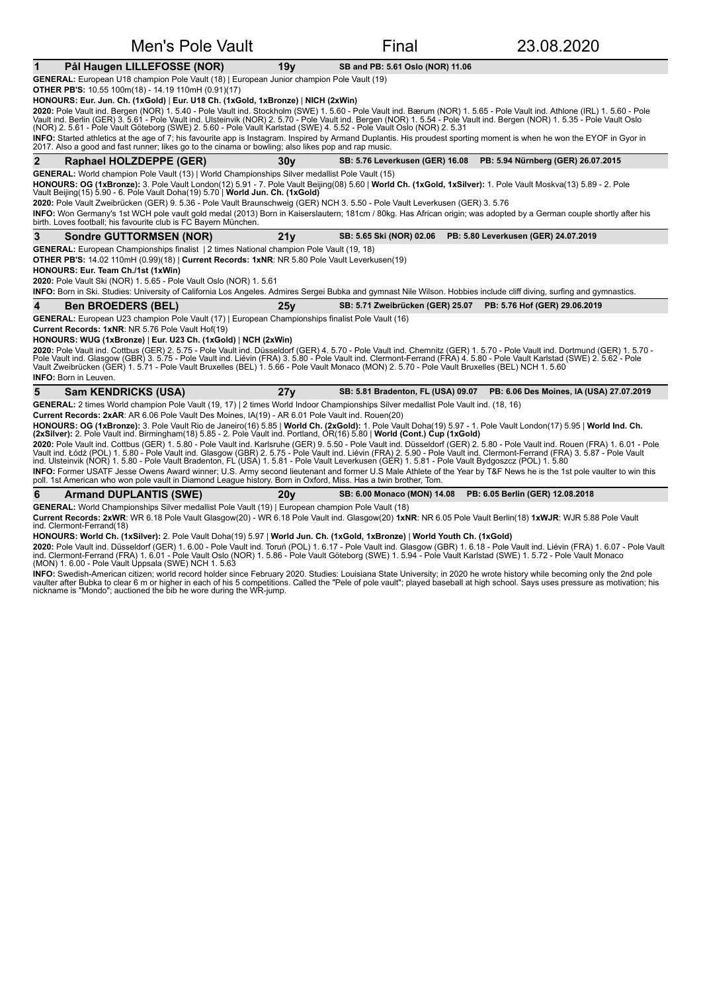| Men's Pole Vault                                                                                                                                                                                                                                                                                                                                                                                                                                                                                                                                                                                                                                                                                                             |                 | Final                              | 23.08.2020                               |
|------------------------------------------------------------------------------------------------------------------------------------------------------------------------------------------------------------------------------------------------------------------------------------------------------------------------------------------------------------------------------------------------------------------------------------------------------------------------------------------------------------------------------------------------------------------------------------------------------------------------------------------------------------------------------------------------------------------------------|-----------------|------------------------------------|------------------------------------------|
| Pål Haugen LILLEFOSSE (NOR)<br>$\mathbf 1$                                                                                                                                                                                                                                                                                                                                                                                                                                                                                                                                                                                                                                                                                   | 19 <sub>V</sub> | SB and PB: 5.61 Oslo (NOR) 11.06   |                                          |
| GENERAL: European U18 champion Pole Vault (18)   European Junior champion Pole Vault (19)                                                                                                                                                                                                                                                                                                                                                                                                                                                                                                                                                                                                                                    |                 |                                    |                                          |
| OTHER PB'S: 10.55 100m(18) - 14.19 110mH (0.91)(17)                                                                                                                                                                                                                                                                                                                                                                                                                                                                                                                                                                                                                                                                          |                 |                                    |                                          |
| HONOURS: Eur. Jun. Ch. (1xGold)   Eur. U18 Ch. (1xGold, 1xBronze)   NICH (2xWin)                                                                                                                                                                                                                                                                                                                                                                                                                                                                                                                                                                                                                                             |                 |                                    |                                          |
| 2020: Pole Vault ind. Bergen (NOR) 1. 5.40 - Pole Vault ind. Stockholm (SWE) 1. 5.60 - Pole Vault ind. Bærum (NOR) 1. 5.65 - Pole Vault ind. Athlone (IRL) 1. 5.60 - Pole<br>Vault ind. Berlin (GER) 3.5.61 - Pole Vault ind. Ulsteinvik (NOR) 2.5.70 - Pole Vault ind. Bergen (NOR) 1.5.54 - Pole Vault ind. Bergen (NOR) 1.5.35 - Pole Vault Oslo<br>(NOR) 2. 5.61 - Pole Vault Göteborg (SWE) 2. 5.60 - Pole Vault Karlstad (SWE) 4. 5.52 - Pole Vault Oslo (NOR) 2. 5.31                                                                                                                                                                                                                                                 |                 |                                    |                                          |
| INFO: Started athletics at the age of 7; his favourite app is Instagram. Inspired by Armand Duplantis. His proudest sporting moment is when he won the EYOF in Gyor in<br>2017. Also a good and fast runner; likes go to the cinama or bowling; also likes pop and rap music.                                                                                                                                                                                                                                                                                                                                                                                                                                                |                 |                                    |                                          |
| $\overline{2}$<br>Raphael HOLZDEPPE (GER)                                                                                                                                                                                                                                                                                                                                                                                                                                                                                                                                                                                                                                                                                    | 30 <sub>V</sub> | SB: 5.76 Leverkusen (GER) 16.08    | PB: 5.94 Nürnberg (GER) 26.07.2015       |
| GENERAL: World champion Pole Vault (13)   World Championships Silver medallist Pole Vault (15)<br>HONOURS: OG (1xBronze): 3. Pole Vault London(12) 5.91 - 7. Pole Vault Beijing(08) 5.60   World Ch. (1xGold, 1xSilver): 1. Pole Vault Moskva(13) 5.89 - 2. Pole<br>Vault Beijing(15) 5.90 - 6. Pole Vault Doha(19) 5.70   World Jun. Ch. (1xGold)<br>2020: Pole Vault Zweibrücken (GER) 9. 5.36 - Pole Vault Braunschweig (GER) NCH 3. 5.50 - Pole Vault Leverkusen (GER) 3. 5.76<br>INFO: Won Germany's 1st WCH pole vault gold medal (2013) Born in Kaiserslautern; 181cm / 80kg. Has African origin; was adopted by a German couple shortly after his<br>birth. Loves football; his favourite club is FC Bayern München. |                 |                                    |                                          |
| 3<br><b>Sondre GUTTORMSEN (NOR)</b>                                                                                                                                                                                                                                                                                                                                                                                                                                                                                                                                                                                                                                                                                          | 21y             | SB: 5.65 Ski (NOR) 02.06           | PB: 5.80 Leverkusen (GER) 24.07.2019     |
| GENERAL: European Championships finalist   2 times National champion Pole Vault (19, 18)                                                                                                                                                                                                                                                                                                                                                                                                                                                                                                                                                                                                                                     |                 |                                    |                                          |
| OTHER PB'S: 14.02 110mH (0.99)(18)   Current Records: 1xNR: NR 5.80 Pole Vault Leverkusen(19)                                                                                                                                                                                                                                                                                                                                                                                                                                                                                                                                                                                                                                |                 |                                    |                                          |
| HONOURS: Eur. Team Ch./1st (1xWin)                                                                                                                                                                                                                                                                                                                                                                                                                                                                                                                                                                                                                                                                                           |                 |                                    |                                          |
| 2020: Pole Vault Ski (NOR) 1. 5.65 - Pole Vault Oslo (NOR) 1. 5.61                                                                                                                                                                                                                                                                                                                                                                                                                                                                                                                                                                                                                                                           |                 |                                    |                                          |
| INFO: Born in Ski. Studies: University of California Los Angeles. Admires Sergei Bubka and gymnast Nile Wilson. Hobbies include cliff diving, surfing and gymnastics.                                                                                                                                                                                                                                                                                                                                                                                                                                                                                                                                                        |                 |                                    |                                          |
| 4<br><b>Ben BROEDERS (BEL)</b>                                                                                                                                                                                                                                                                                                                                                                                                                                                                                                                                                                                                                                                                                               | 25y             | SB: 5.71 Zweibrücken (GER) 25.07   | PB: 5.76 Hof (GER) 29.06.2019            |
| GENERAL: European U23 champion Pole Vault (17)   European Championships finalist Pole Vault (16)                                                                                                                                                                                                                                                                                                                                                                                                                                                                                                                                                                                                                             |                 |                                    |                                          |
| Current Records: 1xNR: NR 5.76 Pole Vault Hof(19)                                                                                                                                                                                                                                                                                                                                                                                                                                                                                                                                                                                                                                                                            |                 |                                    |                                          |
| HONOURS: WUG (1xBronze)   Eur. U23 Ch. (1xGold)   NCH (2xWin)                                                                                                                                                                                                                                                                                                                                                                                                                                                                                                                                                                                                                                                                |                 |                                    |                                          |
| 2020: Pole Vault ind. Cottbus (GER) 2. 5.75 - Pole Vault ind. Düsseldorf (GER) 4. 5.70 - Pole Vault ind. Chemnitz (GER) 1. 5.70 - Pole Vault ind. Dortmund (GER) 1. 5.70 -<br>Pole Vault ind. Glasgow (GBR) 3. 5.75 - Pole Vault ind. Liévin (FRA) 3. 5.80 - Pole Vault ind. Clermont-Ferrand (FRA) 4. 5.80 - Pole Vault Karlstad (SWE) 2. 5.62 - Pole<br>Vault Zweibrücken (GER) 1. 5.71 - Pole Vault Bruxelles (BEL) 1. 5.66 - Pole Vault Monaco (MON) 2. 5.70 - Pole Vault Bruxelles (BEL) NCH 1. 5.60                                                                                                                                                                                                                    |                 |                                    |                                          |
| <b>INFO:</b> Born in Leuven.                                                                                                                                                                                                                                                                                                                                                                                                                                                                                                                                                                                                                                                                                                 |                 |                                    |                                          |
| 5<br><b>Sam KENDRICKS (USA)</b>                                                                                                                                                                                                                                                                                                                                                                                                                                                                                                                                                                                                                                                                                              | 27y             | SB: 5.81 Bradenton, FL (USA) 09.07 | PB: 6.06 Des Moines, IA (USA) 27.07.2019 |
| GENERAL: 2 times World champion Pole Vault (19, 17)   2 times World Indoor Championships Silver medallist Pole Vault ind. (18, 16)                                                                                                                                                                                                                                                                                                                                                                                                                                                                                                                                                                                           |                 |                                    |                                          |
| Current Records: 2xAR: AR 6.06 Pole Vault Des Moines, IA(19) - AR 6.01 Pole Vault ind. Rouen(20)                                                                                                                                                                                                                                                                                                                                                                                                                                                                                                                                                                                                                             |                 |                                    |                                          |
| HONOURS: OG (1xBronze): 3. Pole Vault Rio de Janeiro(16) 5.85   World Ch. (2xGold): 1. Pole Vault Doha(19) 5.97 - 1. Pole Vault London(17) 5.95   World Ind. Ch.<br>(2xSilver): 2. Pole Vault ind. Birmingham(18) 5.85 - 2. Pole Vault ind. Portland, OR(16) 5.80   World (Cont.) Cup (1xGold)                                                                                                                                                                                                                                                                                                                                                                                                                               |                 |                                    |                                          |
| 2020: Pole Vault ind. Cottbus (GER) 1. 5.80 - Pole Vault ind. Karlsruhe (GER) 9. 5.50 - Pole Vault ind. Düsseldorf (GER) 2. 5.80 - Pole Vault ind. Rouen (FRA) 1. 6.01 - Pole<br>Vault ind. Łódź (POL) 1. 5.80 - Pole Vault ind. Glasgow (GBR) 2. 5.75 - Pole Vault ind. Liévin (FRA) 2. 5.90 - Pole Vault ind. Clermont-Ferrand (FRA) 3. 5.87 - Pole Vault<br>ind. Ulsteinvik (NOR) 1. 5.80 - Pole Vault Bradenton, FL (USA) 1. 5.81 - Pole Vault Leverkusen (GÉR) 1. 5.81 - Pole Vault Bydgoszcz (POL) 1. 5.80                                                                                                                                                                                                             |                 |                                    |                                          |
| INFO: Former USATF Jesse Owens Award winner; U.S. Army second lieutenant and former U.S Male Athlete of the Year by T&F News he is the 1st pole vaulter to win this<br>poll. 1st American who won pole vault in Diamond League history. Born in Oxford, Miss. Has a twin brother, Tom.                                                                                                                                                                                                                                                                                                                                                                                                                                       |                 |                                    |                                          |
| 6<br><b>Armand DUPLANTIS (SWE)</b>                                                                                                                                                                                                                                                                                                                                                                                                                                                                                                                                                                                                                                                                                           | 20 <sub>V</sub> | SB: 6.00 Monaco (MON) 14.08        | PB: 6.05 Berlin (GER) 12.08.2018         |
| GENERAL: World Championships Silver medallist Pole Vault (19)   European champion Pole Vault (18)                                                                                                                                                                                                                                                                                                                                                                                                                                                                                                                                                                                                                            |                 |                                    |                                          |
| Current Records: 2xWR: WR 6.18 Pole Vault Glasgow(20) - WR 6.18 Pole Vault ind. Glasgow(20) 1xNR: NR 6.05 Pole Vault Berlin(18) 1xWJR: WJR 5.88 Pole Vault                                                                                                                                                                                                                                                                                                                                                                                                                                                                                                                                                                   |                 |                                    |                                          |

ind. Clermont-Ferrand(18)

**HONOURS: World Ch. (1xSilver):** 2. Pole Vault Doha(19) 5.97 | **World Jun. Ch. (1xGold, 1xBronze)** | **World Youth Ch. (1xGold)**

**2020:** Pole Vault ind. Düsseldorf (GER) 1. 6.00 - Pole Vault ind. Toruń (POL) 1. 6.17 - Pole Vault ind. Glasgow (GBR) 1. 6.18 - Pole Vault ind. Liévin (FRA) 1. 6.07 - Pole Vault<br>ind. Clermont-Ferrand (FRA) 1. 6.01 - Pole

**INFO:** Swedish-American citizen; world record holder since February 2020. Studies: Louisiana State University; in 2020 he wrote history while becoming only the 2nd pole<br>vaulter after Bubka to clear 6 m or higher in each o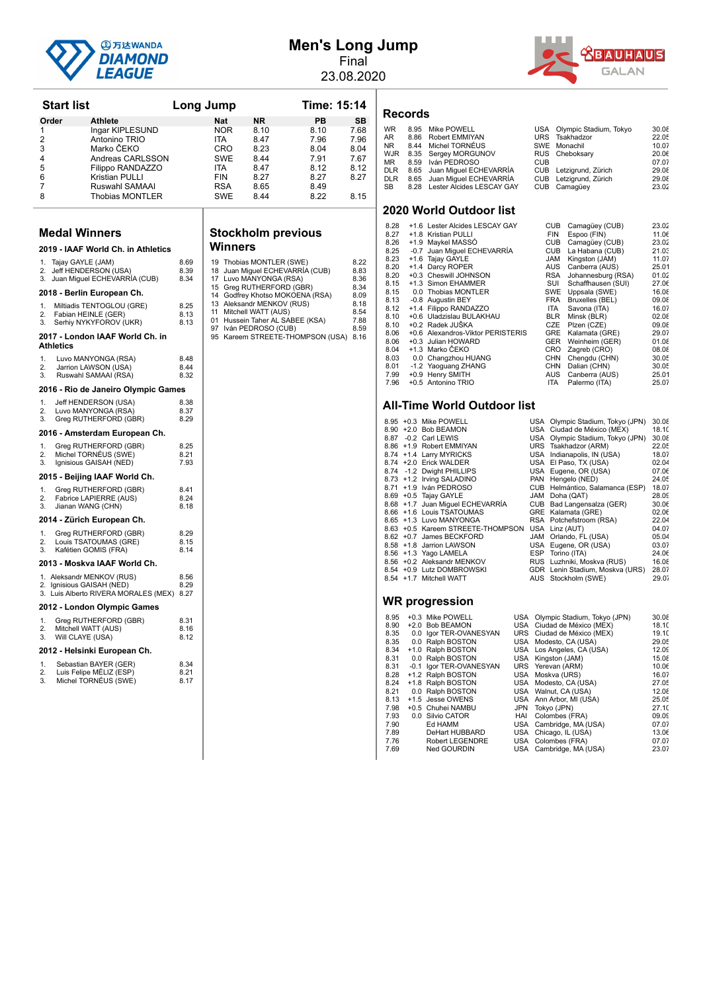

# **Men's Long Jump** Final

23.08.2020



|          | <b>Start list</b>    |                                                                        |              | Long Jump  |                                                    | Time: 15:14                           |              |
|----------|----------------------|------------------------------------------------------------------------|--------------|------------|----------------------------------------------------|---------------------------------------|--------------|
| Order    |                      | Athlete                                                                |              | Nat        | NR.                                                | PВ                                    | SΒ           |
| 1        |                      | Ingar KIPLESUND                                                        |              | NOR.       | 8.10                                               | 8.10                                  | 7.68         |
| 2        |                      | Antonino TRIO                                                          |              | ITA.       | 8.47                                               | 7.96                                  | 7.96         |
| 3        |                      | Marko ČEKO                                                             |              | CRO        | 8.23                                               | 8.04                                  | 8.04         |
| 4        |                      | Andreas CARLSSON                                                       |              | SWE        | 8.44                                               | 7.91                                  | 7.67         |
| 5        |                      | Filippo RANDAZZO                                                       |              | ITA.       | 8.47                                               | 8.12                                  | 8.12         |
| 6        |                      | Kristian PULLI                                                         |              | <b>FIN</b> | 8.27                                               | 8.27                                  | 8.27         |
| 7        |                      | Ruswahl SAMAAI                                                         |              | RSA        | 8.65                                               | 8.49                                  |              |
| 8        |                      | Thobias MONTLER                                                        |              | SWE        | 8.44                                               | 8.22                                  | 8.15         |
|          |                      |                                                                        |              |            |                                                    |                                       |              |
|          | <b>Medal Winners</b> |                                                                        |              |            | <b>Stockholm previous</b>                          |                                       |              |
|          |                      | 2019 - IAAF World Ch. in Athletics                                     |              | Winners    |                                                    |                                       |              |
|          | 1. Tajay GAYLE (JAM) |                                                                        | 8.69         |            | 19 Thobias MONTLER (SWE)                           |                                       | 8.22         |
|          |                      | 2. Jeff HENDERSON (USA)                                                | 8.39         |            |                                                    | 18 Juan Miguel ECHEVARRIA (CUB)       | 8.83         |
|          |                      | 3. Juan Miguel ECHEVARRIA (CUB)                                        | 8.34         |            | 17 Luvo MANYONGA (RSA)<br>15 Greg RUTHERFORD (GBR) |                                       | 8.36<br>8.34 |
|          |                      | 2018 - Berlin European Ch.                                             |              |            |                                                    | 14 Godfrey Khotso MOKOENA (RSA)       | 8.09         |
| 1.       |                      | Miltiadis TENTOGLOU (GRE)                                              | 8.25         |            | 13 Aleksandr MENKOV (RUS)                          |                                       | 8.18         |
| 2.       |                      | Fabian HEINLE (GER)                                                    | 8.13         |            | 11 Mitchell WATT (AUS)                             |                                       | 8.54         |
| 3.       |                      | Serhiy NYKYFOROV (UKR)                                                 | 8.13         |            |                                                    | 01 Hussein Taher AL SABEE (KSA)       | 7.88         |
|          |                      | 2017 - London IAAF World Ch. in                                        |              |            | 97 Iván PEDROSO (CUB)                              | 95 Kareem STREETE-THOMPSON (USA) 8.16 | 8.59         |
|          | Athletics            |                                                                        |              |            |                                                    |                                       |              |
| 1.       |                      | Luvo MANYONGA (RSA)                                                    | 8.48         |            |                                                    |                                       |              |
| 2.       |                      | Jarrion LAWSON (USA)                                                   | 8.44         |            |                                                    |                                       |              |
| 3.       |                      | Ruswahl SAMAAI (RSA)                                                   | 8.32         |            |                                                    |                                       |              |
|          |                      | 2016 - Rio de Janeiro Olympic Games                                    |              |            |                                                    |                                       |              |
| 1.       |                      | Jeff HENDERSON (USA)                                                   | 8.38         |            |                                                    |                                       |              |
| 2.       |                      | Luvo MANYONGA (RSA)                                                    | 8.37         |            |                                                    |                                       |              |
| 3.       |                      | Greg RUTHERFORD (GBR)                                                  | 8.29         |            |                                                    |                                       |              |
|          |                      | 2016 - Amsterdam European Ch.                                          |              |            |                                                    |                                       |              |
| 1.       |                      | Greg RUTHERFORD (GBR)                                                  | 8.25         |            |                                                    |                                       |              |
| 2.<br>3. |                      | Michel TORNEUS (SWE)<br>Ignisious GAISAH (NED)                         | 8.21<br>7.93 |            |                                                    |                                       |              |
|          |                      | 2015 - Beijing IAAF World Ch.                                          |              |            |                                                    |                                       |              |
|          |                      |                                                                        |              |            |                                                    |                                       |              |
| 1.       |                      | Greg RUTHERFORD (GBR)                                                  | 8.41         |            |                                                    |                                       |              |
| 2.<br>3. |                      | Fabrice LAPIERRE (AUS)<br>Jianan WANG (CHN)                            | 8.24<br>8.18 |            |                                                    |                                       |              |
|          |                      | 2014 - Zürich European Ch.                                             |              |            |                                                    |                                       |              |
| 1.       |                      | Greg RUTHERFORD (GBR)                                                  | 8.29         |            |                                                    |                                       |              |
| 2.       |                      | Louis TSATOUMAS (GRE)                                                  | 8.15         |            |                                                    |                                       |              |
| 3.       |                      | Kafétien GOMIS (FRA)                                                   | 8.14         |            |                                                    |                                       |              |
|          |                      | 2013 - Moskva IAAF World Ch.                                           |              |            |                                                    |                                       |              |
|          |                      | 1. Aleksandr MENKOV (RUS)                                              | 8.56         |            |                                                    |                                       |              |
|          |                      | 2. Ignisious GAISAH (NED)<br>3. Luis Alberto RIVERA MORALES (MEX) 8.27 | 8.29         |            |                                                    |                                       |              |
|          |                      | 2012 - London Olympic Games                                            |              |            |                                                    |                                       |              |
| 1.       |                      | Greg RUTHERFORD (GBR)                                                  | 8.31         |            |                                                    |                                       |              |
| 2.       | Mitchell WATT (AUS)  |                                                                        | 8.16         |            |                                                    |                                       |              |
| 3.       | Will CLAYE (USA)     |                                                                        | 8.12         |            |                                                    |                                       |              |
|          |                      | 2012 - Helsinki European Ch.                                           |              |            |                                                    |                                       |              |
| 1.       |                      | Sebastian BAYER (GER)                                                  | 8.34         |            |                                                    |                                       |              |
| 2.<br>3. |                      | Luis Felipe MÉLIZ (ESP)                                                | 8.21         |            |                                                    |                                       |              |
|          |                      | Michel TORNÉUS (SWE)                                                   | 8.17         |            |                                                    |                                       |              |
|          |                      |                                                                        |              |            |                                                    |                                       |              |
|          |                      |                                                                        |              |            |                                                    |                                       |              |
|          |                      |                                                                        |              |            |                                                    |                                       |              |

# **Stockholm previous**

| 18<br>17<br>15<br>14<br>11<br>01<br>97<br>95 | 19 Thobias MONTLER (SWE)<br>Juan Miguel ECHEVARRÍA (CUB)<br>Luvo MANYONGA (RSA)<br>Greg RUTHERFORD (GBR)<br>Godfrey Khotso MOKOENA (RSA)<br>13 Aleksandr MENKOV (RUS)<br>Mitchell WATT (AUS)<br>Hussein Taher AL SABEE (KSA)<br>Iván PEDROSO (CUB)<br>Kareem STREETE-THOMPSON (USA) | 8.22<br>8.83<br>8.36<br>8.34<br>8.09<br>8.18<br>8.54<br>7.88<br>8.59<br>8.16 |
|----------------------------------------------|-------------------------------------------------------------------------------------------------------------------------------------------------------------------------------------------------------------------------------------------------------------------------------------|------------------------------------------------------------------------------|
|                                              |                                                                                                                                                                                                                                                                                     |                                                                              |
|                                              |                                                                                                                                                                                                                                                                                     |                                                                              |

#### **Records**

| <b>WR</b><br>AR.<br><b>NR</b><br><b>WJR</b><br><b>MR</b><br><b>DLR</b><br><b>DLR</b><br><b>SB</b> | 8.95<br>8.86<br>8.44<br>8.35<br>8.59<br>8.65<br>8.65<br>8.28 | Mike POWELL<br>Robert EMMIYAN<br>Michel TORNÉUS<br>Sergey MORGUNOV<br>Iván PEDROSO<br>Juan Miguel ECHEVARRÍA<br>Juan Miquel ECHEVARRÍA<br>Lester Alcides LESCAY GAY | USA<br><b>URS</b><br><b>SWE</b><br><b>RUS</b><br><b>CUB</b><br><b>CUB</b><br><b>CUB</b><br><b>CUB</b> |                          | Olympic Stadium, Tokyo<br>Tsakhadzor<br>Monachil<br>Cheboksarv<br>Letzigrund, Zürich<br>Letzigrund, Zürich<br>Camagüey | 30.08<br>22.05<br>10.07<br>20.06<br>07.07<br>29.08<br>29.08<br>23.02 |
|---------------------------------------------------------------------------------------------------|--------------------------------------------------------------|---------------------------------------------------------------------------------------------------------------------------------------------------------------------|-------------------------------------------------------------------------------------------------------|--------------------------|------------------------------------------------------------------------------------------------------------------------|----------------------------------------------------------------------|
|                                                                                                   |                                                              | 2020 World Outdoor list                                                                                                                                             |                                                                                                       |                          |                                                                                                                        |                                                                      |
| 8.28                                                                                              |                                                              | +1.6 Lester Alcides LESCAY GAY                                                                                                                                      |                                                                                                       | <b>CUB</b>               | Camagüey (CUB)                                                                                                         | 23.02                                                                |
| 8.27                                                                                              |                                                              | +1.8 Kristian PULLI                                                                                                                                                 |                                                                                                       | <b>FIN</b>               | Espoo (FIN)                                                                                                            | 11.06                                                                |
| 8.26                                                                                              |                                                              | +1.9 Maykel MASSO                                                                                                                                                   |                                                                                                       | <b>CUB</b>               | Camagüey (CUB)                                                                                                         | 23.02                                                                |
| 8.25                                                                                              |                                                              | -0.7 Juan Miguel ECHEVARRÍA                                                                                                                                         |                                                                                                       | <b>CUB</b>               | La Habana (CUB)                                                                                                        | 21.03                                                                |
| 8.23                                                                                              |                                                              | +1.6 Tajay GAYLE                                                                                                                                                    |                                                                                                       | <b>JAM</b>               | Kingston (JAM)                                                                                                         | 11.07                                                                |
| 8.20                                                                                              |                                                              | +1.4 Darcy ROPER                                                                                                                                                    |                                                                                                       | <b>AUS</b>               | Canberra (AUS)                                                                                                         | 25.01                                                                |
| 8.20                                                                                              |                                                              | +0.3 Cheswill JOHNSON                                                                                                                                               |                                                                                                       | <b>RSA</b>               | Johannesburg (RSA)                                                                                                     | 01.02                                                                |
| 8.15                                                                                              |                                                              | +1.3 Simon EHAMMER                                                                                                                                                  |                                                                                                       | SUI                      | Schaffhausen (SUI)                                                                                                     | 27.06                                                                |
| 8.15                                                                                              |                                                              | 0.0 Thobias MONTLER                                                                                                                                                 |                                                                                                       | SWE                      | Uppsala (SWE)                                                                                                          | 16.08                                                                |
| 8.13                                                                                              |                                                              | -0.8 Augustin BEY                                                                                                                                                   |                                                                                                       | <b>FRA</b>               | Bruxelles (BEL)                                                                                                        | 09.08                                                                |
| 8.12                                                                                              |                                                              | +1.4 Filippo RANDAZZO                                                                                                                                               |                                                                                                       | <b>ITA</b>               | Savona (ITA)                                                                                                           | 16.07                                                                |
| 8.10                                                                                              |                                                              | +0.6 Uladzislau BULAKHAU                                                                                                                                            |                                                                                                       | <b>BLR</b>               | Minsk (BLR)                                                                                                            | 02.08                                                                |
| 8.10<br>8.06                                                                                      |                                                              | +0.2 Radek JUŠKA<br>+0.6 Alexandros-Viktor PERISTERIS                                                                                                               |                                                                                                       | <b>CZE</b><br><b>GRE</b> | Plzen (CZE)                                                                                                            | 09.08<br>29.07                                                       |
| 8.06                                                                                              |                                                              | +0.3 Julian HOWARD                                                                                                                                                  |                                                                                                       | <b>GER</b>               | Kalamata (GRE)                                                                                                         | 01.08                                                                |
| 8.04                                                                                              |                                                              | +1.3 Marko ČEKO                                                                                                                                                     |                                                                                                       | CRO                      | Weinheim (GER)<br>Zagreb (CRO)                                                                                         | 08.08                                                                |
| 8.03                                                                                              |                                                              | 0.0 Changzhou HUANG                                                                                                                                                 |                                                                                                       | <b>CHN</b>               | Chengdu (CHN)                                                                                                          | 30.05                                                                |
| 8.01                                                                                              |                                                              | -1.2 Yaoguang ZHANG                                                                                                                                                 |                                                                                                       | <b>CHN</b>               | Dalian (CHN)                                                                                                           | 30.05                                                                |
| 7.99                                                                                              |                                                              | +0.9 Henry SMITH                                                                                                                                                    |                                                                                                       | AUS                      | Canberra (AUS)                                                                                                         | 25.01                                                                |
| 7.96                                                                                              |                                                              | +0.5 Antonino TRIO                                                                                                                                                  |                                                                                                       | <b>ITA</b>               | Palermo (ITA)                                                                                                          | 25.07                                                                |
|                                                                                                   |                                                              |                                                                                                                                                                     |                                                                                                       |                          |                                                                                                                        |                                                                      |

#### **All-Time World Outdoor list**

|  | 8.95 +0.3 Mike POWELL             | USA Olympic Stadium, Tokyo (JPN) | 30.08 |
|--|-----------------------------------|----------------------------------|-------|
|  | 8.90 +2.0 Bob BEAMON              | USA Ciudad de México (MEX)       | 18.10 |
|  | 8.87 -0.2 Carl LEWIS              | USA Olympic Stadium, Tokyo (JPN) | 30.08 |
|  | 8.86 +1.9 Robert EMMIYAN          | URS Tsakhadzor (ARM)             | 22.05 |
|  | 8.74 +1.4 Larry MYRICKS           | USA Indianapolis, IN (USA)       | 18.07 |
|  | 8.74 +2.0 Erick WALDER            | USA El Paso, TX (USA)            | 02.04 |
|  | 8.74 -1.2 Dwight PHILLIPS         | USA Eugene, OR (USA)             | 07.06 |
|  | 8.73 +1.2 Irving SALADINO         | PAN Hengelo (NED)                | 24.05 |
|  | 8.71 +1.9 Iván PEDROSO            | CUB Helmántico, Salamanca (ESP)  | 18.07 |
|  | 8.69 + 0.5 Tajay GAYLE            | JAM Doha (QAT)                   | 28.09 |
|  | 8.68 +1.7 Juan Miguel ECHEVARRÍA  | CUB Bad Langensalza (GER)        | 30.06 |
|  | 8.66 +1.6 Louis TSATOUMAS         | GRE Kalamata (GRE)               | 02.06 |
|  | 8.65 +1.3 Luvo MANYONGA           | RSA Potchefstroom (RSA)          | 22.04 |
|  | 8.63 +0.5 Kareem STREETE-THOMPSON | USA Linz (AUT)                   | 04.07 |
|  | 8.62 +0.7 James BECKFORD          | JAM Orlando, FL (USA)            | 05.04 |
|  | 8.58 +1.8 Jarrion LAWSON          | USA Eugene, OR (USA)             | 03.07 |
|  | 8.56 +1.3 Yago LAMELA             | ESP Torino (ITA)                 | 24.06 |
|  | 8.56 +0.2 Aleksandr MENKOV        | RUS Luzhniki, Moskva (RUS)       | 16.08 |
|  | 8.54 +0.9 Lutz DOMBROWSKI         | GDR Lenin Stadium, Moskva (URS)  | 28.07 |
|  | 8.54 +1.7 Mitchell WATT           | AUS Stockholm (SWE)              | 29.07 |
|  |                                   |                                  |       |
|  |                                   |                                  |       |

| 8.95 |     | +0.3 Mike POWELL        | USA        | Olympic Stadium, Tokyo (JPN) | 30.08 |
|------|-----|-------------------------|------------|------------------------------|-------|
| 8.90 |     | +2.0 Bob BEAMON         |            | USA Ciudad de México (MEX)   | 18.10 |
| 8.35 |     | 0.0 Igor TER-OVANESYAN  |            | URS Ciudad de México (MEX)   | 19.10 |
| 8.35 |     | 0.0 Ralph BOSTON        | USA        | Modesto, CA (USA)            | 29.05 |
| 8.34 |     | +1.0 Ralph BOSTON       |            | USA Los Angeles, CA (USA)    | 12.09 |
| 8.31 |     | 0.0 Ralph BOSTON        |            | USA Kingston (JAM)           | 15.08 |
| 8.31 |     | -0.1 Igor TER-OVANESYAN | <b>URS</b> | Yerevan (ARM)                | 10.06 |
| 8.28 |     | +1.2 Ralph BOSTON       | USA        | Moskva (URS)                 | 16.07 |
| 8.24 |     | +1.8 Ralph BOSTON       |            | USA Modesto, CA (USA)        | 27.05 |
| 8.21 |     | 0.0 Ralph BOSTON        | <b>USA</b> | Walnut, CA (USA)             | 12.08 |
| 8.13 |     | +1.5 Jesse OWENS        | <b>USA</b> | Ann Arbor, MI (USA)          | 25.05 |
| 7.98 |     | +0.5 Chuhei NAMBU       | <b>JPN</b> | Tokyo (JPN)                  | 27.10 |
| 7.93 | 0.0 | Silvio CATOR            | HAI        | Colombes (FRA)               | 09.09 |
| 7.90 |     | Ed HAMM                 | USA        | Cambridge, MA (USA)          | 07.07 |
| 7.89 |     | DeHart HUBBARD          | <b>USA</b> | Chicago, IL (USA)            | 13.06 |
| 7.76 |     | Robert LEGENDRE         | <b>USA</b> | Colombes (FRA)               | 07.07 |
| 7.69 |     | Ned GOURDIN             | USA        | Cambridge, MA (USA)          | 23.07 |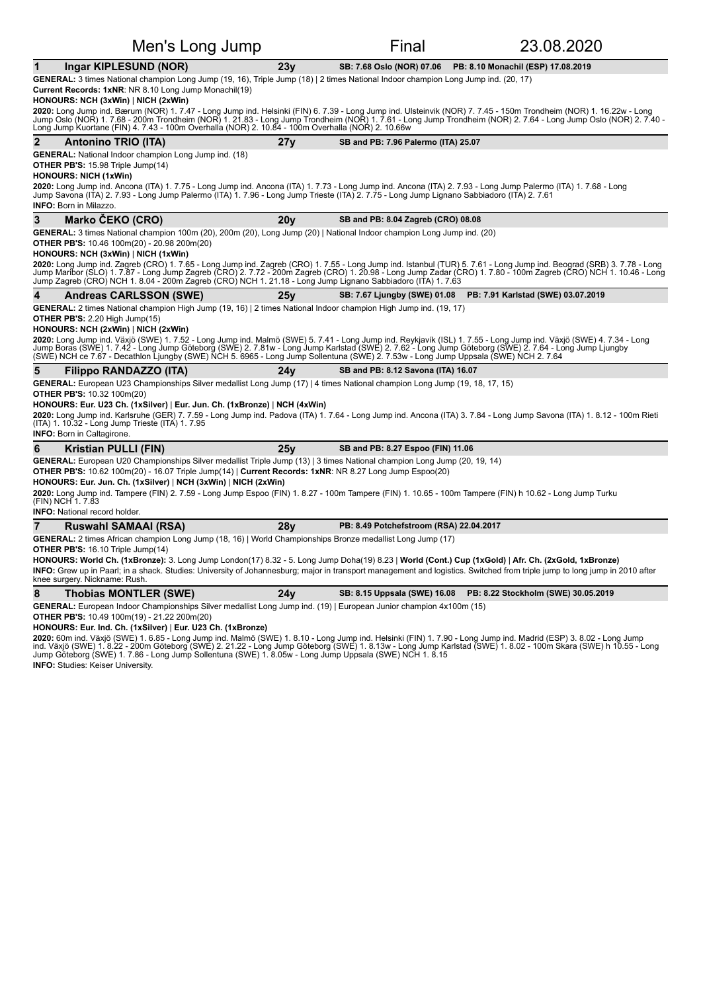| Men's Long Jump                                                                                                                                                                                                                                                                                                                                                                                                                                                                                                                                                                                                                                                         |     | Final                                   | 23.08.2020                         |
|-------------------------------------------------------------------------------------------------------------------------------------------------------------------------------------------------------------------------------------------------------------------------------------------------------------------------------------------------------------------------------------------------------------------------------------------------------------------------------------------------------------------------------------------------------------------------------------------------------------------------------------------------------------------------|-----|-----------------------------------------|------------------------------------|
| Ingar KIPLESUND (NOR)<br>1                                                                                                                                                                                                                                                                                                                                                                                                                                                                                                                                                                                                                                              | 23y | SB: 7.68 Oslo (NOR) 07.06               | PB: 8.10 Monachil (ESP) 17.08.2019 |
| GENERAL: 3 times National champion Long Jump (19, 16), Triple Jump (18)   2 times National Indoor champion Long Jump ind. (20, 17)<br>Current Records: 1xNR: NR 8.10 Long Jump Monachil(19)<br>HONOURS: NCH (3xWin)   NICH (2xWin)<br><b>2020:</b> Long Jump ind. Bærum (NOR) 1. 7.47 - Long Jump ind. Helsinki (FIN) 6. 7.39 - Long Jump ind. Ulsteinvik (NOR) 7. 7.45 - 150m Trondheim (NOR) 1. 16.22w - Long<br>Jump Oslo (NOR) 1. 7.68 - 200m Trondheim (NOR) 1. 21.83 -                                                                                                                                                                                            |     |                                         |                                    |
| Long Jump Kuortane (FIN) 4. 7.43 - 100m Overhalla (NOR) 2. 10.84 - 100m Overhalla (NOR) 2. 10.66w                                                                                                                                                                                                                                                                                                                                                                                                                                                                                                                                                                       |     |                                         |                                    |
| <b>Antonino TRIO (ITA)</b>                                                                                                                                                                                                                                                                                                                                                                                                                                                                                                                                                                                                                                              | 27y | SB and PB: 7.96 Palermo (ITA) 25.07     |                                    |
| <b>GENERAL:</b> National Indoor champion Long Jump ind. (18)<br><b>OTHER PB'S: 15.98 Triple Jump(14)</b><br><b>HONOURS: NICH (1xWin)</b>                                                                                                                                                                                                                                                                                                                                                                                                                                                                                                                                |     |                                         |                                    |
| 2020: Long Jump ind. Ancona (ITA) 1. 7.75 - Long Jump ind. Ancona (ITA) 1. 7.73 - Long Jump ind. Ancona (ITA) 2. 7.93 - Long Jump Palermo (ITA) 1. 7.68 - Long<br>Jump Savona (ITA) 2. 7.93 - Long Jump Palermo (ITA) 1. 7.96 - Long Jump Trieste (ITA) 2. 7.75 - Long Jump Lignano Sabbiadoro (ITA) 2. 7.61<br><b>INFO:</b> Born in Milazzo.                                                                                                                                                                                                                                                                                                                           |     |                                         |                                    |
| 3<br>Marko ČEKO (CRO)                                                                                                                                                                                                                                                                                                                                                                                                                                                                                                                                                                                                                                                   | 20v | SB and PB: 8.04 Zagreb (CRO) 08.08      |                                    |
| GENERAL: 3 times National champion 100m (20), 200m (20), Long Jump (20)   National Indoor champion Long Jump ind. (20)<br><b>OTHER PB'S:</b> 10.46 100m(20) - 20.98 200m(20)<br>HONOURS: NCH (3xWin)   NICH (1xWin)                                                                                                                                                                                                                                                                                                                                                                                                                                                     |     |                                         |                                    |
| <b>2020:</b> Long Jump ind. Zagreb (CRO) 1. 7.65 - Long Jump ind. Zagreb (CRO) 1. 7.55 - Long Jump ind. Itanbul (TUR) 5. 7.61 - Long Jump ind. Beograd (SRB) 3. 7.78 - Long<br>Jump Maribor (SLO) 1. 7.87 - Long Jump Zagreb (CRO) 2.<br>Jump Zagreb (CRO) NCH 1. 8.04 - 200m Zagreb (CRO) NCH 1. 21.18 - Long Jump Lignano Sabbiadoro (ITA) 1. 7.63                                                                                                                                                                                                                                                                                                                    |     |                                         |                                    |
| <b>Andreas CARLSSON (SWE)</b>                                                                                                                                                                                                                                                                                                                                                                                                                                                                                                                                                                                                                                           | 25v | <b>SB: 7.67 Ljungby (SWE) 01.08</b>     | PB: 7.91 Karlstad (SWE) 03.07.2019 |
| <b>GENERAL:</b> 2 times National champion High Jump (19, 16)   2 times National Indoor champion High Jump ind. (19, 17)<br>OTHER PB'S: 2.20 High Jump(15)<br>HONOURS: NCH (2xWin)   NICH (2xWin)<br>2020: Long Jump ind. Växjö (SWE) 1. 7.52 - Long Jump ind. Malmö (SWE) 5. 7.41 - Long Jump ind. Reykjavík (ISL) 1. 7.55 - Long Jump ind. Växjö (SWE) 4. 7.34 - Long<br>Jump Boras (SWE) 1. 7.42 - Long Jump Göteborg (SWE) 2. 7.81w - Long Jump Karlstad (SWE) 2. 7.62 - Long Jump Göteborg (SWE) 2. 7.64 - Long Jump Ljungby<br>(SWE) NCH ce 7.67 - Decathlon Ljungby (SWE) NCH 5. 6965 - Long Jump Sollentuna (SWE) 2. 7.53w - Long Jump Uppsala (SWE) NCH 2. 7.64 |     |                                         |                                    |
| 5<br>Filippo RANDAZZO (ITA)                                                                                                                                                                                                                                                                                                                                                                                                                                                                                                                                                                                                                                             | 24v | SB and PB: 8.12 Savona (ITA) 16.07      |                                    |
| GENERAL: European U23 Championships Silver medallist Long Jump (17)   4 times National champion Long Jump (19, 18, 17, 15)<br><b>OTHER PB'S: 10.32 100m(20)</b><br>HONOURS: Eur. U23 Ch. (1xSilver)   Eur. Jun. Ch. (1xBronze)   NCH (4xWin)<br>2020: Long Jump ind. Karlsruhe (GER) 7. 7.59 - Long Jump ind. Padova (ITA) 1. 7.64 - Long Jump ind. Ancona (ITA) 3. 7.84 - Long Jump Savona (ITA) 1. 8.12 - 100m Rieti<br>(ITA) 1. 10.32 - Long Jump Trieste (ITA) 1. 7.95<br><b>INFO:</b> Born in Caltagirone.                                                                                                                                                         |     |                                         |                                    |
| <b>Kristian PULLI (FIN)</b><br>6                                                                                                                                                                                                                                                                                                                                                                                                                                                                                                                                                                                                                                        | 25y | SB and PB: 8.27 Espoo (FIN) 11.06       |                                    |
| GENERAL: European U20 Championships Silver medallist Triple Jump (13)   3 times National champion Long Jump (20, 19, 14)<br><b>OTHER PB'S:</b> $10.62$ $100$ m(20) - $16.07$ Triple Jump(14)   <b>Current Records: 1xNR</b> : NR 8.27 Long Jump Espoo(20)<br>HONOURS: Eur. Jun. Ch. (1xSilver)   NCH (3xWin)   NICH (2xWin)<br>2020: Long Jump ind. Tampere (FIN) 2. 7.59 - Long Jump Espoo (FIN) 1. 8.27 - 100m Tampere (FIN) 1. 10.65 - 100m Tampere (FIN) h 10.62 - Long Jump Turku<br>(FIN) NCH 1. 7.83<br><b>INFO:</b> National record holder.                                                                                                                     |     |                                         |                                    |
| $\overline{7}$<br>Ruswahl SAMAAI (RSA)                                                                                                                                                                                                                                                                                                                                                                                                                                                                                                                                                                                                                                  | 28y | PB: 8.49 Potchefstroom (RSA) 22.04.2017 |                                    |
| GENERAL: 2 times African champion Long Jump (18, 16)   World Championships Bronze medallist Long Jump (17)<br><b>OTHER PB'S: 16.10 Triple Jump(14)</b><br>HONOURS: World Ch. (1xBronze): 3. Long Jump London(17) 8.32 - 5. Long Jump Doha(19) 8.23   World (Cont.) Cup (1xGold)   Afr. Ch. (2xGold, 1xBronze)<br>INFO: Grew up in Paarl; in a shack. Studies: University of Johannesburg; major in transport management and logistics. Switched from triple jump to long jump in 2010 after<br>knee surgery. Nickname: Rush.                                                                                                                                            |     |                                         |                                    |

8 Thobias MONTLER (SWE) 24y SB: 8.15 Uppsala (SWE) 16.08 PB: 8.22 Stockholm (SWE) 30.05.2019

GENERAL: European Indoor Championships Silver medallist Long Jump ind. (19) | European Junior champion 4x100m (15)

**OTHER PB'S:** 10.49 100m(19) - 21.22 200m(20)

**HONOURS: Eur. Ind. Ch. (1xSilver)** | **Eur. U23 Ch. (1xBronze)**

**2020:** 60m ind. Växjö (SWE) 1. 6.85 - Long Jump ind. Malmö (SWE) 1. 8.10 - Long Jump ind. Helsinki (FIN) 1. 7.90 - Long Jump ind. Madrid (ESP) 3. 8.02 - Long Jump<br>ind. Växjö (SWE) 1. 8.22 - 200m Göteborg (SWE) 2. 21.22 - **INFO:** Studies: Keiser University.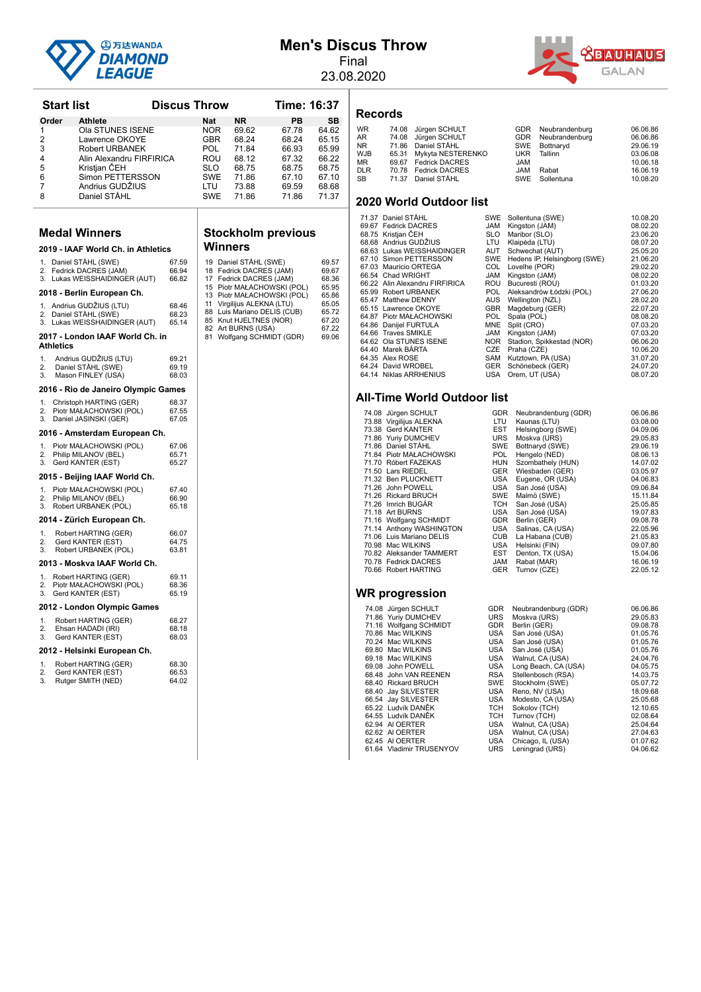

**Start list Constructs Discus Throw Time: 16:37** 

# **Men's Discus Throw**

Final 23.08.2020

**Records**



| Order            | Athlete                                                                      |                         | Nat        | <b>NR</b>                                                                        | PВ             | SB                      |
|------------------|------------------------------------------------------------------------------|-------------------------|------------|----------------------------------------------------------------------------------|----------------|-------------------------|
| 1                | Ola STUNES ISENE                                                             |                         | NOR        | 69.62                                                                            | 67.78          | 64.62                   |
| 2<br>3           | Lawrence OKOYE                                                               |                         | GBR        | 68.24                                                                            | 68.24          | 65.15<br>65.99          |
| 4                | <b>Robert URBANEK</b><br>Alin Alexandru FIRFIRICA                            |                         | POL<br>ROU | 71.84<br>68.12                                                                   | 66.93<br>67.32 | 66.22                   |
| 5                | Kristian CEH                                                                 |                         | SLO        | 68.75                                                                            | 68.75          | 68.75                   |
| 6                | Simon PETTERSSON                                                             |                         | SWE        | 71.86                                                                            | 67.10          | 67.10                   |
| 7<br>8           | Andrius GUDŽIUS<br>Daniel STÅHL                                              |                         | LTU<br>SWE | 73.88<br>71.86                                                                   | 69.59<br>71.86 | 68.68<br>71.37          |
|                  |                                                                              |                         |            |                                                                                  |                |                         |
|                  | <b>Medal Winners</b>                                                         |                         |            |                                                                                  |                |                         |
|                  | 2019 - IAAF World Ch. in Athletics                                           |                         |            | <b>Stockholm previous</b><br>Winners                                             |                |                         |
|                  |                                                                              |                         |            |                                                                                  |                |                         |
| 2.<br>3.         | 1. Daniel STÅHL (SWE)<br>Fedrick DACRES (JAM)<br>Lukas WEISSHAIDINGER (AUT)  | 67.59<br>66.94<br>66.82 | 18<br>17   | 19 Daniel STÅHL (SWE)<br>Fedrick DACRES (JAM)<br>Fedrick DACRES (JAM)            |                | 69.57<br>69.67<br>68.36 |
|                  | 2018 - Berlin European Ch.                                                   |                         |            | 15 Piotr MAŁACHOWSKI (POL)<br>13 Piotr MAŁACHOWSKI (POL)                         |                | 65.95<br>65.86          |
| 2.<br>3.         | 1. Andrius GUDŽIUS (LTU)<br>Daniel STÅHL (SWE)<br>Lukas WEISSHAIDINGER (AUT) | 68.46<br>68.23<br>65.14 | 11         | Virgilijus ALEKNA (LTU)<br>88 Luis Mariano DELIS (CUB)<br>85 Knut HJELTNES (NOR) |                | 65.05<br>65.72<br>67.20 |
| <b>Athletics</b> | 2017 - London IAAF World Ch. in                                              |                         | 82<br>81   | Art BURNS (USA)<br>Wolfgang SCHMIDT (GDR)                                        |                | 67.22<br>69.06          |
| 1.               | Andrius GUDZIUS (LTU)                                                        | 69.21                   |            |                                                                                  |                |                         |
| 2.<br>3.         | Daniel STAHL (SWE)<br>Mason FINLEY (USA)                                     | 69.19<br>68.03          |            |                                                                                  |                |                         |
|                  | 2016 - Rio de Janeiro Olympic Games                                          |                         |            |                                                                                  |                |                         |
| 1.<br>2.<br>3.   | Christoph HARTING (GER)<br>Piotr MAŁACHOWSKI (POL)<br>Daniel JASINSKI (GER)  | 68.37<br>67.55<br>67.05 |            |                                                                                  |                |                         |
|                  | 2016 - Amsterdam European Ch.                                                |                         |            |                                                                                  |                |                         |
| 1.               | Piotr MAŁACHOWSKI (POL)                                                      | 67.06                   |            |                                                                                  |                |                         |
| 2.<br>3.         | Philip MILANOV (BEL)<br>Gerd KANTER (EST)                                    | 65.71<br>65.27          |            |                                                                                  |                |                         |
|                  | 2015 - Beijing IAAF World Ch.                                                |                         |            |                                                                                  |                |                         |
| 1.               | Piotr MAŁACHOWSKI (POL)                                                      | 67.40                   |            |                                                                                  |                |                         |
| 2.<br>3.         | Philip MILANOV (BEL)<br>Robert URBANEK (POL)                                 | 66.90<br>65.18          |            |                                                                                  |                |                         |
|                  | 2014 - Zürich European Ch.                                                   |                         |            |                                                                                  |                |                         |
| 1.               | Robert HARTING (GER)                                                         | 66.07                   |            |                                                                                  |                |                         |
| 2.<br>3.         | Gerd KANTER (EST)<br>Robert URBANEK (POL)                                    | 64.75<br>63.81          |            |                                                                                  |                |                         |
|                  | 2013 - Moskva IAAF World Ch.                                                 |                         |            |                                                                                  |                |                         |
| 1                | Robert HARTING (GER)                                                         | 69.11                   |            |                                                                                  |                |                         |
| 2.<br>3.         | Piotr MAŁACHOWSKI (POL)<br>Gerd KANTER (EST)                                 | 68.36<br>65.19          |            |                                                                                  |                |                         |
|                  | 2012 - London Olympic Games                                                  |                         |            |                                                                                  |                |                         |
| 1.               | Robert HARTING (GER)                                                         | 68.27                   |            |                                                                                  |                |                         |
| 2.<br>3.         | Ehsan HADADI (IRI)<br>Gerd KANTER (EST)                                      | 68.18<br>68.03          |            |                                                                                  |                |                         |
|                  | 2012 - Helsinki European Ch.                                                 |                         |            |                                                                                  |                |                         |
| 1.               | Robert HARTING (GER)                                                         | 68.30                   |            |                                                                                  |                |                         |
| 2.<br>3.         | Gerd KANTER (EST)<br>Rutger SMITH (NED)                                      | 66.53<br>64.02          |            |                                                                                  |                |                         |
|                  |                                                                              |                         |            |                                                                                  |                |                         |

#### **Stockholm previous Winners**

| 19 | Daniel STÅHL (SWE)         | 69.57 |
|----|----------------------------|-------|
| 18 | Fedrick DACRES (JAM)       | 69.67 |
| 17 | Fedrick DACRES (JAM)       | 68.36 |
| 15 | Piotr MAŁACHOWSKI (POL)    | 65.95 |
| 13 | Piotr MAŁACHOWSKI (POL)    | 65.86 |
|    | 11 Virgilijus ALEKNA (LTU) | 65.05 |
| 88 | Luis Mariano DELIS (CUB)   | 65.72 |
| 85 | Knut HJELTNES (NOR)        | 67.20 |
|    | 82 Art BURNS (USA)         | 67.22 |
|    | 81 Wolfgang SCHMIDT (GDR)  | 69.06 |
|    |                            |       |
|    |                            |       |

# DLR 70.78 Fedrick DACRES JAM Rabat 16.06.19<br>
SB 71.37 Daniel STÅHL SWE Sollentuna 10.08.20 **2020 World Outdoor list**

| 71.37 Daniel STÅHL             | SWE        | Sollentuna (SWE)             | 10.08.20 |
|--------------------------------|------------|------------------------------|----------|
| 69.67 Fedrick DACRES           | JAM        | Kingston (JAM)               | 08.02.20 |
| 68.75 Kristjan ČEH             | <b>SLO</b> | Maribor (SLO)                | 23.06.20 |
| 68.68 Andrius GUDŽIUS          | LTU        | Klaipėda (LTU)               | 08.07.20 |
| 68.63 Lukas WEISSHAIDINGER     | AUT        | Schwechat (AUT)              | 25.05.20 |
| 67.10 Simon PETTERSSON         | SWE        | Hedens IP, Helsingborg (SWE) | 21.06.20 |
| 67.03 Mauricio ORTEGA          | COL.       | Lovelhe (POR)                | 29.02.20 |
| 66.54 Chad WRIGHT              | <b>JAM</b> | Kingston (JAM)               | 08.02.20 |
| 66.22 Alin Alexandru FIRFIRICA | ROU        | Bucuresti (ROU)              | 01.03.20 |
| 65.99 Robert URBANEK           | <b>POL</b> | Aleksandrów Łódzki (POL)     | 27.06.20 |
| 65.47 Matthew DENNY            | AUS        | Wellington (NZL)             | 28.02.20 |
| 65.15 Lawrence OKOYE           | <b>GBR</b> | Magdeburg (GER)              | 22.07.20 |
| 64.87 Piotr MAŁACHOWSKI        | <b>POL</b> | Spala (POL)                  | 08.08.20 |
| 64.86 Danijel FURTULA          | <b>MNE</b> | Split (CRO)                  | 07.03.20 |
| 64.66 Traves SMIKLE            | JAM        | Kingston (JAM)               | 07.03.20 |
| 64.62 Ola STUNES ISENE         | <b>NOR</b> | Stadion, Spikkestad (NOR)    | 06.06.20 |
| 64.40 Marek BÁRTA              | CZE        | Praha (CZE)                  | 10.06.20 |
| 64.35 Alex ROSE                | SAM        | Kutztown, PA (USA)           | 31.07.20 |
| 64.24 David WROBEL             | GER        | Schönebeck (GER)             | 24.07.20 |
| 64.14 Niklas ARRHENIUS         | <b>USA</b> | Orem. UT (USA)               | 08.07.20 |

WR 74.08 Jürgen SCHULT GDR Neubrandenburg 06.06.86<br>
AR 74.08 Jürgen SCHULT GDR Neubrandenburg 06.06.86<br>
NR 71.86 Daniel STÅHL SWE Bottnaryd 29.06.19 AR 74.08 Jürgen SCHULT GDR Neubrandenburg 06.06.86 NR 71.86 Daniel STÅHL SWE Bottnaryd 29.06.19 WJB 65.31 Mykyta NESTERENKO UKR Tallinn 03.06.08 MR 69.67 Fedrick DACRES JAM 10.06.18

#### **All-Time World Outdoor list**

Santa Priori

|  | 74.08 Jürgen SCHULT      | <b>GDR</b>               | Neubrandenburg (GDR)                                             | 06.06.86 |
|--|--------------------------|--------------------------|------------------------------------------------------------------|----------|
|  | 73.88 Virgilijus ALEKNA  | LTU                      | Kaunas (LTU)                                                     | 03.08.00 |
|  | 73.38 Gerd KANTER        | <b>EST</b>               | Helsingborg (SWE)                                                | 04.09.06 |
|  | 71.86 Yuriy DUMCHEV      | URS                      | Moskva (URS)                                                     | 29.05.83 |
|  | 71.86 Daniel STÅHL       | SWE                      | Bottnaryd (SWE)                                                  | 29.06.19 |
|  | 71.84 Piotr MAŁACHOWSKI  | <b>POL</b>               | Hengelo (NED)                                                    | 08.06.13 |
|  | 71.70 Róbert FAZEKAS     | HUN                      | Szombathely (HUN)                                                | 14.07.02 |
|  | 71.50 Lars RIEDEL        | <b>GER</b>               | Wiesbaden (GER)                                                  | 03.05.97 |
|  | 71.32 Ben PLUCKNETT      | USA                      | Eugene, OR (USA)                                                 | 04.06.83 |
|  | 71.26 John POWELL        | USA                      | San José (USA)                                                   | 09.06.84 |
|  | 71.26 Rickard BRUCH      | SWE                      | Malmö (SWE)                                                      | 15.11.84 |
|  | 71.26 Imrich BUGÁR       | тсн                      | San José (USA)                                                   | 25.05.85 |
|  | 71.18 Art BURNS          | USA                      | San José (USA)                                                   | 19.07.83 |
|  | 71.16 Wolfgang SCHMIDT   | GDR                      | Berlin (GER)                                                     | 09.08.78 |
|  | 71.14 Anthony WASHINGTON | USA                      | Salinas, CA (USA)                                                | 22.05.96 |
|  | 71.06 Luis Mariano DELIS | <b>CUB</b>               | La Habana (CUB)                                                  | 21.05.83 |
|  | 70.98 Mac WILKINS        | USA                      | Helsinki (FIN)                                                   | 09.07.80 |
|  | 70.82 Aleksander TAMMERT | EST                      | Denton, TX (USA)                                                 | 15.04.06 |
|  | 70.78 Fedrick DACRES     | JAM                      | Rabat (MAR)                                                      | 16.06.19 |
|  | 70.66 Robert HARTING     | GER                      | Turnov (CZE)                                                     | 22.05.12 |
|  | WR progression           |                          |                                                                  |          |
|  | 74.08 Jürgen SCHULT      | <b>GDR</b>               | Neubrandenburg (GDR)                                             | 06.06.86 |
|  | $71.00 \times 10^{11}$   | $\overline{\phantom{a}}$ | $\mathbf{a}$ $\mathbf{b}$ $\mathbf{c}$ $\mathbf{d}$ $\mathbf{b}$ | 0000000  |

61.64 Vladimir TRUSENYOV

| nэl<br>GDR<br>LTU<br><b>EST</b><br>URS<br>SWE<br>POL<br>HUN<br>GER.<br>USA<br>USA<br>SWE<br>тсн<br>USA<br>GDR<br><b>USA</b> | Neubrandenburg (GDR)<br>Kaunas (LTU)<br>Helsingborg (SWE)<br>Moskva (URS)<br>Bottnaryd (SWE)<br>Hengelo (NED)<br>Szombathely (HUN)<br>Wiesbaden (GER)<br>Eugene, OR (USA)<br>San José (USA)<br>Malmö (SWE)<br>San José (USA)<br>San José (USA)<br>Berlin (GER)<br>Salinas, CA (USA) |
|-----------------------------------------------------------------------------------------------------------------------------|-------------------------------------------------------------------------------------------------------------------------------------------------------------------------------------------------------------------------------------------------------------------------------------|
| CUB.                                                                                                                        | La Habana (CUB)                                                                                                                                                                                                                                                                     |
|                                                                                                                             |                                                                                                                                                                                                                                                                                     |
| USA                                                                                                                         | Helsinki (FIN)                                                                                                                                                                                                                                                                      |
| <b>EST</b>                                                                                                                  | Denton, TX (USA)                                                                                                                                                                                                                                                                    |
| <b>MAL</b>                                                                                                                  | Rabat (MAR)                                                                                                                                                                                                                                                                         |
| GER                                                                                                                         | Turnov (CZE)                                                                                                                                                                                                                                                                        |

# 74.08 GDR Neubrandenburg (GDR) 06.06.86<br>
199.05.83 GDR Berlin (GER) 09.08.78<br>
199.08.78 71.86 Yuriy DUMCHEV URS Moskva (URS) 29.05.83 71.16 Wolfgang SCHMIDT GDR Berlin (GER) 09.08.78 70.86 Mac WILKINS USA San José (USA) 01.05.76 70.24 Mac WILKINS USA San José (USA) 01.05.76 69.80 Mac WILKINS USA San José (USA) 01.05.76 69.18 Mac WILKINS USA Walnut, CA (USA) 24.04.76 69.08 John POWELL USA Long Beach, CA (USA) 04.05.75 68.48 John VAN REENEN RSA Stellenbosch (RSA) 14.03.75 68.40 Rickard BRUCH SWE Stockholm (SWE) 05.07.72 68.40 HIGKARD BRUUCH SAME SUCKNINII (1998)<br>68.40 Jay SILVESTER USA Reno, NV (USA) 18.09.68<br>66.54 Jay SILVESTER USA Modesto, CA (USA) 25.05.68 66.54 Jay SILVESTER USA Modesto, CA (USA) 25.05.68 65.22 Ludvík DANĚK TCH Sokolov (TCH) 12.10.65 64.55 Ludvík DANĚK TCH Turnov (TCH) 02.08.64 62.94 Al OERTER USA Walnut, CA (USA) 25.04.64 62.62 Al OERTER USA Walnut, CA (USA) 27.04.63 62.22 Al OCRTER (1.07.1 Al OCRTER (1.07.1 Al OCRTER USA CHICH) (1.07.1 Al OCRTER USA CHICAGO, 1.02.08.64<br>
62.58 Al OERTER USA Walnut, CA (USA) 25.04.64<br>
62.62 Al OERTER USA Chicago, IL (USA) 27.04.63<br>
62.45 Al OERTER USA C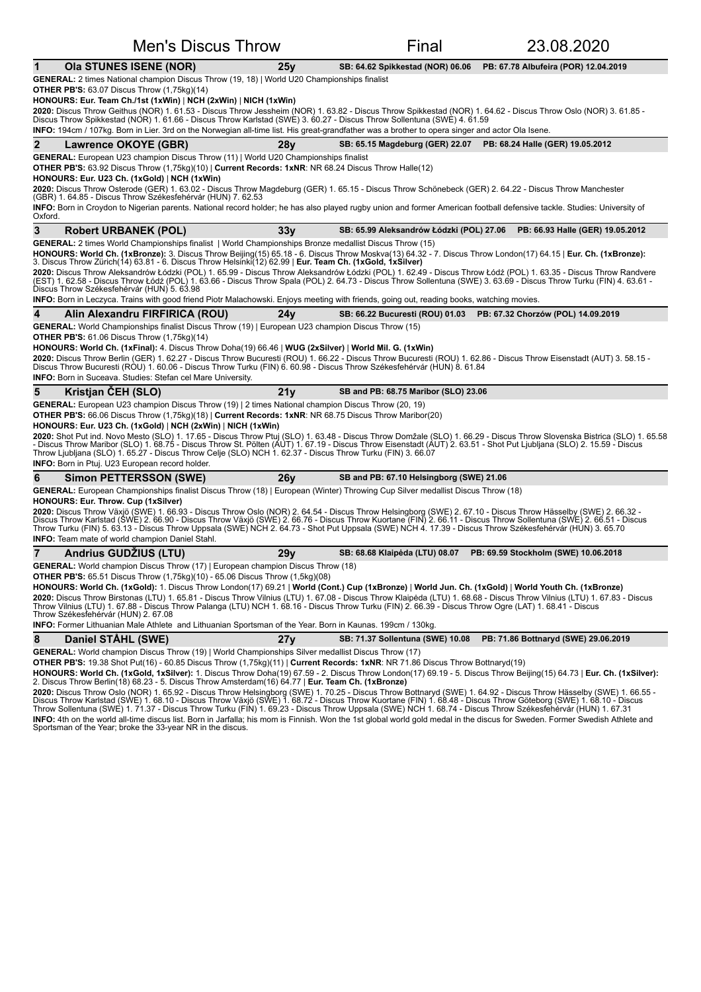| <b>Men's Discus Throw</b>                                                                                                                                                                                                                                                                                                                                                                                                                                                                                                                                                                                                                                                                                                                                                                                                                                                                                                                |     | Final                                    | 23.08.2020                                                       |
|------------------------------------------------------------------------------------------------------------------------------------------------------------------------------------------------------------------------------------------------------------------------------------------------------------------------------------------------------------------------------------------------------------------------------------------------------------------------------------------------------------------------------------------------------------------------------------------------------------------------------------------------------------------------------------------------------------------------------------------------------------------------------------------------------------------------------------------------------------------------------------------------------------------------------------------|-----|------------------------------------------|------------------------------------------------------------------|
| 1<br><b>Ola STUNES ISENE (NOR)</b>                                                                                                                                                                                                                                                                                                                                                                                                                                                                                                                                                                                                                                                                                                                                                                                                                                                                                                       | 25y | SB: 64.62 Spikkestad (NOR) 06.06         | PB: 67.78 Albufeira (POR) 12.04.2019                             |
| <b>GENERAL:</b> 2 times National champion Discus Throw (19, 18)   World U20 Championships finalist<br><b>OTHER PB'S: 63.07 Discus Throw (1,75kg)(14)</b><br>$HONOURS$ : Eur. Team Ch./1st (1xWin)   NCH (2xWin)   NICH (1xWin)<br>2020: Discus Throw Geithus (NOR) 1. 61.53 - Discus Throw Jessheim (NOR) 1. 63.82 - Discus Throw Spikkestad (NOR) 1. 64.62 - Discus Throw Oslo (NOR) 3. 61.85 -<br>Discus Throw Spikkestad (NOR) 1. 61.66 - Discus Throw Karlstad (SWE) 3. 60.27 - Discus Throw Sollentuna (SWE) 4. 61.59<br><b>INFO:</b> 194cm / 107kg. Born in Lier. 3rd on the Norwegian all-time list. His great-grandfather was a brother to opera singer and actor Ola Isene.                                                                                                                                                                                                                                                     |     |                                          |                                                                  |
| $\mathbf{2}$<br>Lawrence OKOYE (GBR)                                                                                                                                                                                                                                                                                                                                                                                                                                                                                                                                                                                                                                                                                                                                                                                                                                                                                                     | 28v |                                          | SB: 65.15 Magdeburg (GER) 22.07 PB: 68.24 Halle (GER) 19.05.2012 |
| <b>GENERAL:</b> European U23 champion Discus Throw (11)   World U20 Championships finalist<br><b>OTHER PB'S:</b> 63.92 Discus Throw (1,75kg)(10)   Current Records: 1xNR: NR 68.24 Discus Throw Halle(12)<br>HONOURS: Eur. U23 Ch. (1xGold)   NCH (1xWin)<br>2020: Discus Throw Osterode (GER) 1. 63.02 - Discus Throw Magdeburg (GER) 1. 65.15 - Discus Throw Schönebeck (GER) 2. 64.22 - Discus Throw Manchester<br>(GBR) 1. 64.85 - Discus Throw Székesfehérvár (HUN) 7. 62.53<br>INFO: Born in Croydon to Nigerian parents. National record holder; he has also played rugby union and former American football defensive tackle. Studies: University of<br>Oxford                                                                                                                                                                                                                                                                   |     |                                          |                                                                  |
| 3<br><b>Robert URBANEK (POL)</b>                                                                                                                                                                                                                                                                                                                                                                                                                                                                                                                                                                                                                                                                                                                                                                                                                                                                                                         | 33v | SB: 65.99 Aleksandrów Łódzki (POL) 27.06 | PB: 66.93 Halle (GER) 19.05.2012                                 |
| GENERAL: 2 times World Championships finalist   World Championships Bronze medallist Discus Throw (15)<br>HONOURS: World Ch. (1xBronze): 3. Discus Throw Beijing(15) 65.18 - 6. Discus Throw Moskva(13) 64.32 - 7. Discus Throw London(17) 64.15   Eur. Ch. (1xBronze):<br>3. Discus Throw Zürich(14) 63.81 - 6. Discus Throw Helsinki(12) 62.99   <b>Eur. Team Ch. (1xGold, 1xSilver)</b><br>2020: Discus Throw Aleksandrów Łódzki (POL) 1. 65.99 - Discus Throw Aleksandrów Łódzki (POL) 1. 62.49 - Discus Throw Łódź (POL) 1. 63.35 - Discus Throw Randvere<br>(EST) 1. 62.58 - Discus Throw Łódź (POL) 1. 63.66 - Discus Throw Spala (POL) 2. 64.73 - Discus Throw Sollentuna (SWE) 3. 63.69 - Discus Throw Turku (FIN) 4. 63.61 -<br>Discus Throw Székesfehérvár (HUN) 5. 63.98<br><b>INFO:</b> Born in Leczyca. Trains with good friend Piotr Malachowski. Enjoys meeting with friends, going out, reading books, watching movies. |     |                                          |                                                                  |
| 4<br>Alin Alexandru FIRFIRICA (ROU)                                                                                                                                                                                                                                                                                                                                                                                                                                                                                                                                                                                                                                                                                                                                                                                                                                                                                                      | 24v | SB: 66.22 Bucuresti (ROU) 01.03          | PB: 67.32 Chorzów (POL) 14.09.2019                               |
| <b>OTHER PB'S:</b> 61.06 Discus Throw (1,75kg)(14)<br>HONOURS: World Ch. (1xFinal): 4. Discus Throw Doha(19) 66.46   WUG (2xSilver)   World Mil. G. (1xWin)<br>2020: Discus Throw Berlin (GER) 1. 62.27 - Discus Throw Bucuresti (ROU) 1. 66.22 - Discus Throw Bucuresti (ROU) 1. 62.86 - Discus Throw Eisenstadt (AUT) 3. 58.15 -<br>Discus Throw Bucuresti (ROU) 1. 60.06 - Discus Throw Turku (FIN) 6. 60.98 - Discus Throw Székesfehérvár (HUN) 8. 61.84<br><b>INFO:</b> Born in Suceava. Studies: Stefan cel Mare University.                                                                                                                                                                                                                                                                                                                                                                                                       |     |                                          |                                                                  |
| 5<br>Kristjan CEH (SLO)                                                                                                                                                                                                                                                                                                                                                                                                                                                                                                                                                                                                                                                                                                                                                                                                                                                                                                                  | 21y | SB and PB: 68.75 Maribor (SLO) 23.06     |                                                                  |
| GENERAL: European U23 champion Discus Throw (19)   2 times National champion Discus Throw (20, 19)<br><b>OTHER PB'S:</b> 66.06 Discus Throw (1,75kg)(18)   Current Records: 1xNR: NR 68.75 Discus Throw Maribor(20)<br>HONOURS: Eur. U23 Ch. (1xGold)   NCH (2xWin)   NICH (1xWin)<br>2020: Shot Put ind. Novo Mesto (SLO) 1. 17.65 - Discus Throw Ptuj (SLO) 1. 63.48 - Discus Throw Domžale (SLO) 1. 66.29 - Discus Throw Slovenska Bistrica (SLO) 1. 65.58<br>- Discus Throw Maribor (SLO) 1. 68.75 - Discus Throw St. Pölten (AUT) 1. 67.19 - Discus Throw Eisenstadt (AUT) 2. 63.51 - Shot Put Ljubljana (SLO) 2. 15.59 - Discus<br>Throw Ljubljana (SLO) 1. 65.27 - Discus Throw Celje (SLO) NCH 1. 62.37 - Discus Throw Turku (FIN) 3. 66.07<br><b>INFO:</b> Born in Ptuj. U23 European record holder.                                                                                                                            |     |                                          |                                                                  |
| 6<br><b>Simon PETTERSSON (SWE)</b>                                                                                                                                                                                                                                                                                                                                                                                                                                                                                                                                                                                                                                                                                                                                                                                                                                                                                                       | 26y | SB and PB: 67.10 Helsingborg (SWE) 21.06 |                                                                  |
| GENERAL: European Championships finalist Discus Throw (18)   European (Winter) Throwing Cup Silver medallist Discus Throw (18)<br><b>HONOURS: Eur. Throw. Cup (1xSilver)</b><br>2020: Discus Throw Växjö (SWE) 1. 66.93 - Discus Throw Oslo (NOR) 2. 64.54 - Discus Throw Helsingborg (SWE) 2. 67.10 - Discus Throw Hässelby (SWE) 2. 66.32 -<br>Discus Throw Karlstad (ŚWE) 2. 66.90 - Discus Throw Växjö (SWE) 2. 66.76 - Discus Throw Kuortane (FIN) 2. 66.11 - Discus Throw Sollentuna (SWE) 2. 66.51 - Discus<br>Throw Turku (FIN) 5. 63.13 - Discus Throw Uppsala (SWE) NCH 2. 64.73 - Shot Put Uppsala (SWE) NCH 4. 17.39 - Discus Throw Székesfehérvár (HUN) 3. 65.70<br><b>INFO:</b> Team mate of world champion Daniel Stahl.                                                                                                                                                                                                  |     |                                          |                                                                  |
| Andrius GUDZIUS (LTU)                                                                                                                                                                                                                                                                                                                                                                                                                                                                                                                                                                                                                                                                                                                                                                                                                                                                                                                    | 29v | SB: 68.68 Klaipėda (LTU) 08.07           | PB: 69.59 Stockholm (SWE) 10.06.2018                             |
| GENERAL: World champion Discus Throw (17)   European champion Discus Throw (18)<br><b>OTHER PB'S:</b> 65.51 Discus Throw (1,75kg)(10) - 65.06 Discus Throw (1,5kg)(08)<br>HONOURS: World Ch. (1xGold): 1. Discus Throw London(17) 69.21   World (Cont.) Cup (1xBronze)   World Jun. Ch. (1xGold)   World Youth Ch. (1xBronze)<br>2020: Discus Throw Birstonas (LTU) 1. 65.81 - Discus Throw Vilnius (LTU) 1. 67.08 - Discus Throw Klaipėda (LTU) 1. 68.68 - Discus Throw Vilnius (LTU) 1. 67.83 - Discus<br>Throw Vilnius (LTU) 1. 67.88 - Discus Throw Palanga (LTU) NCH 1. 68.16 - Discus Throw Turku (FIN) 2. 66.39 - Discus Throw Ogre (LAT) 1. 68.41 - Discus<br>Throw Székesfehérvár (HUN) 2. 67.08<br><b>INFO:</b> Former Lithuanian Male Athlete and Lithuanian Sportsman of the Year. Born in Kaunas. 199cm / 130kg.                                                                                                            |     |                                          |                                                                  |
| 8<br>Daniel STÅHL (SWE)                                                                                                                                                                                                                                                                                                                                                                                                                                                                                                                                                                                                                                                                                                                                                                                                                                                                                                                  | 27y | SB: 71.37 Sollentuna (SWE) 10.08         | PB: 71.86 Bottnaryd (SWE) 29.06.2019                             |
| GENERAL: World champion Discus Throw (19)   World Championships Silver medallist Discus Throw (17)<br>OTHER PB'S: 19.38 Shot Put(16) - 60.85 Discus Throw (1,75kg)(11)   Current Records: 1xNR: NR 71.86 Discus Throw Bottnaryd(19)<br>HONOURS: World Ch. (1xGold, 1xSilver): 1. Discus Throw Doha(19) 67.59 - 2. Discus Throw London(17) 69.19 - 5. Discus Throw Beijing(15) 64.73   Eur. Ch. (1xSilver):<br>2. Discus Throw Berlin(18) 68.23 - 5. Discus Throw Amsterdam(16) 64.77   Eur. Team Ch. (1xBronze)                                                                                                                                                                                                                                                                                                                                                                                                                          |     |                                          |                                                                  |

**2020:** Discus Throw Oslo (NOR) 1. 65.92 - Discus Throw Helsingborg (SWE) 1. 70.25 - Discus Throw Bottnaryd (SWE) 1. 64.92 - Discus Throw Hässelby (SWE) 1. 66.55 -<br>Discus Throw Karlstad (SWE) 1. 68.10 - Discus Throw Växjö **INFO:** 4th on the world all-time discus list. Born in Jarfalla; his mom is Finnish. Won the 1st global world gold medal in the discus for Sweden. Former Swedish Athlete and<br>Sportsman of the Year; broke the 33-year NR in t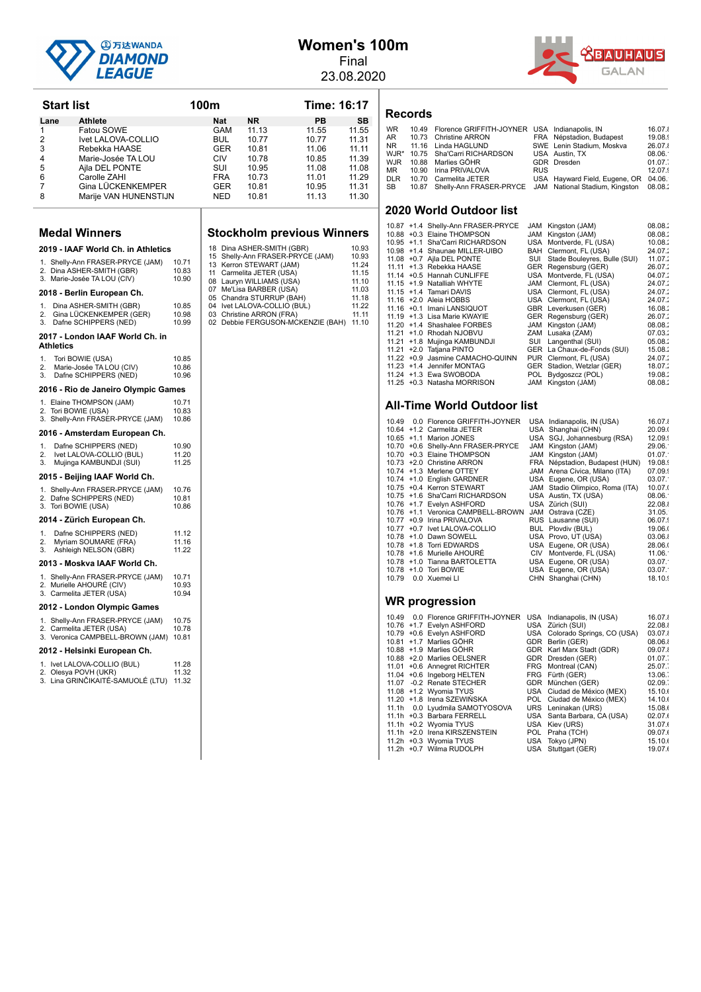

### **Women's 100m** Final

23.08.2020



| <b>Start list</b>                                                  |                | 100m       |                                                         | Time: 16:17                             |                |
|--------------------------------------------------------------------|----------------|------------|---------------------------------------------------------|-----------------------------------------|----------------|
| <b>Athlete</b><br>Lane                                             |                | Nat        | ΝR                                                      | PВ                                      | SB             |
| 1<br>Fatou SOWE                                                    |                | GAM        | 11.13                                                   | 11.55                                   | 11.55          |
| 2<br>Ivet LALOVA-COLLIO<br>3<br>Rebekka HAASE                      |                | BUL<br>GER | 10.77<br>10.81                                          | 10.77<br>11.06                          | 11.31<br>11.11 |
| 4<br>Marie-Josée TA LOU                                            |                | CIV        | 10.78                                                   | 10.85                                   | 11.39          |
| 5<br>Ajla DEL PONTE                                                |                | SUI        | 10.95                                                   | 11.08                                   | 11.08          |
| 6<br>Carolle ZAHI                                                  |                | FRA        | 10.73                                                   | 11.01                                   | 11.29          |
| 7<br>Gina LUCKENKEMPER<br>8<br>Marije VAN HUNENSTIJN               |                | GER<br>NED | 10.81<br>10.81                                          | 10.95<br>11.13                          | 11.31<br>11.30 |
|                                                                    |                |            |                                                         |                                         |                |
| <b>Medal Winners</b>                                               |                |            |                                                         | <b>Stockholm previous Winners</b>       |                |
| 2019 - IAAF World Ch. in Athletics                                 |                |            | 18 Dina ASHER-SMITH (GBR)                               |                                         | 10.93          |
| 1. Shelly-Ann FRASER-PRYCE (JAM)                                   | 10.71          |            | 13 Kerron STEWART (JAM)                                 | 15 Shelly-Ann FRASER-PRYCE (JAM)        | 10.93<br>11.24 |
| 2. Dina ASHER-SMITH (GBR)                                          | 10.83<br>10.90 |            | 11 Carmelita JETER (USA)                                |                                         | 11.15          |
| 3. Marie-Josée TA LOU (CIV)                                        |                |            | 08 Lauryn WILLIAMS (USA)<br>07 Me'Lisa BARBER (USA)     |                                         | 11.10<br>11.03 |
| 2018 - Berlin European Ch.                                         |                |            | 05 Chandra STURRUP (BAH)                                |                                         | 11.18          |
| 1.<br>Dina ASHER-SMITH (GBR)<br>2.<br>Gina LÜCKENKEMPER (GER)      | 10.85<br>10.98 |            | 04 Ivet LALOVA-COLLIO (BUL)<br>03 Christine ARRON (FRA) |                                         | 11.22<br>11.11 |
| Dafne SCHIPPERS (NED)<br>3.                                        | 10.99          |            |                                                         | 02 Debbie FERGUSON-MCKENZIE (BAH) 11.10 |                |
| 2017 - London IAAF World Ch. in<br>Athletics                       |                |            |                                                         |                                         |                |
| 1.<br>Tori BOWIE (USA)                                             | 10.85          |            |                                                         |                                         |                |
| 2.<br>Marie-Josée TA LOU (CIV)<br>3.<br>Dafne SCHIPPERS (NED)      | 10.86<br>10.96 |            |                                                         |                                         |                |
| 2016 - Rio de Janeiro Olympic Games                                |                |            |                                                         |                                         |                |
| 1. Elaine THOMPSON (JAM)                                           | 10.71          |            |                                                         |                                         |                |
| 2. Tori BOWIE (USA)<br>3. Shelly-Ann FRASER-PRYCE (JAM)            | 10.83<br>10.86 |            |                                                         |                                         |                |
| 2016 - Amsterdam European Ch.                                      |                |            |                                                         |                                         |                |
| 1.<br>Dafne SCHIPPERS (NED)                                        | 10.90          |            |                                                         |                                         |                |
| 2.<br>Ivet LALOVA-COLLIO (BUL)                                     | 11.20          |            |                                                         |                                         |                |
| 3.<br>Mujinga KAMBUNDJI (SUI)<br>2015 - Beijing IAAF World Ch.     | 11.25          |            |                                                         |                                         |                |
| 1. Shelly-Ann FRASER-PRYCE (JAM)                                   | 10.76          |            |                                                         |                                         |                |
| 2. Dafne SCHIPPERS (NED)                                           | 10.81          |            |                                                         |                                         |                |
| 3. Tori BOWIE (USA)                                                | 10.86          |            |                                                         |                                         |                |
| 2014 - Zürich European Ch.                                         |                |            |                                                         |                                         |                |
| Dafne SCHIPPERS (NED)<br>1.<br>2.<br>Myriam SOUMARE (FRA)          | 11.12<br>11.16 |            |                                                         |                                         |                |
| 3.<br>Ashleigh NELSON (GBR)                                        | 11.22          |            |                                                         |                                         |                |
| 2013 - Moskva IAAF World Ch.                                       |                |            |                                                         |                                         |                |
| 1. Shelly-Ann FRASER-PRYCE (JAM)                                   | 10.71          |            |                                                         |                                         |                |
| 2. Murielle AHOURE (CIV)<br>3. Carmelita JETER (USA)               | 10.93<br>10.94 |            |                                                         |                                         |                |
| 2012 - London Olympic Games                                        |                |            |                                                         |                                         |                |
| 1. Shelly-Ann FRASER-PRYCE (JAM)                                   | 10.75          |            |                                                         |                                         |                |
| 2. Carmelita JETER (USA)<br>3. Veronica CAMPBELL-BROWN (JAM) 10.81 | 10.78          |            |                                                         |                                         |                |
| 2012 - Helsinki European Ch.                                       |                |            |                                                         |                                         |                |
| 1. Ivet LALOVA-COLLIO (BUL)<br>2. Olesya POVH (UKR)                | 11.28<br>11.32 |            |                                                         |                                         |                |
| 3. Lina GRINČIKAITÉ-SAMUOLÉ (LTU) 11.32                            |                |            |                                                         |                                         |                |

# **Vinners**

#### **Records**

| <b>WR</b> | 10.49 Florence GRIFFITH-JOYNER USA Indianapolis, IN                 |            |                                      | 16.07.    |
|-----------|---------------------------------------------------------------------|------------|--------------------------------------|-----------|
| AR        | 10.73 Christine ARRON                                               |            | FRA Népstadion, Budapest             | 19.08.    |
|           | NR 11.16 Linda HAGLUND                                              |            | SWE Lenin Stadium, Moskva            | 26.07.    |
|           | WJR* 10.75 Sha'Carri RICHARDSON                                     |            | USA Austin, TX                       | 08.06.    |
|           | WJR 10.88 Marlies GÖHR                                              |            | GDR Dresden                          | $01.07$ . |
|           | MR 10.90 Irina PRIVALOVA                                            | <b>RUS</b> |                                      | 12.07.9   |
|           | DLR 10.70 Carmelita JETER                                           |            | USA Hayward Field, Eugene, OR 04.06. |           |
| SB        | 10.87 Shelly-Ann FRASER-PRYCE JAM National Stadium, Kingston 08.08. |            |                                      |           |
|           |                                                                     |            |                                      |           |

#### **2020 World Outdoor list**

|  | 10.87 +1.4 Shelly-Ann FRASER-PRYCE | JAM | Kingston (JAM)               | 08.08.  |
|--|------------------------------------|-----|------------------------------|---------|
|  | 10.88 +0.3 Elaine THOMPSON         | JAM | Kingston (JAM)               | 08.08.  |
|  | 10.95 +1.1 Sha'Carri RICHARDSON    |     | USA Montverde, FL (USA)      | 10.08.2 |
|  | 10.98 +1.4 Shaunae MILLER-UIBO     | BAH | Clermont, FL (USA)           | 24.07.2 |
|  | 11.08 +0.7 Ajla DEL PONTE          | SUI | Stade Bouleyres, Bulle (SUI) | 11.07.2 |
|  | 11.11 +1.3 Rebekka HAASE           |     | GER Regensburg (GER)         | 26.07:  |
|  | 11.14 + 0.5 Hannah CUNLIFFE        |     | USA Montverde, FL (USA)      | 04.07:  |
|  | 11.15 +1.9 Natalliah WHYTE         |     | JAM Clermont, FL (USA)       | 24.07.7 |
|  | 11.15 +1.4 Tamari DAVIS            |     | USA Clermont, FL (USA)       | 24.07.7 |
|  | 11.16 +2.0 Aleia HOBBS             |     | USA Clermont, FL (USA)       | 24.07.2 |
|  | 11.16 +0.1 Imani LANSIQUOT         |     | GBR Leverkusen (GER)         | 16.08.  |
|  | 11.19 +1.3 Lisa Marie KWAYIE       |     | GER Regensburg (GER)         | 26.07:  |
|  | 11.20 +1.4 Shashalee FORBES        |     | JAM Kingston (JAM)           | 08.08.  |
|  | 11.21 +1.0 Rhodah NJOBVU           |     | ZAM Lusaka (ZAM)             | 07.03.  |
|  | 11.21 +1.8 Mujinga KAMBUNDJI       | SUI | Langenthal (SUI)             | 05.08.2 |
|  | 11.21 +2.0 Tatiana PINTO           |     | GER La Chaux-de-Fonds (SUI)  | 15.08:  |
|  | 11.22 +0.9 Jasmine CAMACHO-QUINN   |     | PUR Clermont, FL (USA)       | 24.07.7 |
|  | 11.23 +1.4 Jennifer MONTAG         |     | GER Stadion, Wetzlar (GER)   | 18.07.  |
|  | 11.24 +1.3 Ewa SWOBODA             | POL | Bydgoszcz (POL)              | 19.08.  |
|  | 11.25 +0.3 Natasha MORRISON        |     | JAM Kingston (JAM)           | 08.08.1 |

#### **All-Time World Outdoor list**

| 10.49 | 0.0 Florence GRIFFITH-JOYNER<br>10.64 +1.2 Carmelita JETER<br>10.65 +1.1 Marion JONES<br>10.70 +0.6 Shelly-Ann FRASER-PRYCE |     | USA Indianapolis, IN (USA)<br>USA Shanghai (CHN)<br>USA SGJ, Johannesburg (RSA)<br>JAM Kingston (JAM) | 16.07.<br>20.09.<br>12.09.9<br>29.06. |
|-------|-----------------------------------------------------------------------------------------------------------------------------|-----|-------------------------------------------------------------------------------------------------------|---------------------------------------|
|       | 10.70 +0.3 Elaine THOMPSON                                                                                                  |     | JAM Kingston (JAM)                                                                                    | 01.07.                                |
|       | 10.73 +2.0 Christine ARRON                                                                                                  |     | FRA Népstadion, Budapest (HUN)                                                                        | 19.08.                                |
|       | 10.74 +1.3 Merlene OTTEY                                                                                                    |     | JAM Arena Civica, Milano (ITA)                                                                        | 07.09.9                               |
|       | 10.74 +1.0 English GARDNER                                                                                                  |     | USA Eugene, OR (USA)                                                                                  | 03.07.                                |
|       | 10.75 +0.4 Kerron STEWART                                                                                                   |     | JAM Stadio Olimpico, Roma (ITA)                                                                       | 10.07.                                |
|       | 10.75 +1.6 Sha'Carri RICHARDSON                                                                                             |     | USA Austin, TX (USA)                                                                                  | 08.06.                                |
|       | 10.76 +1.7 Evelvn ASHFORD                                                                                                   |     | USA Zürich (SUI)                                                                                      | 22.08.                                |
|       | 10.76 +1.1 Veronica CAMPBELL-BROWN                                                                                          |     | JAM Ostrava (CZE)                                                                                     | 31.05.                                |
|       | 10.77 +0.9 Irina PRIVALOVA                                                                                                  |     | RUS Lausanne (SUI)                                                                                    | 06.07.                                |
|       | 10.77 +0.7 lvet LALOVA-COLLIO                                                                                               |     | BUL Plovdiv (BUL)                                                                                     | 19.06.                                |
|       | 10.78 +1.0 Dawn SOWELL                                                                                                      |     | USA Provo, UT (USA)                                                                                   | 03.06.                                |
|       | 10.78 +1.8 Torri EDWARDS                                                                                                    |     | USA Eugene, OR (USA)                                                                                  | 28.06.                                |
|       | 10.78 +1.6 Murielle AHOURÉ                                                                                                  | CIV | Montverde, FL (USA)                                                                                   | 11.06.                                |
|       | 10.78 +1.0 Tianna BARTOLETTA                                                                                                |     | USA Eugene, OR (USA)                                                                                  | 03.07.                                |
|       | 10.78 +1.0 Tori BOWIE                                                                                                       |     | USA Eugene, OR (USA)                                                                                  | 03.07.                                |
| 10.79 | 0.0 Xuemei LI                                                                                                               |     | CHN Shanghai (CHN)                                                                                    | 18.10.                                |
|       |                                                                                                                             |     |                                                                                                       |                                       |
|       |                                                                                                                             |     |                                                                                                       |                                       |

|  | 10.49 0.0 Florence GRIFFITH-JOYNER USA Indianapolis, IN (USA) |                                | 16.07.  |
|--|---------------------------------------------------------------|--------------------------------|---------|
|  | 10.76 +1.7 Evelyn ASHFORD                                     | USA Zürich (SUI)               | 22.08.1 |
|  | 10.79 +0.6 Evelyn ASHFORD                                     | USA Colorado Springs, CO (USA) | 03.07.  |
|  | 10.81 +1.7 Marlies GÖHR                                       | GDR Berlin (GER)               | 08.06.  |
|  | 10.88 +1.9 Marlies GÖHR                                       | GDR Karl Marx Stadt (GDR)      | 09.07.  |
|  | 10.88 +2.0 Marlies OELSNER                                    | GDR Dresden (GER)              | 01.07.  |
|  | 11.01 +0.6 Annegret RICHTER                                   | FRG Montreal (CAN)             | 25.07.  |
|  | 11.04 +0.6 Ingeborg HELTEN                                    | FRG Fürth (GER)                | 13.06.  |
|  | 11.07 -0.2 Renate STECHER                                     | GDR München (GER)              | 02.09.  |
|  | 11.08 +1.2 Wyomia TYUS                                        | USA Ciudad de México (MEX)     | 15.10.0 |
|  | 11.20 +1.8 Irena SZEWIŃSKA                                    | POL Ciudad de México (MEX)     | 14.10.  |
|  | 11.1h 0.0 Lyudmila SAMOTYOSOVA                                | URS Leninakan (URS)            | 15.08.  |
|  | 11.1h +0.3 Barbara FERRELL                                    | USA Santa Barbara, CA (USA)    | 02.07.  |
|  | 11.1h +0.2 Wyomia TYUS                                        | USA Kiev (URS)                 | 31.07.  |
|  | 11.1h +2.0 Irena KIRSZENSTEIN                                 | POL Praha (TCH)                | 09.07.  |
|  | 11.2h +0.3 Wyomia TYUS                                        | USA Tokyo (JPN)                | 15.10.  |
|  | 11.2h +0.7 Wilma RUDOLPH                                      | USA Stuttgart (GER)            | 19.07.  |
|  |                                                               |                                |         |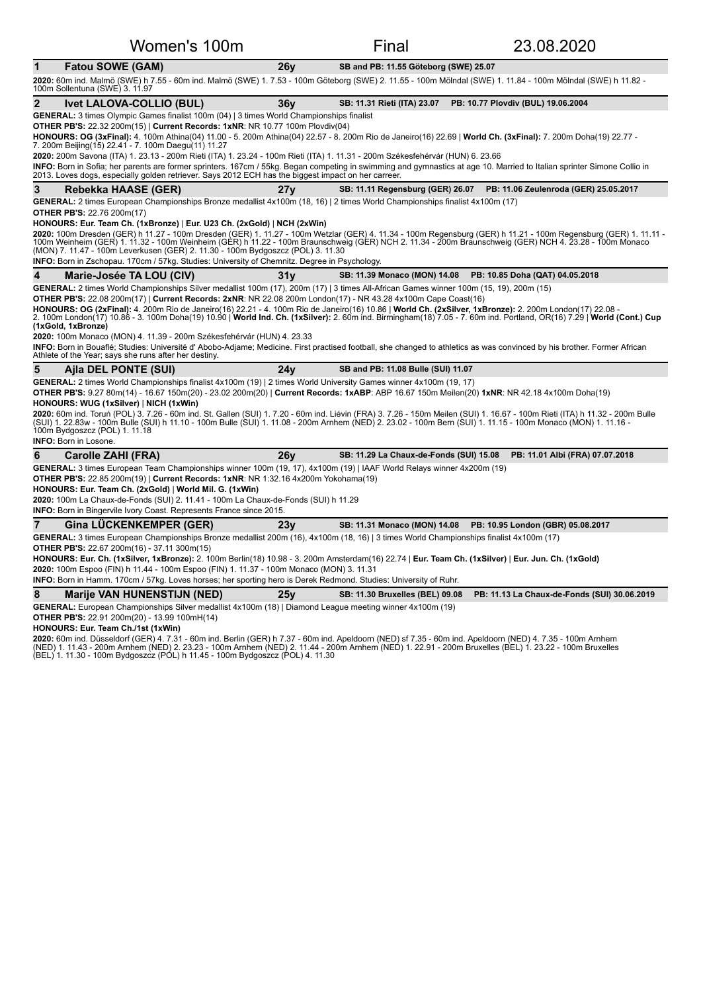| Women's 100m                                                                                                                                                                                                                                                                                                                                                                                         |                 | Final                                 | 23.08.2020                                                              |
|------------------------------------------------------------------------------------------------------------------------------------------------------------------------------------------------------------------------------------------------------------------------------------------------------------------------------------------------------------------------------------------------------|-----------------|---------------------------------------|-------------------------------------------------------------------------|
| $\mathbf{1}$<br>Fatou SOWE (GAM)                                                                                                                                                                                                                                                                                                                                                                     | 26y             | SB and PB: 11.55 Göteborg (SWE) 25.07 |                                                                         |
| 2020: 60m ind. Malmö (SWE) h 7.55 - 60m ind. Malmö (SWE) 1. 7.53 - 100m Göteborg (SWE) 2. 11.55 - 100m Mölndal (SWE) 1. 11.84 - 100m Mölndal (SWE) h 11.82 -<br>100m Sollentuna (SWE) 3. 11.97                                                                                                                                                                                                       |                 |                                       |                                                                         |
| 2<br><b>Ivet LALOVA-COLLIO (BUL)</b>                                                                                                                                                                                                                                                                                                                                                                 | 36y             | SB: 11.31 Rieti (ITA) 23.07           | PB: 10.77 Plovdiv (BUL) 19.06.2004                                      |
| <b>GENERAL:</b> 3 times Olympic Games finalist 100m (04)   3 times World Championships finalist                                                                                                                                                                                                                                                                                                      |                 |                                       |                                                                         |
| <b>OTHER PB'S: 22.32 200m(15)   Current Records: 1xNR: NR 10.77 100m Plovdiv(04)</b><br>HONOURS: OG (3xFinal): 4. 100m Athina(04) 11.00 - 5. 200m Athina(04) 22.57 - 8. 200m Rio de Janeiro(16) 22.69   World Ch. (3xFinal): 7. 200m Doha(19) 22.77 -<br>7. 200m Beijing(15) 22.41 - 7. 100m Daegu(11) 11.27                                                                                         |                 |                                       |                                                                         |
| 2020: 200m Savona (ITA) 1. 23.13 - 200m Rieti (ITA) 1. 23.24 - 100m Rieti (ITA) 1. 11.31 - 200m Székesfehérvár (HUN) 6. 23.66                                                                                                                                                                                                                                                                        |                 |                                       |                                                                         |
| INFO: Born in Sofia; her parents are former sprinters. 167cm / 55kg. Began competing in swimming and gymnastics at age 10. Married to Italian sprinter Simone Collio in<br>2013. Loves dogs, especially golden retriever. Says 2012 ECH has the biggest impact on her carreer.                                                                                                                       |                 |                                       |                                                                         |
| 3<br>Rebekka HAASE (GER)                                                                                                                                                                                                                                                                                                                                                                             | 27 <sub>V</sub> | SB: 11.11 Regensburg (GER) 26.07      | PB: 11.06 Zeulenroda (GER) 25.05.2017                                   |
| GENERAL: 2 times European Championships Bronze medallist 4x100m (18, 16)   2 times World Championships finalist 4x100m (17)                                                                                                                                                                                                                                                                          |                 |                                       |                                                                         |
| <b>OTHER PB'S: 22.76 200m(17)</b>                                                                                                                                                                                                                                                                                                                                                                    |                 |                                       |                                                                         |
| HONOURS: Eur. Team Ch. (1xBronze)   Eur. U23 Ch. (2xGold)   NCH (2xWin)<br>2020: 100m Dresden (GER) h 11.27 - 100m Dresden (GER) 1. 11.27 - 100m Wetzlar (GER) 4. 11.34 - 100m Regensburg (GER) h 11.21 - 100m Regensburg (GER) 1. 11.11 -<br>100m Weinheim (GER) 1. 11.32 - 100m Weinheim (GER) h 11.22 - 100m Braunschweig (GER) NCH 2. 11.34 - 200m Braunschweig (GER) NCH 4. 23.28 - 100m Monaco |                 |                                       |                                                                         |
| (MON) 7. 11.47 - 100m Leverkusen (GER) 2. 11.30 - 100m Bydgoszcz (POL) 3. 11.30<br><b>INFO:</b> Born in Zschopau. 170cm / 57kg. Studies: University of Chemnitz. Degree in Psychology.                                                                                                                                                                                                               |                 |                                       |                                                                         |
| 4<br><b>Marie-Josée TA LOU (CIV)</b>                                                                                                                                                                                                                                                                                                                                                                 | 31 <sub>V</sub> |                                       | SB: 11.39 Monaco (MON) 14.08 PB: 10.85 Doha (QAT) 04.05.2018            |
| GENERAL: 2 times World Championships Silver medallist 100m (17), 200m (17)   3 times All-African Games winner 100m (15, 19), 200m (15)                                                                                                                                                                                                                                                               |                 |                                       |                                                                         |
| OTHER PB'S: 22.08 200m(17)   Current Records: 2xNR: NR 22.08 200m London(17) - NR 43.28 4x100m Cape Coast(16)                                                                                                                                                                                                                                                                                        |                 |                                       |                                                                         |
| HONOURS: OG (2xFinal): 4. 200m Rio de Janeiro(16) 22.21 - 4. 100m Rio de Janeiro(16) 10.86   World Ch. (2xSilver, 1xBronze): 2. 200m London(17) 22.08 -<br>2. 100m London(17) 10.86 - 3. 100m Doha(19) 10.90   World Ind. Ch. (1xSilver): 2. 60m ind. Birmingham(18) 7.05 - 7. 60m ind. Portland, OR(16) 7.29   World (Cont.) Cup<br>(1xGold, 1xBronze)                                              |                 |                                       |                                                                         |
| 2020: 100m Monaco (MON) 4. 11.39 - 200m Székesfehérvár (HUN) 4. 23.33                                                                                                                                                                                                                                                                                                                                |                 |                                       |                                                                         |
| INFO: Born in Bouaflé; Studies: Université d'Abobo-Adjame; Medicine. First practised football, she changed to athletics as was convinced by his brother. Former African<br>Athlete of the Year; says she runs after her destiny.                                                                                                                                                                     |                 |                                       |                                                                         |
| 5<br>Ajla DEL PONTE (SUI)                                                                                                                                                                                                                                                                                                                                                                            | 24v             | SB and PB: 11.08 Bulle (SUI) 11.07    |                                                                         |
| GENERAL: 2 times World Championships finalist 4x100m (19)   2 times World University Games winner 4x100m (19, 17)                                                                                                                                                                                                                                                                                    |                 |                                       |                                                                         |
| OTHER PB'S: 9.27 80m(14) - 16.67 150m(20) - 23.02 200m(20)   Current Records: 1xABP: ABP 16.67 150m Meilen(20) 1xNR: NR 42.18 4x100m Doha(19)<br>HONOURS: WUG (1xSilver)   NICH (1xWin)                                                                                                                                                                                                              |                 |                                       |                                                                         |
| 2020: 60m ind. Toruń (POL) 3. 7.26 - 60m ind. St. Gallen (SUI) 1. 7.20 - 60m ind. Liévin (FRA) 3. 7.26 - 150m Meilen (SUI) 1. 16.67 - 100m Rieti (ITA) h 11.32 - 200m Bulle<br>(SUI) 1. 22.83w - 100m Bulle (SUI) h 11.10 - 100m Bulle (SUI) 1. 11.08 - 200m Arnhem (NED) 2. 23.02 - 100m Bern (SUI) 1. 11.15 - 100m Monaco (MON) 1. 11.16 -<br>100m Bydgoszcz (POL) 1. 11.18                        |                 |                                       |                                                                         |
| INFO: Born in Losone.                                                                                                                                                                                                                                                                                                                                                                                |                 |                                       |                                                                         |
| 6<br><b>Carolle ZAHI (FRA)</b>                                                                                                                                                                                                                                                                                                                                                                       | 26v             |                                       | SB: 11.29 La Chaux-de-Fonds (SUI) 15.08 PB: 11.01 Albi (FRA) 07.07.2018 |
| GENERAL: 3 times European Team Championships winner 100m (19, 17), 4x100m (19)   IAAF World Relays winner 4x200m (19)<br><b>OTHER PB'S:</b> 22.85 200m(19)   Current Records: 1xNR: NR 1:32.16 4x200m Yokohama(19)<br>HONOURS: Eur. Team Ch. (2xGold)   World Mil. G. (1xWin)                                                                                                                        |                 |                                       |                                                                         |
| 2020: 100m La Chaux-de-Fonds (SUI) 2. 11.41 - 100m La Chaux-de-Fonds (SUI) h 11.29                                                                                                                                                                                                                                                                                                                   |                 |                                       |                                                                         |
| <b>INFO:</b> Born in Bingervile Ivory Coast. Represents France since 2015.                                                                                                                                                                                                                                                                                                                           |                 |                                       |                                                                         |
| 7<br><b>Gina LUCKENKEMPER (GER)</b>                                                                                                                                                                                                                                                                                                                                                                  | 23y             | SB: 11.31 Monaco (MON) 14.08          | PB: 10.95 London (GBR) 05.08.2017                                       |
| GENERAL: 3 times European Championships Bronze medallist 200m (16), 4x100m (18, 16)   3 times World Championships finalist 4x100m (17)                                                                                                                                                                                                                                                               |                 |                                       |                                                                         |
| <b>OTHER PB'S:</b> 22.67 200m(16) - 37.11 300m(15)                                                                                                                                                                                                                                                                                                                                                   |                 |                                       |                                                                         |
| HONOURS: Eur. Ch. (1xSilver, 1xBronze): 2. 100m Berlin(18) 10.98 - 3. 200m Amsterdam(16) 22.74   Eur. Team Ch. (1xSilver)   Eur. Jun. Ch. (1xGold)                                                                                                                                                                                                                                                   |                 |                                       |                                                                         |
| 2020: 100m Espoo (FIN) h 11.44 - 100m Espoo (FIN) 1. 11.37 - 100m Monaco (MON) 3. 11.31<br>INFO: Born in Hamm. 170cm / 57kg. Loves horses; her sporting hero is Derek Redmond. Studies: University of Ruhr.                                                                                                                                                                                          |                 |                                       |                                                                         |
| 8<br><b>Marije VAN HUNENSTIJN (NED)</b>                                                                                                                                                                                                                                                                                                                                                              | 25v             | SB: 11.30 Bruxelles (BEL) 09.08       | PB: 11.13 La Chaux-de-Fonds (SUI) 30.06.2019                            |
| GENERAL: European Championships Silver medallist 4x100m (18)   Diamond League meeting winner 4x100m (19)                                                                                                                                                                                                                                                                                             |                 |                                       |                                                                         |
| <b>OTHER PB'S:</b> 22.91 200m(20) - 13.99 100mH(14)                                                                                                                                                                                                                                                                                                                                                  |                 |                                       |                                                                         |
| HONOURS: Eur. Team Ch./1st (1xWin)                                                                                                                                                                                                                                                                                                                                                                   |                 |                                       |                                                                         |
| 2020: 60m ind. Düsseldorf (GER) 4. 7.31 - 60m ind. Berlin (GER) h 7.37 - 60m ind. Apeldoorn (NED) sf 7.35 - 60m ind. Apeldoorn (NED) 4. 7.35 - 100m Arnhem<br>(NED) 1. 11.43 - 200m Arnhem (NED) 2. 23.23 - 100m Arnhem (NED) 2.<br>(BEL) 1. 11.30 - 100m Bydgoszcz (PÓL) h 11.45 - 100m Bydgoszcz (POL) 4. 11.30                                                                                    |                 |                                       |                                                                         |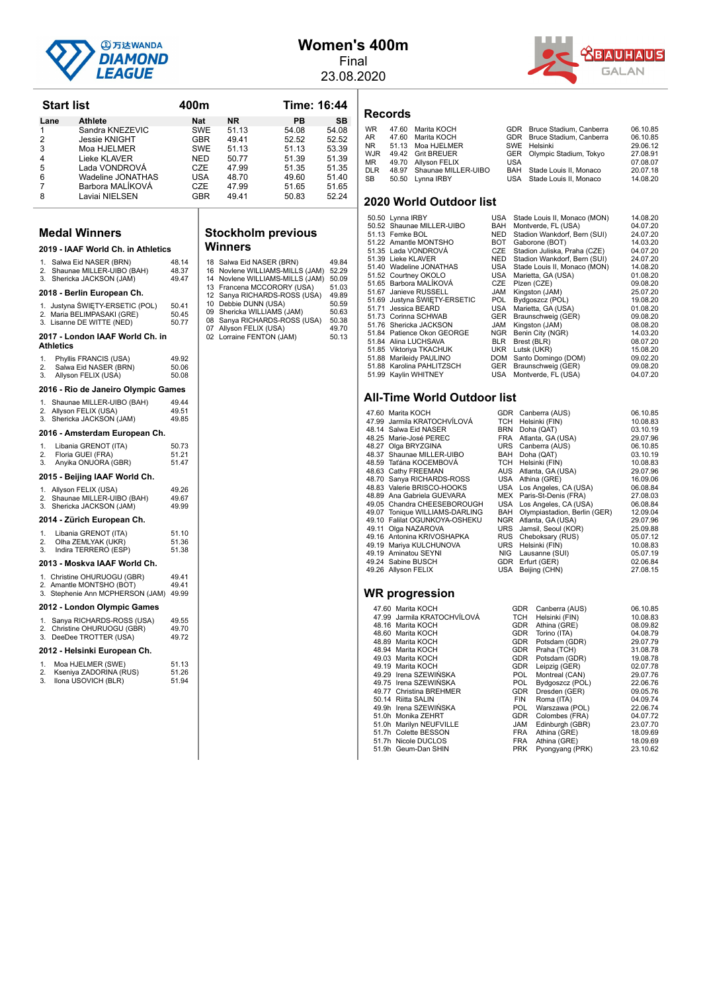

## **Women's 400m**

Final 23.08.2020

**Records**



**Start list 6:44** 400m **Time: 16:44 Lane Athlete Nat NR PB SB** 1 Sandra KNEZEVIC SWE 51.13 54.08 54.08<br>2 Jessie KNIGHT GBR 49.41 52.52 52.52 2 Jessie KNIGHT GBR 49.41 52.52 52.52 3 Moa HJELMER<br>3 Moa HJELMER SWE 51.13<br>13 Lieke KLAVER NED 50.77 4 Lieke KLAVER NED 50.77 51.39 51.39 5 Lada VONDROVÁ CZE 47.99 51.35 51.35 Wadeline JONATHAS 7 Barbora MALÍKOVÁ CZE 47.99 51.65 51.65 Laviai NIELSEN **Medal Winners 2019 - IAAF World Ch. in Athletics** 1. Salwa Eid NASER (BRN) 48.14 Shaunae MILLER-UIBO (BAH) 3. Shericka JACKSON (JAM) 49.47 **2018 - Berlin European Ch.** 1. Justyna ŚWIĘTY-ERSETIC (POL) 50.41<br>2. Maria BELIMPASAKI (GRE) 50.45 2. Maria BELIMPASAKI (GRE) 50.45<br>3. Jisanne DE WITTE (NED) 50.77 3. Lisanne DE WITTE (NED) **2017 - London IAAF World Ch. in Athletics** 1. Phyllis FRANCIS (USA) 49.92<br>2. Salwa Eid NASER (BRN) 50.06 2. Salwa Eid NASER (BRN) 50.06<br>2. Salwa Eid NASER (BRN) 50.06<br>3. Allyson EELIX (LISA) 50.08 Allyson FELIX (USA) **2016 - Rio de Janeiro Olympic Games** 1. Shaunae MILLER-UIBO (BAH) 49.44 2. Allyson FELIX (USA) 49.51<br>3. Shericka JACKSON (JAM) 49.85 Shericka JACKSON (JAM) 2016 - Amsterdam European Ch. 1. Libania GRENOT (ITA) 50.73<br>2 Floria GUEL (FRA) 51.21 2. Floria GUEI (FRA) (51.21)<br>3. Anvika ONUORA (GBR) 51.47 Anyika ONUORA (GBR) 2015 - Beijing IAAF World Ch. 1. Allyson FELIX (USA) 49.26<br>2. Shaunae MILLER-LIIRO (BAH) 49.67 2. Shaunae MILLER-UIBO (BAH) 49.67<br>3. Shericka JACKSON (JAM) 49.99 **2014 - Zürich European Ch.** 1. Libania GRENOT (ITA) 51.10<br>2 Olba ZEMI YAK (LIKR) 51.36 Olha ZEMLYAK (UKR) 3. Indira TERRERO (ESP) 51.38 **2013 - Moskva IAAF World Ch.** 1. Christine OHURUOGU (GBR) 49.41<br>2. Amantle MONTSHO (BOT) 49.41 2. Amantle MONTSHO (BOT) 3. Stephenie Ann MCPHERSON (JAM) 49.99 **2012 - London Olympic Games W** 

1. Sanya RICHARDS-ROSS (USA) 49.55<br>2. Christine OHURUOGU (GBR) 49.70 3. DeeDee TROTTER (USA) 49.72

#### 2012 - Helsinki European Ch.

|    | Moa HJELMER (SWE)      | 51.13 |
|----|------------------------|-------|
| 2. | Kseniya ZADORINA (RUS) | 51.26 |

|    |                     | - - - - - - |
|----|---------------------|-------------|
| 3. | Ilona USOVICH (BLR) | 51.94       |
|    |                     |             |

# **Stockholm** previous

|    | 18 Salwa Eid NASER (BRN)        | 49.84 |
|----|---------------------------------|-------|
| 16 | Noviene WILLIAMS-MILLS (JAM)    | 52.29 |
|    | 14 Noviene WILLIAMS-MILLS (JAM) | 50.09 |
|    | 13 Francena MCCORORY (USA)      | 51.03 |
|    | 12 Sanya RICHARDS-ROSS (USA)    | 49.89 |
|    | 10 Debbie DUNN (USA)            | 50.59 |
|    | 09 Shericka WILLIAMS (JAM)      | 50.63 |
|    | 08 Sanya RICHARDS-ROSS (USA)    | 50.38 |
|    | 07 Allyson FELIX (USA)          | 49.70 |
|    | 02 Lorraine FENTON (JAM)        | 50.13 |

# **2020 World Outdo**

| .                            |              |
|------------------------------|--------------|
| /inners                      |              |
| Salwa Eid NASER (BRN)        | 49.84        |
| Noviene WILLIAMS-MILLS (JAM) | 52.29        |
| Noviene WILLIAMS-MILLS (JAM) | 50.09        |
| Francena MCCORORY (USA)      | 51.03        |
| Sanya RICHARDS-ROSS (USA)    | 49.89        |
| Debbie DUNN (USA)            | 50.59        |
| Shericka WILLIAMS (JAM)      | 50.63        |
| Sanya RICHARDS-ROSS (USA)    | 50.38        |
| Allyson FELIX (USA)          | 49.70        |
| $\mathbf{1}$ FENTONI (IANA)  | <b>FO 40</b> |

|       | 2020 World Outdoor list      |            |                              |          |
|-------|------------------------------|------------|------------------------------|----------|
|       | 50.50 Lynna IRBY             | USA        | Stade Louis II, Monaco (MON) | 14.08.20 |
|       | 50.52 Shaunae MILLER-UIBO    | BAH        | Montverde, FL (USA)          | 04.07.20 |
|       | 51.13 Femke BOL              | <b>NED</b> | Stadion Wankdorf, Bern (SUI) | 24.07.20 |
|       | 51.22 Amantle MONTSHO        | <b>BOT</b> | Gaborone (BOT)               | 14.03.20 |
|       | 51.35 Lada VONDROVÁ          | CZE        | Stadion Juliska, Praha (CZE) | 04.07.20 |
|       | 51.39 Lieke KLAVER           | NED.       | Stadion Wankdorf, Bern (SUI) | 24.07.20 |
|       | 51.40 Wadeline JONATHAS      | USA        | Stade Louis II, Monaco (MON) | 14.08.20 |
|       | 51.52 Courtney OKOLO         | USA        | Marietta, GA (USA)           | 01.08.20 |
|       | 51.65 Barbora MALÍKOVÁ       | CZE        | Plzen (CZE)                  | 09.08.20 |
|       | 51.67 Janieve RUSSELL        | JAM        | Kingston (JAM)               | 25.07.20 |
|       | 51.69 Justyna ŚWIETY-ERSETIC | POL.       | Bydgoszcz (POL)              | 19.08.20 |
| 51.71 | Jessica BEARD                | USA        | Marietta, GA (USA)           | 01.08.20 |
|       | 51.73 Corinna SCHWAB         | GER        | Braunschweig (GER)           | 09.08.20 |
|       | 51.76 Shericka JACKSON       | <b>JAM</b> | Kingston (JAM)               | 08.08.20 |
|       | 51.84 Patience Okon GEORGE   | NGR        | Benin City (NGR)             | 14.03.20 |
|       | 51.84 Alina LUCHSAVA         | <b>BLR</b> | Brest (BLR)                  | 08.07.20 |
|       | 51.85 Viktoriya TKACHUK      | <b>UKR</b> | Lutsk (UKR)                  | 15.08.20 |
|       | 51.88 Marileidy PAULINO      | DOM        | Santo Domingo (DOM)          | 09.02.20 |
|       | 51.88 Karolina PAHLITZSCH    | <b>GER</b> | Braunschweig (GER)           | 09.08.20 |
|       | 51.99 Kavlin WHITNEY         | USA        | Montverde, FL (USA)          | 04.07.20 |

Stade Louis II, Monaco

WR 47.60 Marita KOCH GDR Bruce Stadium, Canberra 06.10.85<br>AR 47.60 Marita KOCH GDR Bruce Stadium. Canberra 06.10.85 AR 47.60 Marita KOCH GDR Bruce Stadium, Canberra 06.10.85<br>NR 51.13 Moa HJELMER SWE Helsinki 29.06.12 NR 51.13 Moa HJELMER SWE Helsinki 29.06.12<br>WIR 49.42 Grit BRELIER GER Olympic Stadium Tokyo 27.08.91 WJR 49.42 Grit BREUER<br>WJR 49.42 Grit BREUER GER Olympic Stadium, Tokyo 27.08.91<br>MR 49.70 Allyson FELIX USA USA MR 49.70 Allyson FELIX USA USA 07.08.07<br>DIR 48.97 Shaunae MILLER-UIRO RAH Stade Louis II Monaco 20.07.18 DLR 48.97 Shaunae MILLER-UIBO BAH Stade Louis II, Monaco 20.07.18<br>SB 50.50 Lynna IRBY USA Stade Louis II, Monaco 14.08.20

#### **All-Time World Outdoor list**

| 47.99 | Jarmila KRATOCHVÍLOVÁ    |
|-------|--------------------------|
| 48.14 | Salwa Eid NASER          |
| 48.25 | Marie-José PEREC         |
| 48.27 | Olga BRYZGINA            |
| 48.37 | Shaunae MILLER-UIBO      |
| 48.59 | Taťána KOCEMBOVÁ         |
| 48.63 | Cathy FREEMAN            |
| 48.70 | Sanya RICHARDS-ROSS      |
| 48.83 | Valerie BRISCO-HOOKS     |
| 48.89 | Ana Gabriela GUEVARA     |
| 49.05 | Chandra CHEESEBOROUGH    |
| 49.07 | Tonique WILLIAMS-DARLING |
| 49.10 | Falilat OGUNKOYA-OSHEKU  |
| 49.11 | Olga NAZAROVA            |
| 49.16 | Antonina KRIVOSHAPKA     |
| 49.19 | Mariya KULCHUNOVA        |
| 49.19 | Aminatou SEYNI           |
| 49.24 | Sabine BUSCH             |
| 49.26 | Allyson FELIX            |
|       | MD nrograecion           |

#### USA Montverde, FL (USA) 04.07.20 GDR Canberra (AUS) 06.10.85<br>
TCH Helsinki (FIN) 10.08.83 10.08.83<br>199 BRN Doha (QAT) 10.08.83<br>10.19 Doha (QAT) 10.09.10.19 Doha (QAT) 48.25 Marie-José PEREC FRA Atlanta, GA (USA) 29.07.96 48.27 Olga BRYZGINA URS Canberra (AUS) 06.10.85 48.37 Shaunae MILLER-UIBO BAH Doha (QAT) 03.10.19 4.59 Tatil Helsinki (FIN) 10.08.83<br>AUS Atlanta GA (USA) 10.08.83<br>AUS Atlanta GA (USA) 29.07.96 AUS Atlanta, GA (USA) 29.07.96<br>
USA Athina (GRE) 16.09.06 16.09.06<br>1984 Athina (GRE) 16.09.06<br>1984 Angeles CA (154) 16.08.84 USA Los Angeles, CA (USA) 06.08.84<br>MEX Paris-St-Denis (FRA) 27.08.03 Paris-St-Denis (FRA) 49.05 Chandra CHEESEBOROUGH USA Los Angeles, CA (USA) 06.08.84<br>49.07 Tonique WILLIAMS-DARLING BAH Olympiastadion, Berlin (GER) 12.09.04<br>49.10 Falilat OGUNKOYA-OSHEKU NGR Atlanta, GA (USA) 29.07.96  $RUS = \text{Jamsil}, \text{Seoul}(\text{KOR})$   $RUS = \text{Choboksary (RUS)}$   $RUS = \text{Choboksary (RUS)}$   $RUS = \text{Choboksary (RUS)}$ 49.16 Antonina KRIVOSHAPKA RUS Cheboksary (RUS) 05.07.12 49.19 Mariya KULCHUNOVA URS Helsinki (FIN) 10.08.83 NIG Lausanne (SUI) 05.07.19<br>GDR Erfurt (GER) 02.06.84 Enducating (e.g.)<br>
Erfurt (GER) 02.06.84<br>
Beiling (CHN) 27.08.15 USA Beijing (CHN)

| 47.60 Marita KOCH           | <b>GDR</b> | Canberra (AUS)  | 06.10.85 |
|-----------------------------|------------|-----------------|----------|
| 47.99 Jarmila KRATOCHVÍLOVÁ | <b>TCH</b> | Helsinki (FIN)  | 10.08.83 |
| 48.16 Marita KOCH           | <b>GDR</b> | Athina (GRE)    | 08.09.82 |
| 48.60 Marita KOCH           | <b>GDR</b> | Torino (ITA)    | 04.08.79 |
| 48.89 Marita KOCH           | <b>GDR</b> | Potsdam (GDR)   | 29.07.79 |
| 48.94 Marita KOCH           | <b>GDR</b> | Praha (TCH)     | 31.08.78 |
| 49.03 Marita KOCH           | <b>GDR</b> | Potsdam (GDR)   | 19.08.78 |
| 49.19 Marita KOCH           | <b>GDR</b> | Leipzig (GER)   | 02.07.78 |
| 49.29 Irena SZEWIŃSKA       | <b>POL</b> | Montreal (CAN)  | 29.07.76 |
| 49.75 Irena SZEWIŃSKA       | <b>POL</b> | Bydgoszcz (POL) | 22.06.76 |
| 49.77 Christina BREHMER     | <b>GDR</b> | Dresden (GER)   | 09.05.76 |
| 50.14 Riitta SALIN          | <b>FIN</b> | Roma (ITA)      | 04.09.74 |
| 49.9h Irena SZEWIŃSKA       | POL.       | Warszawa (POL)  | 22.06.74 |
| 51.0h Monika ZEHRT          | <b>GDR</b> | Colombes (FRA)  | 04.07.72 |
| 51.0h Marilyn NEUFVILLE     | JAM        | Edinburgh (GBR) | 23.07.70 |
| 51.7h Colette BESSON        | <b>FRA</b> | Athina (GRE)    | 18.09.69 |
| 51.7h Nicole DUCLOS         | FRA        | Athina (GRE)    | 18.09.69 |
| 51.9h Geum-Dan SHIN         | <b>PRK</b> | Pyongyang (PRK) | 23.10.62 |
|                             |            |                 |          |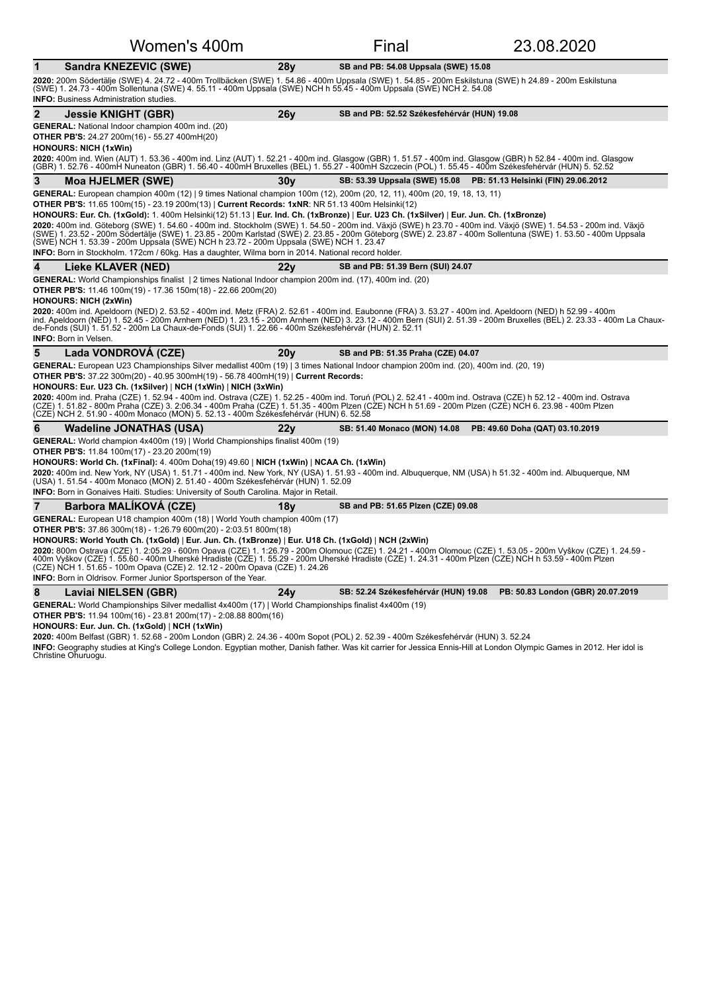| Women's 400m                                                                                                                                                                                                                                                                                                                                                                                                                                                                                                                                                                                                                                                                                                 |      | Final                                       | 23.08.2020                                                        |
|--------------------------------------------------------------------------------------------------------------------------------------------------------------------------------------------------------------------------------------------------------------------------------------------------------------------------------------------------------------------------------------------------------------------------------------------------------------------------------------------------------------------------------------------------------------------------------------------------------------------------------------------------------------------------------------------------------------|------|---------------------------------------------|-------------------------------------------------------------------|
| Sandra KNEZEVIC (SWE)<br>$\mathbf 1$                                                                                                                                                                                                                                                                                                                                                                                                                                                                                                                                                                                                                                                                         | 28y  | SB and PB: 54.08 Uppsala (SWE) 15.08        |                                                                   |
| 2020: 200m Södertälje (SWE) 4. 24.72 - 400m Trollbäcken (SWE) 1. 54.86 - 400m Uppsala (SWE) 1. 54.85 - 200m Eskilstuna (SWE) h 24.89 - 200m Eskilstuna<br>(SWE) 1. 24.73 - 400m Sollentuna (SWE) 4. 55.11 - 400m Uppsala (SWE) NCH h 55.45 - 400m Uppsala (SWE) NCH 2. 54.08<br><b>INFO:</b> Business Administration studies.                                                                                                                                                                                                                                                                                                                                                                                |      |                                             |                                                                   |
| $\mathbf 2$<br>Jessie KNIGHT (GBR)                                                                                                                                                                                                                                                                                                                                                                                                                                                                                                                                                                                                                                                                           | 26v  | SB and PB: 52.52 Székesfehérvár (HUN) 19.08 |                                                                   |
| <b>GENERAL:</b> National Indoor champion 400m ind. (20)<br><b>OTHER PB'S:</b> 24.27 200m(16) - 55.27 400mH(20)<br><b>HONOURS: NICH (1xWin)</b><br>2020: 400m ind. Wien (AUT) 1. 53.36 - 400m ind. Linz (AUT) 1. 52.21 - 400m ind. Glasgow (GBR) 1. 51.57 - 400m ind. Glasgow (GBR) h 52.84 - 400m ind. Glasgow<br>(GBR) 1. 52.76 - 400mH Nuneaton (GBR) 1. 56.40 - 400mH Bruxelles (BEL) 1. 55.27 - 400mH Szczecin (POL) 1. 55.45 - 400m Székesfehérvár (HUN) 5. 52.52                                                                                                                                                                                                                                       |      |                                             |                                                                   |
| 3<br><b>Moa HJELMER (SWE)</b>                                                                                                                                                                                                                                                                                                                                                                                                                                                                                                                                                                                                                                                                                | 30v  |                                             | SB: 53.39 Uppsala (SWE) 15.08 PB: 51.13 Helsinki (FIN) 29.06.2012 |
| GENERAL: European champion 400m (12)   9 times National champion 100m (12), 200m (20, 12, 11), 400m (20, 19, 18, 13, 11)                                                                                                                                                                                                                                                                                                                                                                                                                                                                                                                                                                                     |      |                                             |                                                                   |
| OTHER PB'S: 11.65 100m(15) - 23.19 200m(13)   Current Records: 1xNR: NR 51.13 400m Helsinki(12)                                                                                                                                                                                                                                                                                                                                                                                                                                                                                                                                                                                                              |      |                                             |                                                                   |
| HONOURS: Eur. Ch. (1xGold): 1. 400m Helsinki(12) 51.13   Eur. Ind. Ch. (1xBronze)   Eur. U23 Ch. (1xSilver)   Eur. Jun. Ch. (1xBronze)<br>2020: 400m ind. Göteborg (SWE) 1. 54.60 - 400m ind. Stockholm (SWE) 1. 54.50 - 200m ind. Växiö (SWE) h 23.70 - 400m ind. Växiö (SWE) 1. 54.53 - 200m ind. Växiö<br>(SWE) 1. 23.52 - 200m Södertälje (SWE) 1. 23.85 - 200m Karlstad (SWE) 2. 23.85 - 200m Göteborg (SWE) 2. 23.87 - 400m Sollentuna (SWE) 1. 53.50 - 400m Uppsala<br>(SWE) NCH 1. 53.39 - 200m Uppsala (SWE) NCH h 23.72 - 200m Uppsala (SWE) NCH 1. 23.47<br>INFO: Born in Stockholm. 172cm / 60kg. Has a daughter, Wilma born in 2014. National record holder.                                    |      |                                             |                                                                   |
| 4<br>Lieke KLAVER (NED)                                                                                                                                                                                                                                                                                                                                                                                                                                                                                                                                                                                                                                                                                      | 22v  | SB and PB: 51.39 Bern (SUI) 24.07           |                                                                   |
| GENERAL: World Championships finalist   2 times National Indoor champion 200m ind. (17), 400m ind. (20)<br>OTHER PB'S: 11.46 100m(19) - 17.36 150m(18) - 22.66 200m(20)<br><b>HONOURS: NICH (2xWin)</b><br>2020: 400m ind. Apeldoorn (NED) 2. 53.52 - 400m ind. Metz (FRA) 2. 52.61 - 400m ind. Eaubonne (FRA) 3. 53.27 - 400m ind. Apeldoorn (NED) h 52.99 - 400m<br>ind. Apeldoorn (NED) 1. 52.45 - 200m Arnhem (NED) 1. 23.15 - 200m Arnhem (NED) 3. 23.12 - 400m Bern (SUI) 2. 51.39 - 200m Bruxelles (BEL) 2. 23.33 - 400m La Chaux-                                                                                                                                                                    |      |                                             |                                                                   |
| de-Fonds (SUI) 1. 51.52 - 200m La Chaux-de-Fonds (SUI) 1. 22.66 - 400m Székesfehérvár (HUN) 2. 52.11<br><b>INFO: Born in Velsen.</b>                                                                                                                                                                                                                                                                                                                                                                                                                                                                                                                                                                         |      |                                             |                                                                   |
| 5<br>Lada VONDROVA (CZE)                                                                                                                                                                                                                                                                                                                                                                                                                                                                                                                                                                                                                                                                                     | 20v  | SB and PB: 51.35 Praha (CZE) 04.07          |                                                                   |
| GENERAL: European U23 Championships Silver medallist 400m (19)   3 times National Indoor champion 200m ind. (20), 400m ind. (20, 19)<br>OTHER PB'S: 37.22 300m(20) - 40.95 300mH(19) - 56.78 400mH(19)   Current Records:<br>HONOURS: Eur. U23 Ch. (1xSilver)   NCH (1xWin)   NICH (3xWin)<br>2020: 400m ind. Praha (CZE) 1. 52.94 - 400m ind. Ostrava (CZE) 1. 52.25 - 400m ind. Toruń (POL) 2. 52.41 - 400m ind. Ostrava (CZE) h 52.12 - 400m ind. Ostrava<br>(CZE) 1. 51.82 - 800m Praha (CZE) 3. 2:06.34 - 400m Praha (CZE) 1. 51.35 - 400m Plzen (CZE) NCH h 51.69 - 200m Plzen (CZÈ) NCH 6. 23.98 - 400m Plzen<br>(CZE) NCH 2. 51.90 - 400m Monaco (MON) 5. 52.13 - 400m Székesfehérvár (HUN) 6. 52.58 |      |                                             |                                                                   |
| 6<br><b>Wadeline JONATHAS (USA)</b>                                                                                                                                                                                                                                                                                                                                                                                                                                                                                                                                                                                                                                                                          | 22 v | SB: 51.40 Monaco (MON) 14.08                | PB: 49.60 Doha (QAT) 03.10.2019                                   |
| GENERAL: World champion 4x400m (19)   World Championships finalist 400m (19)                                                                                                                                                                                                                                                                                                                                                                                                                                                                                                                                                                                                                                 |      |                                             |                                                                   |
| <b>OTHER PB'S:</b> 11.84 100m(17) - 23.20 200m(19)<br>HONOURS: World Ch. (1xFinal): $4.400$ m Doha $(19)$ 49.60   NICH (1xWin)   NCAA Ch. (1xWin)<br>2020: 400m ind. New York, NY (USA) 1. 51.71 - 400m ind. New York, NY (USA) 1. 51.93 - 400m ind. Albuquerque, NM (USA) h 51.32 - 400m ind. Albuquerque, NM<br>(USA) 1. 51.54 - 400m Monaco (MON) 2. 51.40 - 400m Székesfehérvár (HUN) 1. 52.09<br><b>INFO:</b> Born in Gonaives Haiti. Studies: University of South Carolina. Major in Retail.                                                                                                                                                                                                           |      |                                             |                                                                   |
| $\overline{7}$<br><b>Barbora MALIKOVA (CZE)</b>                                                                                                                                                                                                                                                                                                                                                                                                                                                                                                                                                                                                                                                              | 18v  | SB and PB: 51.65 Plzen (CZE) 09.08          |                                                                   |
| GENERAL: European U18 champion 400m (18)   World Youth champion 400m (17)<br><b>OTHER PB'S:</b> 37.86 300m(18) - 1:26.79 600m(20) - 2:03.51 800m(18)<br>HONOURS: World Youth Ch. (1xGold)   Eur. Jun. Ch. (1xBronze)   Eur. U18 Ch. (1xGold)   NCH (2xWin)<br>2020: 800m Ostrava (CZE) 1. 2:05.29 - 600m Opava (CZE) 1. 1:26.79 - 200m Olomouc (CZE) 1. 24.21 - 400m Olomouc (CZE) 1. 53.05 - 200m Vyškov (CZE) 1. 24.59 -<br>400m Vyškov (CZE) 1. 55.60 - 400m Uherské Hradiste (CZE) 1. 55.29<br>(CZE) NCH 1. 51.65 - 100m Opava (CZE) 2. 12.12 - 200m Opava (CZE) 1. 24.26                                                                                                                                |      |                                             |                                                                   |
| <b>INFO:</b> Born in Oldrisov. Former Junior Sportsperson of the Year.                                                                                                                                                                                                                                                                                                                                                                                                                                                                                                                                                                                                                                       |      |                                             |                                                                   |
| 8<br>Laviai NIELSEN (GBR)                                                                                                                                                                                                                                                                                                                                                                                                                                                                                                                                                                                                                                                                                    | 24y  | SB: 52.24 Székesfehérvár (HUN) 19.08        | PB: 50.83 London (GBR) 20.07.2019                                 |
| GENERAL: World Championships Silver medallist 4x400m (17)   World Championships finalist 4x400m (19)                                                                                                                                                                                                                                                                                                                                                                                                                                                                                                                                                                                                         |      |                                             |                                                                   |
| <b>OTHER PB'S:</b> 11.94 100m(16) - 23.81 200m(17) - 2:08.88 800m(16)<br>HONOURS: Eur. Jun. Ch. (1xGold)   NCH (1xWin)                                                                                                                                                                                                                                                                                                                                                                                                                                                                                                                                                                                       |      |                                             |                                                                   |
| 2020: 400m Belfast (GBR) 1. 52.68 - 200m London (GBR) 2. 24.36 - 400m Sopot (POL) 2. 52.39 - 400m Székesfehérvár (HUN) 3. 52.24                                                                                                                                                                                                                                                                                                                                                                                                                                                                                                                                                                              |      |                                             |                                                                   |

**INFO:** Geography studies at King's College London. Egyptian mother, Danish father. Was kit carrier for Jessica Ennis-Hill at London Olympic Games in 2012. Her idol is<br>Christine Ohuruogu.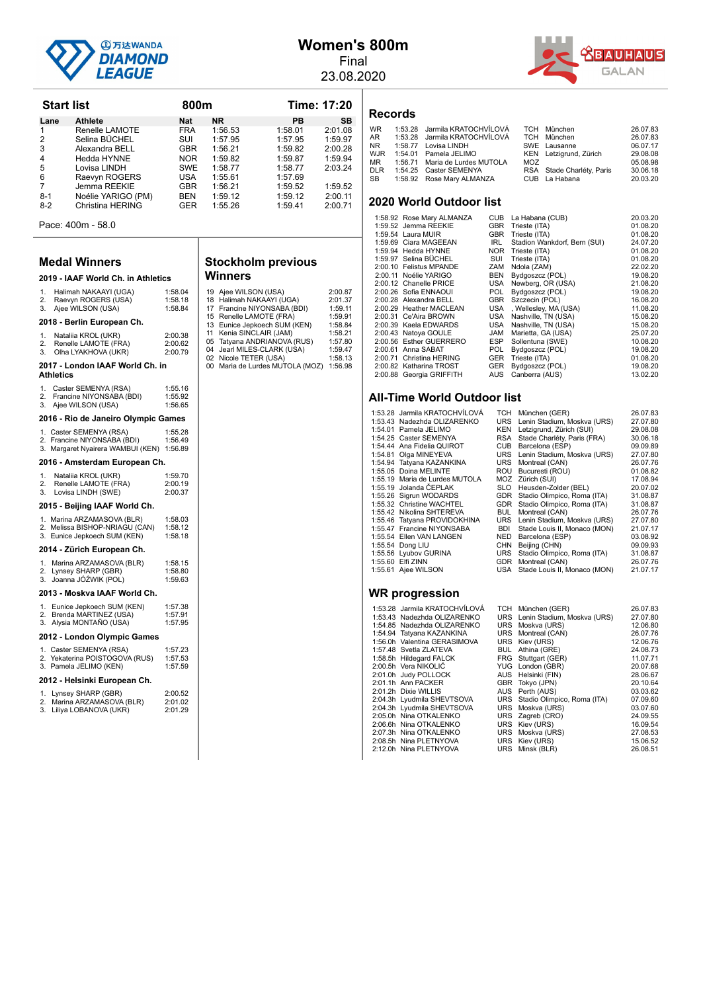

#### **Women's 800m** Final

23.08.2020



| <b>Start list</b> |                    | 800m       |           |         | Time: 17:20 |  |
|-------------------|--------------------|------------|-----------|---------|-------------|--|
| Lane              | <b>Athlete</b>     | <b>Nat</b> | <b>NR</b> | PB      | <b>SB</b>   |  |
| 1                 | Renelle LAMOTE     | <b>FRA</b> | 1:56.53   | 1:58.01 | 2:01.08     |  |
| 2                 | Selina BÜCHEL      | SUI        | 1:57.95   | 1:57.95 | 1:59.97     |  |
| 3                 | Alexandra BELL     | <b>GBR</b> | 1:56.21   | 1:59.82 | 2:00.28     |  |
| 4                 | Hedda HYNNE        | <b>NOR</b> | 1:59.82   | 1:59.87 | 1:59.94     |  |
| 5                 | Lovisa LINDH       | <b>SWE</b> | 1:58.77   | 1:58.77 | 2:03.24     |  |
| 6                 | Raevyn ROGERS      | <b>USA</b> | 1:55.61   | 1:57.69 |             |  |
| 7                 | Jemma REEKIE       | <b>GBR</b> | 1:56.21   | 1:59.52 | 1:59.52     |  |
| $8-1$             | Noélie YARIGO (PM) | <b>BEN</b> | 1:59.12   | 1:59.12 | 2:00.11     |  |
| $8-2$             | Christina HERING   | <b>GER</b> | 1:55.26   | 1:59.41 | 2:00.71     |  |
|                   |                    |            |           |         |             |  |

Pace: 400m - 58.0

#### **Medal Winners**

#### **2019 - IAAF World Ch. in Athletics**

| 1. | Halimah NAKAAYI (UGA)      | 1:58.04 |  |  |  |
|----|----------------------------|---------|--|--|--|
| 2. | Raevyn ROGERS (USA)        | 1:58.18 |  |  |  |
| 3. | Ajee WILSON (USA)          | 1:58.84 |  |  |  |
|    | 2018 - Berlin European Ch. |         |  |  |  |
| 1. | Nataliia KROL (UKR)        | 2:00.38 |  |  |  |
| 2. | Renelle LAMOTE (FRA)       | 2:00.62 |  |  |  |
| 3. | Olha LYAKHOVA (UKR)        | 2:00.79 |  |  |  |

#### **2017 - London IAAF World Ch. in Athletics**

| 2016 - Rio de Janeiro Olympic Games |                                                                          |  |  |  |
|-------------------------------------|--------------------------------------------------------------------------|--|--|--|
|                                     | 1:56.65                                                                  |  |  |  |
|                                     | 1:55.92                                                                  |  |  |  |
|                                     | 1:55.16                                                                  |  |  |  |
|                                     | Caster SEMENYA (RSA)<br>Francine NIYONSABA (BDI)<br>3. Ajee WILSON (USA) |  |  |  |

| .                                 |         |
|-----------------------------------|---------|
| 1. Caster SEMENYA (RSA)           | 1:55.28 |
| 2. Francine NIYONSABA (BDI)       | 1:56.49 |
| 3. Margaret Nyairera WAMBUI (KEN) | 1:56.89 |

#### **2016 - Amsterdam European Ch.**

|    | $2010$ , $101000$ , $0011$ $-01000$ |         |
|----|-------------------------------------|---------|
| 1. | Natalija KROL (UKR)                 | 1:59.70 |
| 2. | Renelle LAMOTE (FRA)                | 2:00.19 |
| 3. | Lovisa LINDH (SWE)                  | 2:00.37 |
|    |                                     |         |

#### 2015 - Beijing IAAF World Ch.

| 1.<br>2.<br>3.               | Marina ARZAMASOVA (BLR)<br>Melissa BISHOP-NRIAGU (CAN)<br>Eunice Jepkoech SUM (KEN) | 1:58.03<br>1:58.12<br>1:58.18 |  |  |
|------------------------------|-------------------------------------------------------------------------------------|-------------------------------|--|--|
|                              | 2014 - Zürich European Ch.                                                          |                               |  |  |
| 1.<br>2.<br>3.               | Marina ARZAMASOVA (BLR)<br>Lynsey SHARP (GBR)<br>Joanna JÓŹWIK (POL)                | 1:58.15<br>1:58.80<br>1:59.63 |  |  |
| 2013 - Moskva IAAF World Ch. |                                                                                     |                               |  |  |
| 3.                           | 1. Eunice Jepkoech SUM (KEN)<br>2. Brenda MARTINEZ (USA)<br>Alysia MONTAÑO (USA)    | 1:57.38<br>1:57.91<br>1:57.95 |  |  |
| 2012 - London Olympic Games  |                                                                                     |                               |  |  |
|                              | 1. Caster SEMENYA (RSA)<br>2. Yekaterina POISTOGOVA (RUS)<br>3. Pamela JELIMO (KEN) | 1:57.23<br>1:57.53<br>1:57.59 |  |  |

#### 2012 - Helsinki European Ch.

| 1 | <b>Lynsey SHARP (GRR)</b> |  |
|---|---------------------------|--|

| 2. Marina ARZAMASOVA (BLR) | 2:01.02 |
|----------------------------|---------|
| 3. Liliya LOBANOVA (UKR)   | 2:01.29 |

 $2.00.52$ 

#### **Stockholm previous Winners**

|  | 19 Ajee WILSON (USA)         | 2:00.87 |
|--|------------------------------|---------|
|  | 18 Halimah NAKAAYI (UGA)     | 2:01.37 |
|  | 17 Francine NIYONSABA (BDI)  | 1:59.11 |
|  | 15 Renelle LAMOTE (FRA)      | 1:59.91 |
|  | 13 Eunice Jepkoech SUM (KEN) | 1:58.84 |
|  | 11 Kenia SINCLAIR (JAM)      | 1:58.21 |
|  | 05 Tatyana ANDRIANOVA (RUS)  | 1:57.80 |
|  | 04 Jearl MILES-CLARK (USA)   | 1:59.47 |
|  | 02 Nicole TETER (USA)        | 1:58.13 |
|  |                              |         |

02 Nicole TETER (USA) 1:58.13<br>00  Maria de Lurdes MUTOLA (MOZ) 1:56.98

#### **Records**

#### WR 1:53.28 Jarmila KRATOCHVÍLOVÁ TCH München 26.07.83 4R 1:53.28 Jarmila KRATOCHVÍLOVÁ TCH München<br>NR 1:58.77 Lovisa LINDH 26.07.8300 SWE Lausanne NR 1:58.77 Lovisa LINDH SWE Lausanne 196.07.17<br>MR 1:58.77 Lovisa LINDH SWE Lausanne 06.07.17<br>MUR 1:54.01 Pamela IFILMO KEN Letzionund Zürich 29.08.08 WJR 1:54.01 Pamela JELIMO KEN Letzigrund, Zürich 29.08.08 wik 1:56.71 Maria de Lurdes MUTOLA MOZ<br>MR 1:56.71 Maria de Lurdes MUTOLA MOZ<br>DIR 1:54.25 Caster SEMENYA RSA Stade Charléty Paris 30.06.18 whit in the team of the control of the control of the control of the control of the control of the control of the control of the control of the control of the control of the control of the control of the control of the con Sasto: 52.02.02.03.2020

#### **2020 World Outdoor list**

|         | 1:58.92 Rose Mary ALMANZA | <b>CUB</b> | La Habana (CUB)              | 20.03.20 |
|---------|---------------------------|------------|------------------------------|----------|
|         | 1:59.52 Jemma REEKIE      | <b>GBR</b> | Trieste (ITA)                | 01.08.20 |
|         | 1:59.54 Laura MUIR        | <b>GBR</b> | Trieste (ITA)                | 01.08.20 |
|         | 1:59.69 Ciara MAGEEAN     | IRL.       | Stadion Wankdorf, Bern (SUI) | 24.07.20 |
|         | 1:59.94 Hedda HYNNE       | <b>NOR</b> | Trieste (ITA)                | 01.08.20 |
|         | 1:59.97 Selina BÜCHEL     | SUI        | Trieste (ITA)                | 01.08.20 |
|         | 2:00.10 Felistus MPANDE   | ZAM        | Ndola (ZAM)                  | 22.02.20 |
| 2:00.11 | Noélie YARIGO             | <b>BEN</b> | Bydgoszcz (POL)              | 19.08.20 |
|         | 2:00.12 Chanelle PRICE    | USA        | Newberg, OR (USA)            | 21.08.20 |
|         | 2:00.26 Sofia ENNAOUI     | POL.       | Bydgoszcz (POL)              | 19.08.20 |
|         | 2:00.28 Alexandra BELL    | <b>GBR</b> | Szczecin (POL)               | 16.08.20 |
|         | 2:00.29 Heather MACLEAN   | <b>USA</b> | , Wellesley, MA (USA)        | 11.08.20 |
|         | 2:00.31 Ce'Aira BROWN     | USA        | Nashville, TN (USA)          | 15.08.20 |
|         | 2:00.39 Kaela EDWARDS     | USA        | Nashville, TN (USA)          | 15.08.20 |
|         | 2:00.43 Natoya GOULE      | JAM        | Marietta, GA (USA)           | 25.07.20 |
|         | 2:00.56 Esther GUERRERO   | <b>ESP</b> | Sollentuna (SWE)             | 10.08.20 |
| 2:00.61 | Anna SABAT                | <b>POL</b> | Bydgoszcz (POL)              | 19.08.20 |
| 2:00.71 | Christina HERING          | <b>GER</b> | Trieste (ITA)                | 01.08.20 |
|         | 2:00.82 Katharina TROST   | <b>GER</b> | Bydgoszcz (POL)              | 19.08.20 |
|         | 2:00.88 Georgia GRIFFITH  | AUS        | Canberra (AUS)               | 13.02.20 |

#### **All-Time World Outdoor list**

|         | 1:53.28 Jarmila KRATOCHVÍLOVÁ  | <b>TCH</b> | München (GER)                | 26.07.83 |
|---------|--------------------------------|------------|------------------------------|----------|
|         | 1:53.43 Nadezhda OLIZARENKO    | <b>URS</b> | Lenin Stadium, Moskva (URS)  | 27.07.80 |
| 1:54.01 | Pamela JELIMO                  | <b>KEN</b> | Letzigrund, Zürich (SUI)     | 29.08.08 |
| 1:54.25 | Caster SEMENYA                 | <b>RSA</b> | Stade Charléty, Paris (FRA)  | 30.06.18 |
| 1:54.44 | Ana Fidelia QUIROT             | <b>CUB</b> | Barcelona (ESP)              | 09.09.89 |
| 1:54.81 | Olga MINEYEVA                  | <b>URS</b> | Lenin Stadium, Moskva (URS)  | 27.07.80 |
|         | 1:54.94 Tatvana KAZANKINA      | <b>URS</b> | Montreal (CAN)               | 26.07.76 |
|         | 1:55.05 Doina MELINTE          | ROU        | Bucuresti (ROU)              | 01.08.82 |
|         | 1:55.19 Maria de Lurdes MUTOLA | <b>MOZ</b> | Zürich (SUI)                 | 17.08.94 |
| 1:55.19 | Jolanda ČEPLAK                 | <b>SLO</b> | Heusden-Zolder (BEL)         | 20.07.02 |
|         | 1:55.26 Sigrun WODARDS         | <b>GDR</b> | Stadio Olimpico, Roma (ITA)  | 31.08.87 |
|         | 1:55.32 Christine WACHTEL      | <b>GDR</b> | Stadio Olimpico, Roma (ITA)  | 31.08.87 |
|         | 1:55.42 Nikolina SHTEREVA      | <b>BUL</b> | Montreal (CAN)               | 26.07.76 |
|         | 1:55.46 Tatyana PROVIDOKHINA   | <b>URS</b> | Lenin Stadium, Moskva (URS)  | 27.07.80 |
|         | 1:55.47 Francine NIYONSABA     | <b>BDI</b> | Stade Louis II, Monaco (MON) | 21.07.17 |
|         | 1:55.54 Ellen VAN LANGEN       | <b>NED</b> | Barcelona (ESP)              | 03.08.92 |
|         | 1:55.54 Dong LIU               | <b>CHN</b> | Beijing (CHN)                | 09.09.93 |
|         | 1:55.56 Lyubov GURINA          | <b>URS</b> | Stadio Olimpico, Roma (ITA)  | 31.08.87 |
|         | 1:55.60 Elfi ZINN              | <b>GDR</b> | Montreal (CAN)               | 26.07.76 |
|         | 1:55.61 Ajee WILSON            | USA        | Stade Louis II, Monaco (MON) | 21.07.17 |
|         |                                |            |                              |          |
|         |                                |            |                              |          |
|         | <b>WR</b> progression          |            |                              |          |
|         |                                |            |                              |          |

# 1:53.28 Jarmila KRATOCHVÍLOVÁ T<br>1:53.43 Nadezhda OLIZARENKO U 2:01.1h Allin Australia<br>2:01.2h Dixie WILLIS A<br>2:04.3h Lyudmila SHEVTSOVA U 2:06.6h Nina OTKALENKO U<br>2:07.3h Nina OTKALENKO URS Mos<br>2:08.5h Nina PLETNYOVA URS 2:08.5h Nina Directoric<br>2:08.5h Nina PLETNYOVA U<br>2:12.0b Nina PLETNYOVA U

| 1:53.28 Jarmila KRATOCHVÍLOVÁ<br>1:53.43 Nadezhda OLIZARENKO<br>1:54.85 Nadezhda OLIZARENKO<br>1:54.94 Tatyana KAZANKINA<br>1:56.0h Valentina GERASIMOVA<br>1:57.48 Svetla ZLATEVA<br>1:58.5h Hildegard FALCK<br>2:00.5h Vera NIKOLIĆ<br>2:01.0h Judy POLLOCK<br>2:01.1h Ann PACKER<br>2:01.2h Dixie WILLIS<br>2:04.3h Lyudmila SHEVTSOVA<br>2:04.3h Lyudmila SHEVTSOVA<br>2:05.0h Nina OTKALENKO<br>2:06.6h Nina OTKALENKO<br>2:07.3h Nina OTKALENKO | TCH München (GER)<br>URS Lenin Stadium, Moskva (URS)<br>URS Moskva (URS)<br>URS Montreal (CAN)<br>URS Kiev (URS)<br>BUL Athina (GRE)<br>FRG Stuttgart (GER)<br>YUG London (GBR)<br>AUS Helsinki (FIN)<br>GBR Tokyo (JPN)<br>AUS Perth (AUS)<br>URS Stadio Olimpico, Roma (ITA)<br>URS Moskva (URS)<br>URS Zagreb (CRO)<br>URS Kiev (URS)<br>URS Moskva (URS) | 26.07.83<br>27.07.80<br>12.06.80<br>26.07.76<br>12.06.76<br>24.08.73<br>11.07.71<br>20.07.68<br>28.06.67<br>20.10.64<br>03.03.62<br>07.09.60<br>03.07.60<br>24.09.55<br>16.09.54<br>27.08.53 |
|-------------------------------------------------------------------------------------------------------------------------------------------------------------------------------------------------------------------------------------------------------------------------------------------------------------------------------------------------------------------------------------------------------------------------------------------------------|--------------------------------------------------------------------------------------------------------------------------------------------------------------------------------------------------------------------------------------------------------------------------------------------------------------------------------------------------------------|----------------------------------------------------------------------------------------------------------------------------------------------------------------------------------------------|
|                                                                                                                                                                                                                                                                                                                                                                                                                                                       |                                                                                                                                                                                                                                                                                                                                                              |                                                                                                                                                                                              |
| 2:08.5h Nina PLETNYOVA                                                                                                                                                                                                                                                                                                                                                                                                                                | URS Kiev (URS)                                                                                                                                                                                                                                                                                                                                               | 15.06.52                                                                                                                                                                                     |
| 2:12.0h Nina PLETNYOVA                                                                                                                                                                                                                                                                                                                                                                                                                                | URS Minsk (BLR)                                                                                                                                                                                                                                                                                                                                              | 26.08.51                                                                                                                                                                                     |
|                                                                                                                                                                                                                                                                                                                                                                                                                                                       |                                                                                                                                                                                                                                                                                                                                                              |                                                                                                                                                                                              |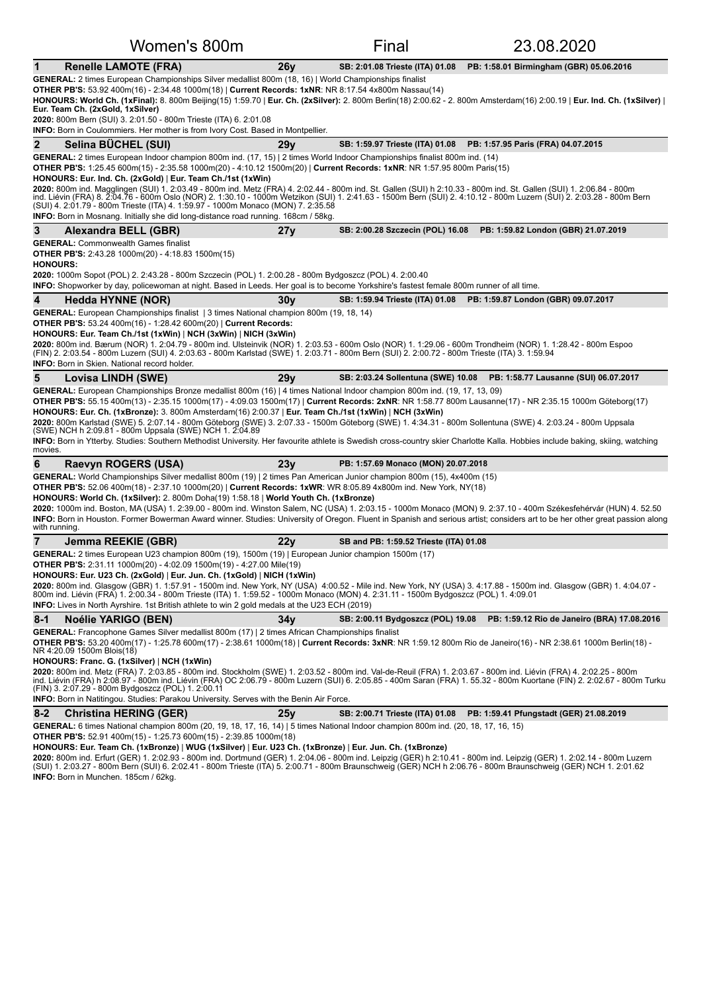|                 | Women's 800m                                                                                                                                                                                                                                                                                                                                                                                                                                                                                                                                                                                                                                                                                                                                                                                                                                          |                 | Final                                  | 23.08.2020                                  |  |  |  |
|-----------------|-------------------------------------------------------------------------------------------------------------------------------------------------------------------------------------------------------------------------------------------------------------------------------------------------------------------------------------------------------------------------------------------------------------------------------------------------------------------------------------------------------------------------------------------------------------------------------------------------------------------------------------------------------------------------------------------------------------------------------------------------------------------------------------------------------------------------------------------------------|-----------------|----------------------------------------|---------------------------------------------|--|--|--|
| $\mathbf 1$     | <b>Renelle LAMOTE (FRA)</b>                                                                                                                                                                                                                                                                                                                                                                                                                                                                                                                                                                                                                                                                                                                                                                                                                           | 26v             | SB: 2:01.08 Trieste (ITA) 01.08        | PB: 1:58.01 Birmingham (GBR) 05.06.2016     |  |  |  |
|                 | GENERAL: 2 times European Championships Silver medallist 800m (18, 16)   World Championships finalist<br>OTHER PB'S: 53.92 400m(16) - 2:34.48 1000m(18)   Current Records: 1xNR: NR 8:17.54 4x800m Nassau(14)<br>HONOURS: World Ch. (1xFinal): 8. 800m Beijing(15) 1:59.70   Eur. Ch. (2xSilver): 2. 800m Berlin(18) 2:00.62 - 2. 800m Amsterdam(16) 2:00.19   Eur. Ind. Ch. (1xSilver)  <br>Eur. Team Ch. (2xGold, 1xSilver)<br>2020: 800m Bern (SUI) 3. 2:01.50 - 800m Trieste (ITA) 6. 2:01.08<br><b>INFO:</b> Born in Coulommiers. Her mother is from Ivory Cost. Based in Montpellier.                                                                                                                                                                                                                                                           |                 |                                        |                                             |  |  |  |
| $\mathbf{2}$    | Selina BÜCHEL (SUI)                                                                                                                                                                                                                                                                                                                                                                                                                                                                                                                                                                                                                                                                                                                                                                                                                                   | 29y             | SB: 1:59.97 Trieste (ITA) 01.08        | PB: 1:57.95 Paris (FRA) 04.07.2015          |  |  |  |
|                 | GENERAL: 2 times European Indoor champion 800m ind. (17, 15) 2 times World Indoor Championships finalist 800m ind. (14)<br>OTHER PB'S: 1:25.45 600m(15) - 2:35.58 1000m(20) - 4:10.12 1500m(20)   Current Records: 1xNR: NR 1:57.95 800m Paris(15)<br>HONOURS: Eur. Ind. Ch. (2xGold)   Eur. Team Ch./1st (1xWin)<br>2020: 800m ind. Magglingen (SUI) 1. 2:03.49 - 800m ind. Metz (FRA) 4. 2:02.44 - 800m ind. St. Gallen (SUI) h 2:10.33 - 800m ind. St. Gallen (SUI) 1. 2:06.84 - 800m<br>ind. Liévin (FRA) 8. 2:04.76 - 600m Oslo (NOR) 2. 1:30.10 - 1000m Wetzikon (SUI) 1. 2:41.63 - 1500m Bern (SUI) 2. 4:10.12 - 800m Luzern (SUI) 2. 2:03.28 - 800m Bern<br>(SUI) 4. 2:01.79 - 800m Trieste (ITA) 4. 1:59.97 - 1000m Monaco (MON) 7. 2:35.58<br><b>INFO:</b> Born in Mosnang. Initially she did long-distance road running. 168cm / 58kg      |                 |                                        |                                             |  |  |  |
| 3               | Alexandra BELL (GBR)                                                                                                                                                                                                                                                                                                                                                                                                                                                                                                                                                                                                                                                                                                                                                                                                                                  | 27y             | SB: 2:00.28 Szczecin (POL) 16.08       | PB: 1:59.82 London (GBR) 21.07.2019         |  |  |  |
| <b>HONOURS:</b> | <b>GENERAL: Commonwealth Games finalist</b><br><b>OTHER PB'S:</b> 2:43.28 1000m(20) - 4:18.83 1500m(15)<br>2020: 1000m Sopot (POL) 2. 2:43.28 - 800m Szczecin (POL) 1. 2:00.28 - 800m Bydgoszcz (POL) 4. 2:00.40<br>INFO: Shopworker by day, policewoman at night. Based in Leeds. Her goal is to become Yorkshire's fastest female 800m runner of all time.                                                                                                                                                                                                                                                                                                                                                                                                                                                                                          |                 |                                        |                                             |  |  |  |
| 4               | <b>Hedda HYNNE (NOR)</b>                                                                                                                                                                                                                                                                                                                                                                                                                                                                                                                                                                                                                                                                                                                                                                                                                              | 30v             | SB: 1:59.94 Trieste (ITA) 01.08        | PB: 1:59.87 London (GBR) 09.07.2017         |  |  |  |
|                 | <b>GENERAL:</b> European Championships finalist   3 times National champion 800m (19, 18, 14)<br><b>OTHER PB'S:</b> 53.24 400m(16) - 1:28.42 600m(20)   Current Records:<br>HONOURS: Eur. Team Ch./1st (1xWin)   NCH (3xWin)   NICH (3xWin)<br>2020: 800m ind. Bærum (NOR) 1. 2:04.79 - 800m ind. Ulsteinvik (NOR) 1. 2:03.53 - 600m Oslo (NOR) 1. 1:29.06 - 600m Trondheim (NOR) 1. 1:28.42 - 800m Espoo<br>(FIN) 2. 2:03.54 - 800m Luzern (SUI) 4. 2:03.63 - 800m Karlstad (SWE) 1. 2:03.71 - 800m Bern (SUI) 2. 2:00.72 - 800m Trieste (ITA) 3. 1:59.94<br><b>INFO:</b> Born in Skien. National record holder.                                                                                                                                                                                                                                     |                 |                                        |                                             |  |  |  |
| 5               | Lovisa LINDH (SWE)                                                                                                                                                                                                                                                                                                                                                                                                                                                                                                                                                                                                                                                                                                                                                                                                                                    | 29 <sub>V</sub> | SB: 2:03.24 Sollentuna (SWE) 10.08     | PB: 1:58.77 Lausanne (SUI) 06.07.2017       |  |  |  |
| movies.         | GENERAL: European Championships Bronze medallist 800m (16)   4 times National Indoor champion 800m ind. (19, 17, 13, 09)<br>OTHER PB'S: 55.15 400m(13) - 2:35.15 1000m(17) - 4:09.03 1500m(17)   Current Records: 2xNR: NR 1:58.77 800m Lausanne(17) - NR 2:35.15 1000m Göteborg(17)<br>HONOURS: Eur. Ch. (1xBronze): 3. 800m Amsterdam(16) 2:00.37   Eur. Team Ch./1st (1xWin)   NCH (3xWin)<br>2020: 800m Karlstad (SWE) 5. 2:07.14 - 800m Göteborg (SWE) 3. 2:07.33 - 1500m Göteborg (SWE) 1. 4:34.31 - 800m Sollentuna (SWE) 4. 2:03.24 - 800m Uppsala<br>(SWE) NCH h 2:09.81 - 800m Uppsala (SWE) NCH 1. 2:04.89<br>INFO: Born in Ytterby. Studies: Southern Methodist University. Her favourite athlete is Swedish cross-country skier Charlotte Kalla. Hobbies include baking, skiing, watching                                                |                 |                                        |                                             |  |  |  |
| 6               | Raevyn ROGERS (USA)                                                                                                                                                                                                                                                                                                                                                                                                                                                                                                                                                                                                                                                                                                                                                                                                                                   | 23y             | PB: 1:57.69 Monaco (MON) 20.07.2018    |                                             |  |  |  |
| with running.   | GENERAL: World Championships Silver medallist 800m (19)   2 times Pan American Junior champion 800m (15), 4x400m (15)<br><b>OTHER PB'S:</b> 52.06 400m(18) - 2:37.10 1000m(20)   Current Records: 1xWR: WR 8:05.89 4x800m ind. New York, NY(18)<br>HONOURS: World Ch. (1xSilver): 2. 800m Doha(19) 1:58.18   World Youth Ch. (1xBronze)<br>2020: 1000m ind. Boston, MA (USA) 1. 2:39.00 - 800m ind. Winston Salem, NC (USA) 1. 2:03.15 - 1000m Monaco (MON) 9. 2:37.10 - 400m Székesfehérvár (HUN) 4. 52.50<br>INFO: Born in Houston. Former Bowerman Award winner. Studies: University of Oregon. Fluent in Spanish and serious artist; considers art to be her other great passion along                                                                                                                                                            |                 |                                        |                                             |  |  |  |
| $\overline{7}$  | Jemma REEKIE (GBR)                                                                                                                                                                                                                                                                                                                                                                                                                                                                                                                                                                                                                                                                                                                                                                                                                                    | 22y             | SB and PB: 1:59.52 Trieste (ITA) 01.08 |                                             |  |  |  |
|                 | GENERAL: 2 times European U23 champion 800m (19), 1500m (19)   European Junior champion 1500m (17)<br>OTHER PB'S: 2:31.11 1000m(20) - 4:02.09 1500m(19) - 4:27.00 Mile(19)<br>HONOURS: Eur. U23 Ch. (2xGold)   Eur. Jun. Ch. (1xGold)   NICH (1xWin)<br>2020: 800m ind. Glasgow (GBR) 1. 1:57.91 - 1500m ind. New York, NY (USA) 4:00.52 - Mile ind. New York, NY (USA) 3. 4:17.88 - 1500m ind. Glasgow (GBR) 1. 4:04.07 -<br>800m ind. Liévin (FRA) 1. 2:00.34 - 800m Trieste (ITA) 1. 1:59.52 - 1000m Monaco (MON) 4. 2:31.11 - 1500m Bydgoszcz (POL) 1. 4:09.01<br><b>INFO:</b> Lives in North Ayrshire. 1st British athlete to win 2 gold medals at the U23 ECH (2019)                                                                                                                                                                            |                 |                                        |                                             |  |  |  |
| $8 - 1$         | <b>Noélie YARIGO (BEN)</b>                                                                                                                                                                                                                                                                                                                                                                                                                                                                                                                                                                                                                                                                                                                                                                                                                            | 34y             | SB: 2:00.11 Bydgoszcz (POL) 19.08      | PB: 1:59.12 Rio de Janeiro (BRA) 17.08.2016 |  |  |  |
|                 | GENERAL: Francophone Games Silver medallist 800m (17)   2 times African Championships finalist<br>OTHER PB'S: 53.20 400m(17) - 1:25.78 600m(17) - 2:38.61 1000m(18)   Current Records: 3xNR: NR 1:59.12 800m Rio de Janeiro(16) - NR 2:38.61 1000m Berlin(18) -<br>NR 4:20.09 1500m Blois(18)<br>HONOURS: Franc. G. (1xSilver)   NCH (1xWin)<br>2020: 800m ind. Metz (FRA) 7. 2:03.85 - 800m ind. Stockholm (SWE) 1. 2:03.52 - 800m ind. Val-de-Reuil (FRA) 1. 2:03.67 - 800m ind. Liévin (FRA) 4. 2:02.25 - 800m<br>ind. Liévin (FRA) h 2:08.97 - 800m ind. Liévin (FRA) OC 2:06.79 - 800m Luzern (SUI) 6. 2:05.85 - 400m Saran (FRA) 1. 55.32 - 800m Kuortane (FIN) 2. 2:02.67 - 800m Turku<br>(FIN) 3. 2:07.29 - 800m Bydgoszcz (POL) 1. 2:00.11<br><b>INFO:</b> Born in Natitingou. Studies: Parakou University. Serves with the Benin Air Force. |                 |                                        |                                             |  |  |  |
| $8 - 2$         |                                                                                                                                                                                                                                                                                                                                                                                                                                                                                                                                                                                                                                                                                                                                                                                                                                                       |                 |                                        |                                             |  |  |  |
|                 | <b>Christina HERING (GER)</b><br>GENERAL: 6 times National champion 800m (20, 19, 18, 17, 16, 14)   5 times National Indoor champion 800m ind. (20, 18, 17, 16, 15)<br><b>OTHER PB'S:</b> 52.91 400m(15) - 1:25.73 600m(15) - 2:39.85 1000m(18)<br>HONOURS: Eur. Team Ch. (1xBronze)   WUG (1xSilver)   Eur. U23 Ch. (1xBronze)   Eur. Jun. Ch. (1xBronze)<br>2020: 800m ind. Erfurt (GER) 1. 2:02.93 - 800m ind. Dortmund (GER) 1. 2:04.06 - 800m ind. Leipzig (GER) h 2:10.41 - 800m ind. Leipzig (GER) 1. 2:02.14 - 800m Luzern<br>(SUI) 1. 2:03.27 - 800m Bern (SUI) 6. 2:02.41 - 800m Trieste (ITA) 5. 2:00.71 - 800m Braunschweig (GER) NCH h 2:06.76 - 800m Braunschweig (GER) NCH 1. 2:01.62<br>INFO: Born in Munchen. 185cm / 62kg.                                                                                                          | 25y             | SB: 2:00.71 Trieste (ITA) 01.08        | PB: 1:59.41 Pfungstadt (GER) 21.08.2019     |  |  |  |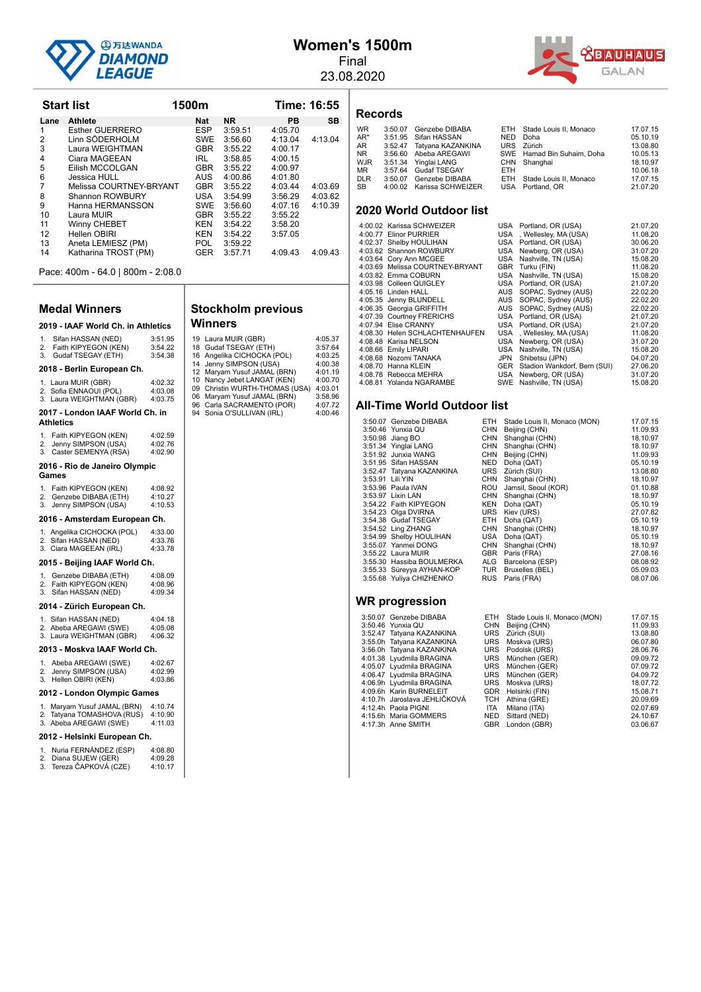

#### **Women's 1500m** Final

23.08.2020



**Start list 1500m Time: 16:55** 

| Records |
|---------|
|---------|

| <b>WR</b>  | 3:50.07 Genzebe DIBABA    |      | ETH Stade Louis II. Monaco | 17.07.15 |
|------------|---------------------------|------|----------------------------|----------|
| AR*        | 3:51.95 Sifan HASSAN      | NED  | Doha                       | 05.10.19 |
| AR         | 3:52.47 Tatyana KAZANKINA |      | URS Zürich                 | 13.08.80 |
| NR         | 3:56.60 Abeba AREGAWI     |      | SWE Hamad Bin Suhaim, Doha | 10.05.13 |
| WJR        | 3:51.34 Yinglai LANG      |      | CHN Shanghai               | 18.10.97 |
| ΜR         | 3:57.64 Gudaf TSEGAY      | ETH. |                            | 10.06.18 |
| <b>DLR</b> | 3:50.07 Genzebe DIBABA    |      | ETH Stade Louis II. Monaco | 17.07.15 |
| SB         | 4:00.02 Karissa SCHWEIZER |      | USA Portland, OR           | 21.07.20 |
|            |                           |      |                            |          |

#### **2020 World Outdoor list**

| 4:00.02 Karissa SCHWEIZER       |     | USA Portland, OR (USA)           | 21.07.20 |
|---------------------------------|-----|----------------------------------|----------|
| 4:00.77 Elinor PURRIER          |     | USA, Wellesley, MA (USA)         | 11.08.20 |
| 4:02.37 Shelby HOULIHAN         |     | USA Portland, OR (USA)           | 30.06.20 |
| 4:03.62 Shannon ROWBURY         |     | USA Newberg, OR (USA)            | 31.07.20 |
| 4:03.64 Cory Ann MCGEE          |     | USA Nashville, TN (USA)          | 15.08.20 |
| 4:03.69 Melissa COURTNEY-BRYANT |     | GBR Turku (FIN)                  | 11.08.20 |
| 4:03.82 Emma COBURN             |     | USA Nashville, TN (USA)          | 15.08.20 |
| 4:03.98 Colleen QUIGLEY         |     | USA Portland, OR (USA)           | 21.07.20 |
| 4:05.16 Linden HALL             |     | AUS SOPAC, Sydney (AUS)          | 22.02.20 |
| 4:05.35 Jenny BLUNDELL          |     | AUS SOPAC, Sydney (AUS)          | 22.02.20 |
| 4:06.35 Georgia GRIFFITH        |     | AUS SOPAC, Sydney (AUS)          | 22.02.20 |
| 4:07.39 Courtney FRERICHS       |     | USA Portland, OR (USA)           | 21.07.20 |
| 4:07.94 Elise CRANNY            |     | USA Portland, OR (USA)           | 21.07.20 |
| 4:08.30 Helen SCHLACHTENHAUFEN  | USA | , Wellesley, MA (USA)            | 11.08.20 |
| 4:08.48 Karisa NELSON           | USA | Newberg, OR (USA)                | 31.07.20 |
| 4:08.66 Emily LIPARI            | USA | Nashville, TN (USA)              | 15.08.20 |
| 4:08.68 Nozomi TANAKA           | JPN | Shibetsu (JPN)                   | 04.07.20 |
| 4:08.70 Hanna KLEIN             |     | GER Stadion Wankdorf, Bern (SUI) | 27.06.20 |
| 4:08.78 Rebecca MEHRA           |     | USA Newberg, OR (USA)            | 31.07.20 |
| 4:08.81 Yolanda NGARAMBE        | SWE | Nashville, TN (USA)              | 15.08.20 |
|                                 |     |                                  |          |

#### **All-Time World Outdoor list**

| 3:50.07 Genzebe DIBABA    | ETH        | Stade Louis II, Monaco (MON) | 17.07.15 |
|---------------------------|------------|------------------------------|----------|
| 3:50.46 Yunxia QU         | CHN        | Beijing (CHN)                | 11.09.93 |
| 3:50.98 Jiang BO          | CHN        | Shanghai (CHN)               | 18.10.97 |
| 3:51.34 Yinglai LANG      | CHN        | Shanghai (CHN)               | 18.10.97 |
| 3:51.92 Junxia WANG       | CHN        | Beijing (CHN)                | 11.09.93 |
| 3:51.95 Sifan HASSAN      | NED        | Doha (QAT)                   | 05.10.19 |
| 3:52.47 Tatyana KAZANKINA | URS        | Zürich (SUI)                 | 13.08.80 |
| 3:53.91 Lili YIN          | CHN        | Shanghai (CHN)               | 18.10.97 |
| 3:53.96 Paula IVAN        | ROU        | Jamsil, Seoul (KOR)          | 01.10.88 |
| 3:53.97 Lixin LAN         | CHN        | Shanghai (CHN)               | 18.10.97 |
| 3:54.22 Faith KIPYEGON    | KEN        | Doha (QAT)                   | 05.10.19 |
| 3:54.23 Olga DVIRNA       | URS        | Kiev (URS)                   | 27.07.82 |
| 3:54.38 Gudaf TSEGAY      | ETH        | Doha (QAT)                   | 05.10.19 |
| 3:54.52 Ling ZHANG        | CHN        | Shanghai (CHN)               | 18.10.97 |
| 3:54.99 Shelby HOULIHAN   | USA        | Doha (QAT)                   | 05.10.19 |
| 3:55.07 Yanmei DONG       | CHN        | Shanghai (CHN)               | 18.10.97 |
| 3:55.22 Laura MUIR        | GBR        | Paris (FRA)                  | 27.08.16 |
| 3:55.30 Hassiba BOULMERKA | ALG        | Barcelona (ESP)              | 08.08.92 |
| 3:55.33 Süreyya AYHAN-KOP |            | TUR Bruxelles (BEL)          | 05.09.03 |
| 3:55.68 Yuliya CHIZHENKO  | <b>RUS</b> | Paris (FRA)                  | 08.07.06 |
| <b>WR</b> progression     |            |                              |          |
|                           |            |                              |          |
| 3:50.07 Genzebe DIBABA    | ETH        | Stade Louis II, Monaco (MON) | 17.07.15 |
| 3:50.46 Yunxia QU         | <b>CHN</b> | Beijing (CHN)                | 11.09.93 |

| יישייש שטטבונטט ויט.          |     |                    | .        |
|-------------------------------|-----|--------------------|----------|
| 3:50.46 Yunxia QU             |     | CHN Beijing (CHN)  | 11.09.93 |
| 3:52.47 Tatyana KAZANKINA     |     | URS Zürich (SUI)   | 13.08.80 |
| 3:55.0h Tatyana KAZANKINA     |     | URS Moskva (URS)   | 06.07.80 |
| 3:56.0h Tatyana KAZANKINA     |     | URS Podolsk (URS)  | 28.06.76 |
| 4:01.38 Lyudmila BRAGINA      |     | URS München (GER)  | 09.09.72 |
| 4:05.07 Lyudmila BRAGINA      |     | URS München (GER)  | 07.09.72 |
| 4:06.47 Lyudmila BRAGINA      |     | URS München (GER)  | 04.09.72 |
| 4:06.9h Lyudmila BRAGINA      |     | URS Moskva (URS)   | 18.07.72 |
| 4:09.6h Karin BURNELEIT       |     | GDR Helsinki (FIN) | 15.08.71 |
| 4:10.7h  Jaroslava JEHLIČKOVÁ |     | TCH Athina (GRE)   | 20.09.69 |
| 4:12.4h Paola PIGNI           | ITA | Milano (ITA)       | 02.07.69 |
| 4:15.6h Maria GOMMERS         |     | NED Sittard (NED)  | 24.10.67 |
| 4:17.3h Anne SMITH            |     | GBR London (GBR)   | 03.06.67 |

| Lane | Athlete                 | Nat        | NR.     | РB      | SВ      |
|------|-------------------------|------------|---------|---------|---------|
| 1    | Esther GUERRERO         | <b>ESP</b> | 3:59.51 | 4:05.70 |         |
| 2    | Linn SÖDERHOLM          | <b>SWE</b> | 3:56.60 | 4:13.04 | 4:13.04 |
| 3    | Laura WEIGHTMAN         | <b>GBR</b> | 3:55.22 | 4:00.17 |         |
| 4    | Ciara MAGEEAN           | IRL.       | 3:58.85 | 4:00.15 |         |
| 5    | Eilish MCCOLGAN         | <b>GBR</b> | 3:55.22 | 4:00.97 |         |
| 6    | Jessica HULL            | AUS.       | 4:00.86 | 4:01.80 |         |
| 7    | Melissa COURTNEY-BRYANT | <b>GBR</b> | 3:55.22 | 4:03.44 | 4:03.69 |
| 8    | Shannon ROWBURY         | <b>USA</b> | 3:54.99 | 3:56.29 | 4:03.62 |
| 9    | Hanna HERMANSSON        | SWE        | 3:56.60 | 4:07.16 | 4:10.39 |
| 10   | Laura MUIR              | <b>GBR</b> | 3:55.22 | 3:55.22 |         |
| 11   | Winny CHEBET            | KEN        | 3:54.22 | 3:58.20 |         |
| 12   | Hellen OBIRI            | <b>KEN</b> | 3:54.22 | 3:57.05 |         |
| 13   | Aneta LEMIESZ (PM)      | POL.       | 3:59.22 |         |         |
| 14   | Katharina TROST (PM)    | <b>GER</b> | 3:57.71 | 4:09.43 | 4:09.43 |
|      |                         |            |         |         |         |

Pace: 400m - 64.0 | 800m - 2:08.0

#### **Medal Winners**

|                         | 2019 - IAAF World Ch. in Athletics                                          |                               |  |  |  |
|-------------------------|-----------------------------------------------------------------------------|-------------------------------|--|--|--|
| 1.<br>2.<br>3.          | Sifan HASSAN (NED)<br>Faith KIPYEGON (KEN)<br>Gudaf TSEGAY (ETH)            | 3:51.95<br>3:54.22<br>3:54.38 |  |  |  |
|                         | 2018 - Berlin European Ch.                                                  |                               |  |  |  |
| 2.<br>3.                | 1. Laura MUIR (GBR)<br>Sofia ENNAOUI (POL)<br>Laura WEIGHTMAN (GBR)         | 4:02.32<br>4:03.08<br>4:03.75 |  |  |  |
|                         | 2017 - London IAAF World Ch. in<br><b>Athletics</b>                         |                               |  |  |  |
| 1.<br>2.<br>3.          | Faith KIPYEGON (KEN)<br>Jenny SIMPSON (USA)<br>Caster SEMENYA (RSA)         | 4:02.59<br>4:02.76<br>4:02.90 |  |  |  |
|                         | 2016 - Rio de Janeiro Olympic<br>Games                                      |                               |  |  |  |
| $1_{\cdot}$<br>2.<br>3. | Faith KIPYEGON (KEN)<br>Genzebe DIBABA (ETH)<br>Jenny SIMPSON (USA)         | 4:08.92<br>4:10.27<br>4:10.53 |  |  |  |
|                         | 2016 - Amsterdam European Ch.                                               |                               |  |  |  |
| 2.                      | 1. Angelika CICHOCKA (POL)<br>Sifan HASSAN (NED)<br>3. Ciara MAGEEAN (IRL)  | 4:33.00<br>4:33.76<br>4:33.78 |  |  |  |
|                         | 2015 - Beijing IAAF World Ch.                                               |                               |  |  |  |
| 1.<br>2.<br>3.          | Genzebe DIBABA (ETH)<br>Faith KIPYEGON (KEN)<br>Sifan HASSAN (NED)          | 4:08.09<br>4:08.96<br>4:09.34 |  |  |  |
|                         | 2014 - Zürich European Ch.                                                  |                               |  |  |  |
|                         | 1. Sifan HASSAN (NED)<br>2. Abeba AREGAWI (SWE)<br>3. Laura WEIGHTMAN (GBR) | 4:04.18<br>4:05.08<br>4:06.32 |  |  |  |
|                         | 2013 - Moskva IAAF World Ch.                                                |                               |  |  |  |
| 1.                      | Abeba AREGAWI (SWE)                                                         | 4:02.67                       |  |  |  |

| $\ldots$ , $\omega$ ssa , $\ldots$ $\omega$ , $\omega$ | .       |
|--------------------------------------------------------|---------|
| 2. Jenny SIMPSON (USA)                                 | 4:02.99 |
| 3. Hellen OBIRI (KEN)                                  | 4:03.86 |
|                                                        |         |

#### **2012 - London Olympic Games**

| 2012 - Helsinki European Ch. |                                                      |                    |  |  |
|------------------------------|------------------------------------------------------|--------------------|--|--|
|                              | 2. Tatyana TOMASHOVA (RUS)<br>3. Abeba AREGAWI (SWE) | 4:10.90<br>4:11.03 |  |  |
| 1.                           | Maryam Yusuf JAMAL (BRN)                             | 4:10.74            |  |  |

| 1. Nuria FERNÁNDEZ (ESP) | 4:08.80 |
|--------------------------|---------|
| 2. Diana SUJEW (GER)     | 4:09.28 |
| 3. Tereza ČAPKOVÁ (CZE)  | 4:10.17 |

| <b>Stockholm previous</b> |                       |  |  |  |
|---------------------------|-----------------------|--|--|--|
| <b>Winners</b>            |                       |  |  |  |
|                           | 19 Laura MUIR (GBR)   |  |  |  |
|                           | 18 Gudaf TSEGAY (ETH) |  |  |  |

|    | 19 Laura MUIR (GBR)            | 4:05.37 |
|----|--------------------------------|---------|
|    | 18 Gudaf TSEGAY (ETH)          | 3:57.64 |
|    | 16 Angelika CICHOCKA (POL)     | 4:03.25 |
|    | 14 Jenny SIMPSON (USA)         | 4:00.38 |
|    | 12 Maryam Yusuf JAMAL (BRN)    | 4:01.19 |
|    | 10 Nancy Jebet LANGAT (KEN)    | 4:00.70 |
|    | 09 Christin WURTH-THOMAS (USA) | 4:03.01 |
|    | 06 Maryam Yusuf JAMAL (BRN)    | 3:58.96 |
| 96 | Carla SACRAMENTO (POR)         | 4:07.72 |

94 Sonia O'SULLIVAN (IRL) 4:00.46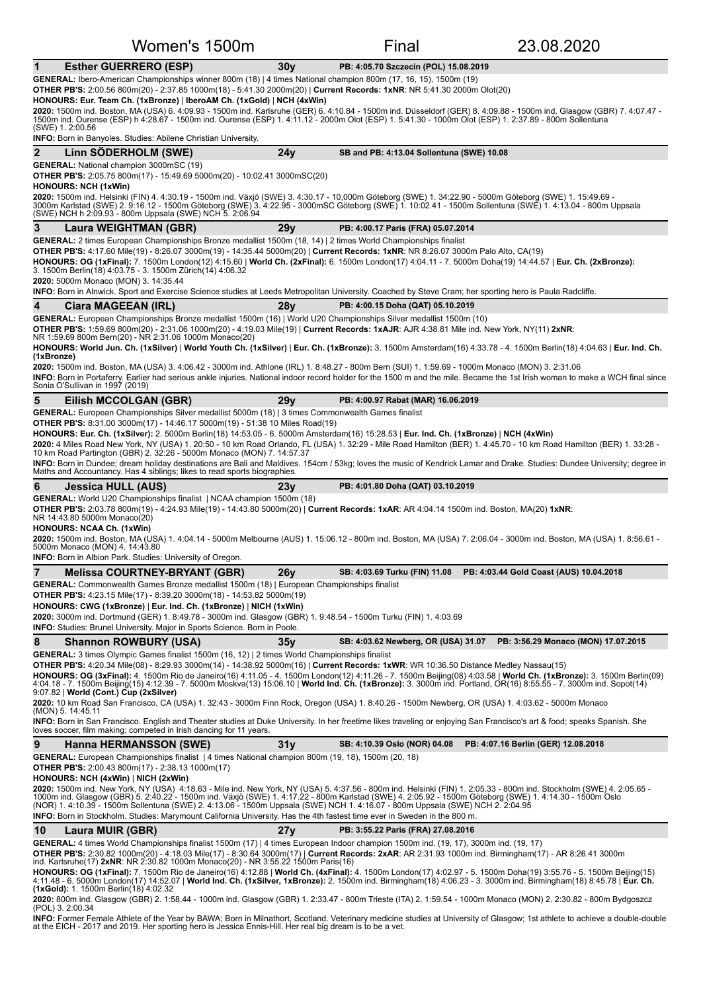| Women's 1500m                                                                                                                                                                                                                                                                                                                                                                                                                                                                                                                                                                               |                 | Final                                     | 23.08.2020                                                               |  |  |  |
|---------------------------------------------------------------------------------------------------------------------------------------------------------------------------------------------------------------------------------------------------------------------------------------------------------------------------------------------------------------------------------------------------------------------------------------------------------------------------------------------------------------------------------------------------------------------------------------------|-----------------|-------------------------------------------|--------------------------------------------------------------------------|--|--|--|
| $\mathbf 1$<br><b>Esther GUERRERO (ESP)</b>                                                                                                                                                                                                                                                                                                                                                                                                                                                                                                                                                 | 30 <sub>V</sub> | PB: 4:05.70 Szczecin (POL) 15.08.2019     |                                                                          |  |  |  |
| GENERAL: Ibero-American Championships winner 800m (18)   4 times National champion 800m (17, 16, 15), 1500m (19)<br><b>OTHER PB'S:</b> 2:00.56 800m(20) - 2:37.85 1000m(18) - 5:41.30 2000m(20)   Current Records: 1xNR: NR 5:41.30 2000m Olot(20)                                                                                                                                                                                                                                                                                                                                          |                 |                                           |                                                                          |  |  |  |
| HONOURS: Eur. Team Ch. (1xBronze)   IberoAM Ch. (1xGold)   NCH (4xWin)                                                                                                                                                                                                                                                                                                                                                                                                                                                                                                                      |                 |                                           |                                                                          |  |  |  |
| 2020: 1500m ind. Boston, MA (USA) 6. 4:09.93 - 1500m ind. Karlsruhe (GER) 6. 4:10.84 - 1500m ind. Düsseldorf (GER) 8. 4:09.88 - 1500m ind. Glasgow (GBR) 7. 4:07.47 -<br>1500m ind. Ourense (ESP) h 4:28.67 - 1500m ind. Ourense (ESP) 1. 4:11.12 - 2000m Olot (ESP) 1. 5:41.30 - 1000m Olot (ESP) 1. 2:37.89 - 800m Sollentuna                                                                                                                                                                                                                                                             |                 |                                           |                                                                          |  |  |  |
| (SWE) 1.2:00.56<br><b>INFO:</b> Born in Banyoles. Studies: Abilene Christian University.                                                                                                                                                                                                                                                                                                                                                                                                                                                                                                    |                 |                                           |                                                                          |  |  |  |
| $\overline{2}$<br>Linn SÖDERHOLM (SWE)                                                                                                                                                                                                                                                                                                                                                                                                                                                                                                                                                      | 24y             | SB and PB: 4:13.04 Sollentuna (SWE) 10.08 |                                                                          |  |  |  |
| <b>GENERAL:</b> National champion 3000mSC (19)<br><b>OTHER PB'S:</b> 2:05.75 800m(17) - 15:49.69 5000m(20) - 10:02.41 3000mSC(20)                                                                                                                                                                                                                                                                                                                                                                                                                                                           |                 |                                           |                                                                          |  |  |  |
| <b>HONOURS: NCH (1xWin)</b>                                                                                                                                                                                                                                                                                                                                                                                                                                                                                                                                                                 |                 |                                           |                                                                          |  |  |  |
| 2020: 1500m ind. Helsinki (FIN) 4. 4:30.19 - 1500m ind. Växjö (SWE) 3. 4:30.17 - 10,000m Göteborg (SWE) 1. 34:22.90 - 5000m Göteborg (SWE) 1. 15:49.69 -<br>3000m Karlstad (SWE) 2. 9:16.12 - 1500m Göteborg (SWE) 3. 4:22.95 - 3000mSC Göteborg (SWE) 1. 10:02.41 - 1500m Sollentuna (SWE) 1. 4:13.04 - 800m Uppsala<br>(SWE) NCH h 2:09.93 - 800m Uppsala (SWE) NCH 5. 2:06.94                                                                                                                                                                                                            |                 |                                           |                                                                          |  |  |  |
| 3<br>Laura WEIGHTMAN (GBR)<br>GENERAL: 2 times European Championships Bronze medallist 1500m (18, 14)   2 times World Championships finalist                                                                                                                                                                                                                                                                                                                                                                                                                                                | 29 v            | PB: 4:00.17 Paris (FRA) 05.07.2014        |                                                                          |  |  |  |
| <b>OTHER PB'S:</b> 4:17.60 Mile(19) - 8:26.07 3000m(19) - 14:35.44 5000m(20)   Current Records: 1xNR: NR 8:26.07 3000m Palo Alto, CA(19)<br>HONOURS: OG (1xFinal): 7. 1500m London(12) 4:15.60   World Ch. (2xFinal): 6. 1500m London(17) 4:04.11 - 7. 5000m Doha(19) 14:44.57   Eur. Ch. (2xBronze):<br>3. 1500m Berlin(18) 4:03.75 - 3. 1500m Zürich(14) 4:06.32<br>2020: 5000m Monaco (MON) 3. 14:35.44                                                                                                                                                                                  |                 |                                           |                                                                          |  |  |  |
| <b>INFO:</b> Born in Alnwick. Sport and Exercise Science studies at Leeds Metropolitan University. Coached by Steve Cram; her sporting hero is Paula Radcliffe.<br>4<br>Ciara MAGEEAN (IRL)                                                                                                                                                                                                                                                                                                                                                                                                 | 28v             | PB: 4:00.15 Doha (QAT) 05.10.2019         |                                                                          |  |  |  |
| GENERAL: European Championships Bronze medallist 1500m (16)   World U20 Championships Silver medallist 1500m (10)                                                                                                                                                                                                                                                                                                                                                                                                                                                                           |                 |                                           |                                                                          |  |  |  |
| OTHER PB'S: 1:59.69 800m(20) - 2:31.06 1000m(20) - 4:19.03 Mile(19)   Current Records: 1xAJR: AJR 4:38.81 Mile ind. New York, NY(11) 2xNR:<br>NR 1:59.69 800m Bern(20) - NR 2:31.06 1000m Monaco(20)                                                                                                                                                                                                                                                                                                                                                                                        |                 |                                           |                                                                          |  |  |  |
| HONOURS: World Jun. Ch. (1xSilver)   World Youth Ch. (1xSilver)   Eur. Ch. (1xBronze): 3. 1500m Amsterdam(16) 4:33.78 - 4. 1500m Berlin(18) 4:04.63   Eur. Ind. Ch.<br>(1xBronze)                                                                                                                                                                                                                                                                                                                                                                                                           |                 |                                           |                                                                          |  |  |  |
| 2020: 1500m ind. Boston, MA (USA) 3. 4:06.42 - 3000m ind. Athlone (IRL) 1. 8:48.27 - 800m Bern (SUI) 1. 1:59.69 - 1000m Monaco (MON) 3. 2:31.06<br>INFO: Born in Portaferry. Earlier had serious ankle injuries. National indoor record holder for the 1500 m and the mile. Became the 1st Irish woman to make a WCH final since<br>Sonia O'Sullivan in 1997 (2019)                                                                                                                                                                                                                         |                 |                                           |                                                                          |  |  |  |
| 5<br>Eilish MCCOLGAN (GBR)                                                                                                                                                                                                                                                                                                                                                                                                                                                                                                                                                                  | 29y             | PB: 4:00.97 Rabat (MAR) 16.06.2019        |                                                                          |  |  |  |
| <b>GENERAL:</b> European Championships Silver medallist 5000m (18)   3 times Commonwealth Games finalist                                                                                                                                                                                                                                                                                                                                                                                                                                                                                    |                 |                                           |                                                                          |  |  |  |
| <b>OTHER PB'S:</b> 8:31.00 3000m(17) - 14:46.17 5000m(19) - 51:38 10 Miles Road(19)<br>HONOURS: Eur. Ch. (1xSilver): 2. 5000m Berlin(18) 14:53.05 - 6. 5000m Amsterdam(16) 15:28.53   Eur. Ind. Ch. (1xBronze)   NCH (4xWin)<br>2020: 4 Miles Road New York, NY (USA) 1. 20:50 - 10 km Road Orlando, FL (USA) 1. 32:29 - Mile Road Hamilton (BER) 1. 4:45.70 - 10 km Road Hamilton (BER) 1. 33:28 -                                                                                                                                                                                         |                 |                                           |                                                                          |  |  |  |
| 10 km Road Partington (GBR) 2. 32:26 - 5000m Monaco (MON) 7. 14:57.37<br>INFO: Born in Dundee; dream holiday destinations are Bali and Maldives. 154cm / 53kg; loves the music of Kendrick Lamar and Drake. Studies: Dundee University; degree in<br>Maths and Accountancy. Has 4 siblings; likes to read sports biographies.                                                                                                                                                                                                                                                               |                 |                                           |                                                                          |  |  |  |
| 6<br><b>Jessica HULL (AUS)</b>                                                                                                                                                                                                                                                                                                                                                                                                                                                                                                                                                              | 23y             | PB: 4:01.80 Doha (QAT) 03.10.2019         |                                                                          |  |  |  |
| <b>GENERAL:</b> World U20 Championships finalist   NCAA champion 1500m (18)                                                                                                                                                                                                                                                                                                                                                                                                                                                                                                                 |                 |                                           |                                                                          |  |  |  |
| OTHER PB'S: 2:03.78 800m(19) - 4:24.93 Mile(19) - 14:43.80 5000m(20)   Current Records: 1xAR: AR 4:04.14 1500m ind. Boston, MA(20) 1xNR:<br>NR 14:43.80 5000m Monaco(20)                                                                                                                                                                                                                                                                                                                                                                                                                    |                 |                                           |                                                                          |  |  |  |
| <b>HONOURS: NCAA Ch. (1xWin)</b><br>2020: 1500m ind. Boston, MA (USA) 1. 4:04.14 - 5000m Melbourne (AUS) 1. 15:06.12 - 800m ind. Boston, MA (USA) 7. 2:06.04 - 3000m ind. Boston, MA (USA) 1. 8:56.61 -                                                                                                                                                                                                                                                                                                                                                                                     |                 |                                           |                                                                          |  |  |  |
| 5000m Monaco (MON) 4. 14:43.80<br><b>INFO:</b> Born in Albion Park. Studies: University of Oregon.                                                                                                                                                                                                                                                                                                                                                                                                                                                                                          |                 |                                           |                                                                          |  |  |  |
| 7<br><b>Melissa COURTNEY-BRYANT (GBR)</b>                                                                                                                                                                                                                                                                                                                                                                                                                                                                                                                                                   | 26y             |                                           | SB: 4:03.69 Turku (FIN) 11.08    PB: 4:03.44 Gold Coast (AUS) 10.04.2018 |  |  |  |
| <b>GENERAL:</b> Commonwealth Games Bronze medallist 1500m (18)   European Championships finalist<br><b>OTHER PB'S:</b> 4:23.15 Mile(17) - 8:39.20 3000m(18) - 14:53.82 5000m(19)                                                                                                                                                                                                                                                                                                                                                                                                            |                 |                                           |                                                                          |  |  |  |
| HONOURS: CWG (1xBronze)   Eur. Ind. Ch. (1xBronze)   NICH (1xWin)                                                                                                                                                                                                                                                                                                                                                                                                                                                                                                                           |                 |                                           |                                                                          |  |  |  |
| 2020: 3000m ind. Dortmund (GER) 1. 8:49.78 - 3000m ind. Glasgow (GBR) 1. 9:48.54 - 1500m Turku (FIN) 1. 4:03.69<br>INFO: Studies: Brunel University. Major in Sports Science. Born in Poole.                                                                                                                                                                                                                                                                                                                                                                                                |                 |                                           |                                                                          |  |  |  |
| 8<br><b>Shannon ROWBURY (USA)</b>                                                                                                                                                                                                                                                                                                                                                                                                                                                                                                                                                           | 35y             | SB: 4:03.62 Newberg, OR (USA) 31.07       | PB: 3:56.29 Monaco (MON) 17.07.2015                                      |  |  |  |
| <b>GENERAL:</b> 3 times Olympic Games finalist 1500m (16, 12)   2 times World Championships finalist<br>OTHER PB'S: 4:20.34 Mile(08) - 8:29.93 3000m(14) - 14:38.92 5000m(16)   Current Records: 1xWR: WR 10:36.50 Distance Medley Nassau(15)                                                                                                                                                                                                                                                                                                                                               |                 |                                           |                                                                          |  |  |  |
| HONOURS: OG (3xFinal): 4. 1500m Rio de Janeiro(16) 4:11.05 - 4. 1500m London(12) 4:11.26 - 7. 1500m Beijing(08) 4:03.58   World Ch. (1xBronze): 3. 1500m Berlin(09)<br>4:04.18 - 7. 1500m Beijing(15) 4:12.39 - 7. 5000m Moskva(13) 15:06.10   World Ind. Ch. (1xBronze): 3. 3000m ind. Portland, OR(16) 8:55.55 - 7. 3000m ind. Sopot(14)<br>9:07.82   World (Cont.) Cup (2xSilver)                                                                                                                                                                                                        |                 |                                           |                                                                          |  |  |  |
| 2020: 10 km Road San Francisco, CA (USA) 1. 32:43 - 3000m Finn Rock, Oregon (USA) 1. 8:40.26 - 1500m Newberg, OR (USA) 1. 4:03.62 - 5000m Monaco<br>(MON) 5. 14:45.11                                                                                                                                                                                                                                                                                                                                                                                                                       |                 |                                           |                                                                          |  |  |  |
| <b>INFO:</b> Born in San Francisco. English and Theater studies at Duke University. In her freetime likes traveling or enjoying San Francisco's art & food; speaks Spanish. She<br>loves soccer, film making; competed in Irish dancing for 11 years.                                                                                                                                                                                                                                                                                                                                       |                 |                                           |                                                                          |  |  |  |
| 9<br>Hanna HERMANSSON (SWE)                                                                                                                                                                                                                                                                                                                                                                                                                                                                                                                                                                 | 31 v            | SB: 4:10.39 Oslo (NOR) 04.08              | PB: 4:07.16 Berlin (GER) 12.08.2018                                      |  |  |  |
| GENERAL: European Championships finalist   4 times National champion 800m (19, 18), 1500m (20, 18)<br><b>OTHER PB'S:</b> 2:00.43 800m(17) - 2:38.13 1000m(17)                                                                                                                                                                                                                                                                                                                                                                                                                               |                 |                                           |                                                                          |  |  |  |
| HONOURS: NCH (4xWin)   NICH (2xWin)                                                                                                                                                                                                                                                                                                                                                                                                                                                                                                                                                         |                 |                                           |                                                                          |  |  |  |
| 2020: 1500m ind. New York, NY (USA) 4:18.63 - Mile ind. New York, NY (USA) 5.4:37.56 - 800m ind. Helsinki (FIN) 1. 2:05.33 - 800m ind. Stockholm (SWE) 4. 2:05.65 -<br>1000m ind. Glasgow (GBR) 5. 2:40.22 - 1500m ind. Växjö (SWE) 1. 4:17.22 - 800m Karlstad (SWE) 4. 2:05.92 - 1500m Göteborg (SWE) 1. 4:14.30 - 1500m Oslo<br>(NOR) 1. 4:10.39 - 1500m Sollentuna (SWE) 2. 4:13.06 - 1500m Uppsala (SWE) NCH 1. 4:16.07 - 800m Uppsala (SWE) NCH 2. 2:04.95<br>INFO: Born in Stockholm. Studies: Marymount California University. Has the 4th fastest time ever in Sweden in the 800 m. |                 |                                           |                                                                          |  |  |  |
| 10<br>Laura MUIR (GBR)                                                                                                                                                                                                                                                                                                                                                                                                                                                                                                                                                                      | 27 v            | PB: 3:55.22 Paris (FRA) 27.08.2016        |                                                                          |  |  |  |
| GENERAL: 4 times World Championships finalist 1500m (17)   4 times European Indoor champion 1500m ind. (19, 17), 3000m ind. (19, 17)                                                                                                                                                                                                                                                                                                                                                                                                                                                        |                 |                                           |                                                                          |  |  |  |
| OTHER PB'S: 2:30.82 1000m(20) - 4:18.03 Mile(17) - 8:30.64 3000m(17)   Current Records: 2xAR: AR 2:31.93 1000m ind. Birmingham(17) - AR 8:26.41 3000m<br>ind. Karlsruhe(17) 2xNR: NR 2:30.82 1000m Monaco(20) - NR 3:55.22 1500m Paris(16)                                                                                                                                                                                                                                                                                                                                                  |                 |                                           |                                                                          |  |  |  |
| HONOURS: OG (1xFinal): 7. 1500m Rio de Janeiro(16) 4:12.88   World Ch. (4xFinal): 4. 1500m London(17) 4:02.97 - 5. 1500m Doha(19) 3:55.76 - 5. 1500m Beijing(15)<br>4:11.48 - 6. 5000m London(17) 14:52.07   World Ind. Ch. (1xSilver, 1xBronze): 2. 1500m ind. Birmingham(18) 4:06.23 - 3. 3000m ind. Birmingham(18) 8:45.78   Eur. Ch.<br>(1xGold): 1. 1500m Berlin(18) 4:02.32                                                                                                                                                                                                           |                 |                                           |                                                                          |  |  |  |
| 2020: 800m ind. Glasgow (GBR) 2. 1:58.44 - 1000m ind. Glasgow (GBR) 1. 2:33.47 - 800m Trieste (ITA) 2. 1:59.54 - 1000m Monaco (MON) 2. 2:30.82 - 800m Bydgoszcz                                                                                                                                                                                                                                                                                                                                                                                                                             |                 |                                           |                                                                          |  |  |  |
| (POL) 3. 2:00.34<br>INFO: Former Female Athlete of the Year by BAWA; Born in Milnathort, Scotland. Veterinary medicine studies at University of Glasgow; 1st athlete to achieve a double-double<br>at the EICH - 2017 and 2019. Her sporting hero is Jessica Ennis-Hill. Her real big dream is to be a vet.                                                                                                                                                                                                                                                                                 |                 |                                           |                                                                          |  |  |  |
|                                                                                                                                                                                                                                                                                                                                                                                                                                                                                                                                                                                             |                 |                                           |                                                                          |  |  |  |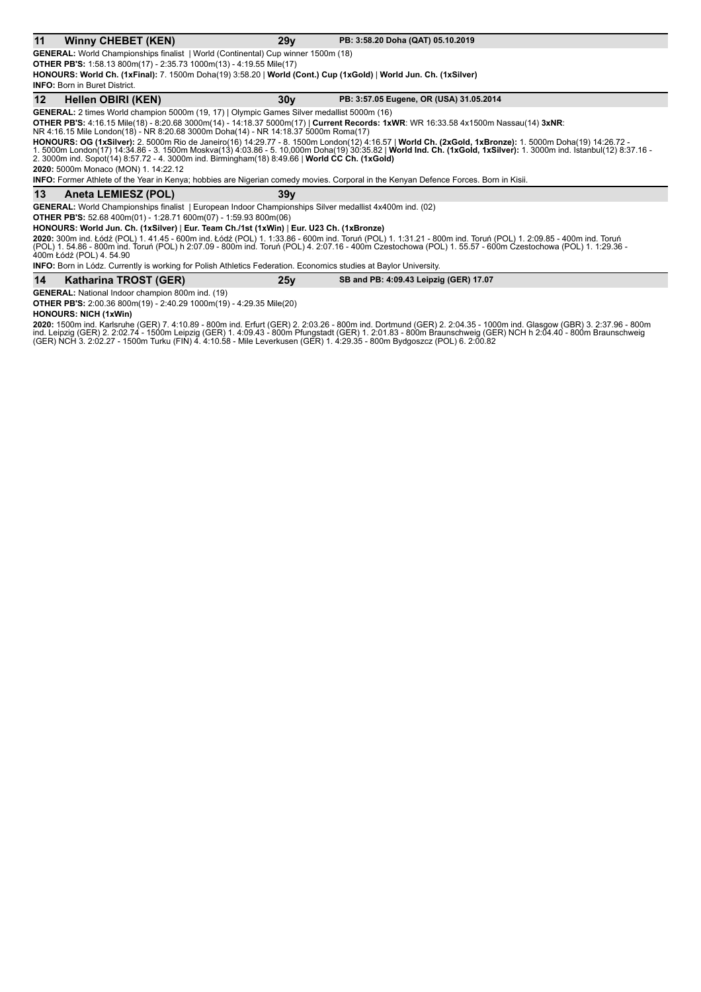#### **11 Winny CHEBET (KEN) 29y PB:** 3:58.20 Doha (QAT) 05.10.2019

**GENERAL:** World Championships finalist | World (Continental) Cup winner 1500m (18) **OTHER PB'S:** 1:58.13 800m(17) - 2:35.73 1000m(13) - 4:19.55 Mile(17)

**HONOURS: World Ch. (1xFinal):** 7. 1500m Doha(19) 3:58.20 | **World (Cont.) Cup (1xGold)** | **World Jun. Ch. (1xSilver)**

**INFO:** Born in Buret District.

#### **12 Hellen OBIRI (KEN)** 30y **PB:** 3:57.05 Eugene, OR (USA) 31.05.2014

**GENERAL:** 2 times World champion 5000m (19, 17) | Olympic Games Silver medallist 5000m (16)

**OTHER PB'S:** 4:16.15 Mile(18) - 8:20.68 3000m(14) - 14:18.37 5000m(17) | **Current Records: 1xWR**: WR 16:33.58 4x1500m Nassau(14) **3xNR**:<br>NR 4:16.15 Mile London(18) - NR 8:20.68 3000m Doha(14) - NR 14:18.37 5000m Roma(17)

**HONOURS: OG (1xSilver):** 2. 5000m Rio de Janeiro(16) 14:29.77 - 8. 1500m London(12) 4:16.57 | **World Ch. (2xGold, 1xBronze):** 1. 5000m Doha(19) 14:26.72 -<br>1. 5000m London(17) 14:34.86 - 3. 1500m Moskva(13) 4:03.86 - 5. 10 2. 3000m ind. Sopot(14) 8:57.72 - 4. 3000m ind. Birmingham(18) 8:49.66 | World CC Ch. (1xGold)

**2020:** 5000m Monaco (MON) 1. 14:22.12

**INFO:** Former Athlete of the Year in Kenya; hobbies are Nigerian comedy movies. Corporal in the Kenyan Defence Forces. Born in Kisii.

#### **13** Aneta LEMIESZ (POL) 39y

GENERAL: World Championships finalist | European Indoor Championships Silver medallist 4x400m ind. (02)

**OTHER PB'S:** 52.68 400m(01) - 1:28.71 600m(07) - 1:59.93 800m(06)

**HONOURS: World Jun. Ch. (1xSilver)** | **Eur. Team Ch./1st (1xWin)** | **Eur. U23 Ch. (1xBronze)**

2020: 300m ind. Łódź (POL) 1. 41.45 - 600m ind. Łódź (POL) 1. 1:33.86 - 600m ind. Toruń (POL) 1. 1:31.21 - 800m ind. Toruń (POL) 1. 2:09.85 - 400m ind. Toruń (POL) 1. 54.86 - 800m ind. Toruń (POL) h 2:07.09 - 800m ind. Toruń (POL) 4. 2:07.16 - 400m Czestochowa (POL) 1. 55.57 - 600m Czestochowa (POL) 1. 1:29.36 -<br>400m Łódź (POL) 4. 54.90

|    | .<br><b>INFO:</b> Born in Lódz. Currently is working for Polish Athletics Federation. Economics studies at Baylor University. |     |                                        |  |
|----|-------------------------------------------------------------------------------------------------------------------------------|-----|----------------------------------------|--|
| 14 | Katharina TROST (GER)                                                                                                         | 25v | SB and PB: 4:09.43 Leipzig (GER) 17.07 |  |

**GENERAL:** National Indoor champion 800m ind. (19) **OTHER PB'S:** 2:00.36 800m(19) - 2:40.29 1000m(19) - 4:29.35 Mile(20)

#### **HONOURS: NICH (1xWin)**

**2020:** 1500m ind. Karlsruhe (GER) 7. 4:10.89 - 800m ind. Erfurt (GER) 2. 2:03.26 - 800m ind. Dortmund (GER) 2. 2:04.35 - 1000m ind. Glasgow (GBR) 3. 2:37.96 - 800m<br>ind. Leipzig (GER) 2. 2:02.74 - 1500m Leipzig (GER) 1. 4: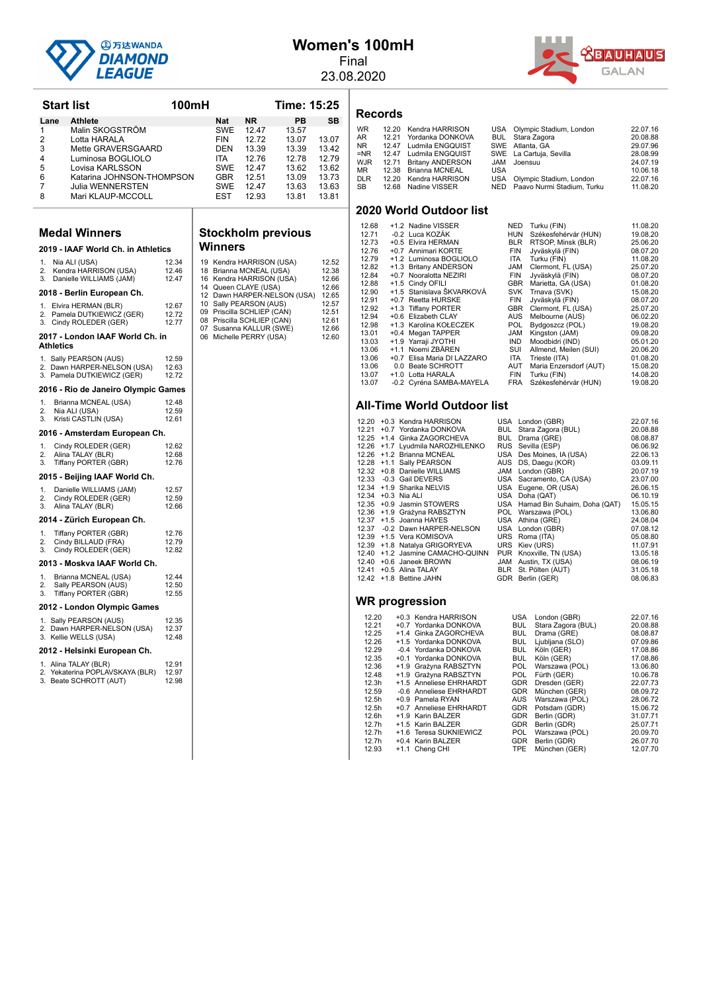

## **Women's 100mH**

Final 23.08.2020

**Time: 15:25** 



|          | Start list                                                | 100mH          |                   |                                                       | Time: 15:25                 |                |
|----------|-----------------------------------------------------------|----------------|-------------------|-------------------------------------------------------|-----------------------------|----------------|
|          | <b>Athlete</b><br>Lane                                    |                | Nat               | <b>NR</b>                                             | PB                          | SB             |
| 1        | Malin SKOGSTRÖM                                           |                | SWE               | 12.47                                                 | 13.57                       |                |
| 2        | Lotta HARALA                                              |                | <b>FIN</b>        | 12.72                                                 | 13.07                       | 13.07          |
| 3<br>4   | Mette GRAVERSGAARD<br>Luminosa BOGLIOLO                   |                | DEN<br><b>ITA</b> | 13.39<br>12.76                                        | 13.39<br>12.78              | 13.42<br>12.79 |
| 5        | Lovisa KARLSSON                                           |                | <b>SWE</b>        | 12.47                                                 | 13.62                       | 13.62          |
| 6        | Katarina JOHNSON-THOMPSON                                 |                | GBR               | 12.51                                                 | 13.09                       | 13.73          |
| 7        | Julia WENNERSTEN                                          |                | SWE               | 12.47                                                 | 13.63                       | 13.63          |
| 8        | Mari KLAUP-MCCOLL                                         |                | EST               | 12.93                                                 | 13.81                       | 13.81          |
|          |                                                           |                |                   |                                                       |                             |                |
|          | <b>Medal Winners</b>                                      |                |                   |                                                       | <b>Stockholm previous</b>   |                |
|          | 2019 - IAAF World Ch. in Athletics                        |                | Winners           |                                                       |                             |                |
| 1.       | Nia ALI (USA)                                             | 12.34          |                   | 19 Kendra HARRISON (USA)                              |                             | 12.52          |
| 2.<br>3. | Kendra HARRISON (USA)<br>Danielle WILLIAMS (JAM)          | 12.46<br>12.47 |                   | 18 Brianna MCNEAL (USA)<br>16 Kendra HARRISON (USA)   |                             | 12.38<br>12.66 |
|          | 2018 - Berlin European Ch.                                |                |                   | 14 Queen CLAYE (USA)                                  | 12 Dawn HARPER-NELSON (USA) | 12.66<br>12.65 |
|          | 1. Elvira HERMAN (BLR)                                    | 12.67          |                   | 10 Sally PEARSON (AUS)                                |                             | 12.57          |
|          | 2. Pamela DUTKIEWICZ (GER)                                | 12.72          |                   | 09 Priscilla SCHLIEP (CAN)                            |                             | 12.51          |
| 3.       | Cindy ROLEDER (GER)                                       | 12.77          |                   | 08 Priscilla SCHLIEP (CAN)<br>07 Susanna KALLUR (SWE) |                             | 12.61<br>12.66 |
|          | 2017 - London IAAF World Ch. in<br>Athletics              |                |                   | 06 Michelle PERRY (USA)                               |                             | 12.60          |
|          | 1. Sally PEARSON (AUS)                                    | 12.59          |                   |                                                       |                             |                |
|          | 2. Dawn HARPER-NELSON (USA)<br>3. Pamela DUTKIEWICZ (GER) | 12.63<br>12.72 |                   |                                                       |                             |                |
|          | 2016 - Rio de Janeiro Olympic Games                       |                |                   |                                                       |                             |                |
| 1.       | Brianna MCNEAL (USA)                                      | 12.48          |                   |                                                       |                             |                |
| 2.<br>3. | Nia ALI (USA)<br>Kristi CASTLIN (USA)                     | 12.59<br>12.61 |                   |                                                       |                             |                |
|          | 2016 - Amsterdam European Ch.                             |                |                   |                                                       |                             |                |
| 1.       | Cindy ROLEDER (GER)                                       | 12.62          |                   |                                                       |                             |                |
| 2.       | Alina TALAY (BLR)                                         | 12.68          |                   |                                                       |                             |                |
| 3.       | Tiffany PORTER (GBR)                                      | 12.76          |                   |                                                       |                             |                |
|          | 2015 - Beijing IAAF World Ch.                             |                |                   |                                                       |                             |                |
| 1.<br>2. | Danielle WILLIAMS (JAM)<br>Cindy ROLEDER (GER)            | 12.57<br>12.59 |                   |                                                       |                             |                |
| 3.       | Alina TALAY (BLR)                                         | 12.66          |                   |                                                       |                             |                |
|          | 2014 - Zürich European Ch.                                |                |                   |                                                       |                             |                |
| 1.<br>2. | Tiffany PORTER (GBR)<br>Cindy BILLAUD (FRA)               | 12.76<br>12.79 |                   |                                                       |                             |                |
| 3.       | Cindy ROLEDER (GER)                                       | 12.82          |                   |                                                       |                             |                |
|          | 2013 - Moskva IAAF World Ch.                              |                |                   |                                                       |                             |                |
| 1.       | Brianna MCNEAL (USA)                                      | 12.44          |                   |                                                       |                             |                |
| 2.<br>3. | Sally PEARSON (AUS)<br>Tiffany PORTER (GBR)               | 12.50<br>12.55 |                   |                                                       |                             |                |
|          | 2012 - London Olympic Games                               |                |                   |                                                       |                             |                |
|          | 1. Sally PEARSON (AUS)                                    | 12.35          |                   |                                                       |                             |                |
|          | 2. Dawn HARPER-NELSON (USA)<br>3. Kellie WELLS (USA)      | 12.37<br>12.48 |                   |                                                       |                             |                |
|          | 2012 - Helsinki European Ch.                              |                |                   |                                                       |                             |                |
|          | 1. Alina TALAY (BLR)                                      | 12.91          |                   |                                                       |                             |                |
|          | 2. Yekaterina POPLAVSKAYA (BLR)<br>3. Beate SCHROTT (AUT) | 12.97<br>12.98 |                   |                                                       |                             |                |

# **n** previous

| 19<br>18<br>16<br>14<br>12<br>10<br>09<br>80<br>07<br>06 | Kendra HARRISON (USA)<br>Brianna MCNEAL (USA)<br>Kendra HARRISON (USA)<br>Queen CLAYE (USA)<br>Dawn HARPER-NELSON (USA)<br>Sally PEARSON (AUS)<br>Priscilla SCHLIEP (CAN)<br>Priscilla SCHLIEP (CAN)<br>Susanna KALLUR (SWE)<br>Michelle PERRY (USA) | 12.52<br>12.38<br>12.66<br>12.66<br>12.65<br>12.57<br>12.51<br>12.61<br>12.66<br>12.60 | 12.79<br>12.82<br>12.84<br>12.88<br>12.90<br>12.91<br>12.92<br>12.94<br>12.98<br>13.01<br>13.03<br>13.06<br>13.06<br>13.06<br>13.07<br>13.07                                              |
|----------------------------------------------------------|------------------------------------------------------------------------------------------------------------------------------------------------------------------------------------------------------------------------------------------------------|----------------------------------------------------------------------------------------|-------------------------------------------------------------------------------------------------------------------------------------------------------------------------------------------|
|                                                          |                                                                                                                                                                                                                                                      |                                                                                        | All-T<br>12.20<br>12.21<br>12.25<br>12.26<br>12.26<br>12.28<br>12.32<br>12.33<br>12.34<br>12.34<br>12.35<br>12.36<br>12.37<br>12.37<br>12.39<br>12.39<br>12.40<br>12.40<br>12.41<br>12.42 |
|                                                          |                                                                                                                                                                                                                                                      |                                                                                        | WR.                                                                                                                                                                                       |

#### **Records**

| <b>WR</b> | 12.20 Kendra HARRISON  |            | USA Olympic Stadium, London    | 22.07.16 |
|-----------|------------------------|------------|--------------------------------|----------|
| AR        | 12.21 Yordanka DONKOVA |            | <b>BUL</b> Stara Zagora        | 20.08.88 |
| NR        | 12.47 Ludmila ENGQUIST |            | SWE Atlanta, GA                | 29.07.96 |
| =NR       | 12.47 Ludmila ENGQUIST |            | SWE La Cartuja, Sevilla        | 28.08.99 |
| WJR       | 12.71 Britany ANDERSON |            | JAM Joensuu                    | 24.07.19 |
| MR        | 12.38 Brianna MCNEAL   | <b>USA</b> |                                | 10.06.18 |
| DLR       | 12.20 Kendra HARRISON  |            | USA Olympic Stadium, London    | 22.07.16 |
| SB        | 12.68 Nadine VISSER    |            | NED Paavo Nurmi Stadium, Turku | 11.08.20 |
|           |                        |            |                                |          |

#### **2020 World Outdoor list**

| 12.68 | +1.2 Nadine VISSER          | <b>NED</b> | Turku (FIN)            | 11.08.20 |
|-------|-----------------------------|------------|------------------------|----------|
| 12.71 | -0.2 Luca KOZÁK             | <b>HUN</b> | Székesfehérvár (HUN)   | 19.08.20 |
| 12.73 | +0.5 Elvira HERMAN          | <b>BLR</b> | RTSOP, Minsk (BLR)     | 25.06.20 |
| 12.76 | +0.7 Annimari KORTE         | <b>FIN</b> | Jyväskylä (FIN)        | 08.07.20 |
| 12.79 | +1.2 Luminosa BOGLIOLO      | <b>ITA</b> | Turku (FIN)            | 11.08.20 |
| 12.82 | +1.3 Britany ANDERSON       | JAM        | Clermont, FL (USA)     | 25.07.20 |
| 12.84 | +0.7 Nooralotta NEZIRI      | <b>FIN</b> | Jyväskylä (FIN)        | 08.07.20 |
| 12.88 | +1.5 Cindy OFILI            | <b>GBR</b> | Marietta, GA (USA)     | 01.08.20 |
| 12.90 | +1.5 Stanislava ŠKVARKOVÁ   | <b>SVK</b> | Trnava (SVK)           | 15.08.20 |
| 12.91 | +0.7 Reetta HURSKE          | <b>FIN</b> | Jyväskylä (FIN)        | 08.07.20 |
| 12.92 | +1.3 Tiffany PORTER         | <b>GBR</b> | Clermont, FL (USA)     | 25.07.20 |
| 12.94 | +0.6 Elizabeth CLAY         | <b>AUS</b> | Melbourne (AUS)        | 06.02.20 |
| 12.98 | +1.3 Karolina KOŁECZEK      | POL.       | Bydgoszcz (POL)        | 19.08.20 |
| 13.01 | +0.4 Megan TAPPER           | <b>JAM</b> | Kingston (JAM)         | 09.08.20 |
| 13.03 | +1.9 Yarraji JYOTHI         | <b>IND</b> | Moodbidri (IND)        | 05.01.20 |
| 13.06 | +1.1 Noemi ZBÄREN           | SUI        | Allmend, Meilen (SUI)  | 20.06.20 |
| 13.06 | +0.7 Elisa Maria DI LAZZARO | ITA        | Trieste (ITA)          | 01.08.20 |
| 13.06 | 0.0 Beate SCHROTT           | AUT        | Maria Enzersdorf (AUT) | 15.08.20 |
| 13.07 | +1.0 Lotta HARALA           | <b>FIN</b> | Turku (FIN)            | 14.08.20 |
| 13.07 | -0.2 Cyréna SAMBA-MAYELA    | <b>FRA</b> | Székesfehérvár (HUN)   | 19.08.20 |

#### **Fime World Outdoor list**

|  | 12.20 +0.3 Kendra HARRISON       | USA London (GBR)                                                             | 22.07.16 |
|--|----------------------------------|------------------------------------------------------------------------------|----------|
|  | 12.21 +0.7 Yordanka DONKOVA      | BUL Stara Zagora (BUL)                                                       | 20.08.88 |
|  | 12.25 +1.4 Ginka ZAGORCHEVA      |                                                                              | 08.08.87 |
|  | 12.26 +1.7 Lyudmila NAROZHILENKO |                                                                              | 06.06.92 |
|  | 12.26 +1.2 Brianna MCNEAL        | BUL Drama (GRE)<br>RUS Sevilla (ESP)<br>USA Des Moines, IA (USA)<br>UIS DS D | 22.06.13 |
|  | 12.28 +1.1 Sally PEARSON         | AUS DS, Daegu (KOR)                                                          | 03.09.11 |
|  | 12.32 +0.8 Danielle WILLIAMS     | JAM London (GBR)                                                             | 20.07.19 |
|  | 12.33 -0.3 Gail DEVERS           | USA Sacramento, CA (USA)                                                     | 23.07.00 |
|  | 12.34 +1.9 Sharika NELVIS        | USA Eugene, OR (USA)                                                         | 26.06.15 |
|  | 12.34 + 0.3 Nia ALI              | USA Doha (QAT)                                                               | 06.10.19 |
|  | 12.35 +0.9 Jasmin STOWERS        | USA Hamad Bin Suhaim, Doha (QAT)                                             | 15.05.15 |
|  | 12.36 +1.9 Grażyna RABSZTYN      | POL Warszawa (POL)                                                           | 13.06.80 |
|  | 12.37 +1.5 Joanna HAYES          | USA Athina (GRE)                                                             | 24.08.04 |
|  | 12.37 -0.2 Dawn HARPER-NELSON    | USA London (GBR)                                                             | 07.08.12 |
|  | 12.39 +1.5 Vera KOMISOVA         | URS Roma (ITA)                                                               | 05.08.80 |
|  | 12.39 +1.8 Natalya GRIGORYEVA    | URS Kiev (URS)                                                               | 11.07.91 |
|  | 12.40 +1.2 Jasmine CAMACHO-QUINN | PUR Knoxville, TN (USA)                                                      | 13.05.18 |
|  | 12.40 +0.6 Janeek BROWN          | JAM Austin, TX (USA)                                                         | 08.06.19 |
|  |                                  | 12.41 +0.5 Alina TALAY BLR St. Pölten (AUT)                                  | 31.05.18 |
|  | 12.42 +1.8 Bettine JAHN          | GDR Berlin (GER)                                                             | 08.06.83 |
|  |                                  |                                                                              |          |
|  |                                  |                                                                              |          |

| 12.20             | +0.3 Kendra HARRISON    | <b>USA</b> | London (GBR)       | 22.07.16 |
|-------------------|-------------------------|------------|--------------------|----------|
| 12.21             | +0.7 Yordanka DONKOVA   | <b>BUL</b> | Stara Zagora (BUL) | 20.08.88 |
| 12.25             | +1.4 Ginka ZAGORCHEVA   | <b>BUL</b> | Drama (GRE)        | 08.08.87 |
| 12.26             | +1.5 Yordanka DONKOVA   | <b>BUL</b> | Ljubljana (SLO)    | 07.09.86 |
| 12.29             | -0.4 Yordanka DONKOVA   | <b>BUL</b> | Köln (GER)         | 17.08.86 |
| 12.35             | +0.1 Yordanka DONKOVA   | <b>BUL</b> | Köln (GER)         | 17.08.86 |
| 12.36             | +1.9 Grażyna RABSZTYN   | <b>POL</b> | Warszawa (POL)     | 13.06.80 |
| 12.48             | +1.9 Grażyna RABSZTYN   | POL.       | Fürth (GER)        | 10.06.78 |
| 12.3h             | +1.5 Anneliese EHRHARDT | <b>GDR</b> | Dresden (GER)      | 22.07.73 |
| 12.59             | -0.6 Anneliese EHRHARDT | <b>GDR</b> | München (GER)      | 08.09.72 |
| 12.5h             | +0.9 Pamela RYAN        | <b>AUS</b> | Warszawa (POL)     | 28.06.72 |
| 12.5h             | +0.7 Anneliese EHRHARDT | <b>GDR</b> | Potsdam (GDR)      | 15.06.72 |
| 12.6h             | +1.9 Karin BALZER       | <b>GDR</b> | Berlin (GDR)       | 31.07.71 |
| 12.7h             | +1.5 Karin BALZER       | <b>GDR</b> | Berlin (GDR)       | 25.07.71 |
| 12.7 <sub>h</sub> | +1.6 Teresa SUKNIEWICZ  | <b>POL</b> | Warszawa (POL)     | 20.09.70 |
| 12.7 <sub>h</sub> | +0.4 Karin BALZER       | <b>GDR</b> | Berlin (GDR)       | 26.07.70 |
| 12.93             | +1.1 Cheng CHI          | TPE        | München (GER)      | 12.07.70 |
|                   |                         |            |                    |          |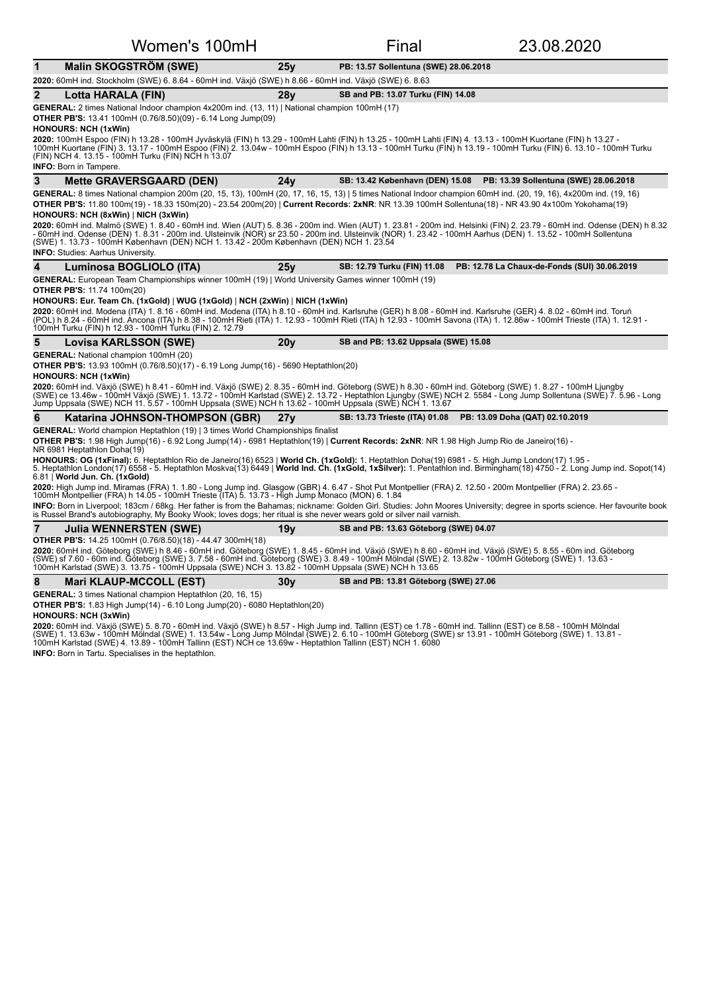| Women's 100mH                                                                                                                                                                                                                                                                                                                                                                                                                                                                                                         |                 | Final                                                                 | 23.08.2020                                   |  |  |  |
|-----------------------------------------------------------------------------------------------------------------------------------------------------------------------------------------------------------------------------------------------------------------------------------------------------------------------------------------------------------------------------------------------------------------------------------------------------------------------------------------------------------------------|-----------------|-----------------------------------------------------------------------|----------------------------------------------|--|--|--|
| $\mathbf{1}$<br><b>Malin SKOGSTRÖM (SWE)</b>                                                                                                                                                                                                                                                                                                                                                                                                                                                                          | 25y             | PB: 13.57 Sollentuna (SWE) 28.06.2018                                 |                                              |  |  |  |
| 2020: 60mH ind. Stockholm (SWE) 6. 8.64 - 60mH ind. Växjö (SWE) h 8.66 - 60mH ind. Växjö (SWE) 6. 8.63                                                                                                                                                                                                                                                                                                                                                                                                                |                 |                                                                       |                                              |  |  |  |
| $\mathbf{2}$<br>Lotta HARALA (FIN)                                                                                                                                                                                                                                                                                                                                                                                                                                                                                    | 28 <b>v</b>     | SB and PB: 13.07 Turku (FIN) 14.08                                    |                                              |  |  |  |
| GENERAL: 2 times National Indoor champion 4x200m ind. (13, 11)   National champion 100mH (17)                                                                                                                                                                                                                                                                                                                                                                                                                         |                 |                                                                       |                                              |  |  |  |
| <b>OTHER PB'S:</b> 13.41 100mH (0.76/8.50)(09) - 6.14 Long Jump(09)<br><b>HONOURS: NCH (1xWin)</b>                                                                                                                                                                                                                                                                                                                                                                                                                    |                 |                                                                       |                                              |  |  |  |
| 2020: 100mH Espoo (FIN) h 13.28 - 100mH Jyväskylä (FIN) h 13.29 - 100mH Lahti (FIN) h 13.25 - 100mH Lahti (FIN) 4. 13.13 - 100mH Kuortane (FIN) h 13.27 -<br>100mH Kuortane (FIN) 3. 13.17 - 100mH Espoo (FIN) 2. 13.04w - 100mH Espoo (FIN) h 13.13 - 100mH Turku (FIN) h 13.19 - 100mH Turku (FIN) 6. 13.10 - 100mH Turku<br>(FIN) NCH 4. 13.15 - 100mH Turku (FIN) NCH h 13.07                                                                                                                                     |                 |                                                                       |                                              |  |  |  |
| INFO: Born in Tampere.                                                                                                                                                                                                                                                                                                                                                                                                                                                                                                |                 |                                                                       |                                              |  |  |  |
| 3<br><b>Mette GRAVERSGAARD (DEN)</b>                                                                                                                                                                                                                                                                                                                                                                                                                                                                                  | 24v             | SB: 13.42 København (DEN) 15.08 PB: 13.39 Sollentuna (SWE) 28.06.2018 |                                              |  |  |  |
| GENERAL: 8 times National champion 200m (20, 15, 13), 100mH (20, 17, 16, 15, 13)   5 times National Indoor champion 60mH ind. (20, 19, 16), 4x200m ind. (19, 16)                                                                                                                                                                                                                                                                                                                                                      |                 |                                                                       |                                              |  |  |  |
| OTHER PB'S: 11.80 100m(19) - 18.33 150m(20) - 23.54 200m(20)   Current Records: 2xNR: NR 13.39 100mH Sollentuna(18) - NR 43.90 4x100m Yokohama(19)                                                                                                                                                                                                                                                                                                                                                                    |                 |                                                                       |                                              |  |  |  |
| HONOURS: NCH (8xWin)   NICH (3xWin)<br>2020: 60mH ind. Malmö (SWE) 1. 8.40 - 60mH ind. Wien (AUT) 5. 8.36 - 200m ind. Wien (AUT) 1. 23.81 - 200m ind. Helsinki (FIN) 2. 23.79 - 60mH ind. Odense (DEN) h 8.32<br>- 60mH ind. Odense (DEN) 1. 8.31 - 200m ind. Ulsteinvik (NOR) sr 23.50 - 200m ind. Ulsteinvik (NOR) 1. 23.42 - 100mH Aarhus (DEN) 1. 13.52 - 100mH Sollentuna<br>(SWE) 1. 13.73 - 100mH København (DEN) NCH 1. 13.42 - 200m København (DEN) NCH 1. 23.54                                             |                 |                                                                       |                                              |  |  |  |
| <b>INFO:</b> Studies: Aarhus University.                                                                                                                                                                                                                                                                                                                                                                                                                                                                              |                 |                                                                       |                                              |  |  |  |
| Luminosa BOGLIOLO (ITA)                                                                                                                                                                                                                                                                                                                                                                                                                                                                                               | 25v             | SB: 12.79 Turku (FIN) 11.08                                           | PB: 12.78 La Chaux-de-Fonds (SUI) 30.06.2019 |  |  |  |
| GENERAL: European Team Championships winner 100mH (19)   World University Games winner 100mH (19)                                                                                                                                                                                                                                                                                                                                                                                                                     |                 |                                                                       |                                              |  |  |  |
| <b>OTHER PB'S: 11.74 100m(20)</b><br>HONOURS: Eur. Team Ch. (1xGold)   WUG (1xGold)   NCH (2xWin)   NICH (1xWin)                                                                                                                                                                                                                                                                                                                                                                                                      |                 |                                                                       |                                              |  |  |  |
| 2020: 60mH ind. Modena (ITA) 1. 8.16 - 60mH ind. Modena (ITA) h 8.10 - 60mH ind. Karlsruhe (GER) h 8.08 - 60mH ind. Karlsruhe (GER) 4. 8.02 - 60mH ind. Toruń<br>(POL) h 8.24 - 60mH ind. Ancona (ITA) h 8.38 - 100mH Rieti (ITA) 1. 12.93 - 100mH Rieti (ITA) h 12.93 - 100mH Savona (ITA) 1. 12.86w - 100mH Trieste (ITA) 1. 12.91 -<br>100mH Turku (FIN) h 12.93 - 100mH Turku (FIN) 2. 12.79                                                                                                                      |                 |                                                                       |                                              |  |  |  |
| 5<br><b>Lovisa KARLSSON (SWE)</b>                                                                                                                                                                                                                                                                                                                                                                                                                                                                                     | 20v             | SB and PB: 13.62 Uppsala (SWE) 15.08                                  |                                              |  |  |  |
| <b>GENERAL:</b> National champion 100mH (20)<br><b>OTHER PB'S:</b> 13.93 100mH (0.76/8.50)(17) - 6.19 Long Jump(16) - 5690 Heptathlon(20)<br><b>HONOURS: NCH (1xWin)</b><br>2020: 60mH ind. Växjö (SWE) h 8.41 - 60mH ind. Växjö (SWE) 2. 8.35 - 60mH ind. Göteborg (SWE) h 8.30 - 60mH ind. Göteborg (SWE) 1. 8.27 - 100mH Ljungby<br>(SWE) ce 13.46w - 100mH Växjö (SWE) 1. 13.72 - 100mH Karlstad (SWE) 2.<br>Jump Uppsala (SWE) NCH 11. 5.57 - 100mH Uppsala (SWE) NCH h 13.62 - 100mH Uppsala (SWE) NCH 1. 13.67 |                 |                                                                       |                                              |  |  |  |
| 6<br>Katarina JOHNSON-THOMPSON (GBR)                                                                                                                                                                                                                                                                                                                                                                                                                                                                                  | 27 <sub>V</sub> | SB: 13.73 Trieste (ITA) 01.08                                         | PB: 13.09 Doha (QAT) 02.10.2019              |  |  |  |
| <b>GENERAL:</b> World champion Heptathlon (19)   3 times World Championships finalist                                                                                                                                                                                                                                                                                                                                                                                                                                 |                 |                                                                       |                                              |  |  |  |
| OTHER PB'S: 1.98 High Jump(16) - 6.92 Long Jump(14) - 6981 Heptathlon(19)   Current Records: 2xNR: NR 1.98 High Jump Rio de Janeiro(16) -<br>NR 6981 Heptathlon Doha(19)                                                                                                                                                                                                                                                                                                                                              |                 |                                                                       |                                              |  |  |  |
| HONOURS: OG (1xFinal): 6. Heptathlon Rio de Janeiro(16) 6523   World Ch. (1xGold): 1. Heptathlon Doha(19) 6981 - 5. High Jump London(17) 1.95 -<br>5. Heptathlon London(17) 6558 - 5. Heptathlon Moskva(13) 6449   World Ind. Ch. (1xGold, 1xSilver): 1. Pentathlon ind. Birmingham(18) 4750 - 2. Long Jump ind. Sopot(14)<br>6.81   World Jun. Ch. (1xGold)                                                                                                                                                          |                 |                                                                       |                                              |  |  |  |
| 2020: High Jump ind. Miramas (FRA) 1. 1.80 - Long Jump ind. Glasgow (GBR) 4. 6.47 - Shot Put Montpellier (FRA) 2. 12.50 - 200m Montpellier (FRA) 2. 23.65 - 100mH Montpellier (FRA) 2. 23.65 -                                                                                                                                                                                                                                                                                                                        |                 |                                                                       |                                              |  |  |  |
| INFO: Born in Liverpool; 183cm / 68kg. Her father is from the Bahamas; nickname: Golden Girl. Studies: John Moores University; degree in sports science. Her favourite book<br>is Russel Brand's autobiography, My Booky Wook; loves dogs; her ritual is she never wears gold or silver nail varnish.                                                                                                                                                                                                                 |                 |                                                                       |                                              |  |  |  |
| $\overline{7}$<br><b>Julia WENNERSTEN (SWE)</b>                                                                                                                                                                                                                                                                                                                                                                                                                                                                       | 19v             | SB and PB: 13.63 Göteborg (SWE) 04.07                                 |                                              |  |  |  |
| <b>OTHER PB'S:</b> 14.25 100mH (0.76/8.50)(18) - 44.47 300mH(18)                                                                                                                                                                                                                                                                                                                                                                                                                                                      |                 |                                                                       |                                              |  |  |  |
| 2020: 60mH ind. Göteborg (SWE) h 8.46 - 60mH ind. Göteborg (SWE) 1. 8.45 - 60mH ind. Växjö (SWE) h 8.60 - 60mH ind. Växjö (SWE) 5. 8.55 - 60m ind. Göteborg<br>(SWE) sf 7.60 - 60m ind. Göteborg (SWE) 3. 7.58 - 60mH ind. Götebo<br>100mH Karlstad (SWE) 3. 13.75 - 100mH Uppsala (SWE) NCH 3. 13.82 - 100mH Uppsala (SWE) NCH h 13.65                                                                                                                                                                               |                 |                                                                       |                                              |  |  |  |
| 8<br><b>Mari KLAUP-MCCOLL (EST)</b>                                                                                                                                                                                                                                                                                                                                                                                                                                                                                   | 30v             | SB and PB: 13.81 Göteborg (SWE) 27.06                                 |                                              |  |  |  |
| <b>GENERAL:</b> 3 times National champion Heptathlon (20, 16, 15)                                                                                                                                                                                                                                                                                                                                                                                                                                                     |                 |                                                                       |                                              |  |  |  |

**OTHER PB'S:** 1.83 High Jump(14) - 6.10 Long Jump(20) - 6080 Heptathlon(20)

#### **HONOURS: NCH (3xWin)**

**2020:** 60mH ind. Växjö (SWE) 5. 8.70 - 60mH ind. Växjö (SWE) h 8.57 - High Jump ind. Tallinn (EST) ce A.58 - 100mH S on MB Mölndal (ST) ce A.58 - 100mH Mölndal<br>(SWE) 1. 13.63w - 100mH Mölndal (SWE) 1. 13.54w - Long Jump M **INFO:** Born in Tartu. Specialises in the heptathlon.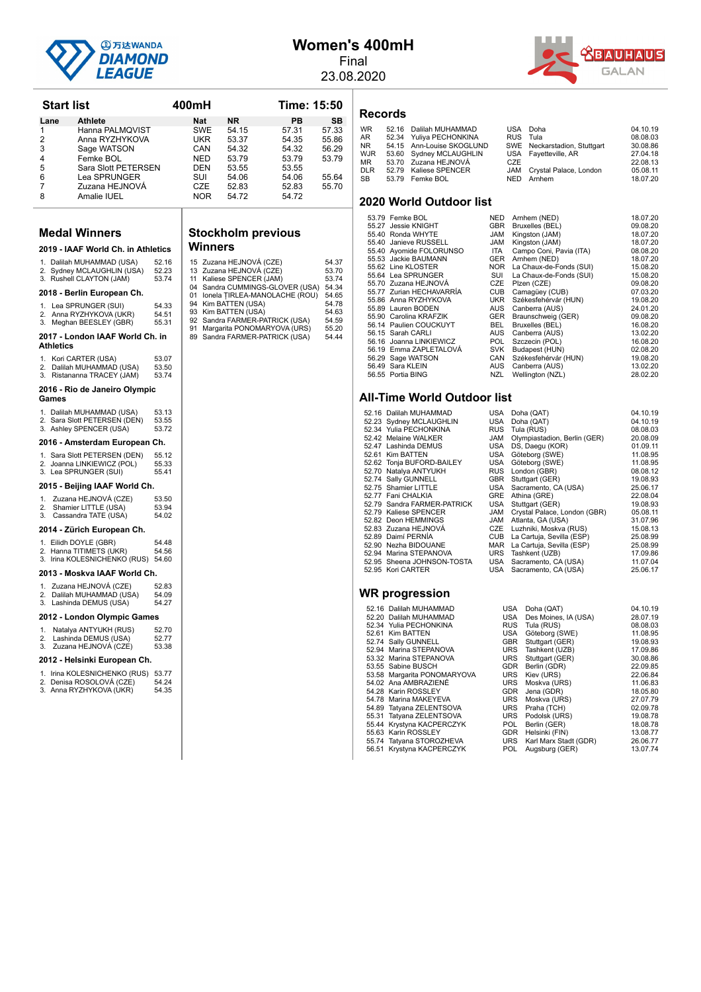

## **Women's 400mH**

Final 23.08.2020



**Start list 400mH Time: 15:50** Lane Athlete **Nat NR PB** SB 1 Hanna PALMQVIST SWE 54.15 57.31 57.33<br>2 Anna RYZHYKOVA UKR 53.37 54.35 55.86 2 Anna RYZHYKOVA UKR 53.37 54.35 55.86 2 Sage WATSON CAN 54.32 54.32 56.29<br>4 Femke BOL NED 53.79 53.79 53.79 4 Femke BOL NED 53.79 53.79 53.79 5 Sara Slott PETERSEN DEN 53.55 53.55<br>6 Lea SPRUNGER SUI 54.06 54.06 6 Lea SPRUNGER SUI 54.06 54.06 55.64<br>7 Zuzana HEJNOVÁ CZE 52.83 52.83 55.70 7 Zuzana HEJNOVÁ CZE 52.83 52.83<br>8 Amalie IUEL NOR 54.72 54.72 Amalie IUEL **Medal Winners 2019 - IAAF World Ch. in Athletics** 1. Dalilah MUHAMMAD (USA) 52.16<br>2. Sydnov MCLAUCHUN (USA) 52.22 Sydney MCLAUGHLIN (USA) 52.23<br>Rushell CLAYTON (JAM) 53.74 3. Rushell CLAYTON (JAM) **2018 - Berlin European Ch.** 1. Lea SPRUNGER (SUI) 54.33<br>2. Anna RYZHYKOVA (UKR) 54.51 2. Exa of Hortozin (Sor)<br>Anna RYZHYKOVA (UKR) 54.51<br>Meghan BEESLEY (GBR) 55.31 3. Meghan BEESLEY (GBR) 2017 - London IAAF World Ch. in **Athletics** 1. Kori CARTER (USA) 53.07<br>2. Dalilah MUHAMMAD (USA) 53.50 20. Dalilah MUHAMMAD (USA) 53.50<br>Ristananna TRACEY (JAM) 53.74 3. Ristananna TRACEY (JAM) **2016 - Rio de Janeiro Olympic Games** 1. Dalilah MUHAMMAD (USA) 53.13<br>2. Sara Slott PETERSEN (DEN) 53.55 Sara Slott PETERSEN (DEN) 53.55<br>Ashley SPENCER (USA) 53.55 3. Ashley SPENCER (USA) 2016 - Amsterdam European Ch. 1. Sara Slott PETERSEN (DEN) 55.12 2. Joanna LINKIEWICZ (POL) 55.33<br>3. Lea SPRUNGER (SUI) 55.41 2015 - Beijing IAAF World Ch. 1. Zuzana HEJNOVÁ (CZE) 53.50<br>2. Shamier LITTLE (LISA) 53.94 2. Shamier LITTLE (USA) 53.94<br>3. Cassandra TATE (USA) 54.02 Cassandra TATE (USA) **2014 - Zürich European Ch.** 1. Eilidh DOYLE (GBR) 54.48 2. Hanna TITIMETS (UKR) 54.56<br>3. Irina KOLESNICHENKO (RUS) 54.60 2013 - Moskva IAAF World Ch. 1. Zuzana HEJNOVÁ (CZE) 52.83<br>2. Dalilah MUHAMMAD (USA) 54.09  $2 \times 2 \times 3 \times 3 \times 5 \times 1$ <br>Dalilah MUHAMMAD (USA) 54.09<br>Lashinda DEMUS (USA) 54.27 3. Lashinda DEMUS (USA) **2012 - London Olympic Games** 1. Natalya ANTYUKH (RUS) 52.70<br>2. Lashinda DEMUS (USA) 52.77 2. Lashinda DEMUS (USA) 52.77<br>3. Zuzana HEJNOVÁ (CZE) 53.38 Zuzana HEJNOVÁ (CZE) 2012 - Helsinki European Ch. 1. Irina KOLESNICHENKO (RUS) 53.77 2. Denisa ROSOLOVÁ (CZE) 54.24<br>3. Anna RYZHYKOVÁ (UKR) 54.35

3. Anna RYZHYKOVA (UKR)

#### **Stockholm previous Winners**

|    | 15 Zuzana HEJNOVÁ (CZE)         | 54.37 |
|----|---------------------------------|-------|
|    | 13 Zuzana HEJNOVÁ (CZE)         | 53.70 |
|    | 11 Kaliese SPENCER (JAM)        | 53.74 |
|    | 04 Sandra CUMMINGS-GLOVER (USA) | 54.34 |
| 01 | Ionela TIRLEA-MANOLACHE (ROU)   | 54.65 |
|    | 94 Kim BATTEN (USA)             | 54.78 |
|    | 93 Kim BATTEN (USA)             | 54.63 |
|    | 92 Sandra FARMER-PATRICK (USA)  | 54.59 |
| 91 | Margarita PONOMARYOVA (URS)     | 55.20 |
| 89 | Sandra FARMER-PATRICK (USA)     | 54.44 |

**Records**

| <b>WR</b>  | 52.16 Dalilah MUHAMMAD    |          | USA Doha                     | 04.10.19 |
|------------|---------------------------|----------|------------------------------|----------|
| AR.        | 52.34 Yuliya PECHONKINA   | RUS Tula |                              | 08.08.03 |
| NR.        | 54.15 Ann-Louise SKOGLUND |          | SWE Neckarstadion, Stuttgart | 30.08.86 |
| <b>WJR</b> | 53.60 Sydney MCLAUGHLIN   |          | USA Favetteville, AR         | 27.04.18 |
| MR         | 53.70 Zuzana HEJNOVÁ      | CZE      |                              | 22.08.13 |
| <b>DLR</b> | 52.79 Kaliese SPENCER     |          | JAM Crystal Palace, London   | 05.08.11 |
| SB.        | 53.79 Femke BOL           | NFD.     | Arnhem                       | 18.07.20 |

#### **2020 World Outdoor list**

| 53.79 Femke BOL          | <b>NED</b> | Arnhem (NED)            | 18.07.20 |
|--------------------------|------------|-------------------------|----------|
| 55.27 Jessie KNIGHT      | <b>GBR</b> | Bruxelles (BEL)         | 09.08.20 |
| 55.40 Ronda WHYTE        | <b>JAM</b> | Kingston (JAM)          | 18.07.20 |
| 55.40 Janieve RUSSELL    | <b>JAM</b> | Kingston (JAM)          | 18.07.20 |
| 55.40 Ayomide FOLORUNSO  | ITA.       | Campo Coni, Pavia (ITA) | 08.08.20 |
| 55.53 Jackie BAUMANN     | <b>GER</b> | Arnhem (NED)            | 18.07.20 |
| 55.62 Line KLOSTER       | NOR.       | La Chaux-de-Fonds (SUI) | 15.08.20 |
| 55.64 Lea SPRUNGER       | SUI        | La Chaux-de-Fonds (SUI) | 15.08.20 |
| 55.70 Zuzana HEJNOVÁ     | <b>CZE</b> | Plzen (CZE)             | 09.08.20 |
| 55.77 Zurian HECHAVARRÍA | <b>CUB</b> | Camagüey (CUB)          | 07.03.20 |
| 55.86 Anna RYZHYKOVA     | <b>UKR</b> | Székesfehérvár (HUN)    | 19.08.20 |
| 55.89 Lauren BODEN       | <b>AUS</b> | Canberra (AUS)          | 24.01.20 |
| 55.90 Carolina KRAFZIK   | <b>GER</b> | Braunschweig (GER)      | 09.08.20 |
| 56.14 Paulien COUCKUYT   | BEL.       | Bruxelles (BEL)         | 16.08.20 |
| 56.15 Sarah CARLI        | AUS        | Canberra (AUS)          | 13.02.20 |
| 56.16 Joanna LINKIEWICZ  | <b>POL</b> | Szczecin (POL)          | 16.08.20 |
| 56.19 Emma ZAPLETALOVÁ   | <b>SVK</b> | Budapest (HUN)          | 02.08.20 |
| 56.29 Sage WATSON        | CAN        | Székesfehérvár (HUN)    | 19.08.20 |
| 56.49 Sara KLEIN         | <b>AUS</b> | Canberra (AUS)          | 13.02.20 |
| 56.55 Portia BING        | <b>NZL</b> | Wellington (NZL)        | 28.02.20 |

#### **All-Time World Outdoor list**

| 52.16 Dalilah MUHAMMAD      | USA        | Doha (QAT)                   | 04.10.19 |
|-----------------------------|------------|------------------------------|----------|
| 52.23 Sydney MCLAUGHLIN     | USA        | Doha (QAT)                   | 04.10.19 |
| 52.34 Yulia PECHONKINA      | <b>RUS</b> | Tula (RUS)                   | 08.08.03 |
| 52.42 Melaine WALKER        | <b>JAM</b> | Olympiastadion, Berlin (GER) | 20.08.09 |
| 52.47 Lashinda DEMUS        | USA        | DS, Daegu (KOR)              | 01.09.11 |
| 52.61 Kim BATTEN            | USA        | Göteborg (SWE)               | 11.08.95 |
| 52.62 Tonja BUFORD-BAILEY   | USA        | Göteborg (SWE)               | 11.08.95 |
| 52.70 Natalya ANTYUKH       | <b>RUS</b> | London (GBR)                 | 08.08.12 |
| 52.74 Sally GUNNELL         | <b>GBR</b> | Stuttgart (GER)              | 19.08.93 |
| 52.75 Shamier LITTLE        | USA        | Sacramento, CA (USA)         | 25.06.17 |
| 52.77 Fani CHALKIA          | GRE        | Athina (GRE)                 | 22.08.04 |
| 52.79 Sandra FARMER-PATRICK | USA        | Stuttgart (GER)              | 19.08.93 |
| 52.79 Kaliese SPENCER       | JAM        | Crystal Palace, London (GBR) | 05.08.11 |
| 52.82 Deon HEMMINGS         | JAM        | Atlanta, GA (USA)            | 31.07.96 |
| 52.83 Zuzana HEJNOVÁ        | CZE        | Luzhniki, Moskva (RUS)       | 15.08.13 |
| 52.89 Daimí PERNÍA          | CUB        | La Cartuja, Sevilla (ESP)    | 25.08.99 |
| 52.90 Nezha BIDOUANE        | MAR        | La Cartuja, Sevilla (ESP)    | 25.08.99 |
| 52.94 Marina STEPANOVA      | URS        | Tashkent (UZB)               | 17.09.86 |
| 52.95 Sheena JOHNSON-TOSTA  | USA        | Sacramento, CA (USA)         | 11.07.04 |
| 52.95 Kori CARTER           | USA        | Sacramento, CA (USA)         | 25.06.17 |
|                             |            |                              |          |
|                             |            |                              |          |

| 52.16 | Dalilah MUHAMMAD      |
|-------|-----------------------|
| 52.20 | Dalilah MUHAMMAD      |
| 52.34 | Yulia PECHONKINA      |
| 52.61 | <b>Kim BATTEN</b>     |
| 52.74 | Sally GUNNELL         |
| 52.94 | Marina STEPANOVA      |
| 53.32 | Marina STEPANOVA      |
| 53.55 | Sabine BUSCH          |
| 53.58 | Margarita PONOMARYOVA |
| 54.02 | Ana AMBRAZIENE        |
| 54.28 | Karin ROSSLEY         |
| 54.78 | Marina MAKEYEVA       |
| 54.89 | Tatyana ZELENTSOVA    |
| 55.31 | Tatyana ZELENTSOVA    |
| 55.44 | Krystyna KACPERCZYK   |
| 55.62 | Karin DACCI EV        |

- 
- 

| JZ.IV DAMAN MUTAMMAD        | השט        | $UUIIa$ ( $VIII$ )           | <b>04. IV. IJ</b> |
|-----------------------------|------------|------------------------------|-------------------|
| 52.23 Sydney MCLAUGHLIN     | USA        | Doha (QAT)                   | 04.10.19          |
| 52.34 Yulia PECHONKINA      | <b>RUS</b> | Tula (RUS)                   | 08.08.03          |
| 52.42 Melaine WALKER        | <b>JAM</b> | Olympiastadion, Berlin (GER) | 20.08.09          |
| 52.47 Lashinda DEMUS        | USA        | DS, Daegu (KOR)              | 01.09.11          |
| 52.61 Kim BATTEN            | USA        | Göteborg (SWE)               | 11.08.95          |
| 52.62 Tonja BUFORD-BAILEY   | USA        | Göteborg (SWE)               | 11.08.95          |
| 52.70 Natalya ANTYUKH       | <b>RUS</b> | London (GBR)                 | 08.08.12          |
| 52.74 Sally GUNNELL         | <b>GBR</b> | Stuttgart (GER)              | 19.08.93          |
| 52.75 Shamier LITTLE        | USA        | Sacramento, CA (USA)         | 25.06.17          |
| 52.77 Fani CHALKIA          | GRE        | Athina (GRE)                 | 22.08.04          |
| 52.79 Sandra FARMER-PATRICK | USA        | Stuttgart (GER)              | 19.08.93          |
| 52.79 Kaliese SPENCER       | JAM        | Crystal Palace, London (GBR) | 05.08.11          |
| 52.82 Deon HEMMINGS         | JAM        | Atlanta, GA (USA)            | 31.07.96          |
| 52.83 Zuzana HEJNOVÁ        | CZE        | Luzhniki, Moskva (RUS)       | 15.08.13          |
| 52.89 Daimí PERNÍA          | CUB        | La Cartuja, Sevilla (ESP)    | 25.08.99          |
| 52.90 Nezha BIDOUANE        | MAR        | La Cartuja, Sevilla (ESP)    | 25.08.99          |
| 52.94 Marina STEPANOVA      |            | URS Tashkent (UZB)           | 17.09.86          |
| 52.95 Sheena JOHNSON-TOSTA  |            | USA Sacramento, CA (USA)     | 11.07.04          |
| 52.95 Kori CARTER           | USA        | Sacramento, CA (USA)         | 25.06.17          |

| 52.16 Dalilah MUHAMMAD      | USA        | Doha (QAT)            | 04.10.19 |
|-----------------------------|------------|-----------------------|----------|
| 52.20 Dalilah MUHAMMAD      | USA        | Des Moines, IA (USA)  | 28.07.19 |
| 52.34 Yulia PECHONKINA      | <b>RUS</b> | Tula (RUS)            | 08.08.03 |
| 52.61 Kim BATTEN            | <b>USA</b> | Göteborg (SWE)        | 11.08.95 |
| 52.74 Sally GUNNELL         | <b>GBR</b> | Stuttgart (GER)       | 19.08.93 |
| 52.94 Marina STEPANOVA      | <b>URS</b> | Tashkent (UZB)        | 17.09.86 |
| 53.32 Marina STEPANOVA      | <b>URS</b> | Stuttgart (GER)       | 30.08.86 |
| 53.55 Sabine BUSCH          | <b>GDR</b> | Berlin (GDR)          | 22.09.85 |
| 53.58 Margarita PONOMARYOVA | <b>URS</b> | Kiev (URS)            | 22.06.84 |
| 54.02 Ana AMBRAZIENE        | <b>URS</b> | Moskva (URS)          | 11.06.83 |
| 54.28 Karin ROSSLEY         | <b>GDR</b> | Jena (GDR)            | 18.05.80 |
| 54.78 Marina MAKEYEVA       | <b>URS</b> | Moskva (URS)          | 27.07.79 |
| 54.89 Tatyana ZELENTSOVA    | <b>URS</b> | Praha (TCH)           | 02.09.78 |
| 55.31 Tatyana ZELENTSOVA    | <b>URS</b> | Podolsk (URS)         | 19.08.78 |
| 55.44 Krystyna KACPERCZYK   | POL.       | Berlin (GER)          | 18.08.78 |
| 55.63 Karin ROSSLEY         | <b>GDR</b> | Helsinki (FIN)        | 13.08.77 |
| 55.74 Tatyana STOROZHEVA    | <b>URS</b> | Karl Marx Stadt (GDR) | 26.06.77 |
| 56.51 Krystyna KACPERCZYK   | <b>POL</b> | Augsburg (GER)        | 13.07.74 |
|                             |            |                       |          |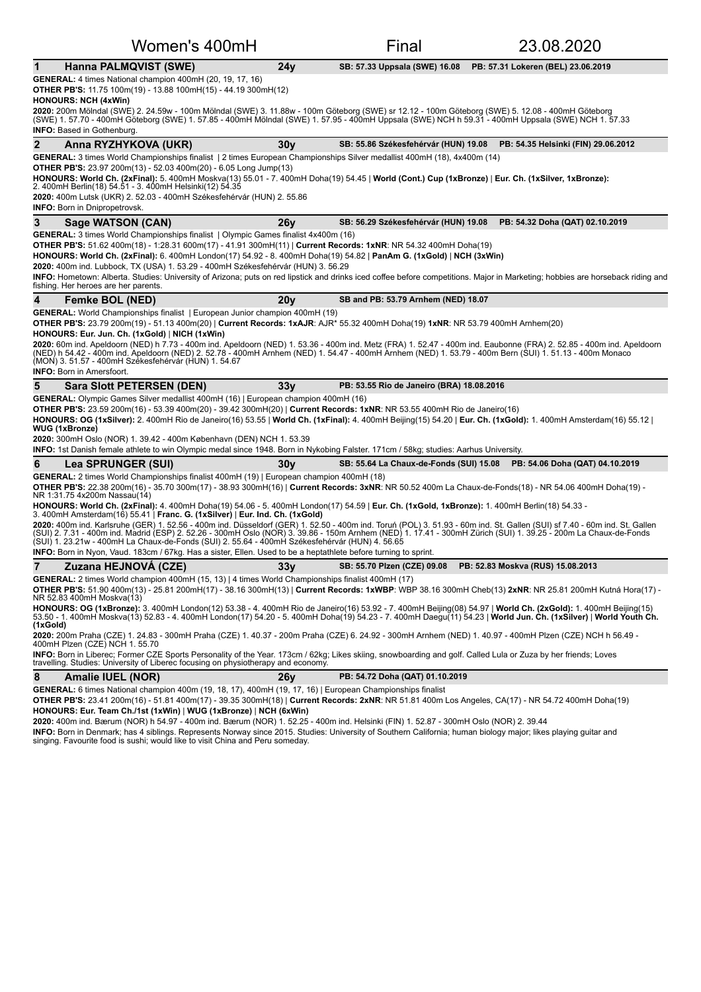|              | Women's 400mH                                                                                                                                                                                                                                                                                                                                                                                                                                                                                                                                                                                                                                            |                 | Final                                     | 23.08.2020                                                                                                                                                                     |
|--------------|----------------------------------------------------------------------------------------------------------------------------------------------------------------------------------------------------------------------------------------------------------------------------------------------------------------------------------------------------------------------------------------------------------------------------------------------------------------------------------------------------------------------------------------------------------------------------------------------------------------------------------------------------------|-----------------|-------------------------------------------|--------------------------------------------------------------------------------------------------------------------------------------------------------------------------------|
| $\mathbf 1$  | Hanna PALMQVIST (SWE)                                                                                                                                                                                                                                                                                                                                                                                                                                                                                                                                                                                                                                    | 24y             | SB: 57.33 Uppsala (SWE) 16.08             | PB: 57.31 Lokeren (BEL) 23.06.2019                                                                                                                                             |
|              | <b>GENERAL:</b> 4 times National champion 400mH (20, 19, 17, 16)<br><b>OTHER PB'S:</b> 11.75 100m(19) - 13.88 100mH(15) - 44.19 300mH(12)<br><b>HONOURS: NCH (4xWin)</b>                                                                                                                                                                                                                                                                                                                                                                                                                                                                                 |                 |                                           |                                                                                                                                                                                |
|              | 2020: 200m Mölndal (SWE) 2. 24.59w - 100m Mölndal (SWE) 3. 11.88w - 100m Göteborg (SWE) sr 12.12 - 100m Göteborg (SWE) 5. 12.08 - 400mH Göteborg<br>(SWE) 1. 57.70 - 400mH Göteborg (SWE) 1. 57.85 - 400mH Mölndal (SWE) 1. 57.95 - 400mH Uppsala (SWE) NCH h 59.31 - 400mH Uppsala (SWE) NCH 1. 57.33<br><b>INFO:</b> Based in Gothenburg.                                                                                                                                                                                                                                                                                                              |                 |                                           |                                                                                                                                                                                |
| $\mathbf{2}$ | Anna RYZHYKOVA (UKR)                                                                                                                                                                                                                                                                                                                                                                                                                                                                                                                                                                                                                                     | 30 <sub>V</sub> |                                           | SB: 55.86 Székesfehérvár (HUN) 19.08 PB: 54.35 Helsinki (FIN) 29.06.2012                                                                                                       |
|              | GENERAL: 3 times World Championships finalist   2 times European Championships Silver medallist 400mH (18), 4x400m (14)<br><b>OTHER PB'S:</b> 23.97 200m(13) - 52.03 400m(20) - 6.05 Long Jump(13)<br>HONOURS: World Ch. (2xFinal): 5. 400mH Moskva(13) 55.01 - 7. 400mH Doha(19) 54.45   World (Cont.) Cup (1xBronze)   Eur. Ch. (1xSilver, 1xBronze):<br>2. 400mH Berlin(18) 54.51 - 3. 400mH Helsinki(12) 54.35<br>2020: 400m Lutsk (UKR) 2. 52.03 - 400mH Székesfehérvár (HUN) 2. 55.86<br><b>INFO:</b> Born in Dnipropetrovsk.                                                                                                                      |                 |                                           |                                                                                                                                                                                |
| 3            | <b>Sage WATSON (CAN)</b>                                                                                                                                                                                                                                                                                                                                                                                                                                                                                                                                                                                                                                 | 26y             |                                           | SB: 56.29 Székesfehérvár (HUN) 19.08 PB: 54.32 Doha (QAT) 02.10.2019                                                                                                           |
|              | GENERAL: 3 times World Championships finalist   Olympic Games finalist 4x400m (16)<br>OTHER PB'S: 51.62 400m(18) - 1:28.31 600m(17) - 41.91 300mH(11)   Current Records: 1xNR: NR 54.32 400mH Doha(19)<br>HONOURS: World Ch. (2xFinal): 6. 400mH London(17) 54.92 - 8. 400mH Doha(19) 54.82   PanAm G. (1xGold)   NCH (3xWin)<br>2020: 400m ind. Lubbock, TX (USA) 1. 53.29 - 400mH Székesfehérvár (HUN) 3. 56.29<br>fishing. Her heroes are her parents.                                                                                                                                                                                                |                 |                                           | INFO: Hometown: Alberta. Studies: University of Arizona; puts on red lipstick and drinks iced coffee before competitions. Major in Marketing; hobbies are horseback riding and |
| 4            | <b>Femke BOL (NED)</b>                                                                                                                                                                                                                                                                                                                                                                                                                                                                                                                                                                                                                                   | 20y             | SB and PB: 53.79 Arnhem (NED) 18.07       |                                                                                                                                                                                |
|              | OTHER PB'S: 23.79 200m(19) - 51.13 400m(20)   Current Records: 1xAJR: AJR* 55.32 400mH Doha(19) 1xNR: NR 53.79 400mH Arnhem(20)<br>HONOURS: Eur. Jun. Ch. (1xGold)   NICH (1xWin)<br>2020: 60m ind. Apeldoorn (NED) h 7.73 - 400m ind. Apeldoorn (NED) 1. 53.36 - 400m ind. Metz (FRA) 1. 52.47 - 400m ind. Eaubonne (FRA) 2. 52.85 - 400m ind. Apeldoorn<br>(NED) h 54.42 - 400m ind. Apeldoorn (NED) 2. 52.78 - 400mH Arnhem (NED) 1. 54.47 - 400mH Arnhem (NED) 1. 53.79 - 400m Bern (SUI) 1. 51.13 - 400m Monaco<br>(MON) 3. 51.57 - 400mH Székesfehérvár (HUN) 1. 54.67<br><b>INFO:</b> Born in Amersfoort.                                         |                 |                                           |                                                                                                                                                                                |
| 5            | <b>Sara Slott PETERSEN (DEN)</b>                                                                                                                                                                                                                                                                                                                                                                                                                                                                                                                                                                                                                         | 33 <sub>V</sub> | PB: 53.55 Rio de Janeiro (BRA) 18.08.2016 |                                                                                                                                                                                |
|              | GENERAL: Olympic Games Silver medallist 400mH (16)   European champion 400mH (16)<br><b>OTHER PB'S:</b> 23.59 200m(16) - 53.39 400m(20) - 39.42 300mH(20)   Current Records: 1xNR: NR 53.55 400mH Rio de Janeiro(16)<br>HONOURS: OG (1xSilver): 2. 400mH Rio de Janeiro(16) 53.55   World Ch. (1xFinal): 4. 400mH Beijing(15) 54.20   Eur. Ch. (1xGold): 1. 400mH Amsterdam(16) 55.12  <br><b>WUG (1xBronze)</b><br>2020: 300mH Oslo (NOR) 1. 39.42 - 400m København (DEN) NCH 1. 53.39<br><b>INFO:</b> 1st Danish female athlete to win Olympic medal since 1948. Born in Nykobing Falster. 171cm / 58kg; studies: Aarhus University.                   |                 |                                           |                                                                                                                                                                                |
| 6            | <b>Lea SPRUNGER (SUI)</b>                                                                                                                                                                                                                                                                                                                                                                                                                                                                                                                                                                                                                                | 30v             | SB: 55.64 La Chaux-de-Fonds (SUI) 15.08   | PB: 54.06 Doha (QAT) 04.10.2019                                                                                                                                                |
|              | GENERAL: 2 times World Championships finalist 400mH (19)   European champion 400mH (18)                                                                                                                                                                                                                                                                                                                                                                                                                                                                                                                                                                  |                 |                                           |                                                                                                                                                                                |
|              | OTHER PB'S: 22.38 200m(16) - 35.70 300m(17) - 38.93 300mH(16)   Current Records: 3xNR: NR 50.52 400m La Chaux-de-Fonds(18) - NR 54.06 400mH Doha(19) -<br>NR 1:31.75 4x200m Nassau(14)<br>HONOURS: World Ch. (2xFinal): 4. 400mH Doha(19) 54.06 - 5. 400mH London(17) 54.59   Eur. Ch. (1xGold, 1xBronze): 1. 400mH Berlin(18) 54.33 -                                                                                                                                                                                                                                                                                                                   |                 |                                           |                                                                                                                                                                                |
|              | 3. 400mH Amsterdam(16) 55.41   Franc. G. (1xSilver)   Eur. Ind. Ch. (1xGold)<br>2020: 400m ind. Karlsruhe (GER) 1. 52.56 - 400m ind. Düsseldorf (GER) 1. 52.50 - 400m ind. Toruń (POL) 3. 51.93 - 60m ind. St. Gallen (SUI) sf 7.40 - 60m ind. St. Gallen<br>(SUI) 2. 7.31 - 400m ind. Madrid (ESP) 2. 52.26 - 300mH Oslo (NOR) 3. 39.86 - 150m Arnhem (NED) 1. 17.41 - 300mH Zürich (SUI) 1. 39.25 - 200m La Chaux-de-Fonds<br>(SUI) 1. 23.21w - 400mH La Chaux-de-Fonds (SUI) 2. 55.64 - 400mH Székesfehérvár (HUN) 4. 56.65<br><b>INFO:</b> Born in Nyon, Vaud. 183cm / 67kg. Has a sister, Ellen. Used to be a heptathlete before turning to sprint. |                 |                                           |                                                                                                                                                                                |
| 7            | Zuzana HEJNOVÁ (CZE)                                                                                                                                                                                                                                                                                                                                                                                                                                                                                                                                                                                                                                     |                 |                                           | SB: 55.70 Plzen (CZE) 09.08 PB: 52.83 Moskva (RUS) 15.08.2013                                                                                                                  |
|              | GENERAL: 2 times World champion 400mH (15, 13)   4 times World Championships finalist 400mH (17)                                                                                                                                                                                                                                                                                                                                                                                                                                                                                                                                                         | 33y             |                                           |                                                                                                                                                                                |
|              | OTHER PB'S: 51.90 400m(13) - 25.81 200mH(17) - 38.16 300mH(13)   Current Records: 1xWBP: WBP 38.16 300mH Cheb(13) 2xNR: NR 25.81 200mH Kutná Hora(17) -<br>NR 52.83 400mH Moskva(13)                                                                                                                                                                                                                                                                                                                                                                                                                                                                     |                 |                                           |                                                                                                                                                                                |
| (1xGold)     | HONOURS: OG (1xBronze): 3. 400mH London(12) 53.38 - 4. 400mH Rio de Janeiro(16) 53.92 - 7. 400mH Beijing(08) 54.97   World Ch. (2xGold): 1. 400mH Beijing(15)<br>53.50 - 1. 400mH Moskva(13) 52.83 - 4. 400mH London(17) 54.20 - 5. 400mH Doha(19) 54.23 - 7. 400mH Daequ(11) 54.23   World Jun. Ch. (1xSilver)   World Youth Ch.                                                                                                                                                                                                                                                                                                                        |                 |                                           |                                                                                                                                                                                |
|              | 2020: 200m Praha (CZE) 1. 24.83 - 300mH Praha (CZE) 1. 40.37 - 200m Praha (CZE) 6. 24.92 - 300mH Arnhem (NED) 1. 40.97 - 400mH Plzen (CZE) NCH h 56.49 -<br>400mH Plzen (CZE) NCH 1. 55.70<br>INFO: Born in Liberec; Former CZE Sports Personality of the Year. 173cm / 62kg; Likes skiing, snowboarding and golf. Called Lula or Zuza by her friends; Loves                                                                                                                                                                                                                                                                                             |                 |                                           |                                                                                                                                                                                |
|              | travelling. Studies: University of Liberec focusing on physiotherapy and economy.                                                                                                                                                                                                                                                                                                                                                                                                                                                                                                                                                                        |                 |                                           |                                                                                                                                                                                |
| 8            | <b>Amalie IUEL (NOR)</b>                                                                                                                                                                                                                                                                                                                                                                                                                                                                                                                                                                                                                                 | 26y             | PB: 54.72 Doha (QAT) 01.10.2019           |                                                                                                                                                                                |
|              | GENERAL: 6 times National champion 400m (19, 18, 17), 400mH (19, 17, 16)   European Championships finalist                                                                                                                                                                                                                                                                                                                                                                                                                                                                                                                                               |                 |                                           |                                                                                                                                                                                |

OTHER PB'S: 23.41 200m(16) - 51.81 400m(17) - 39.35 300mH(18) | Current Records: 2xNR: NR 51.81 400m Los Angeles, CA(17) - NR 54.72 400mH Doha(19) **HONOURS: Eur. Team Ch./1st (1xWin)** | **WUG (1xBronze)** | **NCH (6xWin)**

**2020:** 400m ind. Bærum (NOR) h 54.97 - 400m ind. Bærum (NOR) 1. 52.25 - 400m ind. Helsinki (FIN) 1. 52.87 - 300mH Oslo (NOR) 2. 39.44

**INFO:** Born in Denmark; has 4 siblings. Represents Norway since 2015. Studies: University of Southern California; human biology major; likes playing guitar and<br>singing. Favourite food is sushi; would like to visit China a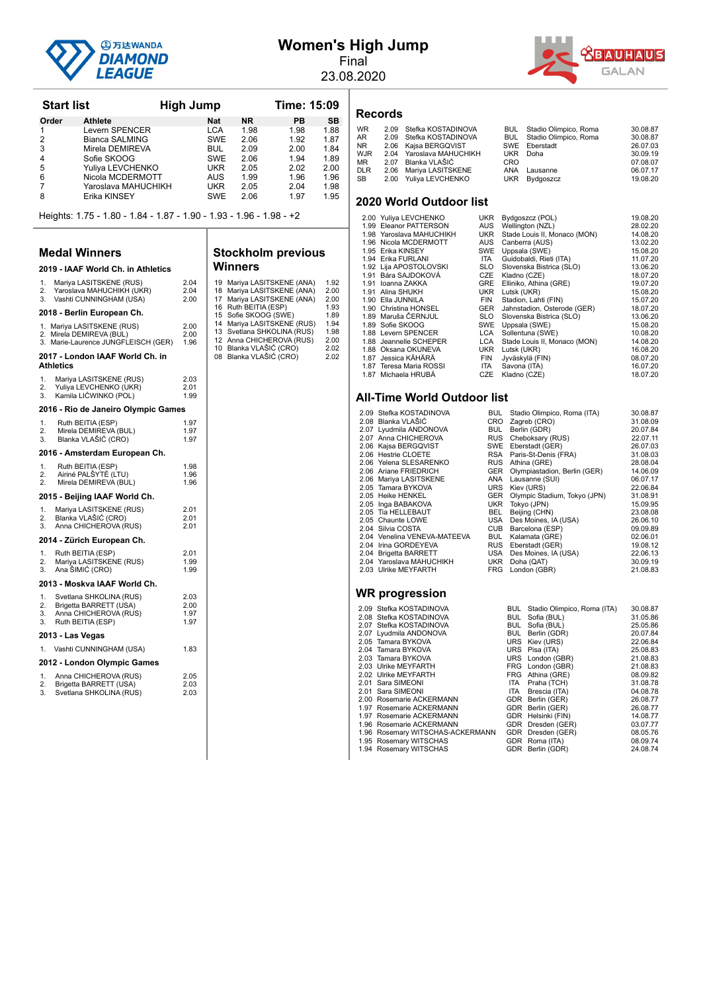

|  | Women's High Jump |
|--|-------------------|
|  |                   |

Final 23.08.2020



| <b>Start list</b> |                                                                     | <b>High Jump</b> |           | Time: 15:09 |           |  |
|-------------------|---------------------------------------------------------------------|------------------|-----------|-------------|-----------|--|
| Order             | <b>Athlete</b>                                                      | <b>Nat</b>       | <b>NR</b> | PB          | <b>SB</b> |  |
| 1                 | Levern SPENCER                                                      | <b>LCA</b>       | 1.98      | 1.98        | 1.88      |  |
| 2                 | Bianca SALMING                                                      | <b>SWE</b>       | 2.06      | 1.92        | 1.87      |  |
| 3                 | Mirela DEMIREVA                                                     | <b>BUL</b>       | 2.09      | 2.00        | 1.84      |  |
| 4                 | Sofie SKOOG                                                         | <b>SWE</b>       | 2.06      | 1.94        | 1.89      |  |
| 5                 | Yuliya LEVCHENKO                                                    | <b>UKR</b>       | 2.05      | 2.02        | 2.00      |  |
| 6                 | Nicola MCDERMOTT                                                    | <b>AUS</b>       | 1.99      | 1.96        | 1.96      |  |
|                   | Yaroslava MAHUCHIKH                                                 | <b>UKR</b>       | 2.05      | 2.04        | 1.98      |  |
| 8                 | Erika KINSEY                                                        | <b>SWE</b>       | 2.06      | 1.97        | 1.95      |  |
|                   | Heights: 1.75 - 1.80 - 1.84 - 1.87 - 1.90 - 1.93 - 1.96 - 1.98 - +2 |                  |           |             |           |  |
|                   |                                                                     |                  |           |             |           |  |

#### **Medal Winners**

#### **2019 - IAAF World Ch. in Athletics**

| 1.<br>2.<br>3.       | Mariya LASITSKENE (RUS)<br>Yaroslava MAHUCHIKH (UKR)<br>Vashti CUNNINGHAM (USA)                 | 2.04<br>2.04<br>2.00         |
|----------------------|-------------------------------------------------------------------------------------------------|------------------------------|
|                      | 2018 - Berlin European Ch.                                                                      |                              |
| 1.<br>3.             | Mariya LASITSKENE (RUS)<br>2. Mirela DEMIREVA (BUL)<br>Marie-Laurence JUNGFLEISCH (GER)         | 2.00<br>2.00<br>1.96         |
|                      | 2017 - London IAAF World Ch. in<br><b>Athletics</b>                                             |                              |
| 1.<br>2.<br>3.       | Mariya LASITSKENE (RUS)<br>Yuliya LEVCHENKO (UKR)<br>Kamila LIĆWINKO (POL)                      | 2.03<br>2.01<br>1.99         |
|                      | 2016 - Rio de Janeiro Olympic Games                                                             |                              |
| 1.<br>2.<br>3.       | Ruth BEITIA (ESP)<br>Mirela DEMIREVA (BUL)<br>Blanka VLAŠIĆ (CRO)                               | 1.97<br>1.97<br>1.97         |
|                      | 2016 - Amsterdam European Ch.                                                                   |                              |
| 1.<br>2.<br>2.       | Ruth BEITIA (ESP)<br>Airiné PALŠYTÉ (LTU)<br>Mirela DEMIREVA (BUL)                              | 1.98<br>1.96<br>1.96         |
|                      | 2015 - Beijing IAAF World Ch.                                                                   |                              |
| 1.<br>2.<br>3.       | Mariya LASITSKENE (RUS)<br>Blanka VLAŠIĆ (CRO)<br>Anna CHICHEROVA (RUS)                         | 2.01<br>2.01<br>2.01         |
|                      | 2014 - Zürich European Ch.                                                                      |                              |
| 1.<br>2.<br>3.       | Ruth BEITIA (ESP)<br>Mariya LASITSKENE (RUS)<br>Ana ŠIMIĆ (CRO)                                 | 2.01<br>1.99<br>1.99         |
|                      | 2013 - Moskva IAAF World Ch.                                                                    |                              |
| 1.<br>2.<br>3.<br>3. | Svetlana SHKOLINA (RUS)<br>Brigetta BARRETT (USA)<br>Anna CHICHEROVA (RUS)<br>Ruth BEITIA (ESP) | 2.03<br>2.00<br>1.97<br>1.97 |
|                      | 2013 - Las Vegas                                                                                |                              |
| 1.                   | Vashti CUNNINGHAM (USA)                                                                         | 1.83                         |
|                      | 2012 - London Olympic Games                                                                     |                              |
| 1.<br>2.<br>3.       | Anna CHICHEROVA (RUS)<br>Brigetta BARRETT (USA)<br>Svetlana SHKOLINA (RUS)                      | 2.05<br>2.03<br>2.03         |

#### **Stockholm previous Winners**

|  | 19 Mariya LASITSKENE (ANA) | 1.92 |
|--|----------------------------|------|
|  | 18 Mariya LASITSKENE (ANA) | 2.00 |
|  | 17 Mariya LASITSKENE (ANA) | 2.00 |
|  | 16 Ruth BEITIA (ESP)       | 1.93 |
|  | 15 Sofie SKOOG (SWE)       | 1.89 |
|  | 14 Mariya LASITSKENE (RUS) | 1.94 |
|  | 13 Svetlana SHKOLINA (RUS) | 1.98 |
|  | 12 Anna CHICHEROVA (RUS)   | 2.00 |
|  | 10 Blanka VLAŠIĆ (CRO)     | 2.02 |
|  | 08 Blanka VLAŠIĆ (CRO)     | 2.02 |
|  |                            |      |

### **Records**

| <b>WR</b>  | 2.09 Stefka KOSTADINOVA  |     | BUL Stadio Olimpico, Roma | 30.08.87 |
|------------|--------------------------|-----|---------------------------|----------|
| AR         | 2.09 Stefka KOSTADINOVA  |     | BUL Stadio Olimpico, Roma | 30.08.87 |
| NR.        | 2.06 Kaisa BERGQVIST     |     | SWE Eberstadt             | 26.07.03 |
| WJR        | 2.04 Yaroslava MAHUCHIKH |     | UKR Doha                  | 30.09.19 |
| MR         | 2.07 Blanka VLAŠIĆ       | CRO |                           | 07.08.07 |
| <b>DLR</b> | 2.06 Mariya LASITSKENE   |     | ANA Lausanne              | 06.07.17 |
| SB         | 2.00 Yuliya LEVCHENKO    |     | UKR Bydgoszcz             | 19.08.20 |
|            |                          |     |                           |          |

#### **2020 World Outdoor list**

| 2.00 Yuliya LEVCHENKO    | <b>UKR</b> | Bydgoszcz (POL)              | 19.08.20 |
|--------------------------|------------|------------------------------|----------|
| 1.99 Eleanor PATTERSON   | AUS        | Wellington (NZL)             | 28.02.20 |
| 1.98 Yaroslava MAHUCHIKH | <b>UKR</b> | Stade Louis II, Monaco (MON) | 14.08.20 |
| 1.96 Nicola MCDERMOTT    | AUS        | Canberra (AUS)               | 13.02.20 |
| 1.95 Erika KINSEY        | SWE        | Uppsala (SWE)                | 15.08.20 |
| 1.94 Erika FURLANI       | <b>ITA</b> | Guidobaldi, Rieti (ITA)      | 11.07.20 |
| 1.92 Lija APOSTOLOVSKI   | SLO        | Slovenska Bistrica (SLO)     | 13.06.20 |
| 1.91 Bára SAJDOKOVÁ      | CZE        | Kladno (CZE)                 | 18.07.20 |
| 1.91 loanna ZAKKA        | GRE        | Elliniko, Athina (GRE)       | 19.07.20 |
| 1.91 Alina SHUKH         | <b>UKR</b> | Lutsk (UKR)                  | 15.08.20 |
| 1.90 Ella JUNNILA        | <b>FIN</b> | Stadion, Lahti (FIN)         | 15.07.20 |
| 1.90 Christina HONSEL    | GER        | Jahnstadion, Osterode (GER)  | 18.07.20 |
| 1.89 Maruša ČERNJUL      | SLO        | Slovenska Bistrica (SLO)     | 13.06.20 |
| 1.89 Sofie SKOOG         | SWE        | Uppsala (SWE)                | 15.08.20 |
| 1.88 Levern SPENCER      | LCA        | Sollentuna (SWE)             | 10.08.20 |
| 1.88 Jeannelle SCHEPER   | LCA        | Stade Louis II, Monaco (MON) | 14.08.20 |
| 1.88 Oksana OKUNEVA      | <b>UKR</b> | Lutsk (UKR)                  | 16.08.20 |
| 1.87 Jessica KÄHÄRÄ      | FIN        | Jyväskylä (FIN)              | 08.07.20 |
| 1.87 Teresa Maria ROSSI  | <b>ITA</b> | Savona (ITA)                 | 16.07.20 |
| 1.87 Michaela HRUBA      | CZE        | Kladno (CZE)                 | 18.07.20 |
|                          |            |                              |          |

#### **All-Time World Outdoor list**

- 2.09 Stefka KOSTADINOVA BUL Stadio Olimpico, Roma (ITA) 30.08.87 2.08 Blanka VLAŠIĆ CRO Zagreb (CRO) 31.08.09 2.07 Lyudmila ANDONOVA BUL Berlin (GDR) 20.07.84
- 2.07 Anna CHICHEROVA RUS Cheboksary (RUS) 22.07.11 2.06 Kajsa BERGQVIST SWE Eberstadt (GER) 26.07.03
- 2.06 Hestrie CLOETE RSA Paris-St-Denis (FRA) 31.08.03 2.06 Yelena SLESARENKO RUS Athina (GRE) 28.08.04 2.06 Ariane FRIEDRICH GER Olympiastadion, Berlin (GER) 14.06.09 2.06 Mariya LASITSKENE ANA Lausanne (SUI) 06.07.17 2.05 Tamara BYKOVA URS Kiev (URS) 22.06.84
- 
- 2.06 Nation Studies New York (SER Olympiastadion, Berlin (GER)<br>
2.06 Nation RIEDRICH ANA Lausanne (SUI) 06.07.17<br>
2.05 Tamara BYKOVA URS (URS) 22.06.84<br>
2.05 Tamara BYKOVA GER Olympic Stadium, Tokyo (JPN) 31.08.91<br>
2.05 Ti
- 
- 
- 2.05 Inga BABAKOVA UKR Tokyo (JPN) 15.09.95 2.05 Tia HELLEBAUT BEL Beijing (CHN) 23.08.08 2.05 Chaunte LOWE USA Des Moines, IA (USA) 26.06.10
- 
- 2.04 Silvia COSTA CUB Barcelona (ESP) 09.09.89 2.04 Venelina VENEVA-MATEEVA BUL Kalamata (GRE) 02.06.01
- 
- 2.04 Irina GORDEYEVA RUS Eberstadt (GER) 19.08.12<br>
2.04 Brigetta BARRETT USA Des Moines, IA (USA) 22.06.13<br>
2.04 Yaroslava MAHUCHIKH UKR Doha (QAT) 30.09.19<br>
2.03 Ulrike MEYFARTH FRG London (GBR) 30.09.83
- 2.04 Brigetta BARRETT USA Des Moines, IA (USA) 22.06.13 2.04 Yaroslava MAHUCHIKH UKR Doha (QAT) 30.09.19 2.03 Ulrike MEYFARTH FRG London (GBR) 21.08.83

| 2.09 Stefka KOSTADINOVA          | BUL.       | Stadio Olimpico, Roma (ITA) | 30.08.87 |
|----------------------------------|------------|-----------------------------|----------|
| 2.08 Stefka KOSTADINOVA          | <b>BUL</b> | Sofia (BUL)                 | 31.05.86 |
| 2.07 Stefka KOSTADINOVA          | <b>BUL</b> | Sofia (BUL)                 | 25.05.86 |
| 2.07 Lyudmila ANDONOVA           | <b>BUL</b> | Berlin (GDR)                | 20.07.84 |
| 2.05 Tamara BYKOVA               | <b>URS</b> | Kiev (URS)                  | 22.06.84 |
| 2.04 Tamara BYKOVA               |            | URS Pisa (ITA)              | 25.08.83 |
| 2.03 Tamara BYKOVA               |            | URS London (GBR)            | 21.08.83 |
| 2.03 Ulrike MEYFARTH             |            | FRG London (GBR)            | 21.08.83 |
| 2.02 Ulrike MEYFARTH             | <b>FRG</b> | Athina (GRE)                | 08.09.82 |
| 2.01 Sara SIMEONI                | ITA.       | Praha (TCH)                 | 31.08.78 |
| 2.01 Sara SIMEONI                | ITA.       | Brescia (ITA)               | 04.08.78 |
| 2.00 Rosemarie ACKERMANN         |            | GDR Berlin (GER)            | 26.08.77 |
| 1.97 Rosemarie ACKERMANN         |            | GDR Berlin (GER)            | 26.08.77 |
| 1.97 Rosemarie ACKERMANN         |            | GDR Helsinki (FIN)          | 14.08.77 |
| 1.96 Rosemarie ACKERMANN         |            | GDR Dresden (GER)           | 03.07.77 |
| 1.96 Rosemary WITSCHAS-ACKERMANN |            | GDR Dresden (GER)           | 08.05.76 |
| 1.95 Rosemary WITSCHAS           |            | GDR Roma (ITA)              | 08.09.74 |
| 1.94 Rosemary WITSCHAS           |            | GDR Berlin (GDR)            | 24.08.74 |
|                                  |            |                             |          |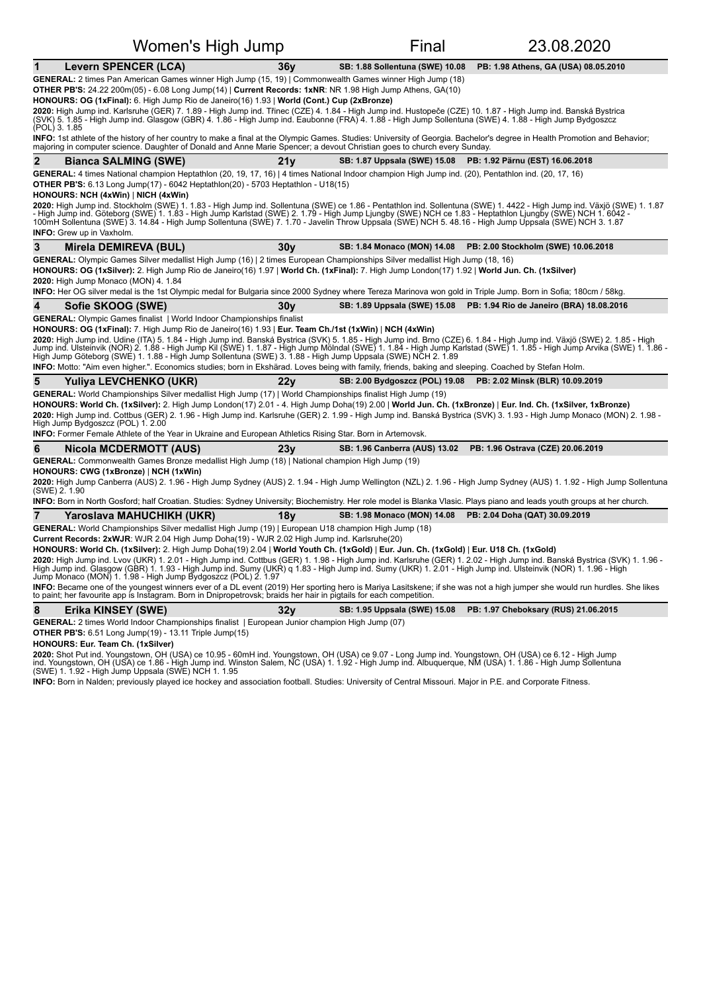| Women's High Jump                                                                                                                                                                                                                                                                                                                                                                                                                                                                                                                                                                                                                                                                                                                                                                                                             |                 | Final                                  | 23.08.2020                                                            |  |  |  |
|-------------------------------------------------------------------------------------------------------------------------------------------------------------------------------------------------------------------------------------------------------------------------------------------------------------------------------------------------------------------------------------------------------------------------------------------------------------------------------------------------------------------------------------------------------------------------------------------------------------------------------------------------------------------------------------------------------------------------------------------------------------------------------------------------------------------------------|-----------------|----------------------------------------|-----------------------------------------------------------------------|--|--|--|
| <b>Levern SPENCER (LCA)</b><br>1                                                                                                                                                                                                                                                                                                                                                                                                                                                                                                                                                                                                                                                                                                                                                                                              | 36v             | <b>SB: 1.88 Sollentuna (SWE) 10.08</b> | PB: 1.98 Athens, GA (USA) 08.05.2010                                  |  |  |  |
| GENERAL: 2 times Pan American Games winner High Jump (15, 19)   Commonwealth Games winner High Jump (18)<br>OTHER PB'S: 24.22 200m(05) - 6.08 Long Jump(14)   Current Records: 1xNR: NR 1.98 High Jump Athens, GA(10)<br>HONOURS: OG (1xFinal): 6. High Jump Rio de Janeiro(16) 1.93   World (Cont.) Cup (2xBronze)<br>2020: High Jump ind. Karlsruhe (GER) 7. 1.89 - High Jump ind. Třinec (CZE) 4. 1.84 - High Jump ind. Hustopeče (CZE) 10. 1.87 - High Jump ind. Banská Bystrica<br>(SVK) 5. 1.85 - High Jump ind. Glasgow (GBR) 4. 1.86 - High Jump<br>(POL) 3. 1.85                                                                                                                                                                                                                                                     |                 |                                        |                                                                       |  |  |  |
| INFO: 1st athlete of the history of her country to make a final at the Olympic Games. Studies: University of Georgia. Bachelor's degree in Health Promotion and Behavior;<br>majoring in computer science. Daughter of Donald and Anne Marie Spencer; a devout Christian goes to church every Sunday.                                                                                                                                                                                                                                                                                                                                                                                                                                                                                                                         |                 |                                        |                                                                       |  |  |  |
| $\overline{2}$<br><b>Bianca SALMING (SWE)</b>                                                                                                                                                                                                                                                                                                                                                                                                                                                                                                                                                                                                                                                                                                                                                                                 | 21y             | <b>SB: 1.87 Uppsala (SWE) 15.08</b>    | PB: 1.92 Pärnu (EST) 16.06.2018                                       |  |  |  |
| GENERAL: 4 times National champion Heptathlon (20, 19, 17, 16)   4 times National Indoor champion High Jump ind. (20), Pentathlon ind. (20, 17, 16)<br><b>OTHER PB'S:</b> 6.13 Long Jump(17) - 6042 Heptathlon(20) - 5703 Heptathlon - U18(15)<br>HONOURS: NCH (4xWin)   NICH (4xWin)<br>2020: High Jump ind. Stockholm (SWE) 1. 1.83 - High Jump ind. Sollentuna (SWE) ce 1.86 - Pentathlon ind. Sollentuna (SWE) 1. 4422 - High Jump ind. Växjö (SWE) 1. 1.87                                                                                                                                                                                                                                                                                                                                                               |                 |                                        |                                                                       |  |  |  |
| - High Jump ind. Göteborg (SWE) 1. 1.83 - High Jump Karlstad (SWE) 2. 1.79 - High Jump Ljungby (SWE) NCH ce 1.83 - Heptathlon Ljungby (SWE) NCH 1. 6042 -<br>100mH Sollentuna (SWE) 3. 14.84 - High Jump Sollentuna (SWE) 7. 1.70<br><b>INFO:</b> Grew up in Vaxholm.                                                                                                                                                                                                                                                                                                                                                                                                                                                                                                                                                         |                 |                                        |                                                                       |  |  |  |
| 3<br>Mirela DEMIREVA (BUL)                                                                                                                                                                                                                                                                                                                                                                                                                                                                                                                                                                                                                                                                                                                                                                                                    | 30 <sub>V</sub> | SB: 1.84 Monaco (MON) 14.08            | PB: 2.00 Stockholm (SWE) 10.06.2018                                   |  |  |  |
| GENERAL: Olympic Games Silver medallist High Jump (16)   2 times European Championships Silver medallist High Jump (18, 16)<br>HONOURS: OG (1xSilver): 2. High Jump Rio de Janeiro(16) 1.97   World Ch. (1xFinal): 7. High Jump London(17) 1.92   World Jun. Ch. (1xSilver)<br>2020: High Jump Monaco (MON) 4. 1.84                                                                                                                                                                                                                                                                                                                                                                                                                                                                                                           |                 |                                        |                                                                       |  |  |  |
| INFO: Her OG silver medal is the 1st Olympic medal for Bulgaria since 2000 Sydney where Tereza Marinova won gold in Triple Jump. Born in Sofia; 180cm / 58kg.                                                                                                                                                                                                                                                                                                                                                                                                                                                                                                                                                                                                                                                                 |                 |                                        |                                                                       |  |  |  |
| Sofie SKOOG (SWE)<br><b>GENERAL:</b> Olympic Games finalist   World Indoor Championships finalist                                                                                                                                                                                                                                                                                                                                                                                                                                                                                                                                                                                                                                                                                                                             | 30v             |                                        | SB: 1.89 Uppsala (SWE) 15.08 PB: 1.94 Rio de Janeiro (BRA) 18.08.2016 |  |  |  |
| HONOURS: OG (1xFinal): 7. High Jump Rio de Janeiro(16) 1.93   Eur. Team Ch./1st (1xWin)   NCH (4xWin)<br>2020: High Jump ind. Udine (ITA) 5. 1.84 - High Jump ind. Banská Bystrica (SVK) 5. 1.85 - High Jump ind. Brno (CZE) 6. 1.84 - High Jump ind. Växjö (SWE) 2. 1.85 - High<br>Jump ind. Ulsteinvik (NOR) 2. 1.88 - High Jump Kil (SWE) 1. 1.87 - High Jump Mölndal (SWE) 1. 1.84 - High Jump Karlstad (SWE) 1. 1.85 - High Jump Arvika (SWE) 1. 1.86 -<br>High Jump Göteborg (SWE) 1. 1.88 - High Jump Sollentuna (SWE) 3. 1.88 - High Jump Uppsala (SWE) NCH 2. 1.89                                                                                                                                                                                                                                                   |                 |                                        |                                                                       |  |  |  |
| INFO: Motto: "Aim even higher.". Economics studies; born in Ekshärad. Loves being with family, friends, baking and sleeping. Coached by Stefan Holm.                                                                                                                                                                                                                                                                                                                                                                                                                                                                                                                                                                                                                                                                          |                 |                                        |                                                                       |  |  |  |
| 5<br>Yuliya LEVCHENKO (UKR)                                                                                                                                                                                                                                                                                                                                                                                                                                                                                                                                                                                                                                                                                                                                                                                                   | 22y             | SB: 2.00 Bydgoszcz (POL) 19.08         | PB: 2.02 Minsk (BLR) 10.09.2019                                       |  |  |  |
| GENERAL: World Championships Silver medallist High Jump (17)   World Championships finalist High Jump (19)<br>HONOURS: World Ch. (1xSilver): 2. High Jump London(17) 2.01 - 4. High Jump Doha(19) 2.00   World Jun. Ch. (1xBronze)   Eur. Ind. Ch. (1xSilver, 1xBronze)<br>2020: High Jump ind. Cottbus (GER) 2. 1.96 - High Jump ind. Karlsruhe (GER) 2. 1.99 - High Jump ind. Banská Bystrica (SVK) 3. 1.93 - High Jump Monaco (MON) 2. 1.98 -<br>High Jump Bydgoszcz (POL) 1. 2.00<br><b>INFO:</b> Former Female Athlete of the Year in Ukraine and European Athletics Rising Star. Born in Artemovsk.                                                                                                                                                                                                                     |                 |                                        |                                                                       |  |  |  |
| Nicola MCDERMOTT (AUS)<br>6                                                                                                                                                                                                                                                                                                                                                                                                                                                                                                                                                                                                                                                                                                                                                                                                   | 23v             | <b>SB: 1.96 Canberra (AUS) 13.02</b>   | PB: 1.96 Ostrava (CZE) 20.06.2019                                     |  |  |  |
| GENERAL: Commonwealth Games Bronze medallist High Jump (18)   National champion High Jump (19)<br>HONOURS: CWG (1xBronze)   NCH (1xWin)<br>2020: High Jump Canberra (AUS) 2. 1.96 - High Jump Sydney (AUS) 2. 1.94 - High Jump Wellington (NZL) 2. 1.96 - High Jump Sydney (AUS) 1. 1.92 - High Jump Sollentuna<br>(SWE) 2.1.90<br>INFO: Born in North Gosford; half Croatian. Studies: Sydney University; Biochemistry. Her role model is Blanka Vlasic. Plays piano and leads youth groups at her church.                                                                                                                                                                                                                                                                                                                   |                 |                                        |                                                                       |  |  |  |
| $\overline{7}$<br>Yaroslava MAHUCHIKH (UKR)                                                                                                                                                                                                                                                                                                                                                                                                                                                                                                                                                                                                                                                                                                                                                                                   | 18v             | SB: 1.98 Monaco (MON) 14.08            | PB: 2.04 Doha (QAT) 30.09.2019                                        |  |  |  |
| GENERAL: World Championships Silver medallist High Jump (19)   European U18 champion High Jump (18)                                                                                                                                                                                                                                                                                                                                                                                                                                                                                                                                                                                                                                                                                                                           |                 |                                        |                                                                       |  |  |  |
| Current Records: 2xWJR: WJR 2.04 High Jump Doha(19) - WJR 2.02 High Jump ind. Karlsruhe(20)<br>HONOURS: World Ch. (1xSilver): 2. High Jump Doha(19) 2.04   World Youth Ch. (1xGold)   Eur. Jun. Ch. (1xGold)   Eur. U18 Ch. (1xGold)<br>2020: High Jump ind. Lvov (UKR) 1. 2.01 - High Jump ind. Cottbus (GER) 1. 1.98 - High Jump ind. Karlsruhe (GER) 1. 2.02 - High Jump ind. Banská Bystrica (SVK) 1. 1.96 -<br>High Jump ind. Glasgow (GBR) 1. 1.93 - High Jump ind. Sumy (UKR) g 1.83 - High Jump ind. Sumy (UKR) 1. 2.01 - High Jump ind. Ulsteinvik (NOR) 1. 1.96 - High<br>Jump Monaco (MON) 1. 1.98 - High Jump Bydgoszcz (POL) 2. 1.97<br>INFO: Became one of the youngest winners ever of a DL event (2019) Her sporting hero is Mariya Lasitskene; if she was not a high jumper she would run hurdles. She likes |                 |                                        |                                                                       |  |  |  |
| to paint; her favourite app is Instagram. Born in Dnipropetrovsk; braids her hair in pigtails for each competition.                                                                                                                                                                                                                                                                                                                                                                                                                                                                                                                                                                                                                                                                                                           |                 |                                        |                                                                       |  |  |  |
| 8<br>Erika KINSEY (SWE)                                                                                                                                                                                                                                                                                                                                                                                                                                                                                                                                                                                                                                                                                                                                                                                                       | 32 <sub>V</sub> | SB: 1.95 Uppsala (SWE) 15.08           | PB: 1.97 Cheboksary (RUS) 21.06.2015                                  |  |  |  |
| GENERAL: 2 times World Indoor Championships finalist   European Junior champion High Jump (07)<br><b>OTHER PB'S:</b> 6.51 Long Jump(19) - 13.11 Triple Jump(15)<br>HONOURS: Eur. Team Ch. (1xSilver)<br>2020: Shot Put ind. Youngstown, OH (USA) ce 10.95 - 60mH ind. Youngstown, OH (USA) ce 9.07 - Long Jump ind. Youngstown, OH (USA) ce 6.12 - High Jump<br>ind. Youngstown, OH (USA) ce 1.86 - High Jump ind. Winston Salem, NC (USA) 1. 1.92 - High Jump ind. Albuquerque, NM (USA) 1. 1.86 - High Jump Sollentuna                                                                                                                                                                                                                                                                                                      |                 |                                        |                                                                       |  |  |  |
| (SWE) 1. 1.92 - High Jump Uppsala (SWE) NCH 1. 1.95                                                                                                                                                                                                                                                                                                                                                                                                                                                                                                                                                                                                                                                                                                                                                                           |                 |                                        |                                                                       |  |  |  |

INFO: Born in Nalden; previously played ice hockey and association football. Studies: University of Central Missouri. Major in P.E. and Corporate Fitness.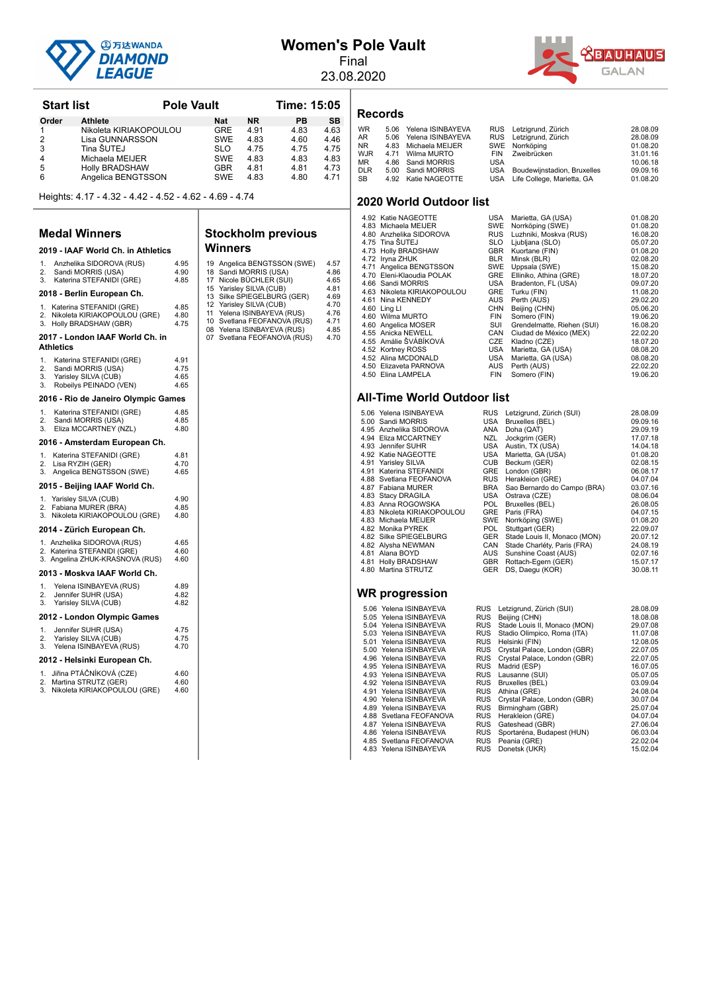

### **Women's Pole Vault**

Final 23.08.2020 **ABAUHAUS GALAN** 

| <b>Start list</b> |                        | <b>Pole Vault</b> |           |      | Time: 15:05 |  |  |
|-------------------|------------------------|-------------------|-----------|------|-------------|--|--|
| Order             | Athlete                | <b>Nat</b>        | <b>NR</b> | PВ   | <b>SB</b>   |  |  |
|                   | Nikoleta KIRIAKOPOULOU | <b>GRE</b>        | 4.91      | 4.83 | 4.63        |  |  |
| 2                 | Lisa GUNNARSSON        | <b>SWE</b>        | 4.83      | 4.60 | 4.46        |  |  |
| 3                 | Tina ŠUTEJ             | <b>SLO</b>        | 4.75      | 4.75 | 4.75        |  |  |
| 4                 | Michaela MEIJER        | <b>SWE</b>        | 4.83      | 4.83 | 4.83        |  |  |
| 5                 | <b>Holly BRADSHAW</b>  | <b>GBR</b>        | 4.81      | 4.81 | 4.73        |  |  |
| 6                 | Angelica BENGTSSON     | <b>SWE</b>        | 4.83      | 4.80 | 4.71        |  |  |

Heights: 4.17 - 4.32 - 4.42 - 4.52 - 4.62 - 4.69 - 4.74

#### **Medal Winners**

|                              | юн                                                                                               |                              |
|------------------------------|--------------------------------------------------------------------------------------------------|------------------------------|
|                              | 2019 - IAAF World Ch. in Athletics                                                               |                              |
| 1.<br>$\overline{2}$ .<br>3. | Anzhelika SIDOROVA (RUS)<br>Sandi MORRIS (USA)<br>Katerina STEFANIDI (GRE)                       | 4.95<br>4.90<br>4.85         |
|                              | 2018 - Berlin European Ch.                                                                       |                              |
| 1.<br>2.<br>3.               | Katerina STEFANIDI (GRE)<br>Nikoleta KIRIAKOPOULOU (GRE)<br>Holly BRADSHAW (GBR)                 | 4.85<br>4.80<br>4.75         |
|                              | 2017 - London IAAF World Ch. in<br><b>Athletics</b>                                              |                              |
| 1.<br>2.<br>3.<br>3.         | Katerina STEFANIDI (GRE)<br>Sandi MORRIS (USA)<br>Yarisley SILVA (CUB)<br>Robeilys PEINADO (VEN) | 4.91<br>4.75<br>4.65<br>4.65 |
|                              | 2016 - Rio de Janeiro Olympic Games                                                              |                              |
| 1.<br>2.<br>3.               | Katerina STEFANIDI (GRE)<br>Sandi MORRIS (USA)<br>Eliza MCCARTNEY (NZL)                          | 4.85<br>4.85<br>4.80         |
|                              | 2016 - Amsterdam European Ch.                                                                    |                              |
| 1.<br>2.<br>3.               | Katerina STEFANIDI (GRE)<br>Lisa RYZIH (GER)<br>Angelica BENGTSSON (SWE)                         | 4.81<br>4.70<br>4.65         |
|                              | 2015 - Beijing IAAF World Ch.                                                                    |                              |
| 1.<br>2.<br>3.               | Yarisley SILVA (CUB)<br>Fabiana MURER (BRA)<br>Nikoleta KIRIAKOPOULOU (GRE)                      | 4.90<br>4.85<br>4.80         |
|                              | 2014 - Zürich European Ch.                                                                       |                              |
| 1.<br>2.<br>3.               | Anzhelika SIDOROVA (RUS)<br>Katerina STEFANIDI (GRE)<br>Angelina ZHUK-KRASNOVA (RUS)             | 4.65<br>4.60<br>4.60         |
|                              | 2013 - Moskva IAAF World Ch.                                                                     |                              |
| 1.<br>2.<br>3.               | Yelena ISINBAYEVA (RUS)<br>Jennifer SUHR (USA)<br>Yarisley SILVA (CUB)                           | 4.89<br>4.82<br>4.82         |
|                              | 2012 - London Olympic Games                                                                      |                              |
| 1.<br>2.<br>3.               | Jennifer SUHR (USA)<br>Yarisley SILVA (CUB)<br>Yelena ISINBAYEVA (RUS)                           | 4.75<br>4.75<br>4.70         |
|                              | 2012 - Helsinki European Ch.                                                                     |                              |
| 1.<br>2.<br>3.               | Jiřina PTÁČNÍKOVÁ (CZE)<br>Martina STRUTZ (GER)<br>Nikoleta KIRIAKOPOULOU (GRE)                  | 4.60<br>4.60<br>4.60         |
|                              |                                                                                                  |                              |

#### **Stockholm previous Winners**

| 19<br>18<br>17<br>15<br>13<br>12<br>11<br>10 <sup>10</sup> | Angelica BENGTSSON (SWE)<br>Sandi MORRIS (USA)<br>Nicole BÜCHLER (SUI)<br>Yarisley SILVA (CUB)<br>Silke SPIEGELBURG (GER)<br>Yarisley SILVA (CUB)<br>Yelena ISINBAYEVA (RUS)<br>Svetlana FEOFANOVA (RUS)<br>08 Yelena ISINBAYEVA (RUS)<br>07 Svetlana FEOFANOVA (RUS) | 4.57<br>4.86<br>4.65<br>4.81<br>4.69<br>4.70<br>4.76<br>4.71<br>4.85<br>4.70 |
|------------------------------------------------------------|-----------------------------------------------------------------------------------------------------------------------------------------------------------------------------------------------------------------------------------------------------------------------|------------------------------------------------------------------------------|
|                                                            |                                                                                                                                                                                                                                                                       |                                                                              |
|                                                            |                                                                                                                                                                                                                                                                       |                                                                              |

#### **Records**

| <b>WR</b><br>AR<br>NR.<br>WJR<br>ΜR<br><b>DLR</b><br>SВ | 5.06 Yelena ISINBAYEVA<br>5.06 Yelena ISINBAYEVA<br>4.83 Michaela MEIJER<br>4.71 Wilma MURTO<br>4.86 Sandi MORRIS<br>5.00 Sandi MORRIS<br>4.92 Katie NAGEOTTE | <b>USA</b> | RUS Letzigrund, Zürich<br>RUS Letzigrund, Zürich<br>SWE Norrköping<br>FIN Zweibrücken<br>USA Boudewijnstadion, Bruxelles<br>USA Life College, Marietta, GA | 28.08.09<br>28.08.09<br>01.08.20<br>31.01.16<br>10.06.18<br>09.09.16<br>01.08.20 |
|---------------------------------------------------------|---------------------------------------------------------------------------------------------------------------------------------------------------------------|------------|------------------------------------------------------------------------------------------------------------------------------------------------------------|----------------------------------------------------------------------------------|
|                                                         |                                                                                                                                                               |            |                                                                                                                                                            |                                                                                  |
|                                                         |                                                                                                                                                               |            |                                                                                                                                                            |                                                                                  |

#### **2020 World Outdoor list**

| 4.92 Katie NAGEOTTE         | USA        | Marietta, GA (USA)         | 01.08.20 |
|-----------------------------|------------|----------------------------|----------|
| 4.83 Michaela MEIJER        | <b>SWE</b> | Norrköping (SWE)           | 01.08.20 |
| 4.80 Anzhelika SIDOROVA     | <b>RUS</b> | Luzhniki, Moskva (RUS)     | 16.08.20 |
| 4.75 Tina ŠUTEJ             | <b>SLO</b> | Ljubljana (SLO)            | 05.07.20 |
| 4.73 Holly BRADSHAW         | <b>GBR</b> | Kuortane (FIN)             | 01.08.20 |
| 4.72 Iryna ZHUK             | <b>BLR</b> | Minsk (BLR)                | 02.08.20 |
| 4.71 Angelica BENGTSSON     | SWE        | Uppsala (SWE)              | 15.08.20 |
| 4.70 Eleni-Klaoudia POLAK   | GRE        | Elliniko, Athina (GRE)     | 18.07.20 |
| 4.66 Sandi MORRIS           | USA        | Bradenton, FL (USA)        | 09.07.20 |
| 4.63 Nikoleta KIRIAKOPOULOU | <b>GRE</b> | Turku (FIN)                | 11.08.20 |
| 4.61 Nina KENNEDY           | <b>AUS</b> | Perth (AUS)                | 29.02.20 |
| 4.60 Ling LI                | <b>CHN</b> | Beijing (CHN)              | 05.06.20 |
| 4.60 Wilma MURTO            | <b>FIN</b> | Somero (FIN)               | 19.06.20 |
| 4.60 Angelica MOSER         | SUI        | Grendelmatte, Riehen (SUI) | 16.08.20 |
| 4.55 Anicka NEWELL          | CAN        | Ciudad de México (MEX)     | 22.02.20 |
| 4.55 Amálie ŠVÁBÍKOVÁ       | <b>CZE</b> | Kladno (CZE)               | 18.07.20 |
| 4.52 Kortney ROSS           | USA        | Marietta, GA (USA)         | 08.08.20 |
| 4.52 Alina MCDONALD         | USA        | Marietta, GA (USA)         | 08.08.20 |
| 4.50 Elizaveta PARNOVA      | <b>AUS</b> | Perth (AUS)                | 22.02.20 |
| 4.50 Elina LAMPELA          | <b>FIN</b> | Somero (FIN)               | 19.06.20 |
|                             |            |                            |          |

#### **All-Time World Outdoor list**

- 5.06 Yelena ISINBAYEVA RUS Letzigrund, Zürich (SUI) 28.08.09 5.00 Sandi MORRIS USA Bruxelles (BEL) 09.09.16
- 
- 4.95 Anzhelika SIDOROVA ANA Doha (QAT) 29.09.19<br>4.94 Eliza MCCARTNEY NZL Jockgrim (GER) 17.07.18<br>4.93 Jennifer SUHR USA Austin, TX (USA) 14.04.18<br>4.92 Katie NAGEOTTE USA Marietta, GA (USA) 14.04.19 4.94 Eliza MCCARTNEY NZL Jockgrim (GER) 17.07.18<br>4.93 Jennifer SUHR USA Austin, TX (USA) 14.04.18<br>4.92 Katie NAGEOTTE USA Marietta, GA (USA) 01.08.20
- 4.93 Jennifer SUHR USA Austin, TX (USA) 14.04.18<br>4.92 Katie NAGEOTTE USA Marietta, GA (USA) 01.08.20
- 4.91 Yarisley SILVA CUB Beckum (GER) 02.08.15 4.91 Katerina STEFANIDI GRE London (GBR) 06.08.17
- 
- 4.88 Svetlana FEOFANOVA RUS Herakleion (GRE) 04.07.04<br>4.87 Fabiana MURER RRA San Bernardo do Campo (BRA) 03.07.16
- 
- 
- 
- 
- 
- 
- 4.81 Alana BOYD AUS<br>
4.81 Holly BRADSHAW GBR
- 

#### **WR progression**

| 5.06 Yelena ISINBAYEVA  | <b>RUS</b> | Letzigrund, Zürich (SUI)         | 28.08.09 |
|-------------------------|------------|----------------------------------|----------|
| 5.05 Yelena ISINBAYEVA  | <b>RUS</b> | Beijing (CHN)                    | 18.08.08 |
| 5.04 Yelena ISINBAYEVA  |            | RUS Stade Louis II, Monaco (MON) | 29.07.08 |
| 5.03 Yelena ISINBAYEVA  | <b>RUS</b> | Stadio Olimpico, Roma (ITA)      | 11.07.08 |
| 5.01 Yelena ISINBAYEVA  | <b>RUS</b> | Helsinki (FIN)                   | 12.08.05 |
| 5.00 Yelena ISINBAYEVA  | <b>RUS</b> | Crystal Palace, London (GBR)     | 22.07.05 |
| 4.96 Yelena ISINBAYEVA  | <b>RUS</b> | Crystal Palace, London (GBR)     | 22.07.05 |
| 4.95 Yelena ISINBAYEVA  | <b>RUS</b> | Madrid (ESP)                     | 16.07.05 |
| 4.93 Yelena ISINBAYEVA  | <b>RUS</b> | Lausanne (SUI)                   | 05.07.05 |
| 4.92 Yelena ISINBAYEVA  | <b>RUS</b> | Bruxelles (BEL)                  | 03.09.04 |
| 4.91 Yelena ISINBAYEVA  | <b>RUS</b> | Athina (GRE)                     | 24.08.04 |
| 4.90 Yelena ISINBAYEVA  | <b>RUS</b> | Crystal Palace, London (GBR)     | 30.07.04 |
| 4.89 Yelena ISINBAYEVA  | <b>RUS</b> | Birmingham (GBR)                 | 25.07.04 |
| 4.88 Svetlana FEOFANOVA | <b>RUS</b> | Herakleion (GRE)                 | 04.07.04 |
| 4.87 Yelena ISINBAYEVA  | <b>RUS</b> | Gateshead (GBR)                  | 27.06.04 |
| 4.86 Yelena ISINBAYEVA  | <b>RUS</b> | Sportaréna, Budapest (HUN)       | 06.03.04 |
| 4.85 Svetlana FEOFANOVA | RUS        | Peania (GRE)                     | 22.02.04 |

4.83 Yelena ISINBAYEVA

|                             |            | <u>oao Bonnardo do Sanipo (Briti)</u> |          |
|-----------------------------|------------|---------------------------------------|----------|
| 4.83 Stacy DRAGILA          | USA        | Ostrava (CZE)                         | 08.06.04 |
| 4.83 Anna ROGOWSKA          | POL.       | Bruxelles (BEL)                       | 26.08.05 |
| 4.83 Nikoleta KIRIAKOPOULOU | <b>GRE</b> | Paris (FRA)                           | 04.07.15 |
| 4.83 Michaela MEIJER        | SWE        | Norrköping (SWE)                      | 01.08.20 |
| 4.82 Monika PYREK           | POL.       | Stuttgart (GER)                       | 22.09.07 |
| 4.82 Silke SPIEGELBURG      | <b>GER</b> | Stade Louis II, Monaco (MON)          | 20.07.12 |
| 4.82 Alysha NEWMAN          | CAN        | Stade Charléty, Paris (FRA)           | 24.08.19 |
| 4.81 Alana BOYD             | AUS        | Sunshine Coast (AUS)                  | 02.07.16 |
| 4.81 Holly BRADSHAW         | <b>GBR</b> | Rottach-Egern (GER)                   | 15.07.17 |
| 4.80 Martina STRUTZ         | <b>GER</b> | DS, Daegu (KOR)                       | 30.08.11 |
|                             |            |                                       |          |
|                             |            |                                       |          |
| WR progression              |            |                                       |          |
|                             |            |                                       |          |
| 5.06 Yelena ISINBAYEVA      | <b>RUS</b> | Letzigrund, Zürich (SUI)              | 28.08.09 |
| 5.05 Yelena ISINBAYEVA      | <b>RUS</b> | Beijing (CHN)                         | 18.08.08 |
| 5.04 Yelena ISINBAYEVA      | <b>RUS</b> | Stade Louis II, Monaco (MON)          | 29.07.08 |
| 5.03 Yelena ISINBAYEVA      | <b>RUS</b> | Stadio Olimpico, Roma (ITA)           | 11.07.08 |
| 5.01 Yelena ISINBAYEVA      | <b>RUS</b> | Helsinki (FIN)                        | 12.08.05 |
| 5.00 Yelena ISINBAYEVA      | <b>RUS</b> | Crystal Palace, London (GBR)          | 22.07.05 |
| 4.96 Yelena ISINBAYEVA      | <b>RUS</b> | Crystal Palace, London (GBR)          | 22.07.05 |
| 4.95 Yelena ISINBAYEVA      | RUS        | Madrid (ESP)                          | 16.07.05 |

4.46 Yelena Meland (GRE)<br>
4.07.04<br>
RUS Gateshead (GBR)<br>
RUS Sportaréna, Budapest (HUN) 06.03.04<br>
RUS Peania (GRE) 06.04.04 AUS Peania (GRE)<br>RUS Peania (GRE) 22.02.04<br>RUS Donetsk (UKR) 15.02.04

BRA Sao Bernardo do Campo (BRA) 03.07.16<br>USA Ostrava (CZE) 08.06.04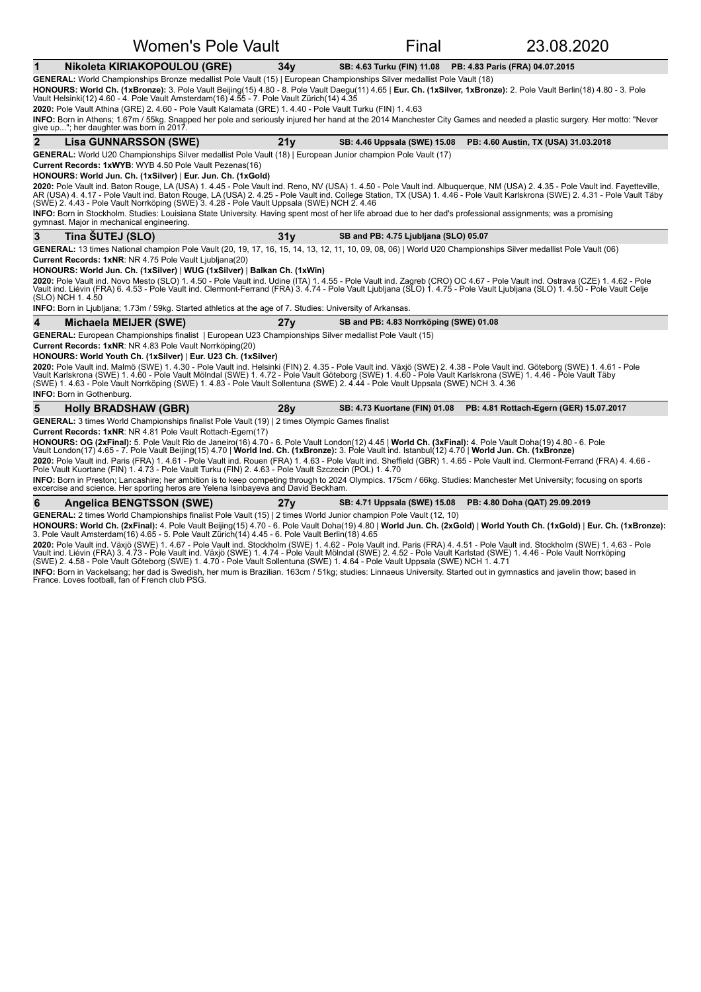#### **1 Nikoleta KIRIAKOPOULOU (GRE)** 34y SB: 4.63 Turku (FIN) 11.08 PB: 4.83 Paris (FRA) 04.07.2015 GENERAL: World Championships Bronze medallist Pole Vault (15) | European Championships Silver medallist Pole Vault (18) **HONOURS: World Ch. (1xBronze):** 3. Pole Vault Beijing(15) 4.80 - 8. Pole Vault Daegu(11) 4.65 | **Eur. Ch. (1xSilver, 1xBronze):** 2. Pole Vault Berlin(18) 4.80 - 3. Pole<br>Vault Helsinki(12) 4.60 - 4. Pole Vault Amsterdam(16 2020: Pole Vault Athina (GRE) 2. 4.60 - Pole Vault Kalamata (GRE) 1. 4.40 - Pole Vault Turku (FIN) 1. 4.63 **INFO:** Born in Athens; 1.67m / 55kg. Snapped her pole and seriously injured her hand at the 2014 Manchester City Games and needed a plastic surgery. Her motto: "Never<br>give up..."; her daughter was born in 2017. **2 Lisa GUNNARSSON (SWE)** 21y SB: 4.46 Uppsala (SWE) 15.08 PB: 4.60 Austin, TX (USA) 31.03.2018 GENERAL: World U20 Championships Silver medallist Pole Vault (18) | European Junior champion Pole Vault (17) **Current Records: 1xWYB:** WYB 4.50 Pole Vault Pezenas(16) **HONOURS: World Jun. Ch. (1xSilver) | Eur. Jun. Ch. (1xGold) 2020:** Pole Vault ind. Baton Rouge, LA (USA) 1. 4.45 - Pole Vault ind. Reno, NV (USA) 1. 4.50 - Pole Vault ind. Albuquerque, NM (USA) 2. 4.35 - Pole Vault ind. Fayetteville,<br>AR (USA) 4. 4.17 - Pole Vault ind. Baton Rouge, **INFO:** Born in Stockholm. Studies: Louisiana State University. Having spent most of her life abroad due to her dad's professional assignments; was a promising gymnast. Major in mechanical engineering. **3 Tina SUTEJ (SLO) 31y SB** and PB: 4.75 Ljubljana (SLO) 05.07 **GENERAL:** 13 times National champion Pole Vault (20, 19, 17, 16, 15, 14, 13, 12, 11, 10, 09, 08, 06) | World U20 Championships Silver medallist Pole Vault (06) **Current Records: 1xNR:** NR 4.75 Pole Vault Ljubljana(20) **HONOURS: World Jun. Ch. (1xSilver)** | **WUG (1xSilver)** | **Balkan Ch. (1xWin) 2020:** Pole Vault ind. Novo Mesto (SLO) 1. 4.50 - Pole Vault ind. Udine (ITA) 1. 4.55 - Pole Vault ind. Zagreb (CRO) OC 4.67 - Pole Vault ind. Ostrava (CZE) 1. 4.62 - Pole<br>Vault ind. Liévin (FRA) 6. 4.53 - Pole Vault ind. (SLO) NCH 1.4.50 **INFO:** Born in Ljubljana; 1.73m / 59kg. Started athletics at the age of 7. Studies: University of Arkansas **4** Michaela MEIJER (SWE) 27y SB and PB: 4.83 Norrköping (SWE) 01.08 **GENERAL:** European Championships finalist | European U23 Championships Silver medallist Pole Vault (15) **Current Records: 1xNR: NR 4.83 Pole Vault Norrköping(20) HONOURS: World Youth Ch. (1xSilver)** | **Eur. U23 Ch. (1xSilver) 2020:** Pole Vault ind. Malmö (SWE) 1. 4.30 - Pole Vault ind. Helsinki (FIN) 2. 4.35 - Pole Vault ind. Växjö (SWE) 2. 4.38 - Pole Vault ind. Göteborg (SWE) 1. 4.61 - Pole<br>Vault Karlskrona (SWE) 1. 4.60 - Pole Vault Mölndal **INFO:** Born in Gothenburg. **5 Holly BRADSHAW (GBR)** 28y SB: 4.73 Kuortane (FIN) 01.08 PB: 4.81 Rottach-Egern (GER) 15.07.2017 **GENERAL:** 3 times World Championships finalist Pole Vault (19) | 2 times Olympic Games finalist **Current Records: 1xNR: NR 4.81 Pole Vault Rottach-Egern(17) HONOURS: OG (2xFinal):** 5. Pole Vault Rio de Janeiro(16) 4.70 - 6. Pole Vault London(12) 4.45 | **World Ch. (3xFinal):** 4. Pole Vault Doha(19) 4.80 - 6. Pole<br>Vault London(17) 4.65 - 7. Pole Vault Beijing(15) 4.70 | **World 2020:** Pole Vault ind. Paris (FRA) 1. 4.61 - Pole Vault ind. Rouen (FRA) 1. 4.63 - Pole Vault ind. Sheffield (GBR) 1. 4.65 - Pole Vault ind. Clermont-Ferrand (FRA) 4. 4.66 -Pole Vault Kuortane (FIN) 1. 4.73 - Pole Vault Turku (FIN) 2. 4.63 - Pole Vault Szczecin (POL) 1. 4.70 **INFO:** Born in Preston; Lancashire; her ambition is to keep competing through to 2024 Olympics. 175cm / 66kg. Studies: Manchester Met University; focusing on sports<br>excercise and science. Her sporting heros are Yelena Isi 6 Angelica BENGTSSON (SWE) 27y SB: 4.71 Uppsala (SWE) 15.08 PB: 4.80 Doha (QAT) 29.09.2019 GENERAL: 2 times World Championships finalist Pole Vault (15) | 2 times World Junior champion Pole Vault (12, 10)

**HONOURS: World Ch. (2xFinal):** 4. Pole Vault Beijing(15) 4.70 - 6. Pole Vault Doha(19) 4.80 | **World Jun. Ch. (2xGold) | World Youth Ch. (1xGold) | Eur. Ch. (1xBronze):**<br>3. Pole Vault Amsterdam(16) 4.65 - 5. Pole Vault Zü

**2020:** Pole Vault ind. Växjö (SWE) 1. 4.67 - Pole Vault ind. Stockholm (SWE) 1. 4.62 - Pole Vault ind. Paris (FRA) 4. 4.51 - Pole Vault ind. Stockholm (SWE) 1. 4.63 - Pole<br>Vault ind. Liévin (FRA) 3. 4.73 - Pole Vault ind.

**INFO:** Born in Vackelsang; her dad is Swedish, her mum is Brazilian. 163cm / 51kg; studies: Linnaeus University. Started out in gymnastics and javelin thow; based in France. Loves football, fan of French club PSG.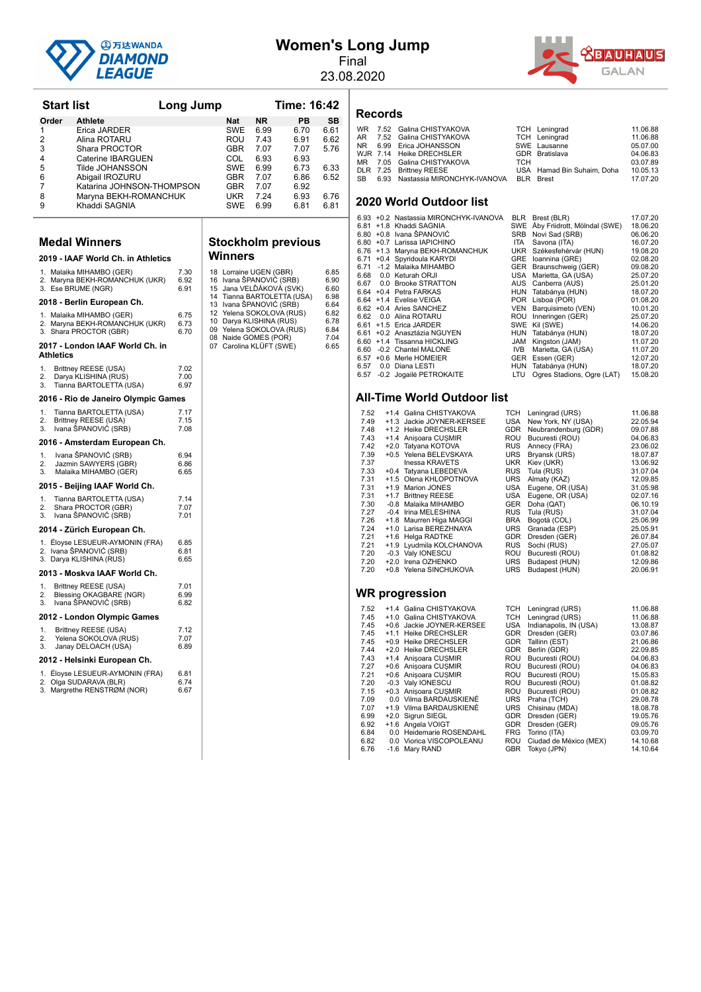

# **Women's Long Jump**

Final



23.08.2020

 $6.65$ 

| <b>Start list</b>  |                                                            |                      | Long Jump |                   |                                                                              | <b>Time: 16:42</b>         |                      |
|--------------------|------------------------------------------------------------|----------------------|-----------|-------------------|------------------------------------------------------------------------------|----------------------------|----------------------|
| Order              | <b>Athlete</b>                                             |                      |           | Nat               | NR.                                                                          | PВ                         | SB                   |
| 1                  | Erica JARDER                                               |                      |           | SWE               | 6.99                                                                         | 6.70                       | 6.61                 |
| 2                  | Alina ROTARU                                               |                      |           | ROU               | 7.43                                                                         | 6.91                       | 6.62                 |
| 3                  | Shara PROCTOR                                              |                      |           | GBR               | 7.07                                                                         | 7.07                       | 5.76                 |
| 4<br>5             | Caterine IBARGUEN<br>Tilde JOHANSSON                       |                      |           | COL<br><b>SWE</b> | 6.93<br>6.99                                                                 | 6.93<br>6.73               | 6.33                 |
| 6                  | Abigail IROZURU                                            |                      |           | GBR               | 7.07                                                                         | 6.86                       | 6.52                 |
| 7                  | Katarina JOHNSON-THOMPSON                                  |                      |           | GBR               | 7.07                                                                         | 6.92                       |                      |
| 8                  | Maryna BEKH-ROMANCHUK                                      |                      |           | UKR               | 7.24                                                                         | 6.93                       | 6.76                 |
| 9                  | Khaddi SAGNIA                                              |                      |           | SWE               | 6.99                                                                         | 6.81                       | 6.81                 |
|                    |                                                            |                      |           |                   |                                                                              |                            |                      |
|                    | <b>Medal Winners</b>                                       |                      |           | Winners           |                                                                              | <b>Stockholm previous</b>  |                      |
|                    | 2019 - IAAF World Ch. in Athletics                         |                      |           |                   |                                                                              |                            |                      |
| 3. Ese BRUME (NGR) | 1. Malaika MIHAMBO (GER)<br>2. Maryna BEKH-ROMANCHUK (UKR) | 7.30<br>6.92<br>6.91 |           |                   | 18 Lorraine UGEN (GBR)<br>16 Ivana SPANOVIC (SRB)<br>15 Jana VELDAKOVA (SVK) |                            | 6.85<br>6.90<br>6.60 |
|                    | 2018 - Berlin European Ch.                                 |                      |           |                   | 13 Ivana SPANOVIC (SRB)                                                      | 14 Tianna BARTOLETTA (USA) | 6.98<br>6.64         |
|                    | 1. Malaika MIHAMBO (GER)                                   | 6.75                 |           |                   | 12 Yelena SOKOLOVA (RUS)                                                     |                            | 6.82                 |
|                    | 2. Maryna BEKH-ROMANCHUK (UKR)<br>3. Shara PROCTOR (GBR)   | 6.73<br>6.70         |           |                   | 10 Darya KLISHINA (RUS)<br>09 Yelena SOKOLOVA (RUS)<br>08 Naide GOMES (POR)  |                            | 6.78<br>6.84<br>7.04 |
| Athletics          | 2017 - London IAAF World Ch. in                            |                      |           |                   | 07 Carolina KLÜFT (SWE)                                                      |                            | 6.65                 |
| 1.                 | Brittney REESE (USA)                                       | 7.02                 |           |                   |                                                                              |                            |                      |
| 2.<br>3.           | Darya KLISHINA (RUS)<br>Tianna BARTOLETTA (USA)            | 7.00<br>6.97         |           |                   |                                                                              |                            |                      |
|                    | 2016 - Rio de Janeiro Olympic Games                        |                      |           |                   |                                                                              |                            |                      |
| 1.                 | Tianna BARTOLETTA (USA)                                    | 7.17                 |           |                   |                                                                              |                            |                      |
| 2.<br>3.           | Brittney REESE (USA)<br>Ivana SPANOVIC (SRB)               | 7.15<br>7.08         |           |                   |                                                                              |                            |                      |
|                    | 2016 - Amsterdam European Ch.                              |                      |           |                   |                                                                              |                            |                      |
| 1.                 | Ivana ŠPANOVIĆ (SRB)                                       | 6.94                 |           |                   |                                                                              |                            |                      |
| 2.<br>3.           | Jazmin SAWYERS (GBR)<br>Malaika MIHAMBO (GER)              | 6.86<br>6.65         |           |                   |                                                                              |                            |                      |
|                    | 2015 - Beijing IAAF World Ch.                              |                      |           |                   |                                                                              |                            |                      |
| 1.                 | Tianna BARTOLETTA (USA)                                    | 7.14                 |           |                   |                                                                              |                            |                      |
| 2.                 | Shara PROCTOR (GBR)                                        | 7.07                 |           |                   |                                                                              |                            |                      |
| 3.                 | Ivana ŠPANOVIĆ (SRB)                                       | 7.01                 |           |                   |                                                                              |                            |                      |
|                    | 2014 - Zürich European Ch.                                 |                      |           |                   |                                                                              |                            |                      |
|                    | 1. Éloyse LESUEUR-AYMONIN (FRA)<br>2. Ivana ŠPANOVIĆ (SRB) | 6.85<br>6.81         |           |                   |                                                                              |                            |                      |
|                    | 3. Darya KLISHINA (RUS)                                    | 6.65                 |           |                   |                                                                              |                            |                      |
|                    | 2013 - Moskva IAAF World Ch.                               |                      |           |                   |                                                                              |                            |                      |
| 1.                 | Brittney REESE (USA)                                       | 7.01                 |           |                   |                                                                              |                            |                      |
| 2.<br>3.           | Blessing OKAGBARE (NGR)<br>Ivana ŠPANOVIĆ (SRB)            | 6.99<br>6.82         |           |                   |                                                                              |                            |                      |
|                    | 2012 - London Olympic Games                                |                      |           |                   |                                                                              |                            |                      |
| 1.                 | Brittney REESE (USA)                                       | 7.12                 |           |                   |                                                                              |                            |                      |
| 2.<br>3.           | Yelena SOKOLOVA (RUS)<br>Janay DELOACH (USA)               | 7.07<br>6.89         |           |                   |                                                                              |                            |                      |
|                    | 2012 - Helsinki European Ch.                               |                      |           |                   |                                                                              |                            |                      |
| 1.                 | Éloyse LESUEUR-AYMONIN (FRA)                               | 6.81                 |           |                   |                                                                              |                            |                      |
|                    | 2. Olga SUDARAVA (BLR)<br>3. Margrethe RENSTRØM (NOR)      | 6.74<br>6.67         |           |                   |                                                                              |                            |                      |
|                    |                                                            |                      |           |                   |                                                                              |                            |                      |
|                    |                                                            |                      |           |                   |                                                                              |                            |                      |
|                    |                                                            |                      |           |                   |                                                                              |                            |                      |
|                    |                                                            |                      |           |                   |                                                                              |                            |                      |
|                    |                                                            |                      |           |                   |                                                                              |                            |                      |

# **Records**

|  | WR 7.52 Galina CHISTYAKOVA                    |     | TCH Leningrad              | 11.06.88 |
|--|-----------------------------------------------|-----|----------------------------|----------|
|  | AR 7.52 Galina CHISTYAKOVA                    |     | <b>TCH</b> Leningrad       | 11.06.88 |
|  | NR 6.99 Erica JOHANSSON                       |     | SWE Lausanne               | 05.07.00 |
|  | WJR 7.14 Heike DRECHSLER                      |     | GDR Bratislava             | 04.06.83 |
|  | MR 7.05 Galina CHISTYAKOVA                    | TCH |                            | 03.07.89 |
|  | DLR 7.25 Brittnev REESE                       |     | USA Hamad Bin Suhaim, Doha | 10.05.13 |
|  | SB 6.93 Nastassia MIRONCHYK-IVANOVA BLR Brest |     |                            | 17.07.20 |
|  |                                               |     |                            |          |

#### **2020 World Outdoor list**

|      | 6.93 +0.2 Nastassia MIRONCHYK-IVANOVA | BLR        | Brest (BLR)                      | 17.07.20 |
|------|---------------------------------------|------------|----------------------------------|----------|
|      | 6.81 +1.8 Khaddi SAGNIA               |            | SWE Åby Friidrott, Mölndal (SWE) | 18.06.20 |
|      | 6.80 + 0.8 Ivana ŠPANOVIĆ             | <b>SRB</b> | Novi Sad (SRB)                   | 06.06.20 |
|      | 6.80 +0.7 Larissa IAPICHINO           | <b>ITA</b> | Savona (ITA)                     | 16.07.20 |
|      | 6.76 +1.3 Maryna BEKH-ROMANCHUK       |            | UKR Székesfehérvár (HUN)         | 19.08.20 |
|      | 6.71 +0.4 Spyridoula KARYDI           |            | GRE Ioannina (GRE)               | 02.08.20 |
|      | 6.71 -1.2 Malaika MIHAMBO             |            | GER Braunschweig (GER)           | 09.08.20 |
| 6.68 | 0.0 Keturah ORJI                      |            | USA Marietta, GA (USA)           | 25.07.20 |
| 6.67 | 0.0 Brooke STRATTON                   |            | AUS Canberra (AUS)               | 25.01.20 |
|      | 6.64 +0.4 Petra FARKAS                |            | HUN Tatabánya (HUN)              | 18.07.20 |
|      | 6.64 +1.4 Evelise VEIGA               |            | POR Lisboa (POR)                 | 01.08.20 |
|      | 6.62 +0.4 Aries SANCHEZ               | VEN        | Barquisimeto (VEN)               | 10.01.20 |
| 6.62 | 0.0 Alina ROTARU                      |            | ROU Inneringen (GER)             | 25.07.20 |
|      | 6.61 +1.5 Erica JARDER                |            | SWE Kil (SWE)                    | 14.06.20 |
|      | 6.61 +0.2 Anasztázia NGUYEN           |            | HUN Tatabánya (HUN)              | 18.07.20 |
|      | 6.60 +1.4 Tissanna HICKLING           | <b>JAM</b> | Kingston (JAM)                   | 11.07.20 |
| 6.60 | -0.2 Chantel MALONE                   | IVB.       | Marietta, GA (USA)               | 11.07.20 |
| 6.57 | +0.6 Merle HOMEIER                    |            | GER Essen (GER)                  | 12.07.20 |
| 6.57 | 0.0 Diana LESTI                       |            | HUN Tatabánya (HUN)              | 18.07.20 |
|      | 6.57 -0.2 Jogailė PETROKAITE          | LTU        | Ogres Stadions, Ogre (LAT)       | 15.08.20 |
|      |                                       |            |                                  |          |

#### **All-Time World Outdoor list**

| 7.52 | +1.4 Galina CHISTYAKOVA   | TCH        | Leningrad (URS)        | 11.06.88 |
|------|---------------------------|------------|------------------------|----------|
| 7.49 | +1.3 Jackie JOYNER-KERSEE | USA        | New York, NY (USA)     | 22.05.94 |
| 7.48 | +1.2 Heike DRECHSLER      | <b>GDR</b> | Neubrandenburg (GDR)   | 09.07.88 |
| 7.43 | +1.4 Anisoara CUSMIR      | ROU        | Bucuresti (ROU)        | 04.06.83 |
| 7.42 | +2.0 Tatyana KOTOVA       | <b>RUS</b> | Annecy (FRA)           | 23.06.02 |
| 7.39 | +0.5 Yelena BELEVSKAYA    | <b>URS</b> | Bryansk (URS)          | 18.07.87 |
| 7.37 | <b>Inessa KRAVETS</b>     | <b>UKR</b> | Kiev (UKR)             | 13.06.92 |
| 7.33 | +0.4 Tatyana LEBEDEVA     | <b>RUS</b> | Tula (RUS)             | 31.07.04 |
| 7.31 | +1.5 Olena KHLOPOTNOVA    | <b>URS</b> | Almaty (KAZ)           | 12.09.85 |
| 7.31 | +1.9 Marion JONES         | <b>USA</b> | Eugene, OR (USA)       | 31.05.98 |
| 7.31 | +1.7 Brittney REESE       | USA        | Eugene, OR (USA)       | 02.07.16 |
| 7.30 | -0.8 Malaika MIHAMBO      | <b>GER</b> | Doha (QAT)             | 06.10.19 |
| 7.27 | -0.4 Irina MELESHINA      | <b>RUS</b> | Tula (RUS)             | 31.07.04 |
| 7.26 | +1.8 Maurren Higa MAGGI   | <b>BRA</b> | Bogotá (COL)           | 25.06.99 |
| 7.24 | +1.0 Larisa BEREZHNAYA    | <b>URS</b> | Granada (ESP)          | 25.05.91 |
| 7.21 | +1.6 Helga RADTKE         | <b>GDR</b> | Dresden (GER)          | 26.07.84 |
| 7.21 | +1.9 Lyudmila KOLCHANOVA  | <b>RUS</b> | Sochi (RUS)            | 27.05.07 |
| 7.20 | -0.3 Valy IONESCU         | <b>ROU</b> | Bucuresti (ROU)        | 01.08.82 |
| 7.20 | +2.0 Irena OZHENKO        | <b>URS</b> | Budapest (HUN)         | 12.09.86 |
| 7.20 | +0.8 Yelena SINCHUKOVA    | <b>URS</b> | Budapest (HUN)         | 20.06.91 |
|      |                           |            |                        |          |
|      | WR progression            |            |                        |          |
|      |                           |            |                        |          |
| 7.52 | +1.4 Galina CHISTYAKOVA   | <b>TCH</b> | Leningrad (URS)        | 11.06.88 |
| 7.45 | +1.0 Galina CHISTYAKOVA   | <b>TCH</b> | Leningrad (URS)        | 11.06.88 |
| 7.45 | +0.6 Jackie JOYNER-KERSEE | <b>USA</b> | Indianapolis, IN (USA) | 13.08.87 |
| 7.45 | +1.1 Heike DRECHSLER      | <b>GDR</b> | Dresden (GER)          | 03.07.86 |
| 7.45 | +0.9 Heike DRECHSLER      | <b>GDR</b> | Tallinn (EST)          | 21.06.86 |
| 7.44 | +2.0 Heike DRECHSLER      | <b>GDR</b> | Berlin (GDR)           | 22.09.85 |
| 7.43 | +1.4 Anisoara CUSMIR      | <b>ROU</b> | Bucuresti (ROU)        | 04.06.83 |
| 7.27 | +0.6 Anisoara CUSMIR      | ROU        | Bucuresti (ROU)        | 04.06.83 |
| 7.21 | +0.6 Anisoara CUSMIR      | <b>ROU</b> | Bucuresti (ROU)        | 15.05.83 |
| 7.20 | -0.3 Valy IONESCU         | ROU        | Bucuresti (ROU)        | 01.08.82 |
| 7.15 | +0.3 Anisoara CUSMIR      | <b>ROU</b> | Bucuresti (ROU)        | 01.08.82 |
| 7.09 | 0.0 Vilma BARDAUSKIENÉ    | <b>URS</b> | Praha (TCH)            | 29.08.78 |
| 7.07 | +1.9 Vilma BARDAUSKIENÉ   | <b>URS</b> | Chisinau (MDA)         | 18.08.78 |
| 6.99 | +2.0 Sigrun SIEGL         | <b>GDR</b> | Dresden (GER)          | 19.05.76 |
| 6.92 | +1.6 Angela VOIGT         | <b>GDR</b> | Dresden (GER)          | 09.05.76 |
| 6.84 | 0.0 Heidemarie ROSENDAHL  | <b>FRG</b> | Torino (ITA)           | 03.09.70 |
| 6.82 | 0.0 Viorica VISCOPOLEANU  | <b>ROU</b> | Ciudad de México (MEX) | 14.10.68 |
| 6.76 | -1.6 Mary RAND            | <b>GBR</b> | Tokyo (JPN)            | 14.10.64 |